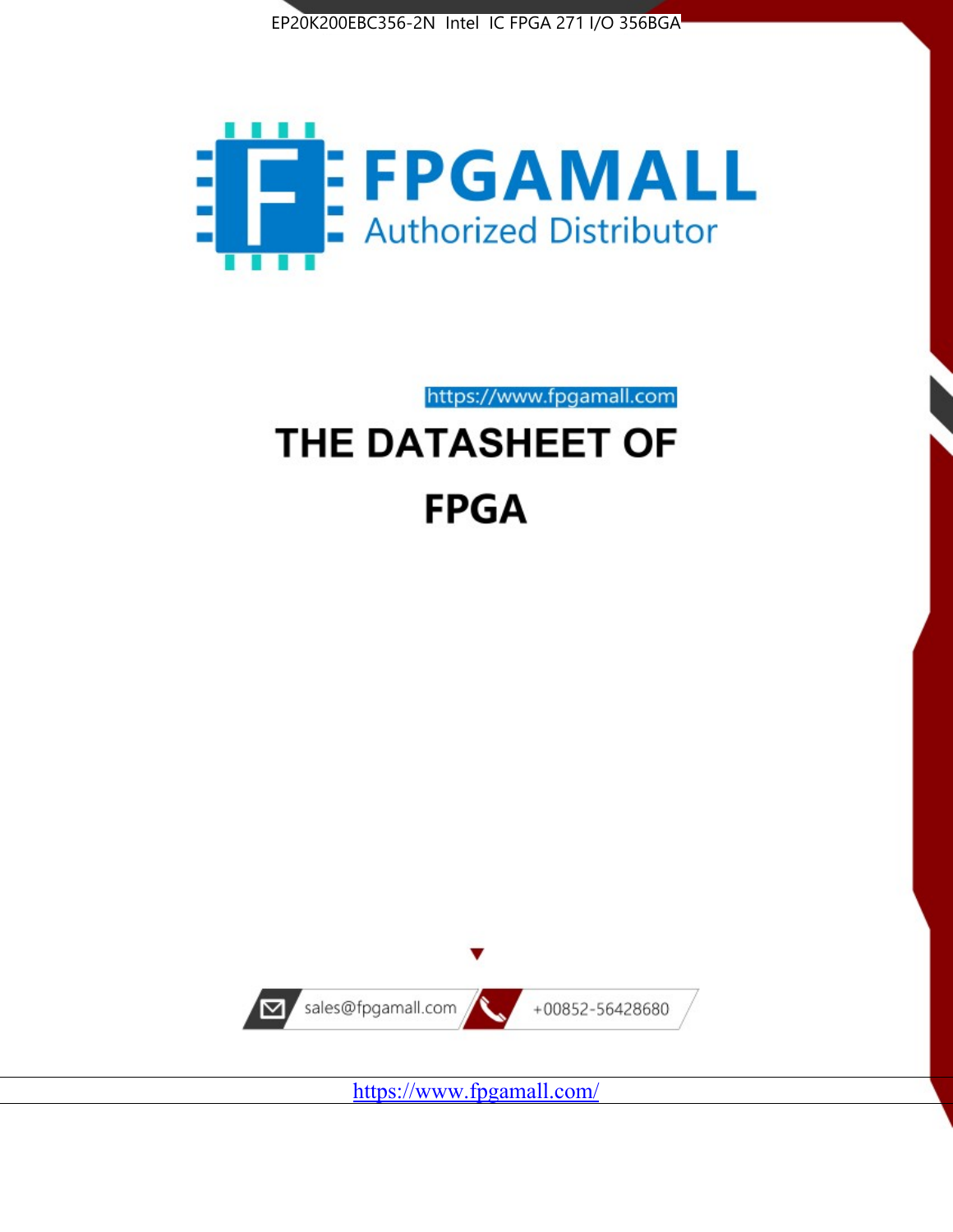



https://www.fpgamall.com

# THE DATASHEET OF **FPGA**



<https://www.fpgamall.com/>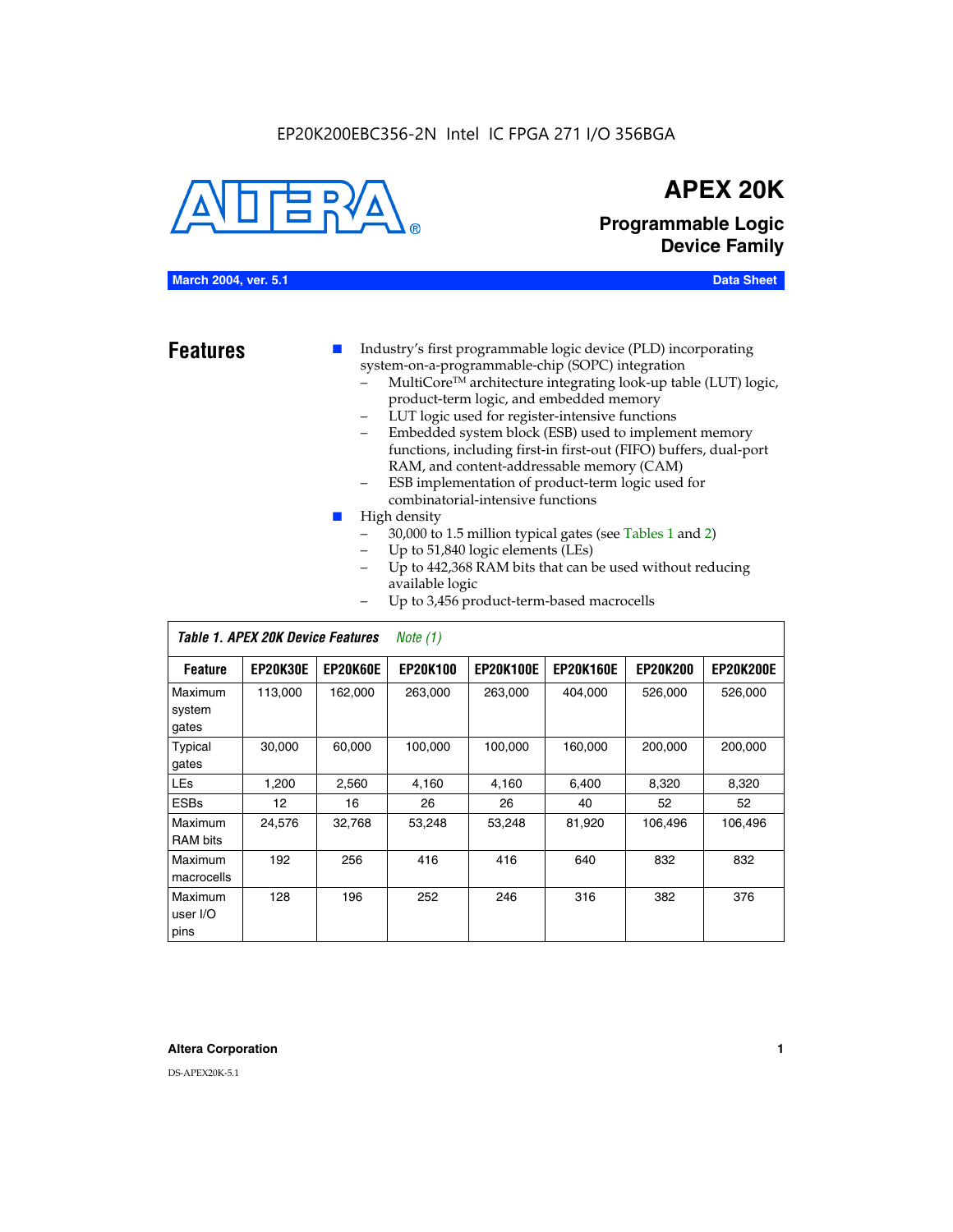#### EP20K200EBC356-2N Intel IC FPGA 271 I/O 356BGA



### **APEX 20K**

### **Programmable Logic Device Family**

#### **March 2004, ver. 5.1 Data Sheet**

- **Features ■** Industry's first programmable logic device (PLD) incorporating system-on-a-programmable-chip (SOPC) integration
	- MultiCore™ architecture integrating look-up table (LUT) logic, product-term logic, and embedded memory
	- LUT logic used for register-intensive functions
	- Embedded system block (ESB) used to implement memory functions, including first-in first-out (FIFO) buffers, dual-port RAM, and content-addressable memory (CAM)
	- ESB implementation of product-term logic used for combinatorial-intensive functions
	- High density
		- 30,000 to 1.5 million typical gates (see Tables 1 and 2)
		- Up to 51,840 logic elements (LEs)
		- Up to 442,368 RAM bits that can be used without reducing available logic
		- Up to 3,456 product-term-based macrocells

|                             | Table 1. APEX 20K Device Features<br>Note $(1)$ |                 |                 |                  |                  |                 |                  |  |  |  |  |
|-----------------------------|-------------------------------------------------|-----------------|-----------------|------------------|------------------|-----------------|------------------|--|--|--|--|
| <b>Feature</b>              | <b>EP20K30E</b>                                 | <b>EP20K60E</b> | <b>EP20K100</b> | <b>EP20K100E</b> | <b>EP20K160E</b> | <b>EP20K200</b> | <b>EP20K200E</b> |  |  |  |  |
| Maximum<br>system<br>gates  | 113,000                                         | 162,000         | 263,000         | 263,000          | 404.000          | 526,000         | 526,000          |  |  |  |  |
| Typical<br>gates            | 30,000                                          | 60,000          | 100,000         | 100,000          | 160,000          | 200,000         | 200,000          |  |  |  |  |
| <b>LEs</b>                  | 1,200                                           | 2,560           | 4,160           | 4,160            | 6.400            | 8,320           | 8,320            |  |  |  |  |
| <b>ESBs</b>                 | 12                                              | 16              | 26              | 26               | 40               | 52              | 52               |  |  |  |  |
| Maximum<br>RAM bits         | 24,576                                          | 32,768          | 53,248          | 53,248           | 81,920           | 106,496         | 106,496          |  |  |  |  |
| Maximum<br>macrocells       | 192                                             | 256             | 416             | 416              | 640              | 832             | 832              |  |  |  |  |
| Maximum<br>user I/O<br>pins | 128                                             | 196             | 252             | 246              | 316              | 382             | 376              |  |  |  |  |

#### **Altera Corporation 1**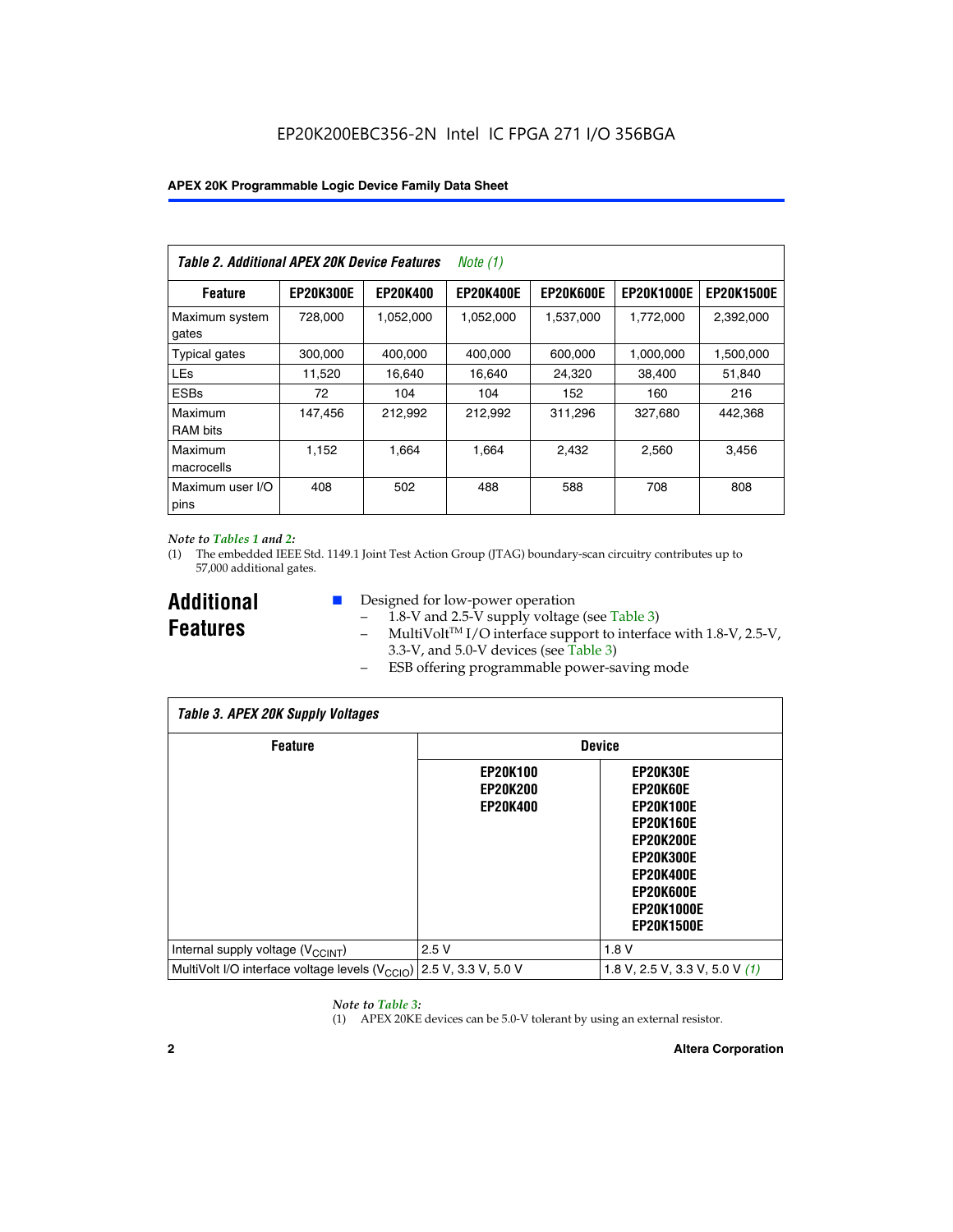| Table 2. Additional APEX 20K Device Features |                  |                 | <i>Note</i> $(1)$ |                  |                   |                   |
|----------------------------------------------|------------------|-----------------|-------------------|------------------|-------------------|-------------------|
| <b>Feature</b>                               | <b>EP20K300E</b> | <b>EP20K400</b> | <b>EP20K400E</b>  | <b>EP20K600E</b> | <b>EP20K1000E</b> | <b>EP20K1500E</b> |
| Maximum system<br>gates                      | 728,000          | 1,052,000       | 1,052,000         | 1,537,000        | 1,772,000         | 2,392,000         |
| <b>Typical gates</b>                         | 300,000          | 400,000         | 400,000           | 600,000          | 1,000,000         | 1,500,000         |
| <b>LEs</b>                                   | 11,520           | 16.640          | 16,640            | 24,320           | 38,400            | 51,840            |
| <b>ESBs</b>                                  | 72               | 104             | 104               | 152              | 160               | 216               |
| Maximum<br><b>RAM bits</b>                   | 147,456          | 212,992         | 212.992           | 311,296          | 327,680           | 442.368           |
| Maximum<br>macrocells                        | 1,152            | 1,664           | 1,664             | 2.432            | 2,560             | 3,456             |
| Maximum user I/O<br>pins                     | 408              | 502             | 488               | 588              | 708               | 808               |

#### *Note to Tables 1 and 2:*

(1) The embedded IEEE Std. 1149.1 Joint Test Action Group (JTAG) boundary-scan circuitry contributes up to 57,000 additional gates.

**Additional Features**

- Designed for low-power operation
	- 1.8-V and 2.5-V supply voltage (see Table 3)
	- $-$  MultiVolt<sup>TM</sup> I/O interface support to interface with 1.8-V, 2.5-V, 3.3-V, and 5.0-V devices (see Table 3)
	- ESB offering programmable power-saving mode

| <b>Table 3. APEX 20K Supply Voltages</b>                                       |                                                       |                                                                                                                                                                          |  |  |  |  |  |  |
|--------------------------------------------------------------------------------|-------------------------------------------------------|--------------------------------------------------------------------------------------------------------------------------------------------------------------------------|--|--|--|--|--|--|
| <b>Feature</b>                                                                 | <b>Device</b>                                         |                                                                                                                                                                          |  |  |  |  |  |  |
|                                                                                | <b>EP20K100</b><br><b>EP20K200</b><br><b>EP20K400</b> | EP20K30E<br>EP20K60E<br><b>EP20K100E</b><br><b>EP20K160E</b><br>EP20K200E<br><b>EP20K300E</b><br><b>EP20K400E</b><br>EP20K600E<br><b>EP20K1000E</b><br><b>EP20K1500E</b> |  |  |  |  |  |  |
| Internal supply voltage (V <sub>CCINT</sub> )                                  | 2.5V                                                  | 1.8V                                                                                                                                                                     |  |  |  |  |  |  |
| MultiVolt I/O interface voltage levels $(V_{\text{CCIO}})$ 2.5 V, 3.3 V, 5.0 V |                                                       | 1.8 V, 2.5 V, 3.3 V, 5.0 V $(1)$                                                                                                                                         |  |  |  |  |  |  |

#### *Note to Table 3:*

(1) APEX 20KE devices can be 5.0-V tolerant by using an external resistor.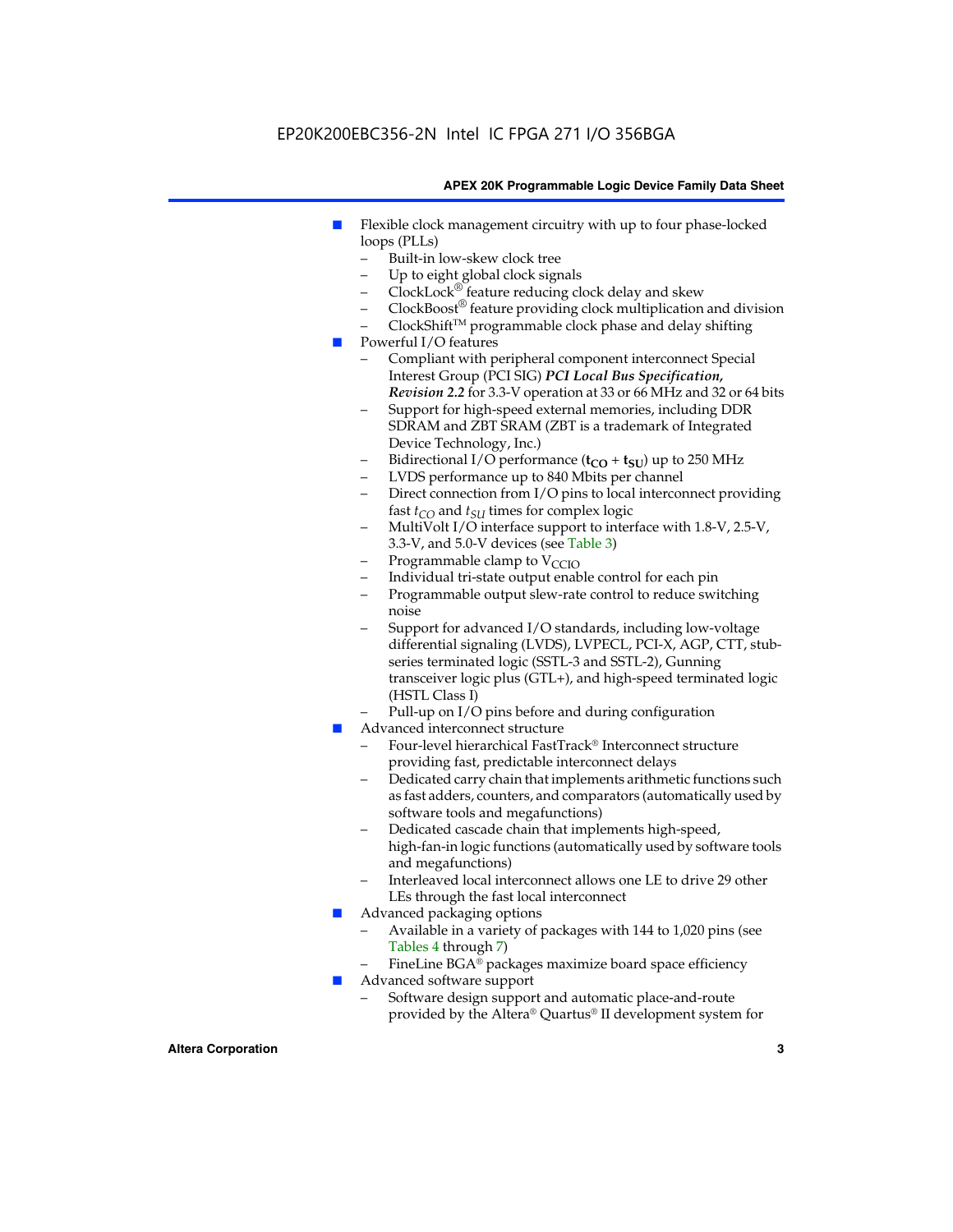#### EP20K200EBC356-2N Intel IC FPGA 271 I/O 356BGA

#### **APEX 20K Programmable Logic Device Family Data Sheet**

- Flexible clock management circuitry with up to four phase-locked loops (PLLs)
	- Built-in low-skew clock tree
	- Up to eight global clock signals
	- $ClockLock^{\circledR}$  feature reducing clock delay and skew
	- $ClockBoost^{\circledR}$  feature providing clock multiplication and division
	- ClockShiftTM programmable clock phase and delay shifting
- Powerful I/O features
	- Compliant with peripheral component interconnect Special Interest Group (PCI SIG) *PCI Local Bus Specification, Revision 2.2* for 3.3-V operation at 33 or 66 MHz and 32 or 64 bits
	- Support for high-speed external memories, including DDR SDRAM and ZBT SRAM (ZBT is a trademark of Integrated Device Technology, Inc.)
	- Bidirectional I/O performance  $(t_{CO} + t_{SU})$  up to 250 MHz
	- LVDS performance up to 840 Mbits per channel
	- Direct connection from I/O pins to local interconnect providing fast  $t_{CO}$  and  $t_{SU}$  times for complex logic
	- MultiVolt I/O interface support to interface with 1.8-V, 2.5-V, 3.3-V, and 5.0-V devices (see Table 3)
	- Programmable clamp to  $V_{\text{C}CD}$
	- Individual tri-state output enable control for each pin
	- Programmable output slew-rate control to reduce switching noise
	- Support for advanced I/O standards, including low-voltage differential signaling (LVDS), LVPECL, PCI-X, AGP, CTT, stubseries terminated logic (SSTL-3 and SSTL-2), Gunning transceiver logic plus (GTL+), and high-speed terminated logic (HSTL Class I)
	- Pull-up on I/O pins before and during configuration
- Advanced interconnect structure
	- Four-level hierarchical FastTrack® Interconnect structure providing fast, predictable interconnect delays
	- Dedicated carry chain that implements arithmetic functions such as fast adders, counters, and comparators (automatically used by software tools and megafunctions)
	- Dedicated cascade chain that implements high-speed, high-fan-in logic functions (automatically used by software tools and megafunctions)
	- Interleaved local interconnect allows one LE to drive 29 other LEs through the fast local interconnect
- Advanced packaging options
	- Available in a variety of packages with 144 to 1,020 pins (see Tables 4 through 7)
	- FineLine BGA® packages maximize board space efficiency
- Advanced software support
	- Software design support and automatic place-and-route provided by the Altera® Quartus® II development system for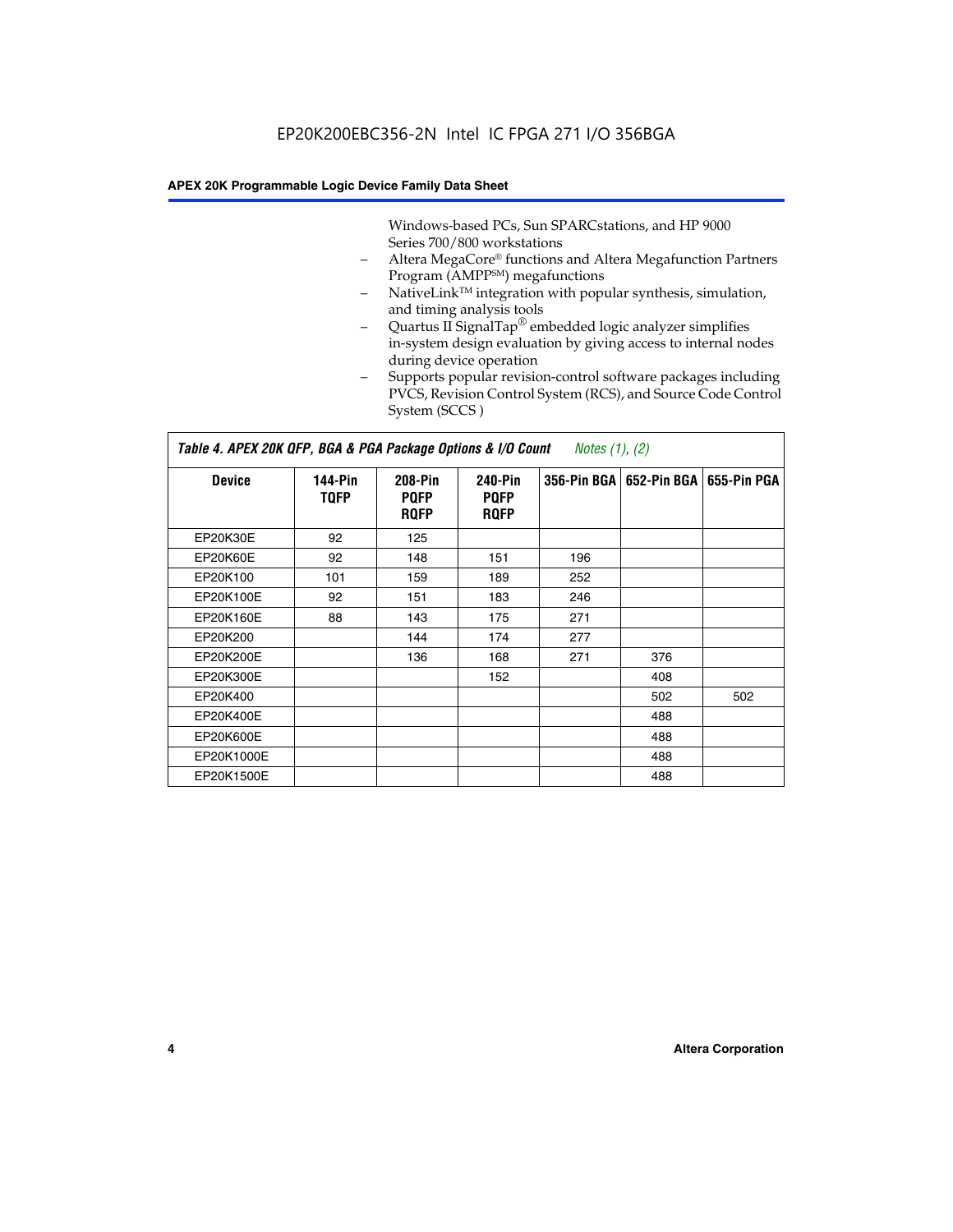Windows-based PCs, Sun SPARCstations, and HP 9000 Series 700/800 workstations

- Altera MegaCore® functions and Altera Megafunction Partners Program (AMPP<sup>SM</sup>) megafunctions
- NativeLink<sup>™</sup> integration with popular synthesis, simulation, and timing analysis tools
- Quartus II SignalTap® embedded logic analyzer simplifies in-system design evaluation by giving access to internal nodes during device operation
- Supports popular revision-control software packages including PVCS, Revision Control System (RCS), and Source Code Control System (SCCS )

#### *Table 4. APEX 20K QFP, BGA & PGA Package Options & I/O Count Notes (1), (2)*

| <b>Device</b>   | 144-Pin<br><b>TQFP</b> | 208-Pin<br><b>PQFP</b><br><b>ROFP</b> | 240-Pin<br><b>PQFP</b><br><b>ROFP</b> |     | 356-Pin BGA   652-Pin BGA | 655-Pin PGA |
|-----------------|------------------------|---------------------------------------|---------------------------------------|-----|---------------------------|-------------|
| EP20K30E        | 92                     | 125                                   |                                       |     |                           |             |
| <b>EP20K60E</b> | 92                     | 148                                   | 151                                   | 196 |                           |             |
| EP20K100        | 101                    | 159                                   | 189                                   | 252 |                           |             |
| EP20K100E       | 92                     | 151                                   | 183                                   | 246 |                           |             |
| EP20K160E       | 88                     | 143                                   | 175                                   | 271 |                           |             |
| EP20K200        |                        | 144                                   | 174                                   | 277 |                           |             |
| EP20K200E       |                        | 136                                   | 168                                   | 271 | 376                       |             |
| EP20K300E       |                        |                                       | 152                                   |     | 408                       |             |
| EP20K400        |                        |                                       |                                       |     | 502                       | 502         |
| EP20K400E       |                        |                                       |                                       |     | 488                       |             |
| EP20K600E       |                        |                                       |                                       |     | 488                       |             |
| EP20K1000E      |                        |                                       |                                       |     | 488                       |             |
| EP20K1500E      |                        |                                       |                                       |     | 488                       |             |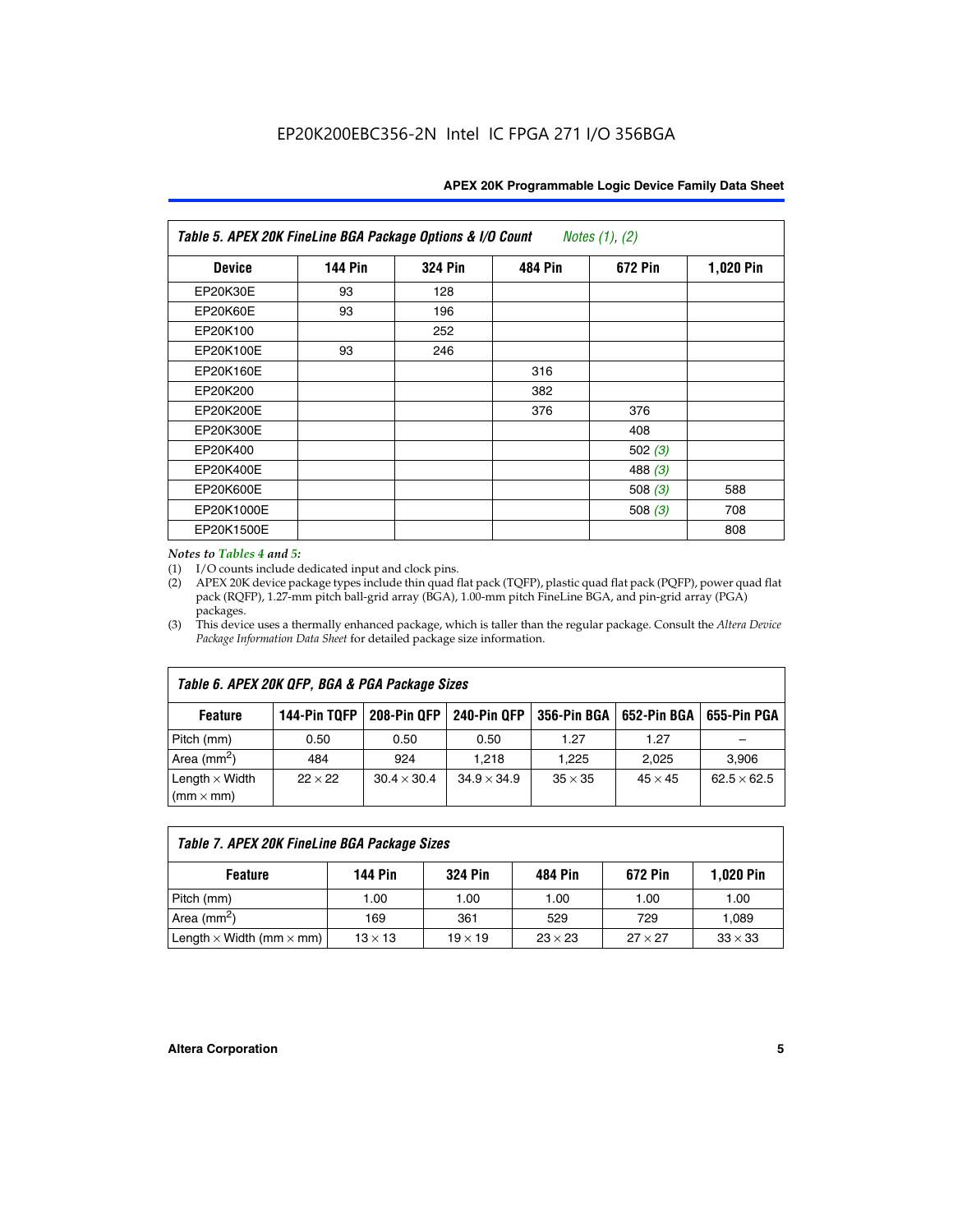| Table 5. APEX 20K FineLine BGA Package Options & I/O Count<br>Notes $(1)$ , $(2)$ |                |                |                |           |           |  |  |  |
|-----------------------------------------------------------------------------------|----------------|----------------|----------------|-----------|-----------|--|--|--|
| <b>Device</b>                                                                     | <b>144 Pin</b> | <b>324 Pin</b> | <b>484 Pin</b> | 672 Pin   | 1,020 Pin |  |  |  |
| EP20K30E                                                                          | 93             | 128            |                |           |           |  |  |  |
| <b>EP20K60E</b>                                                                   | 93             | 196            |                |           |           |  |  |  |
| EP20K100                                                                          |                | 252            |                |           |           |  |  |  |
| EP20K100E                                                                         | 93             | 246            |                |           |           |  |  |  |
| EP20K160E                                                                         |                |                | 316            |           |           |  |  |  |
| EP20K200                                                                          |                |                | 382            |           |           |  |  |  |
| EP20K200E                                                                         |                |                | 376            | 376       |           |  |  |  |
| EP20K300E                                                                         |                |                |                | 408       |           |  |  |  |
| EP20K400                                                                          |                |                |                | 502(3)    |           |  |  |  |
| EP20K400E                                                                         |                |                |                | 488 $(3)$ |           |  |  |  |
| EP20K600E                                                                         |                |                |                | 508 $(3)$ | 588       |  |  |  |
| EP20K1000E                                                                        |                |                |                | 508 $(3)$ | 708       |  |  |  |
| EP20K1500E                                                                        |                |                |                |           | 808       |  |  |  |

#### *Notes to Tables 4 and 5:*

 $\Gamma$ 

(1) I/O counts include dedicated input and clock pins.

(2) APEX 20K device package types include thin quad flat pack (TQFP), plastic quad flat pack (PQFP), power quad flat pack (RQFP), 1.27-mm pitch ball-grid array (BGA), 1.00-mm pitch FineLine BGA, and pin-grid array (PGA) packages.

(3) This device uses a thermally enhanced package, which is taller than the regular package. Consult the *Altera Device Package Information Data Sheet* for detailed package size information.

| Table 6. APEX 20K QFP, BGA & PGA Package Sizes                                                           |                |                    |                    |                |                |                    |  |  |  |
|----------------------------------------------------------------------------------------------------------|----------------|--------------------|--------------------|----------------|----------------|--------------------|--|--|--|
| 144-Pin TQFP<br>240-Pin QFP<br>356-Pin BGA   652-Pin BGA<br>208-Pin QFP<br>655-Pin PGA<br><b>Feature</b> |                |                    |                    |                |                |                    |  |  |  |
| Pitch (mm)                                                                                               | 0.50           | 0.50               | 0.50               | 1.27           | 1.27           |                    |  |  |  |
| Area $(mm^2)$                                                                                            | 484            | 924                | 1.218              | 1.225          | 2.025          | 3,906              |  |  |  |
| Length $\times$ Width<br>$(mm \times mm)$                                                                | $22 \times 22$ | $30.4 \times 30.4$ | $34.9 \times 34.9$ | $35 \times 35$ | $45 \times 45$ | $62.5 \times 62.5$ |  |  |  |

| Table 7. APEX 20K FineLine BGA Package Sizes                                          |                |                |                |                |                |  |  |  |
|---------------------------------------------------------------------------------------|----------------|----------------|----------------|----------------|----------------|--|--|--|
| <b>324 Pin</b><br><b>1,020 Pin</b><br>144 Pin<br>672 Pin<br>484 Pin<br><b>Feature</b> |                |                |                |                |                |  |  |  |
| Pitch (mm)                                                                            | 1.00           | 1.00           | 1.00           | 1.00           | 1.00           |  |  |  |
| Area ( $mm2$ )                                                                        | 169            | 361            | 529            | 729            | 1,089          |  |  |  |
| Length $\times$ Width (mm $\times$ mm)                                                | $13 \times 13$ | $19 \times 19$ | $23 \times 23$ | $27 \times 27$ | $33 \times 33$ |  |  |  |

٦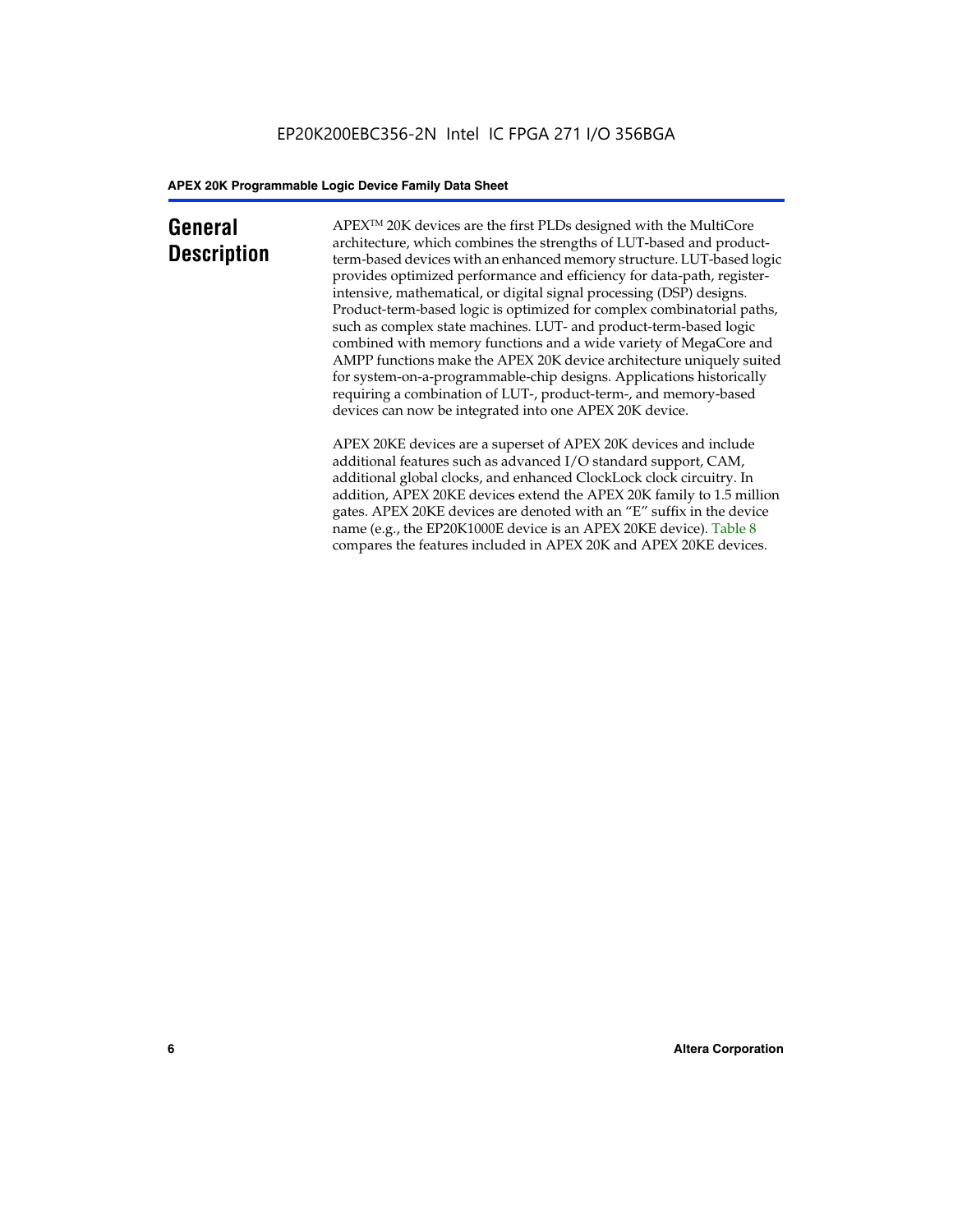### **General Description**

APEXTM 20K devices are the first PLDs designed with the MultiCore architecture, which combines the strengths of LUT-based and productterm-based devices with an enhanced memory structure. LUT-based logic provides optimized performance and efficiency for data-path, registerintensive, mathematical, or digital signal processing (DSP) designs. Product-term-based logic is optimized for complex combinatorial paths, such as complex state machines. LUT- and product-term-based logic combined with memory functions and a wide variety of MegaCore and AMPP functions make the APEX 20K device architecture uniquely suited for system-on-a-programmable-chip designs. Applications historically requiring a combination of LUT-, product-term-, and memory-based devices can now be integrated into one APEX 20K device.

APEX 20KE devices are a superset of APEX 20K devices and include additional features such as advanced I/O standard support, CAM, additional global clocks, and enhanced ClockLock clock circuitry. In addition, APEX 20KE devices extend the APEX 20K family to 1.5 million gates. APEX 20KE devices are denoted with an "E" suffix in the device name (e.g., the EP20K1000E device is an APEX 20KE device). Table 8 compares the features included in APEX 20K and APEX 20KE devices.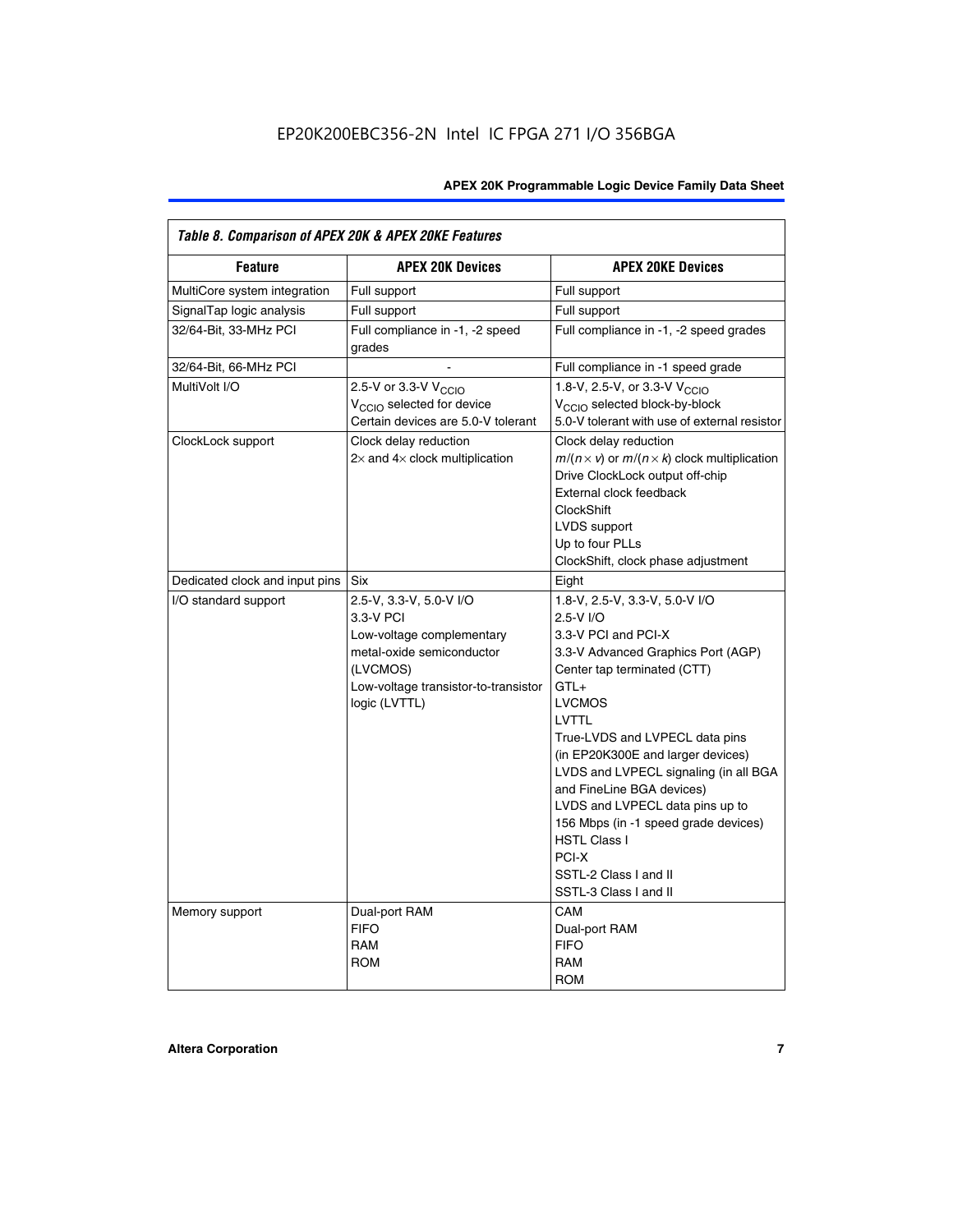| Table 8. Comparison of APEX 20K & APEX 20KE Features |                                                                                                                                                                     |                                                                                                                                                                                                                                                                                                                                                                                                                                                                                       |  |  |  |  |  |  |
|------------------------------------------------------|---------------------------------------------------------------------------------------------------------------------------------------------------------------------|---------------------------------------------------------------------------------------------------------------------------------------------------------------------------------------------------------------------------------------------------------------------------------------------------------------------------------------------------------------------------------------------------------------------------------------------------------------------------------------|--|--|--|--|--|--|
| <b>Feature</b>                                       | <b>APEX 20K Devices</b>                                                                                                                                             | <b>APEX 20KE Devices</b>                                                                                                                                                                                                                                                                                                                                                                                                                                                              |  |  |  |  |  |  |
| MultiCore system integration                         | Full support                                                                                                                                                        | Full support                                                                                                                                                                                                                                                                                                                                                                                                                                                                          |  |  |  |  |  |  |
| SignalTap logic analysis                             | Full support                                                                                                                                                        | Full support                                                                                                                                                                                                                                                                                                                                                                                                                                                                          |  |  |  |  |  |  |
| 32/64-Bit, 33-MHz PCI                                | Full compliance in -1, -2 speed<br>grades                                                                                                                           | Full compliance in -1, -2 speed grades                                                                                                                                                                                                                                                                                                                                                                                                                                                |  |  |  |  |  |  |
| 32/64-Bit, 66-MHz PCI                                |                                                                                                                                                                     | Full compliance in -1 speed grade                                                                                                                                                                                                                                                                                                                                                                                                                                                     |  |  |  |  |  |  |
| MultiVolt I/O                                        | 2.5-V or 3.3-V V <sub>CCIO</sub><br>V <sub>CCIO</sub> selected for device<br>Certain devices are 5.0-V tolerant                                                     | 1.8-V, 2.5-V, or 3.3-V V <sub>CCIO</sub><br>V <sub>CCIO</sub> selected block-by-block<br>5.0-V tolerant with use of external resistor                                                                                                                                                                                                                                                                                                                                                 |  |  |  |  |  |  |
| ClockLock support                                    | Clock delay reduction<br>$2\times$ and $4\times$ clock multiplication                                                                                               | Clock delay reduction<br>$m/(n \times v)$ or $m/(n \times k)$ clock multiplication<br>Drive ClockLock output off-chip<br>External clock feedback<br><b>ClockShift</b><br>LVDS support<br>Up to four PLLs<br>ClockShift, clock phase adjustment                                                                                                                                                                                                                                        |  |  |  |  |  |  |
| Dedicated clock and input pins                       | <b>Six</b>                                                                                                                                                          | Eight                                                                                                                                                                                                                                                                                                                                                                                                                                                                                 |  |  |  |  |  |  |
| I/O standard support                                 | 2.5-V, 3.3-V, 5.0-V I/O<br>3.3-V PCI<br>Low-voltage complementary<br>metal-oxide semiconductor<br>(LVCMOS)<br>Low-voltage transistor-to-transistor<br>logic (LVTTL) | 1.8-V, 2.5-V, 3.3-V, 5.0-V I/O<br>2.5-V I/O<br>3.3-V PCI and PCI-X<br>3.3-V Advanced Graphics Port (AGP)<br>Center tap terminated (CTT)<br>$GTL+$<br><b>LVCMOS</b><br>LVTTL<br>True-LVDS and LVPECL data pins<br>(in EP20K300E and larger devices)<br>LVDS and LVPECL signaling (in all BGA<br>and FineLine BGA devices)<br>LVDS and LVPECL data pins up to<br>156 Mbps (in -1 speed grade devices)<br><b>HSTL Class I</b><br>PCI-X<br>SSTL-2 Class I and II<br>SSTL-3 Class I and II |  |  |  |  |  |  |
| Memory support                                       | Dual-port RAM<br><b>FIFO</b><br><b>RAM</b><br><b>ROM</b>                                                                                                            | CAM<br>Dual-port RAM<br><b>FIFO</b><br>RAM<br><b>ROM</b>                                                                                                                                                                                                                                                                                                                                                                                                                              |  |  |  |  |  |  |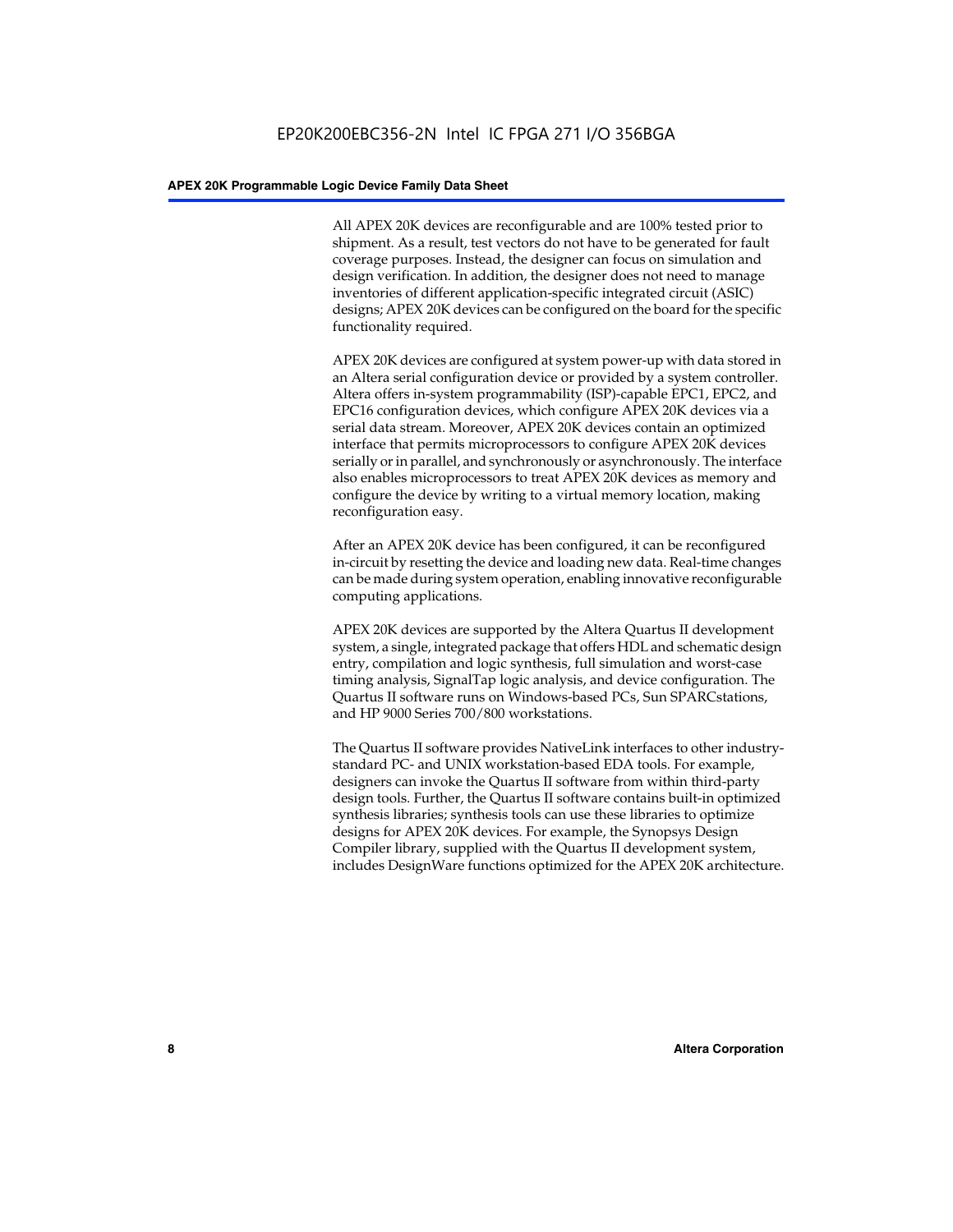All APEX 20K devices are reconfigurable and are 100% tested prior to shipment. As a result, test vectors do not have to be generated for fault coverage purposes. Instead, the designer can focus on simulation and design verification. In addition, the designer does not need to manage inventories of different application-specific integrated circuit (ASIC) designs; APEX 20K devices can be configured on the board for the specific functionality required.

APEX 20K devices are configured at system power-up with data stored in an Altera serial configuration device or provided by a system controller. Altera offers in-system programmability (ISP)-capable EPC1, EPC2, and EPC16 configuration devices, which configure APEX 20K devices via a serial data stream. Moreover, APEX 20K devices contain an optimized interface that permits microprocessors to configure APEX 20K devices serially or in parallel, and synchronously or asynchronously. The interface also enables microprocessors to treat APEX 20K devices as memory and configure the device by writing to a virtual memory location, making reconfiguration easy.

After an APEX 20K device has been configured, it can be reconfigured in-circuit by resetting the device and loading new data. Real-time changes can be made during system operation, enabling innovative reconfigurable computing applications.

APEX 20K devices are supported by the Altera Quartus II development system, a single, integrated package that offers HDL and schematic design entry, compilation and logic synthesis, full simulation and worst-case timing analysis, SignalTap logic analysis, and device configuration. The Quartus II software runs on Windows-based PCs, Sun SPARCstations, and HP 9000 Series 700/800 workstations.

The Quartus II software provides NativeLink interfaces to other industrystandard PC- and UNIX workstation-based EDA tools. For example, designers can invoke the Quartus II software from within third-party design tools. Further, the Quartus II software contains built-in optimized synthesis libraries; synthesis tools can use these libraries to optimize designs for APEX 20K devices. For example, the Synopsys Design Compiler library, supplied with the Quartus II development system, includes DesignWare functions optimized for the APEX 20K architecture.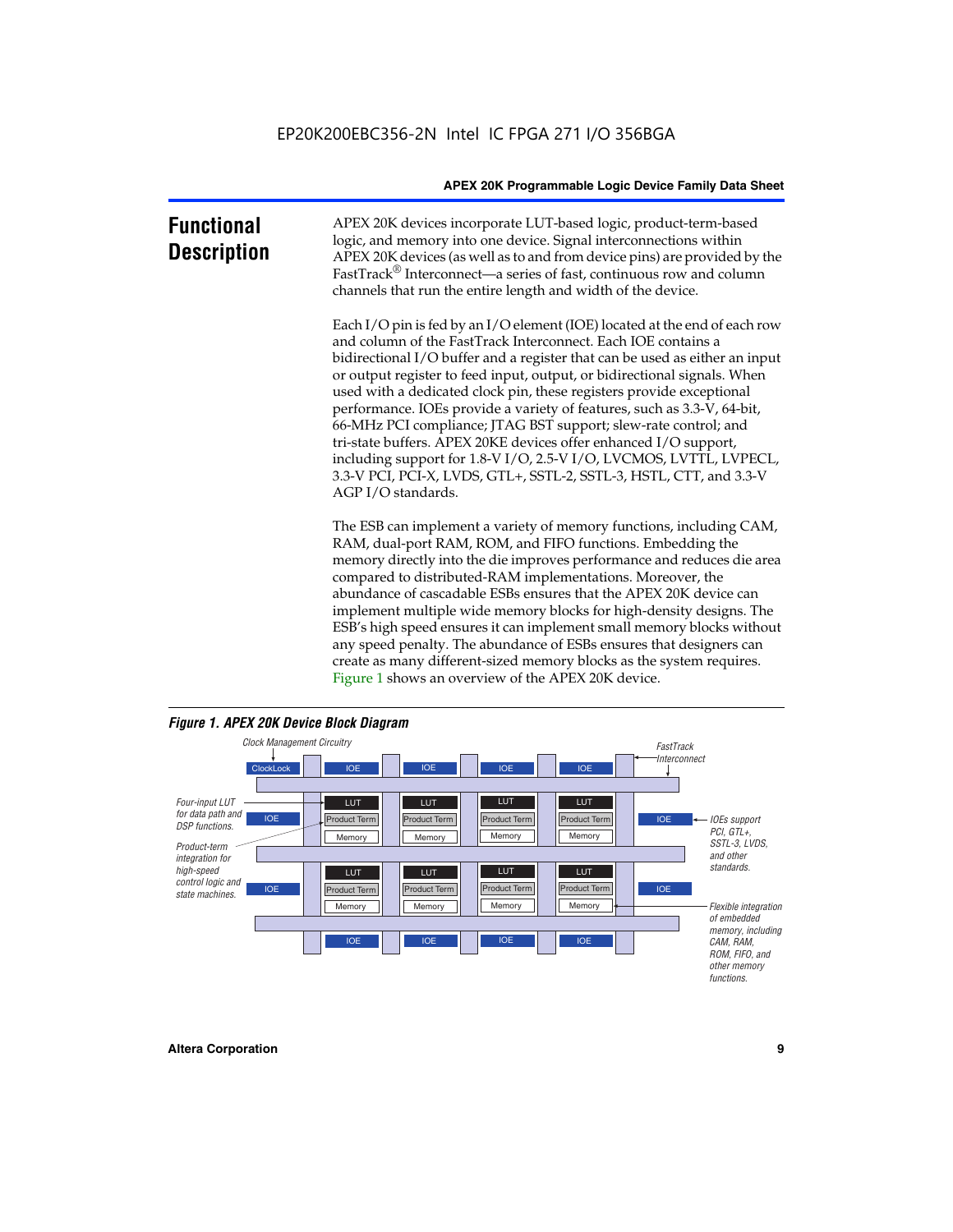| <b>Functional</b><br><b>Description</b> | APEX 20K devices incorporate LUT-based logic, product-term-based<br>logic, and memory into one device. Signal interconnections within<br>APEX 20K devices (as well as to and from device pins) are provided by the<br>FastTrack <sup>®</sup> Interconnect—a series of fast, continuous row and column<br>channels that run the entire length and width of the device.                                                                                                                                                                                                                                                                                                                                                                                              |
|-----------------------------------------|--------------------------------------------------------------------------------------------------------------------------------------------------------------------------------------------------------------------------------------------------------------------------------------------------------------------------------------------------------------------------------------------------------------------------------------------------------------------------------------------------------------------------------------------------------------------------------------------------------------------------------------------------------------------------------------------------------------------------------------------------------------------|
|                                         | Each I/O pin is fed by an I/O element (IOE) located at the end of each row<br>and column of the FastTrack Interconnect. Each IOE contains a<br>bidirectional I/O buffer and a register that can be used as either an input<br>or output register to feed input, output, or bidirectional signals. When<br>used with a dedicated clock pin, these registers provide exceptional<br>performance. IOEs provide a variety of features, such as 3.3-V, 64-bit,<br>66-MHz PCI compliance; JTAG BST support; slew-rate control; and<br>tri-state buffers. APEX 20KE devices offer enhanced I/O support,<br>including support for 1.8-V I/O, 2.5-V I/O, LVCMOS, LVTTL, LVPECL,<br>3.3-V PCI, PCI-X, LVDS, GTL+, SSTL-2, SSTL-3, HSTL, CTT, and 3.3-V<br>AGP I/O standards. |
|                                         | The ESB can implement a variety of memory functions, including CAM,<br>RAM, dual-port RAM, ROM, and FIFO functions. Embedding the<br>memory directly into the die improves performance and reduces die area<br>compared to distributed-RAM implementations. Moreover, the<br>abundance of cascadable ESBs ensures that the APEX 20K device can<br>implement multiple wide memory blocks for high-density designs. The<br>ESB's high speed ensures it can implement small memory blocks without<br>any speed penalty. The abundance of ESBs ensures that designers can                                                                                                                                                                                              |



create as many different-sized memory blocks as the system requires.

Figure 1 shows an overview of the APEX 20K device.

#### **Altera Corporation 9**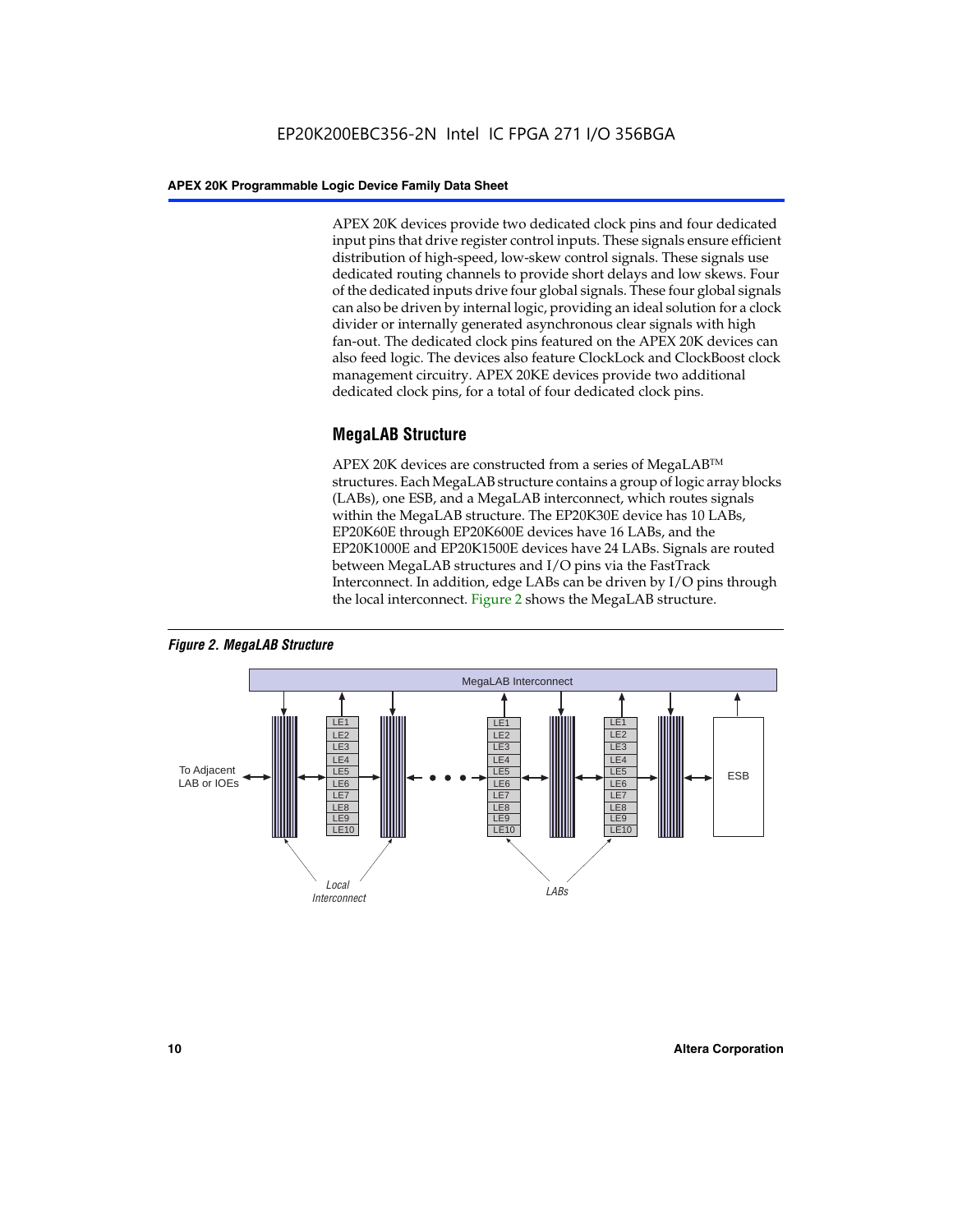APEX 20K devices provide two dedicated clock pins and four dedicated input pins that drive register control inputs. These signals ensure efficient distribution of high-speed, low-skew control signals. These signals use dedicated routing channels to provide short delays and low skews. Four of the dedicated inputs drive four global signals. These four global signals can also be driven by internal logic, providing an ideal solution for a clock divider or internally generated asynchronous clear signals with high fan-out. The dedicated clock pins featured on the APEX 20K devices can also feed logic. The devices also feature ClockLock and ClockBoost clock management circuitry. APEX 20KE devices provide two additional dedicated clock pins, for a total of four dedicated clock pins.

#### **MegaLAB Structure**

APEX 20K devices are constructed from a series of MegaLAB<sup>™</sup> structures. Each MegaLAB structure contains a group of logic array blocks (LABs), one ESB, and a MegaLAB interconnect, which routes signals within the MegaLAB structure. The EP20K30E device has 10 LABs, EP20K60E through EP20K600E devices have 16 LABs, and the EP20K1000E and EP20K1500E devices have 24 LABs. Signals are routed between MegaLAB structures and I/O pins via the FastTrack Interconnect. In addition, edge LABs can be driven by I/O pins through the local interconnect. Figure 2 shows the MegaLAB structure.



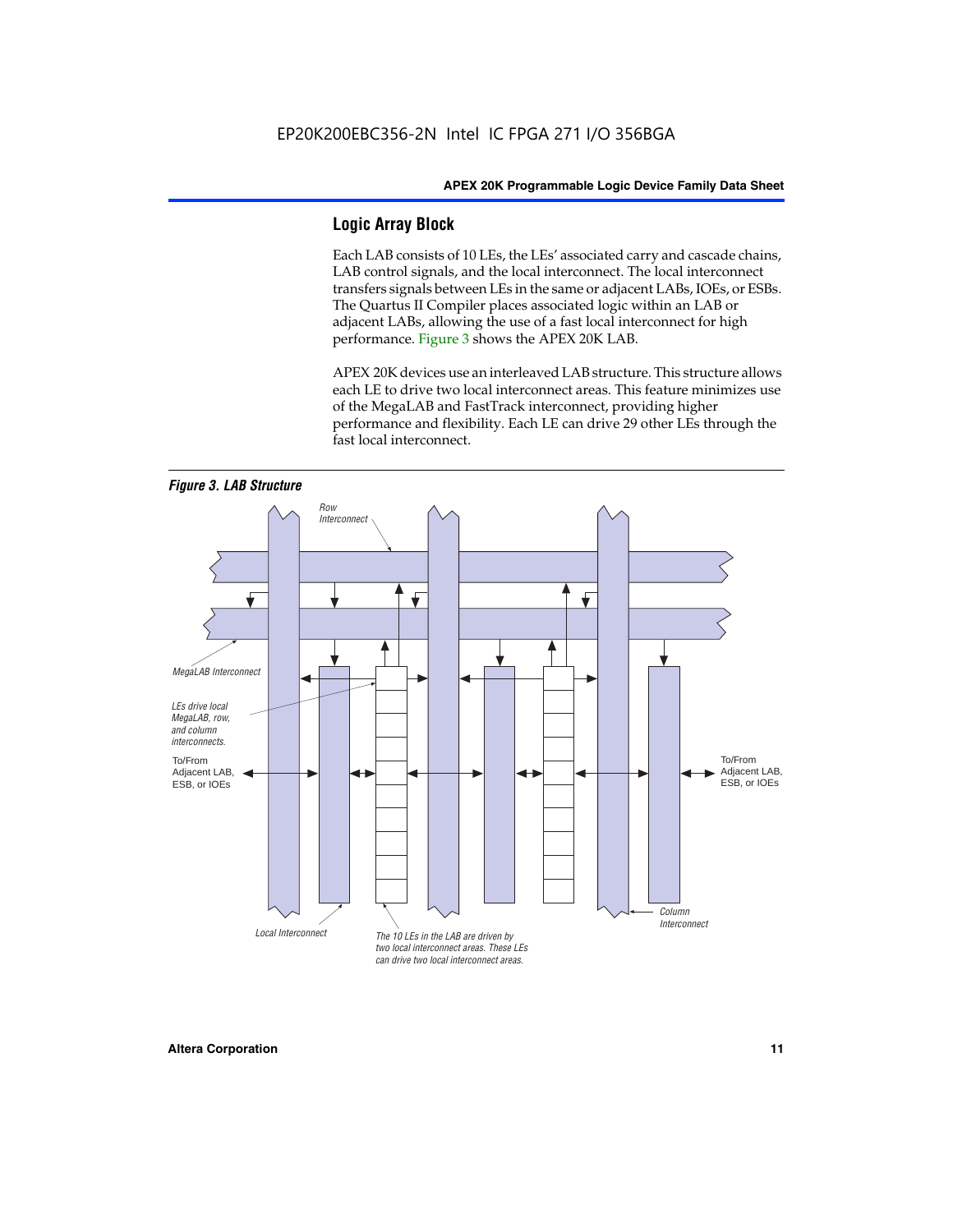#### **Logic Array Block**

Each LAB consists of 10 LEs, the LEs' associated carry and cascade chains, LAB control signals, and the local interconnect. The local interconnect transfers signals between LEs in the same or adjacent LABs, IOEs, or ESBs. The Quartus II Compiler places associated logic within an LAB or adjacent LABs, allowing the use of a fast local interconnect for high performance. Figure 3 shows the APEX 20K LAB.

APEX 20K devices use an interleaved LAB structure. This structure allows each LE to drive two local interconnect areas. This feature minimizes use of the MegaLAB and FastTrack interconnect, providing higher performance and flexibility. Each LE can drive 29 other LEs through the fast local interconnect.

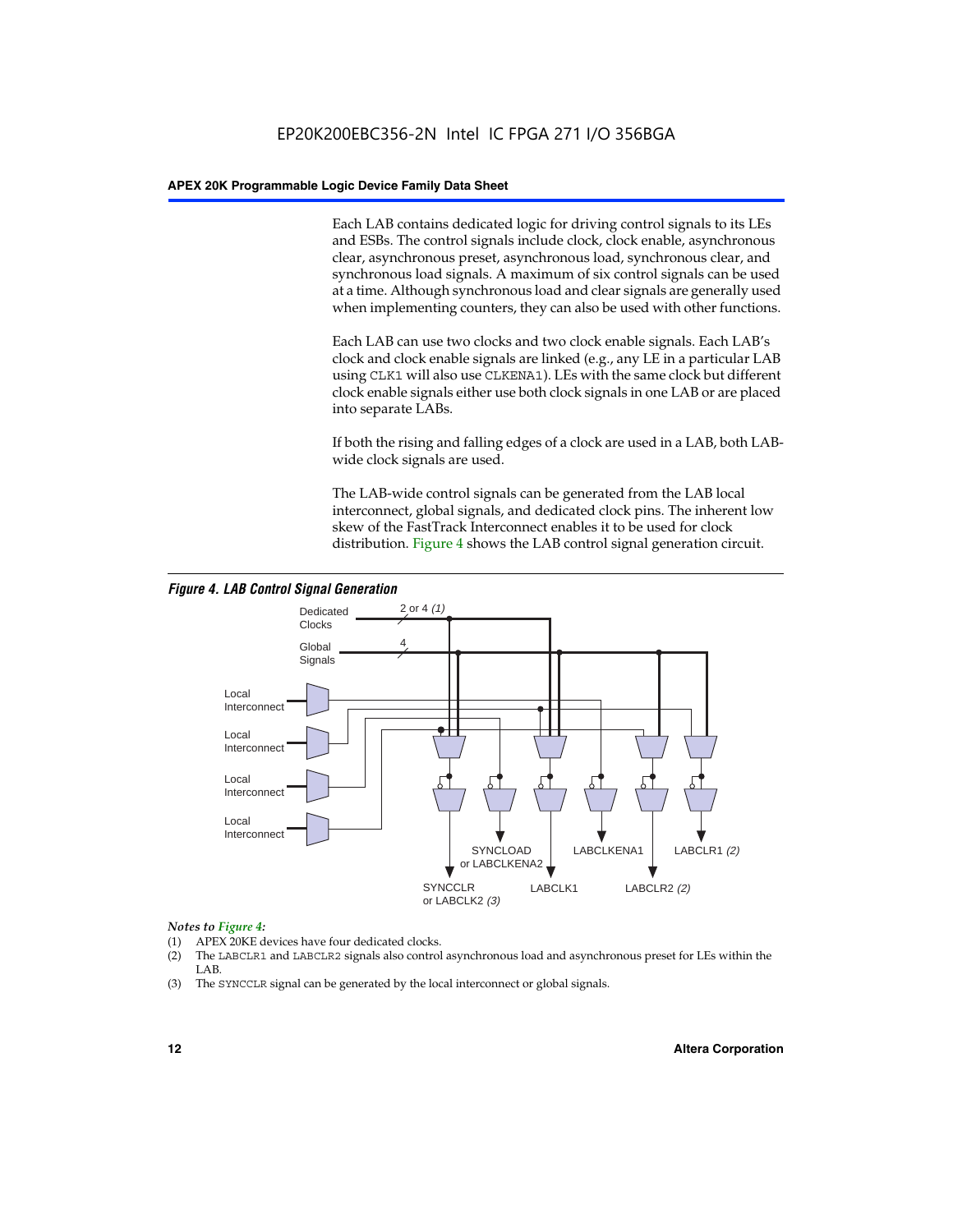Each LAB contains dedicated logic for driving control signals to its LEs and ESBs. The control signals include clock, clock enable, asynchronous clear, asynchronous preset, asynchronous load, synchronous clear, and synchronous load signals. A maximum of six control signals can be used at a time. Although synchronous load and clear signals are generally used when implementing counters, they can also be used with other functions.

Each LAB can use two clocks and two clock enable signals. Each LAB's clock and clock enable signals are linked (e.g., any LE in a particular LAB using CLK1 will also use CLKENA1). LEs with the same clock but different clock enable signals either use both clock signals in one LAB or are placed into separate LABs.

If both the rising and falling edges of a clock are used in a LAB, both LABwide clock signals are used.

The LAB-wide control signals can be generated from the LAB local interconnect, global signals, and dedicated clock pins. The inherent low skew of the FastTrack Interconnect enables it to be used for clock distribution. Figure 4 shows the LAB control signal generation circuit.



#### *Figure 4. LAB Control Signal Generation*

#### *Notes to Figure 4:*

- (1) APEX 20KE devices have four dedicated clocks.
- (2) The LABCLR1 and LABCLR2 signals also control asynchronous load and asynchronous preset for LEs within the LAB.
- (3) The SYNCCLR signal can be generated by the local interconnect or global signals.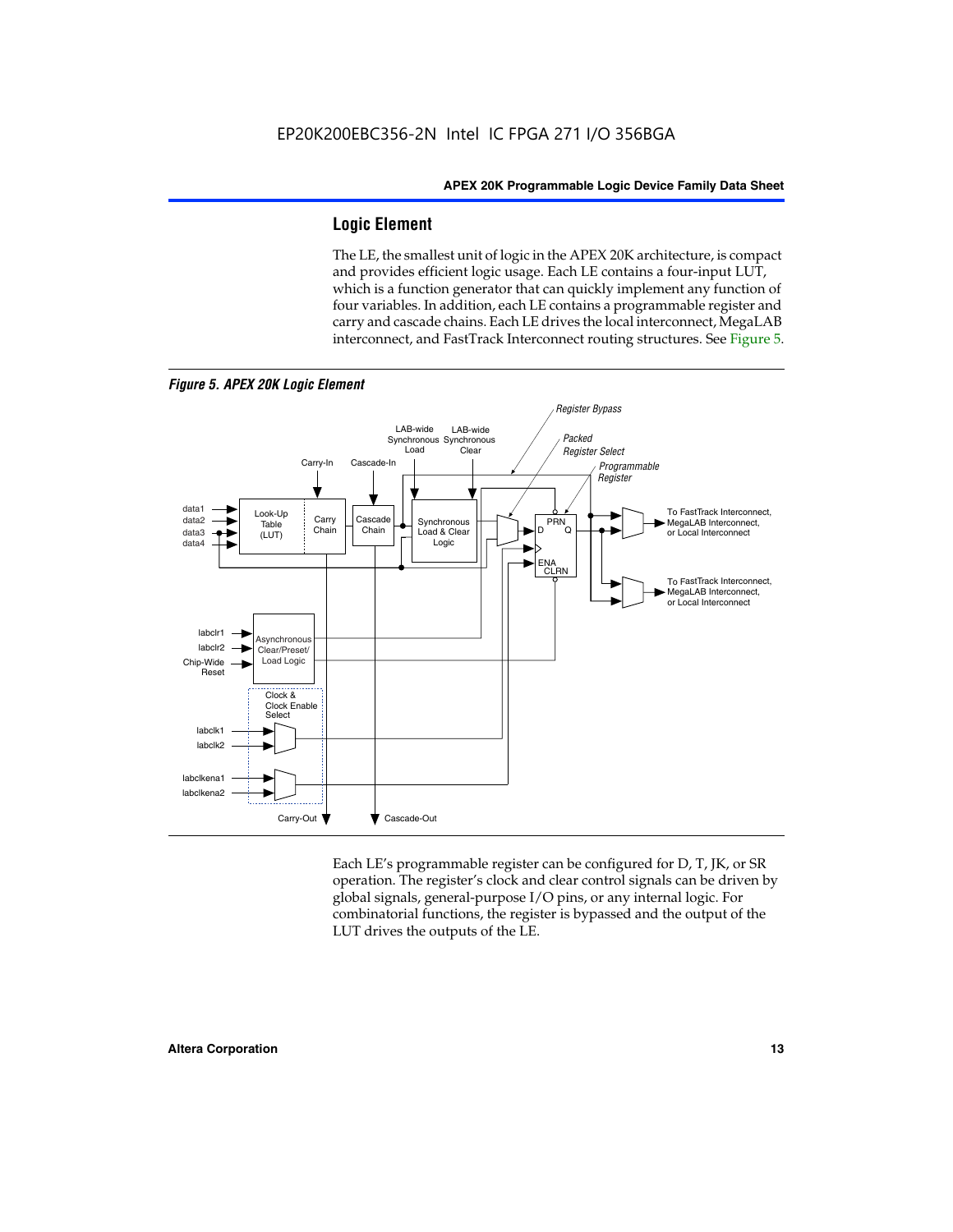#### **Logic Element**

The LE, the smallest unit of logic in the APEX 20K architecture, is compact and provides efficient logic usage. Each LE contains a four-input LUT, which is a function generator that can quickly implement any function of four variables. In addition, each LE contains a programmable register and carry and cascade chains. Each LE drives the local interconnect, MegaLAB interconnect, and FastTrack Interconnect routing structures. See Figure 5.



*Figure 5. APEX 20K Logic Element*

Each LE's programmable register can be configured for D, T, JK, or SR operation. The register's clock and clear control signals can be driven by global signals, general-purpose I/O pins, or any internal logic. For combinatorial functions, the register is bypassed and the output of the LUT drives the outputs of the LE.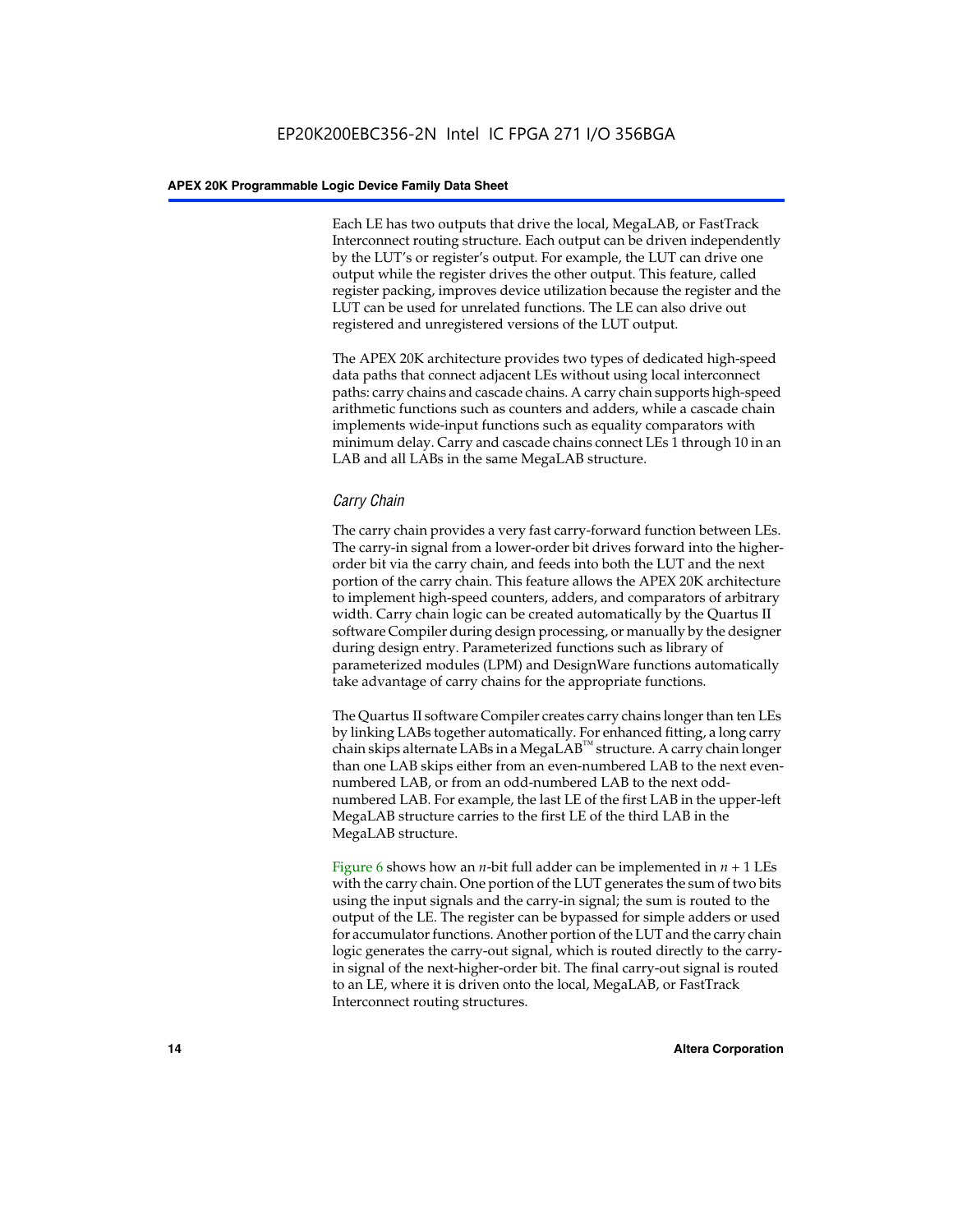Each LE has two outputs that drive the local, MegaLAB, or FastTrack Interconnect routing structure. Each output can be driven independently by the LUT's or register's output. For example, the LUT can drive one output while the register drives the other output. This feature, called register packing, improves device utilization because the register and the LUT can be used for unrelated functions. The LE can also drive out registered and unregistered versions of the LUT output.

The APEX 20K architecture provides two types of dedicated high-speed data paths that connect adjacent LEs without using local interconnect paths: carry chains and cascade chains. A carry chain supports high-speed arithmetic functions such as counters and adders, while a cascade chain implements wide-input functions such as equality comparators with minimum delay. Carry and cascade chains connect LEs 1 through 10 in an LAB and all LABs in the same MegaLAB structure.

#### *Carry Chain*

The carry chain provides a very fast carry-forward function between LEs. The carry-in signal from a lower-order bit drives forward into the higherorder bit via the carry chain, and feeds into both the LUT and the next portion of the carry chain. This feature allows the APEX 20K architecture to implement high-speed counters, adders, and comparators of arbitrary width. Carry chain logic can be created automatically by the Quartus II software Compiler during design processing, or manually by the designer during design entry. Parameterized functions such as library of parameterized modules (LPM) and DesignWare functions automatically take advantage of carry chains for the appropriate functions.

The Quartus II software Compiler creates carry chains longer than ten LEs by linking LABs together automatically. For enhanced fitting, a long carry chain skips alternate LABs in a MegaLAB<sup>™</sup> structure. A carry chain longer than one LAB skips either from an even-numbered LAB to the next evennumbered LAB, or from an odd-numbered LAB to the next oddnumbered LAB. For example, the last LE of the first LAB in the upper-left MegaLAB structure carries to the first LE of the third LAB in the MegaLAB structure.

Figure 6 shows how an *n*-bit full adder can be implemented in *n* + 1 LEs with the carry chain. One portion of the LUT generates the sum of two bits using the input signals and the carry-in signal; the sum is routed to the output of the LE. The register can be bypassed for simple adders or used for accumulator functions. Another portion of the LUT and the carry chain logic generates the carry-out signal, which is routed directly to the carryin signal of the next-higher-order bit. The final carry-out signal is routed to an LE, where it is driven onto the local, MegaLAB, or FastTrack Interconnect routing structures.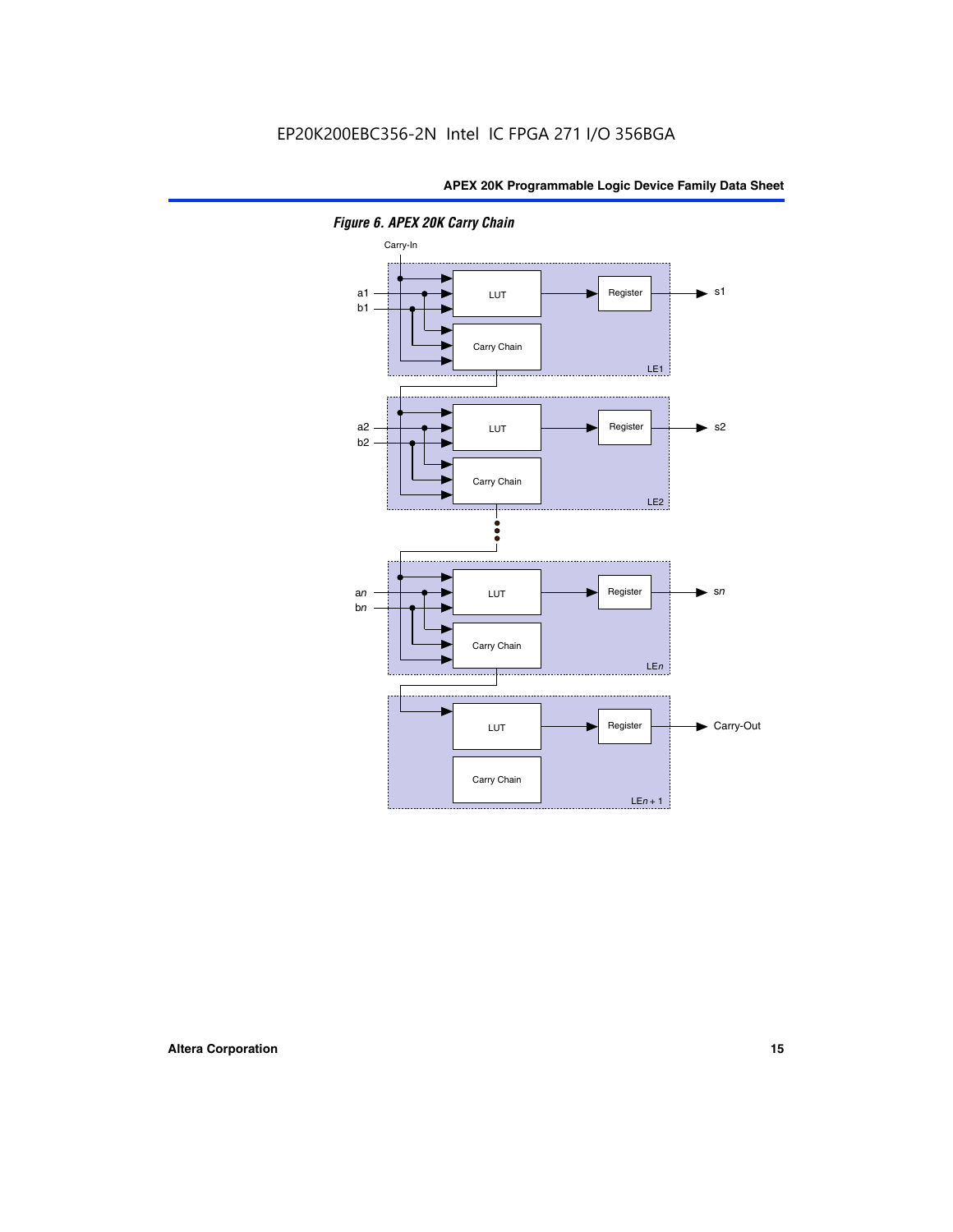

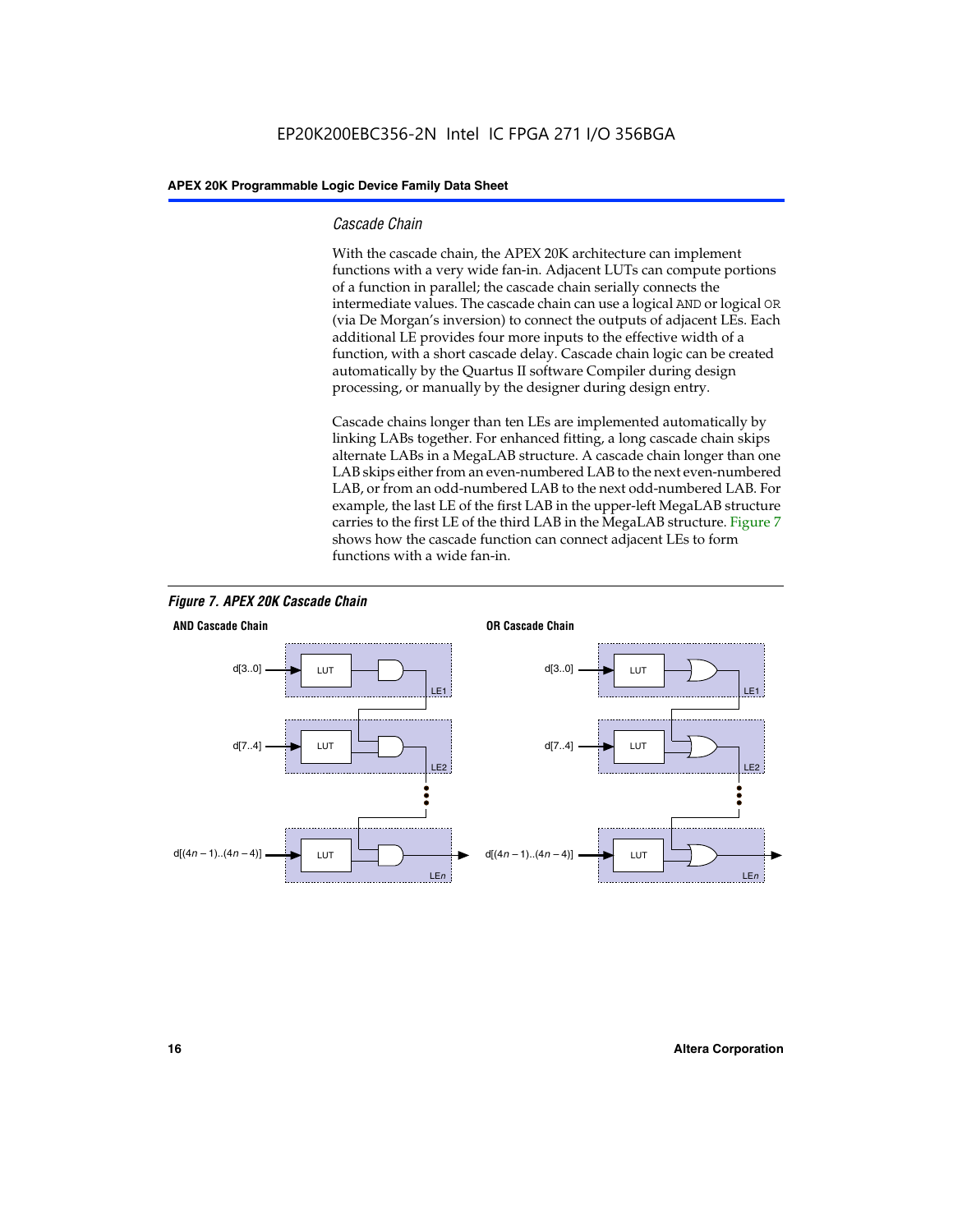#### *Cascade Chain*

With the cascade chain, the APEX 20K architecture can implement functions with a very wide fan-in. Adjacent LUTs can compute portions of a function in parallel; the cascade chain serially connects the intermediate values. The cascade chain can use a logical AND or logical OR (via De Morgan's inversion) to connect the outputs of adjacent LEs. Each additional LE provides four more inputs to the effective width of a function, with a short cascade delay. Cascade chain logic can be created automatically by the Quartus II software Compiler during design processing, or manually by the designer during design entry.

Cascade chains longer than ten LEs are implemented automatically by linking LABs together. For enhanced fitting, a long cascade chain skips alternate LABs in a MegaLAB structure. A cascade chain longer than one LAB skips either from an even-numbered LAB to the next even-numbered LAB, or from an odd-numbered LAB to the next odd-numbered LAB. For example, the last LE of the first LAB in the upper-left MegaLAB structure carries to the first LE of the third LAB in the MegaLAB structure. Figure 7 shows how the cascade function can connect adjacent LEs to form functions with a wide fan-in.



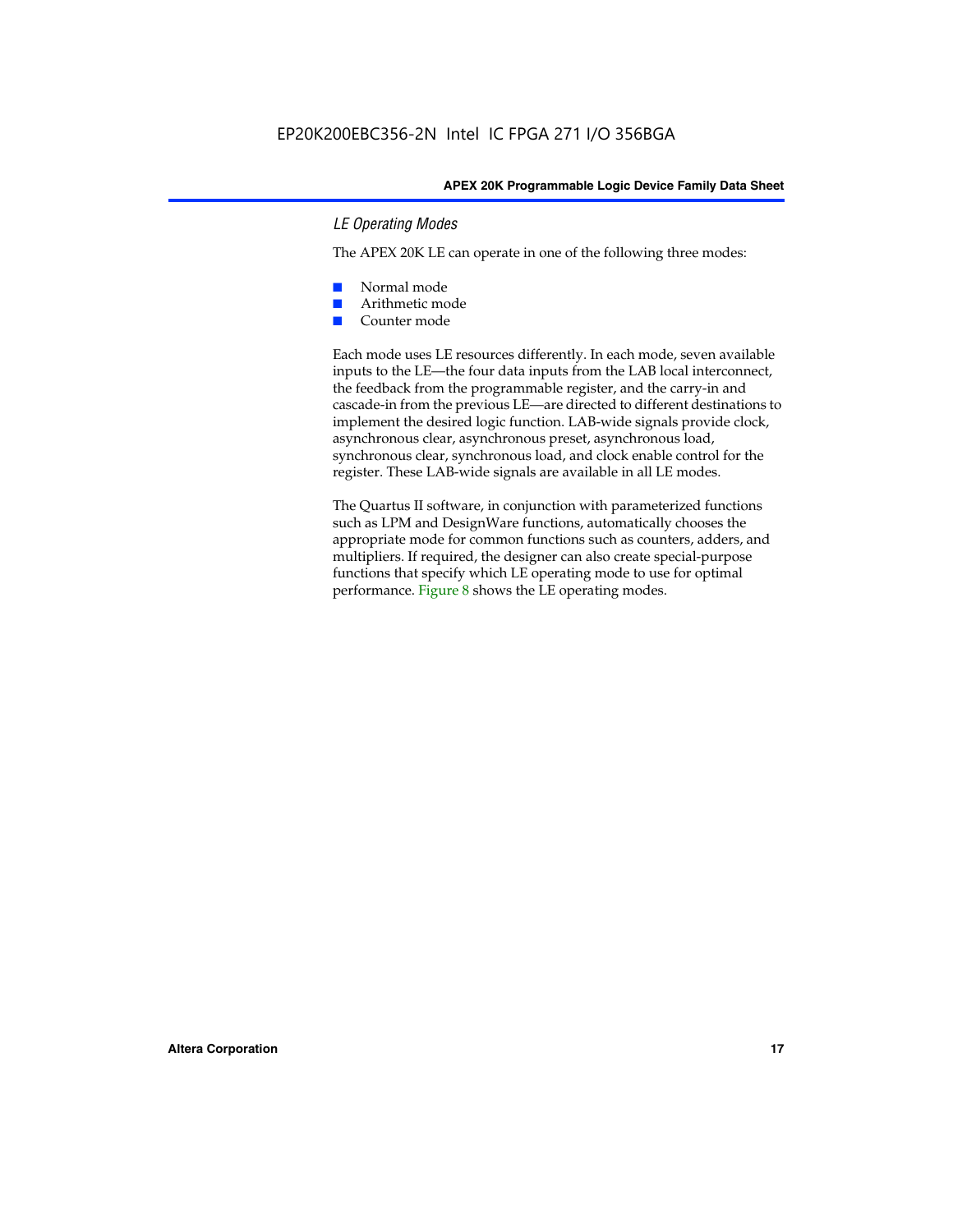#### *LE Operating Modes*

The APEX 20K LE can operate in one of the following three modes:

- Normal mode
- Arithmetic mode
- Counter mode

Each mode uses LE resources differently. In each mode, seven available inputs to the LE—the four data inputs from the LAB local interconnect, the feedback from the programmable register, and the carry-in and cascade-in from the previous LE—are directed to different destinations to implement the desired logic function. LAB-wide signals provide clock, asynchronous clear, asynchronous preset, asynchronous load, synchronous clear, synchronous load, and clock enable control for the register. These LAB-wide signals are available in all LE modes.

The Quartus II software, in conjunction with parameterized functions such as LPM and DesignWare functions, automatically chooses the appropriate mode for common functions such as counters, adders, and multipliers. If required, the designer can also create special-purpose functions that specify which LE operating mode to use for optimal performance. Figure 8 shows the LE operating modes.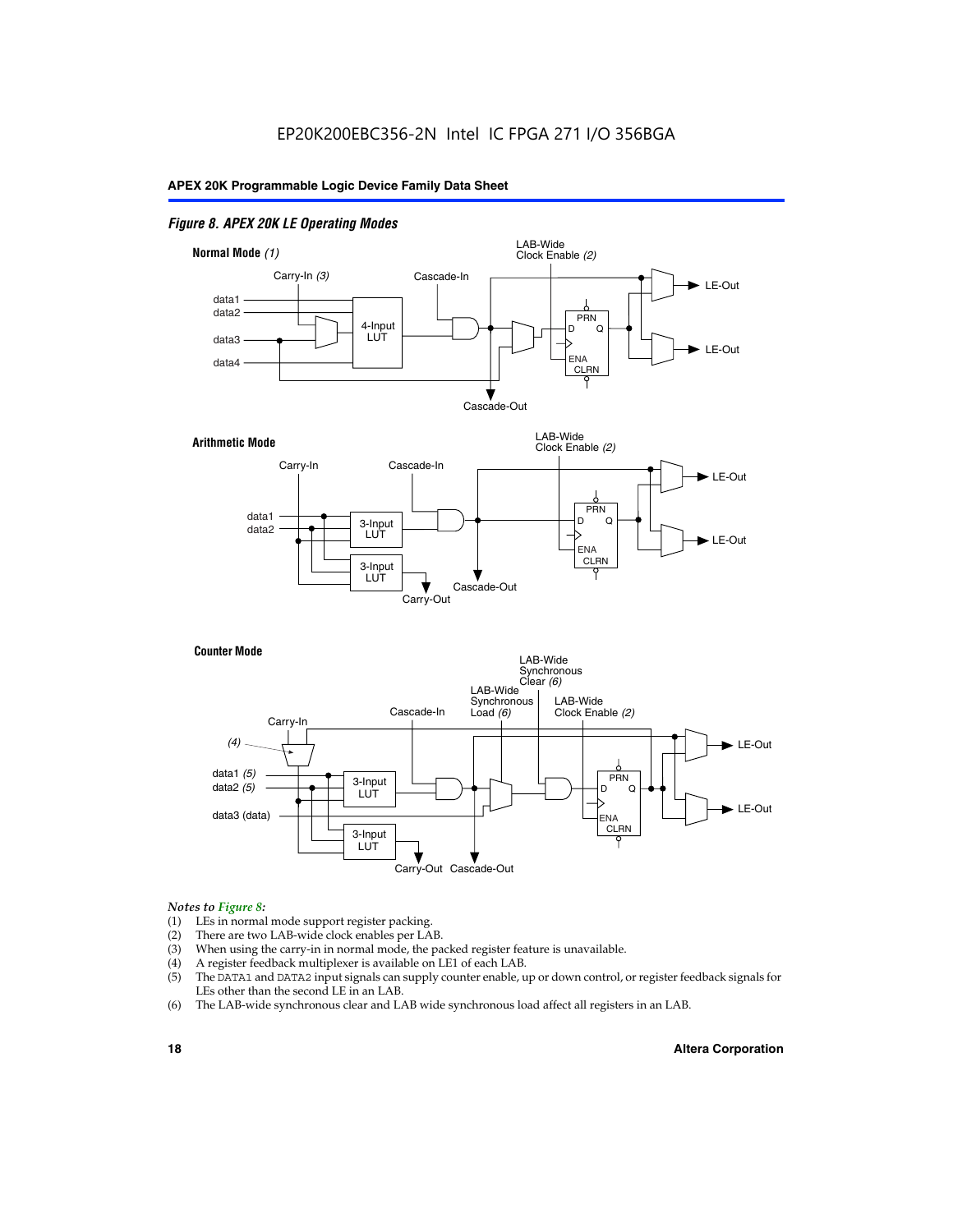#### *Figure 8. APEX 20K LE Operating Modes*



#### *Notes to Figure 8:*

- (1) LEs in normal mode support register packing.
- (2) There are two LAB-wide clock enables per LAB.
- (3) When using the carry-in in normal mode, the packed register feature is unavailable.
- (4) A register feedback multiplexer is available on LE1 of each LAB.
- (5) The DATA1 and DATA2 input signals can supply counter enable, up or down control, or register feedback signals for LEs other than the second LE in an LAB.
- (6) The LAB-wide synchronous clear and LAB wide synchronous load affect all registers in an LAB.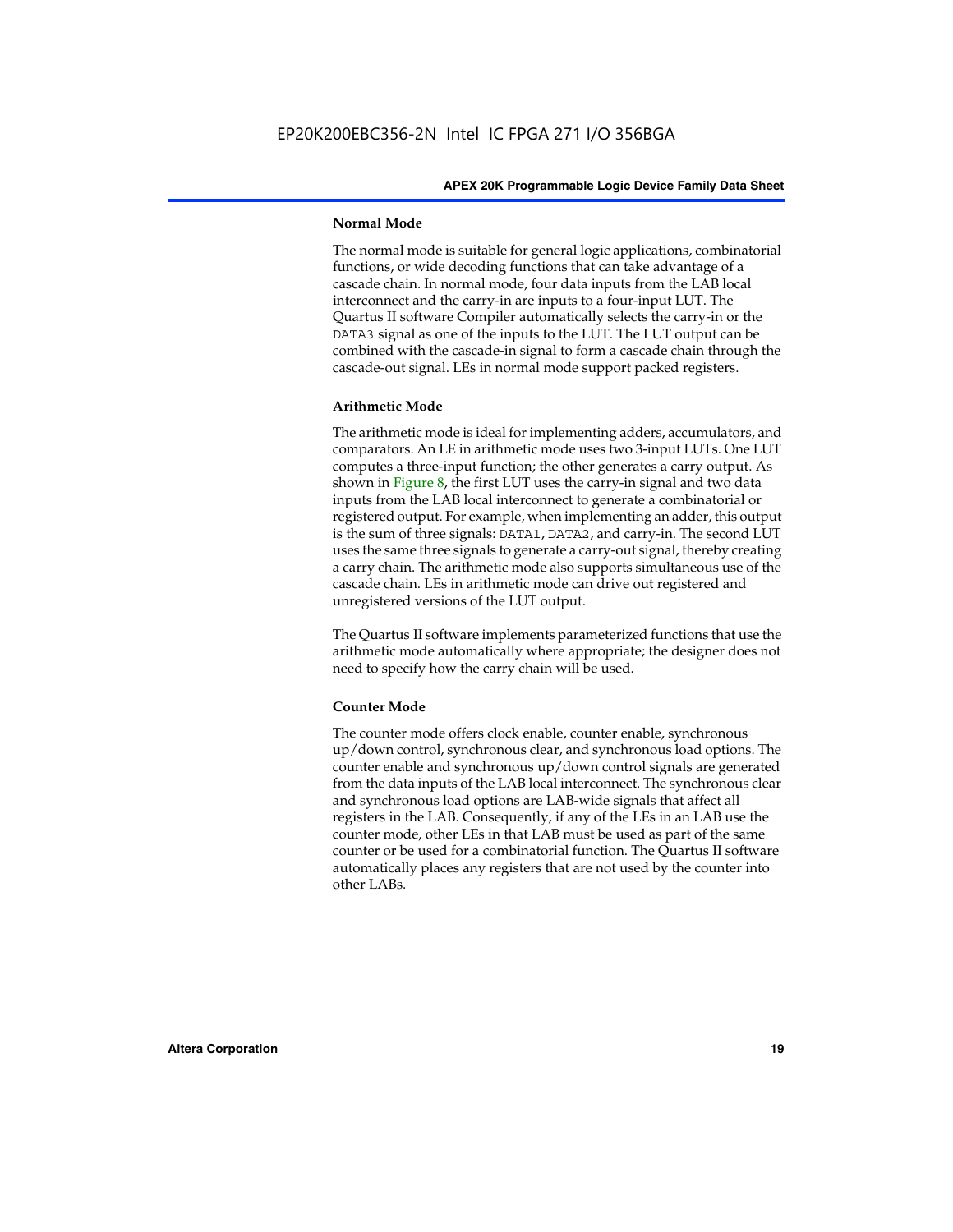#### **Normal Mode**

The normal mode is suitable for general logic applications, combinatorial functions, or wide decoding functions that can take advantage of a cascade chain. In normal mode, four data inputs from the LAB local interconnect and the carry-in are inputs to a four-input LUT. The Quartus II software Compiler automatically selects the carry-in or the DATA3 signal as one of the inputs to the LUT. The LUT output can be combined with the cascade-in signal to form a cascade chain through the cascade-out signal. LEs in normal mode support packed registers.

#### **Arithmetic Mode**

The arithmetic mode is ideal for implementing adders, accumulators, and comparators. An LE in arithmetic mode uses two 3-input LUTs. One LUT computes a three-input function; the other generates a carry output. As shown in Figure 8, the first LUT uses the carry-in signal and two data inputs from the LAB local interconnect to generate a combinatorial or registered output. For example, when implementing an adder, this output is the sum of three signals: DATA1, DATA2, and carry-in. The second LUT uses the same three signals to generate a carry-out signal, thereby creating a carry chain. The arithmetic mode also supports simultaneous use of the cascade chain. LEs in arithmetic mode can drive out registered and unregistered versions of the LUT output.

The Quartus II software implements parameterized functions that use the arithmetic mode automatically where appropriate; the designer does not need to specify how the carry chain will be used.

#### **Counter Mode**

The counter mode offers clock enable, counter enable, synchronous up/down control, synchronous clear, and synchronous load options. The counter enable and synchronous up/down control signals are generated from the data inputs of the LAB local interconnect. The synchronous clear and synchronous load options are LAB-wide signals that affect all registers in the LAB. Consequently, if any of the LEs in an LAB use the counter mode, other LEs in that LAB must be used as part of the same counter or be used for a combinatorial function. The Quartus II software automatically places any registers that are not used by the counter into other LABs.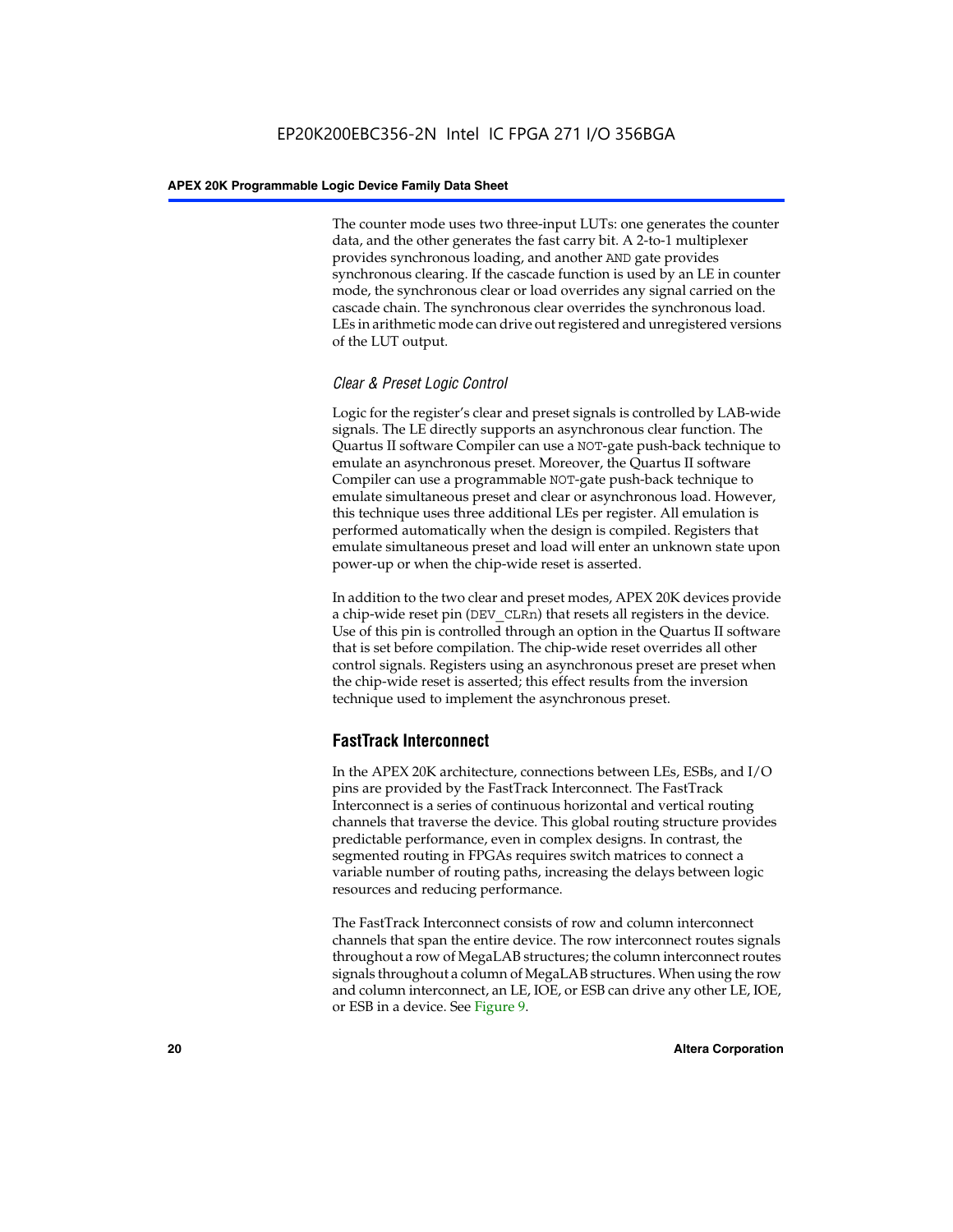The counter mode uses two three-input LUTs: one generates the counter data, and the other generates the fast carry bit. A 2-to-1 multiplexer provides synchronous loading, and another AND gate provides synchronous clearing. If the cascade function is used by an LE in counter mode, the synchronous clear or load overrides any signal carried on the cascade chain. The synchronous clear overrides the synchronous load. LEs in arithmetic mode can drive out registered and unregistered versions of the LUT output.

#### *Clear & Preset Logic Control*

Logic for the register's clear and preset signals is controlled by LAB-wide signals. The LE directly supports an asynchronous clear function. The Quartus II software Compiler can use a NOT-gate push-back technique to emulate an asynchronous preset. Moreover, the Quartus II software Compiler can use a programmable NOT-gate push-back technique to emulate simultaneous preset and clear or asynchronous load. However, this technique uses three additional LEs per register. All emulation is performed automatically when the design is compiled. Registers that emulate simultaneous preset and load will enter an unknown state upon power-up or when the chip-wide reset is asserted.

In addition to the two clear and preset modes, APEX 20K devices provide a chip-wide reset pin (DEV\_CLRn) that resets all registers in the device. Use of this pin is controlled through an option in the Quartus II software that is set before compilation. The chip-wide reset overrides all other control signals. Registers using an asynchronous preset are preset when the chip-wide reset is asserted; this effect results from the inversion technique used to implement the asynchronous preset.

#### **FastTrack Interconnect**

In the APEX 20K architecture, connections between LEs, ESBs, and I/O pins are provided by the FastTrack Interconnect. The FastTrack Interconnect is a series of continuous horizontal and vertical routing channels that traverse the device. This global routing structure provides predictable performance, even in complex designs. In contrast, the segmented routing in FPGAs requires switch matrices to connect a variable number of routing paths, increasing the delays between logic resources and reducing performance.

The FastTrack Interconnect consists of row and column interconnect channels that span the entire device. The row interconnect routes signals throughout a row of MegaLAB structures; the column interconnect routes signals throughout a column of MegaLAB structures. When using the row and column interconnect, an LE, IOE, or ESB can drive any other LE, IOE, or ESB in a device. See Figure 9.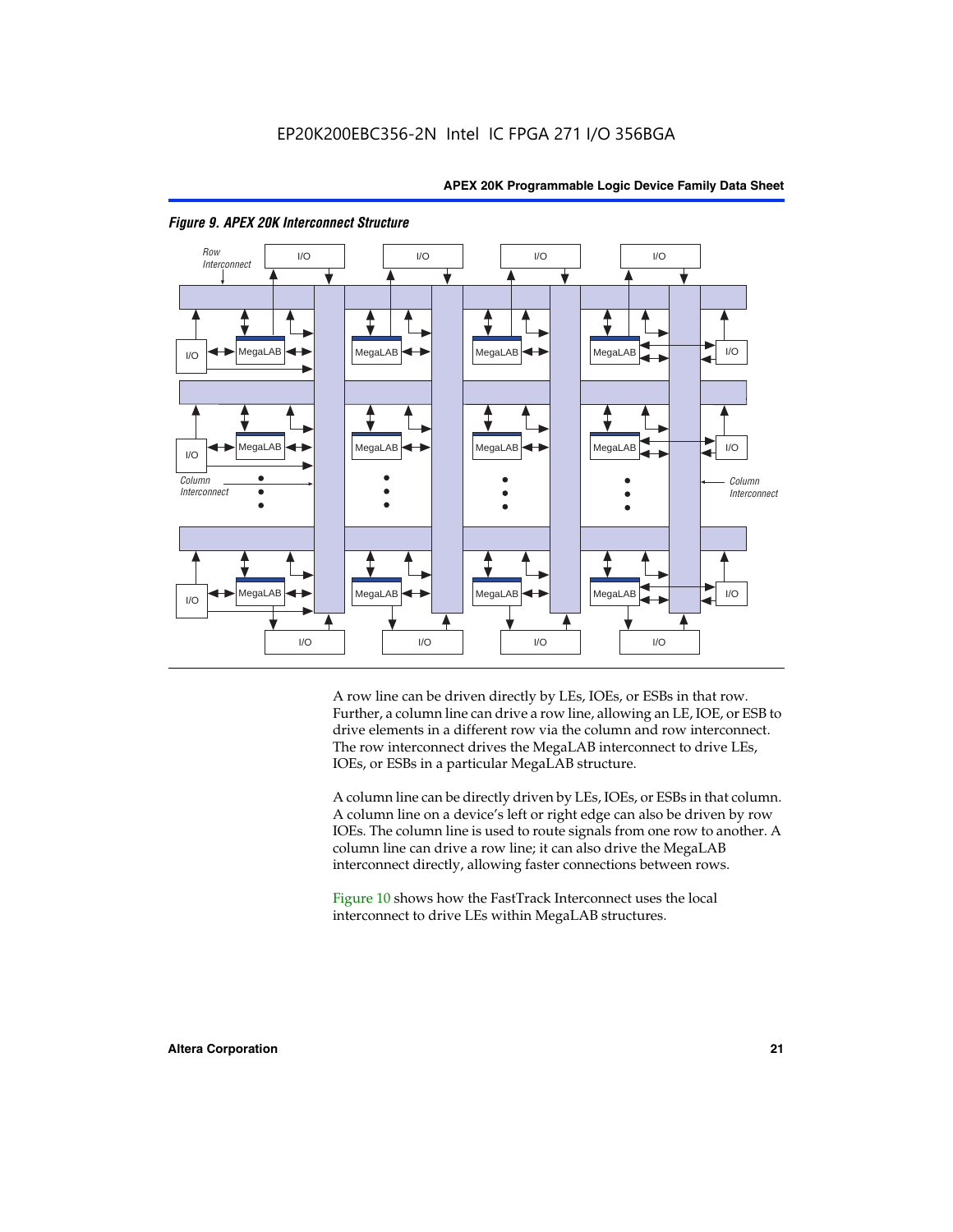

#### *Figure 9. APEX 20K Interconnect Structure*

A row line can be driven directly by LEs, IOEs, or ESBs in that row. Further, a column line can drive a row line, allowing an LE, IOE, or ESB to drive elements in a different row via the column and row interconnect. The row interconnect drives the MegaLAB interconnect to drive LEs, IOEs, or ESBs in a particular MegaLAB structure.

A column line can be directly driven by LEs, IOEs, or ESBs in that column. A column line on a device's left or right edge can also be driven by row IOEs. The column line is used to route signals from one row to another. A column line can drive a row line; it can also drive the MegaLAB interconnect directly, allowing faster connections between rows.

Figure 10 shows how the FastTrack Interconnect uses the local interconnect to drive LEs within MegaLAB structures.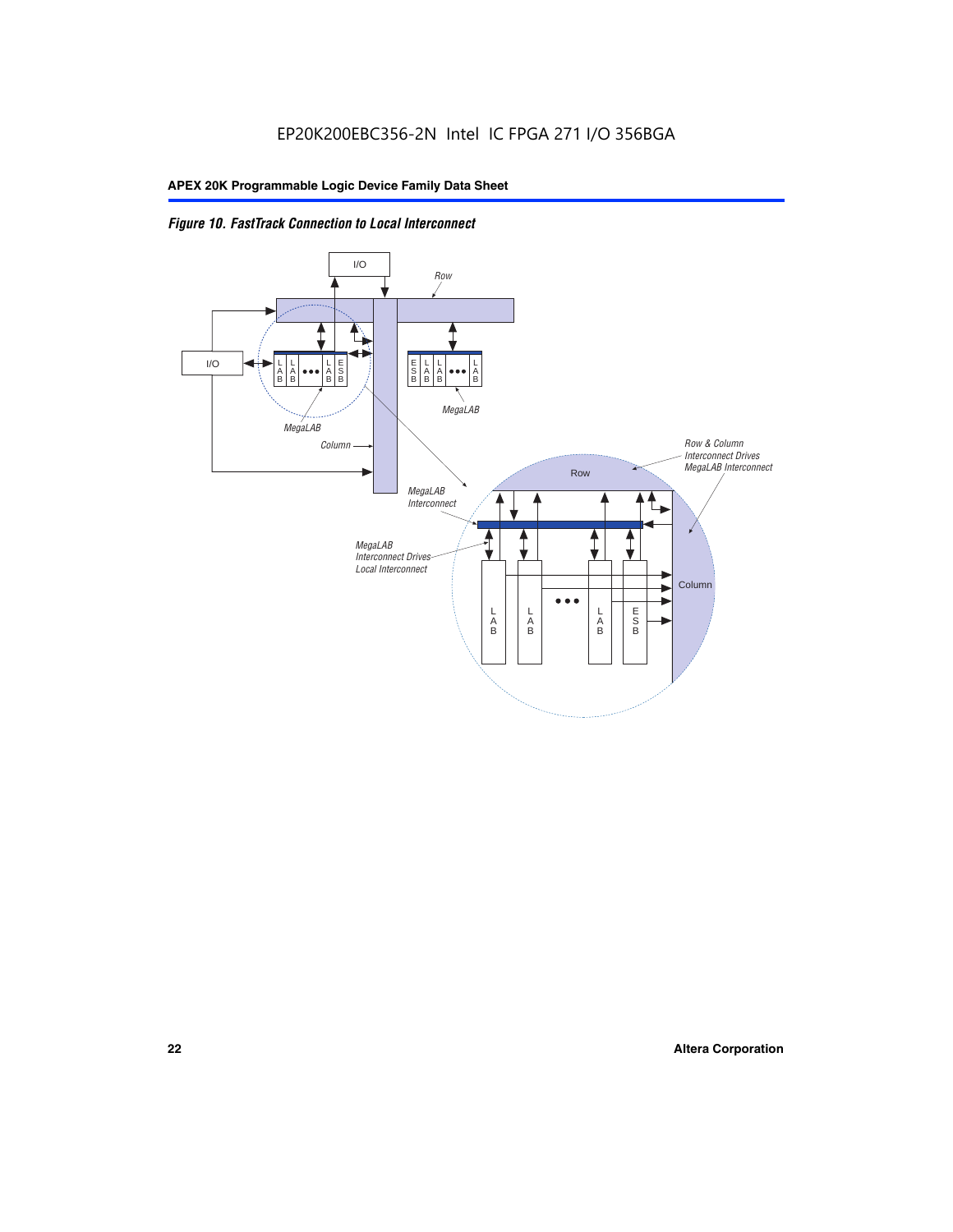

*Figure 10. FastTrack Connection to Local Interconnect*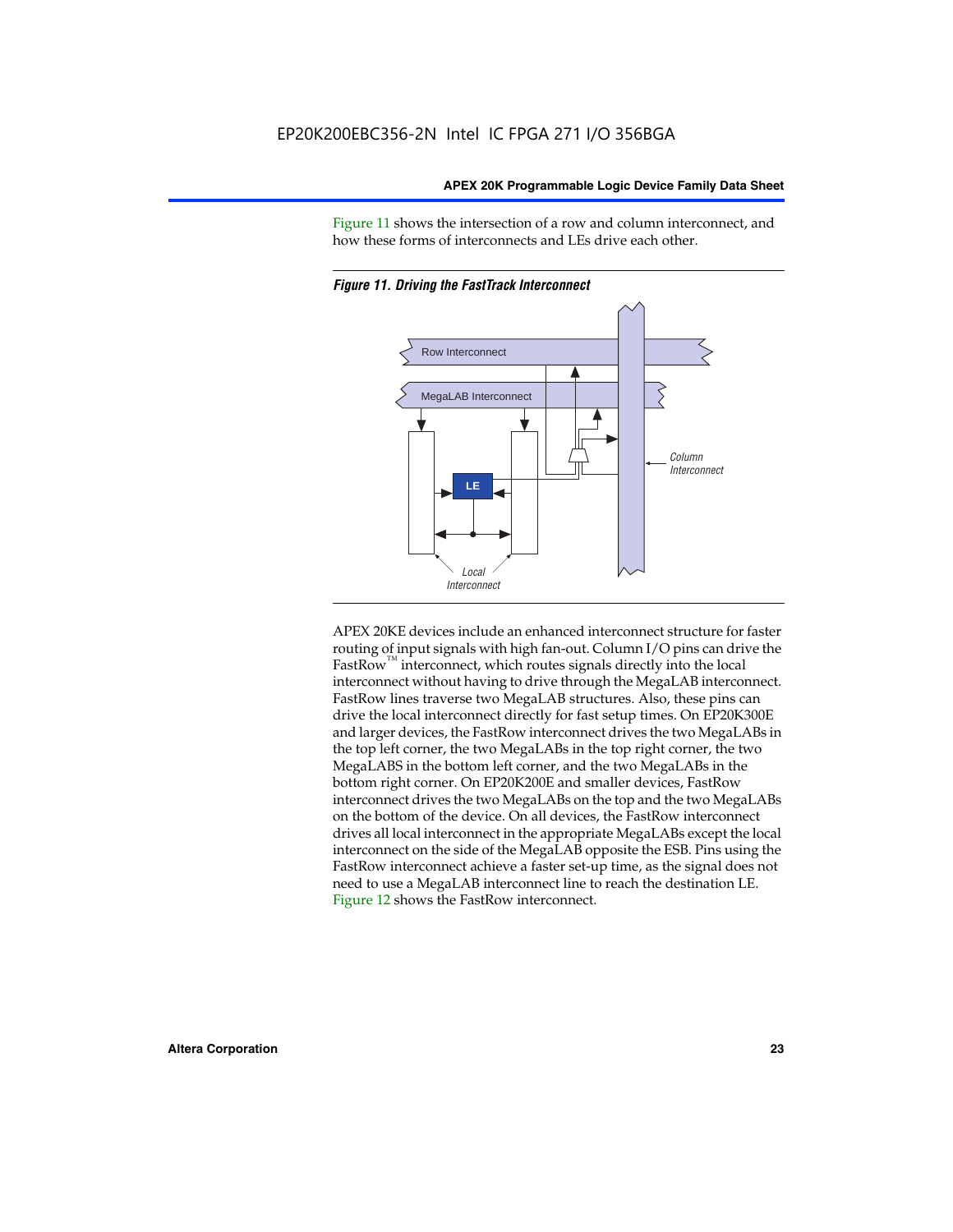Figure 11 shows the intersection of a row and column interconnect, and how these forms of interconnects and LEs drive each other.





APEX 20KE devices include an enhanced interconnect structure for faster routing of input signals with high fan-out. Column I/O pins can drive the FastRow<sup>™</sup> interconnect, which routes signals directly into the local interconnect without having to drive through the MegaLAB interconnect. FastRow lines traverse two MegaLAB structures. Also, these pins can drive the local interconnect directly for fast setup times. On EP20K300E and larger devices, the FastRow interconnect drives the two MegaLABs in the top left corner, the two MegaLABs in the top right corner, the two MegaLABS in the bottom left corner, and the two MegaLABs in the bottom right corner. On EP20K200E and smaller devices, FastRow interconnect drives the two MegaLABs on the top and the two MegaLABs on the bottom of the device. On all devices, the FastRow interconnect drives all local interconnect in the appropriate MegaLABs except the local interconnect on the side of the MegaLAB opposite the ESB. Pins using the FastRow interconnect achieve a faster set-up time, as the signal does not need to use a MegaLAB interconnect line to reach the destination LE. Figure 12 shows the FastRow interconnect.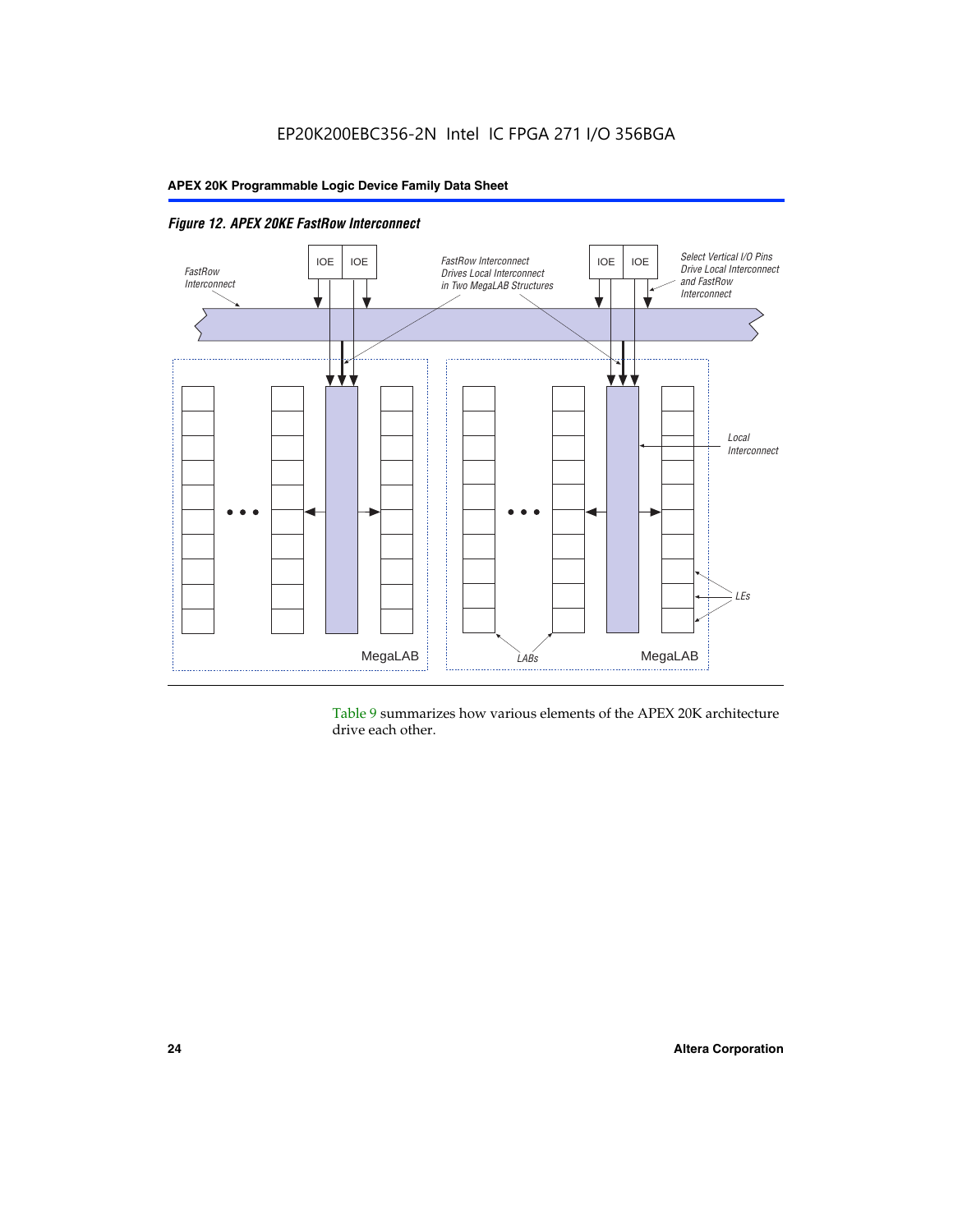

*Figure 12. APEX 20KE FastRow Interconnect*

Table 9 summarizes how various elements of the APEX 20K architecture drive each other.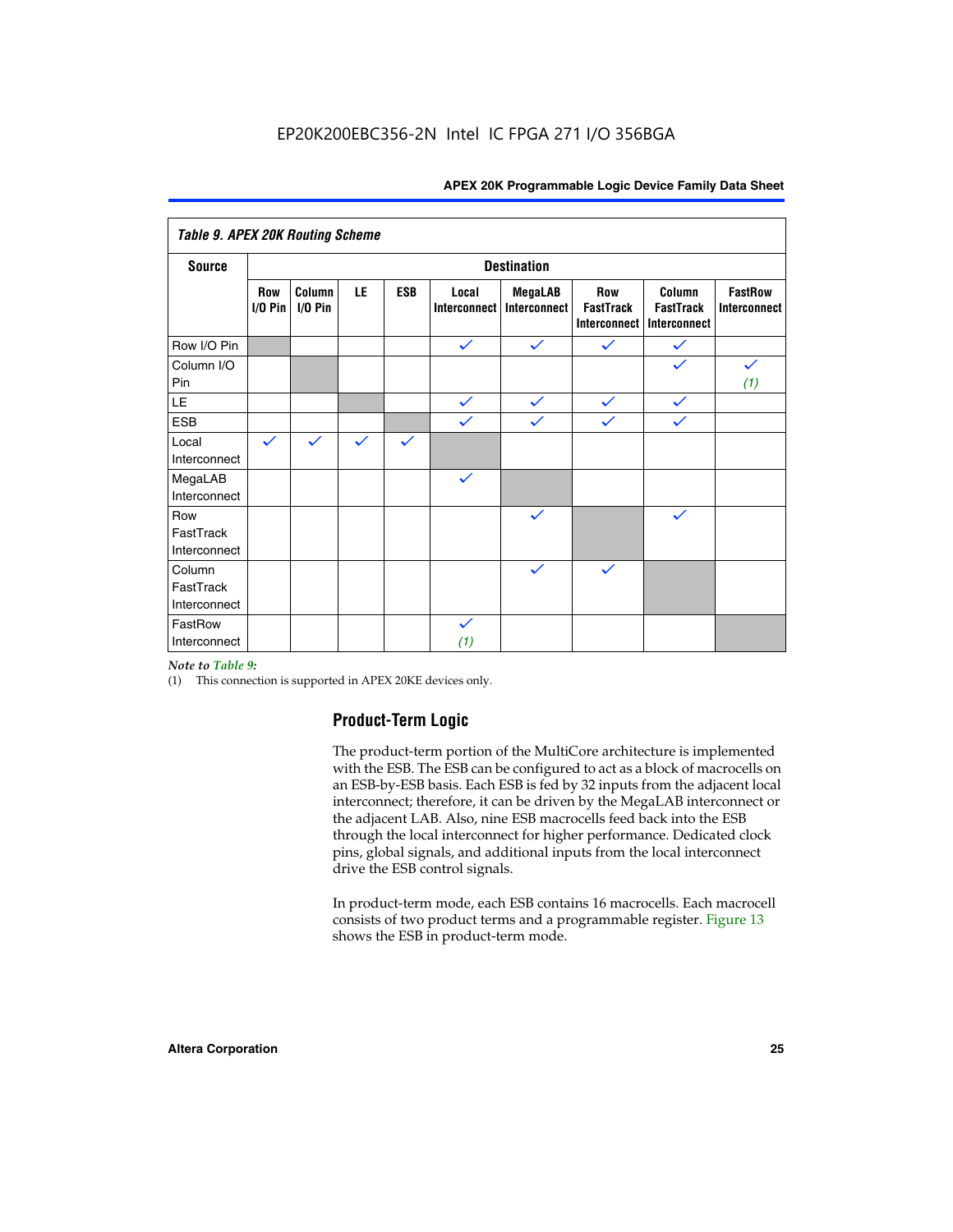| <b>Table 9. APEX 20K Routing Scheme</b> |                    |                   |              |              |                              |                                |                                                |                                            |                                |
|-----------------------------------------|--------------------|-------------------|--------------|--------------|------------------------------|--------------------------------|------------------------------------------------|--------------------------------------------|--------------------------------|
| <b>Source</b>                           | <b>Destination</b> |                   |              |              |                              |                                |                                                |                                            |                                |
|                                         | Row<br>$1/0$ Pin   | Column<br>I/O Pin | LE           | <b>ESB</b>   | Local<br><b>Interconnect</b> | <b>MegaLAB</b><br>Interconnect | Row<br><b>FastTrack</b><br><b>Interconnect</b> | Column<br><b>FastTrack</b><br>Interconnect | <b>FastRow</b><br>Interconnect |
| Row I/O Pin                             |                    |                   |              |              | $\checkmark$                 | $\checkmark$                   | $\checkmark$                                   | $\checkmark$                               |                                |
| Column I/O<br>Pin                       |                    |                   |              |              |                              |                                |                                                | $\checkmark$                               | $\checkmark$<br>(1)            |
| LE                                      |                    |                   |              |              | $\checkmark$                 | $\checkmark$                   | $\checkmark$                                   | $\checkmark$                               |                                |
| <b>ESB</b>                              |                    |                   |              |              | $\checkmark$                 | $\checkmark$                   | $\checkmark$                                   | $\checkmark$                               |                                |
| Local<br>Interconnect                   | $\checkmark$       | $\checkmark$      | $\checkmark$ | $\checkmark$ |                              |                                |                                                |                                            |                                |
| MegaLAB<br>Interconnect                 |                    |                   |              |              | $\checkmark$                 |                                |                                                |                                            |                                |
| Row<br>FastTrack<br>Interconnect        |                    |                   |              |              |                              | $\checkmark$                   |                                                | $\checkmark$                               |                                |
| Column<br>FastTrack<br>Interconnect     |                    |                   |              |              |                              | $\checkmark$                   | $\checkmark$                                   |                                            |                                |
| FastRow<br>Interconnect                 |                    |                   |              |              | $\checkmark$<br>(1)          |                                |                                                |                                            |                                |

#### *Note to Table 9:*

(1) This connection is supported in APEX 20KE devices only.

#### **Product-Term Logic**

The product-term portion of the MultiCore architecture is implemented with the ESB. The ESB can be configured to act as a block of macrocells on an ESB-by-ESB basis. Each ESB is fed by 32 inputs from the adjacent local interconnect; therefore, it can be driven by the MegaLAB interconnect or the adjacent LAB. Also, nine ESB macrocells feed back into the ESB through the local interconnect for higher performance. Dedicated clock pins, global signals, and additional inputs from the local interconnect drive the ESB control signals.

In product-term mode, each ESB contains 16 macrocells. Each macrocell consists of two product terms and a programmable register. Figure 13 shows the ESB in product-term mode.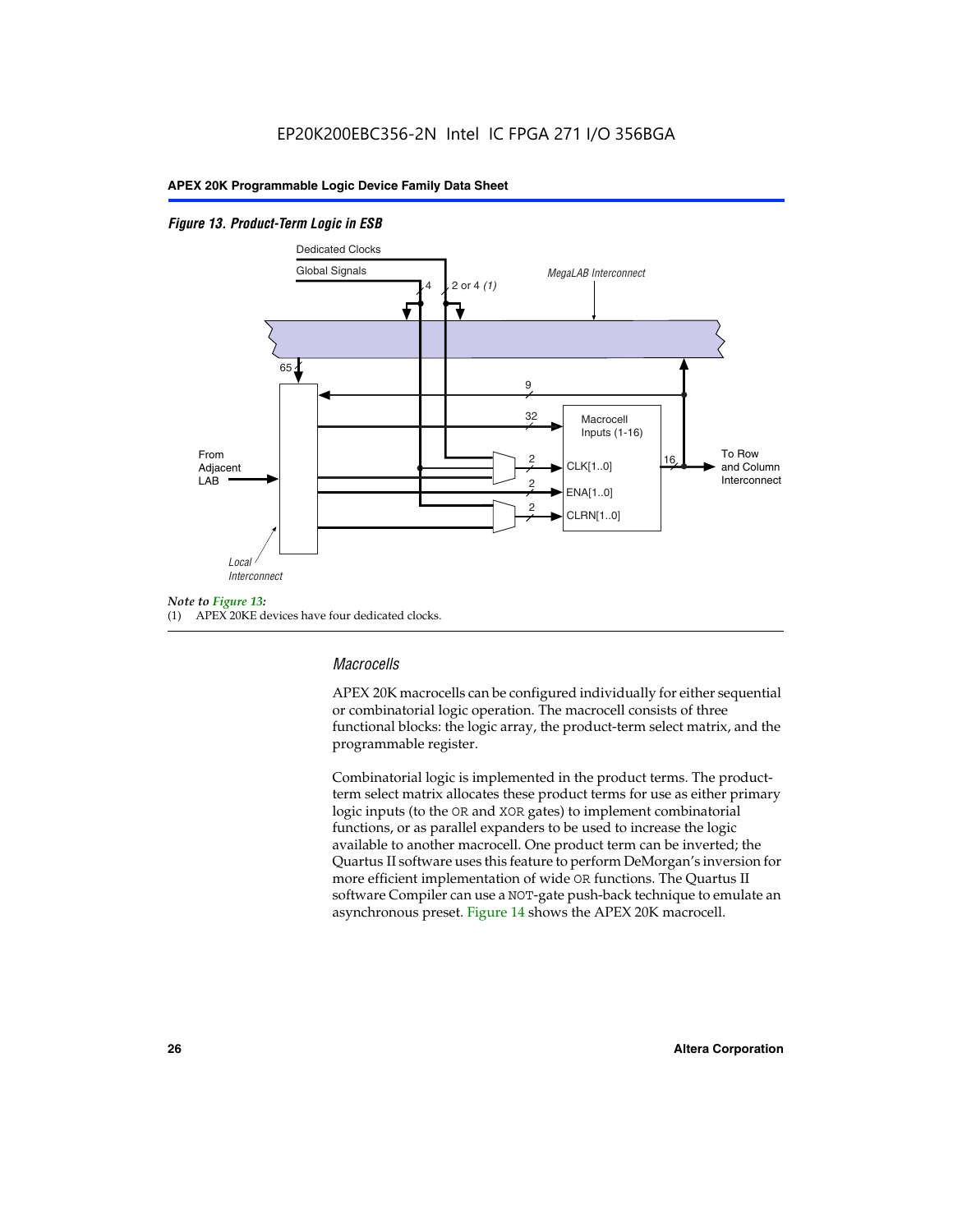#### *Figure 13. Product-Term Logic in ESB*



(1) APEX 20KE devices have four dedicated clocks.

#### *Macrocells*

APEX 20K macrocells can be configured individually for either sequential or combinatorial logic operation. The macrocell consists of three functional blocks: the logic array, the product-term select matrix, and the programmable register.

Combinatorial logic is implemented in the product terms. The productterm select matrix allocates these product terms for use as either primary logic inputs (to the OR and XOR gates) to implement combinatorial functions, or as parallel expanders to be used to increase the logic available to another macrocell. One product term can be inverted; the Quartus II software uses this feature to perform DeMorgan's inversion for more efficient implementation of wide OR functions. The Quartus II software Compiler can use a NOT-gate push-back technique to emulate an asynchronous preset. Figure 14 shows the APEX 20K macrocell.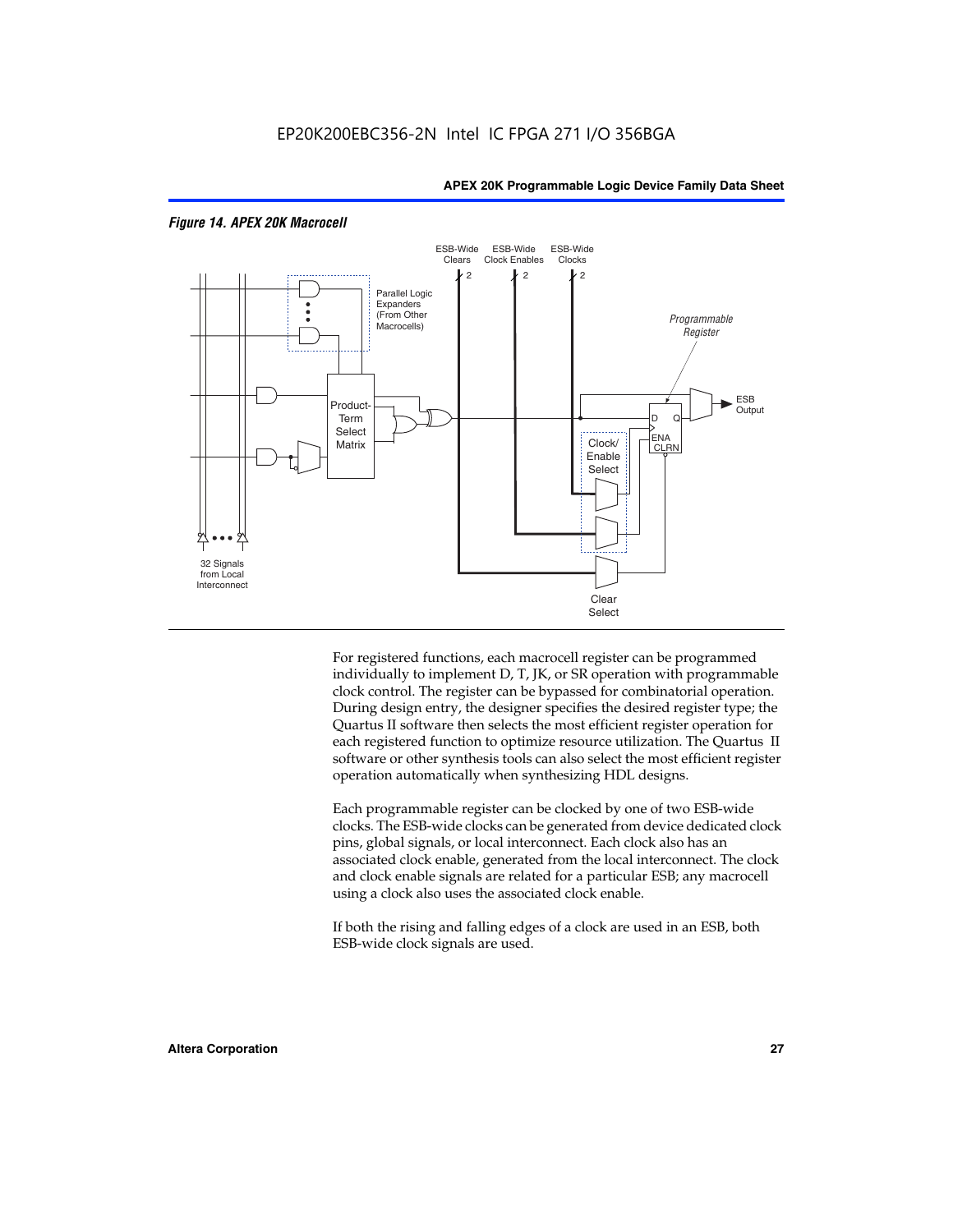

#### *Figure 14. APEX 20K Macrocell*

For registered functions, each macrocell register can be programmed individually to implement D, T, JK, or SR operation with programmable clock control. The register can be bypassed for combinatorial operation. During design entry, the designer specifies the desired register type; the Quartus II software then selects the most efficient register operation for each registered function to optimize resource utilization. The Quartus II software or other synthesis tools can also select the most efficient register operation automatically when synthesizing HDL designs.

Each programmable register can be clocked by one of two ESB-wide clocks. The ESB-wide clocks can be generated from device dedicated clock pins, global signals, or local interconnect. Each clock also has an associated clock enable, generated from the local interconnect. The clock and clock enable signals are related for a particular ESB; any macrocell using a clock also uses the associated clock enable.

If both the rising and falling edges of a clock are used in an ESB, both ESB-wide clock signals are used.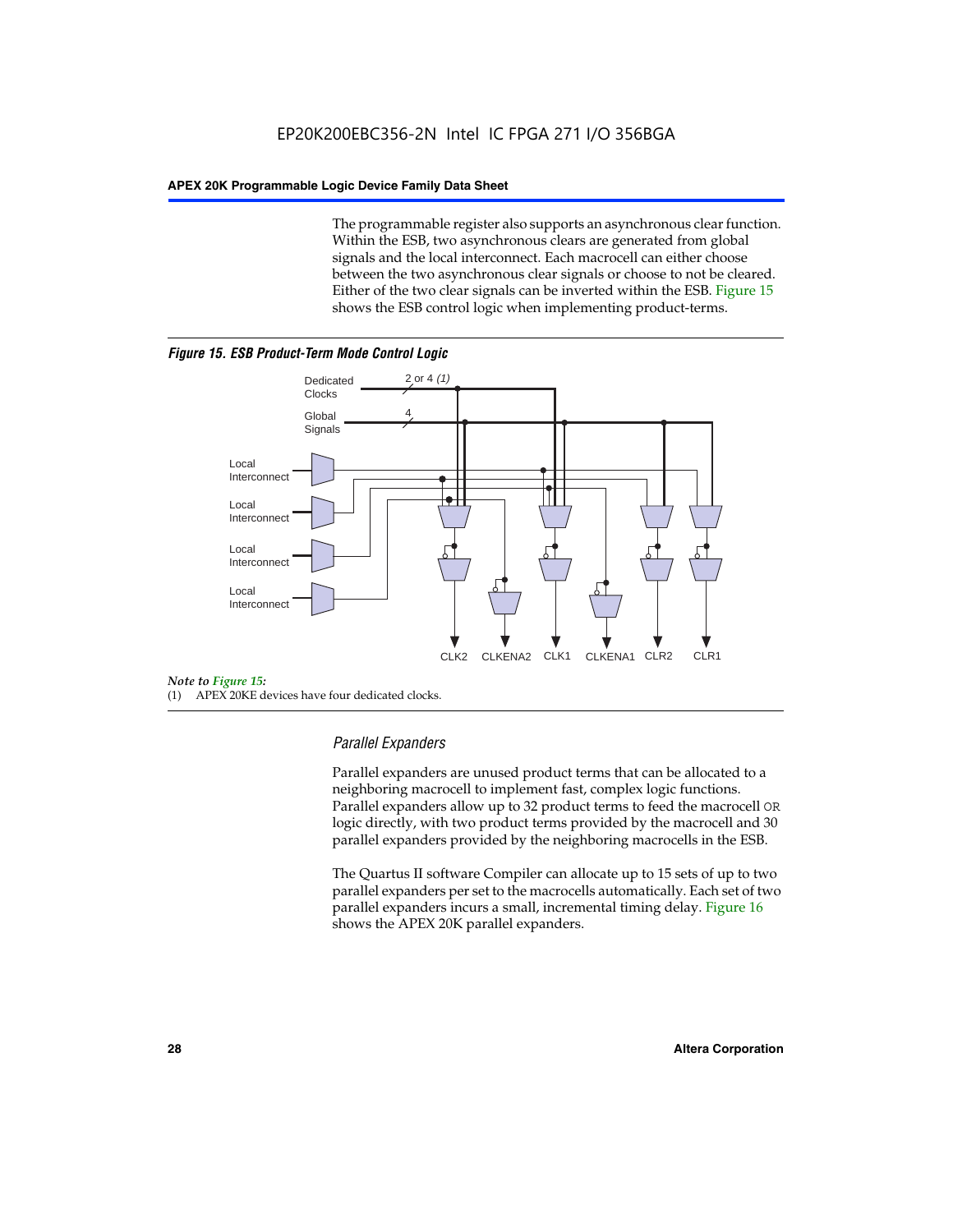The programmable register also supports an asynchronous clear function. Within the ESB, two asynchronous clears are generated from global signals and the local interconnect. Each macrocell can either choose between the two asynchronous clear signals or choose to not be cleared. Either of the two clear signals can be inverted within the ESB. Figure 15 shows the ESB control logic when implementing product-terms.





(1) APEX 20KE devices have four dedicated clocks.

#### *Parallel Expanders*

Parallel expanders are unused product terms that can be allocated to a neighboring macrocell to implement fast, complex logic functions. Parallel expanders allow up to 32 product terms to feed the macrocell OR logic directly, with two product terms provided by the macrocell and 30 parallel expanders provided by the neighboring macrocells in the ESB.

The Quartus II software Compiler can allocate up to 15 sets of up to two parallel expanders per set to the macrocells automatically. Each set of two parallel expanders incurs a small, incremental timing delay. Figure 16 shows the APEX 20K parallel expanders.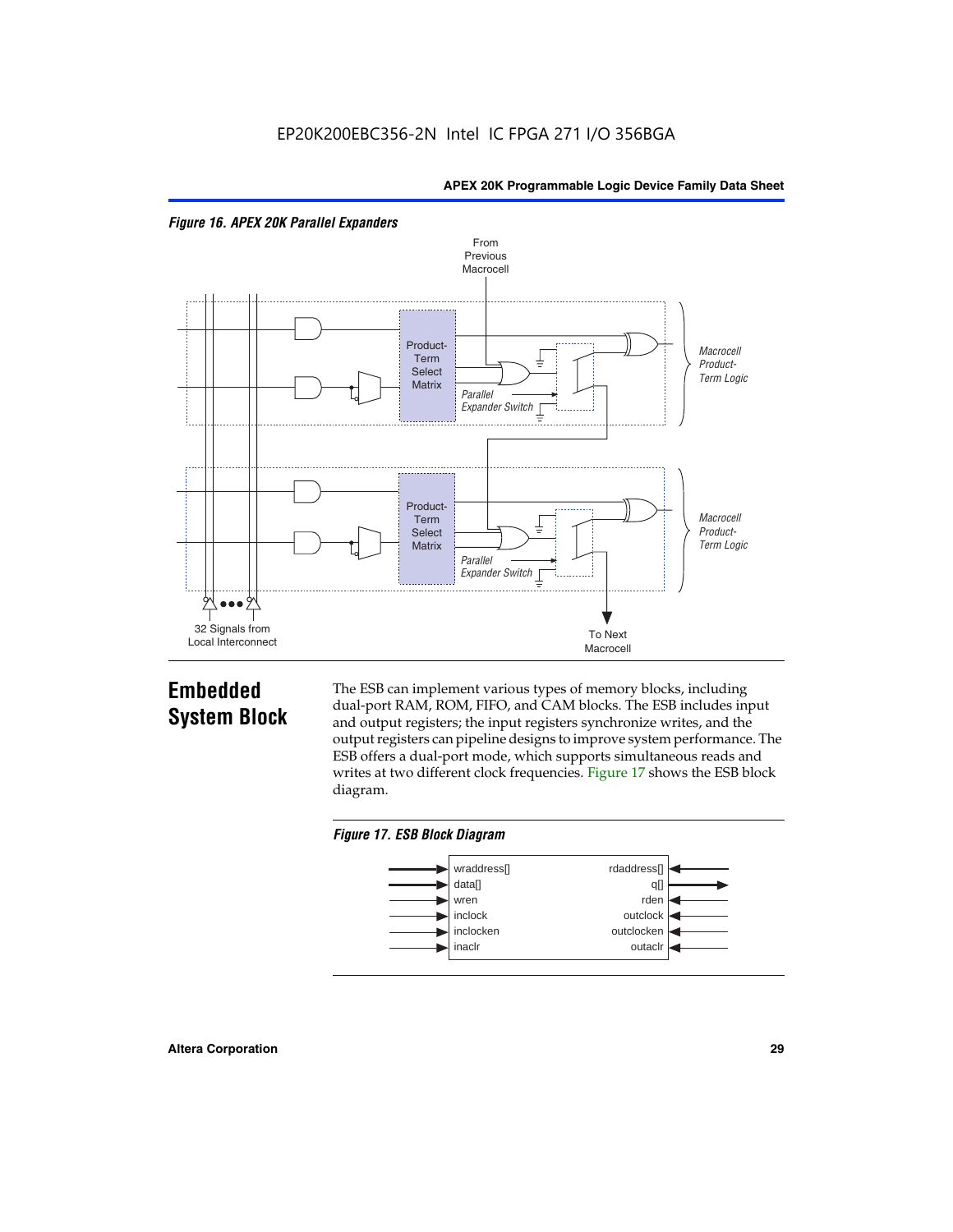



## **Embedded System Block**

The ESB can implement various types of memory blocks, including dual-port RAM, ROM, FIFO, and CAM blocks. The ESB includes input and output registers; the input registers synchronize writes, and the output registers can pipeline designs to improve system performance. The ESB offers a dual-port mode, which supports simultaneous reads and writes at two different clock frequencies. Figure 17 shows the ESB block diagram.



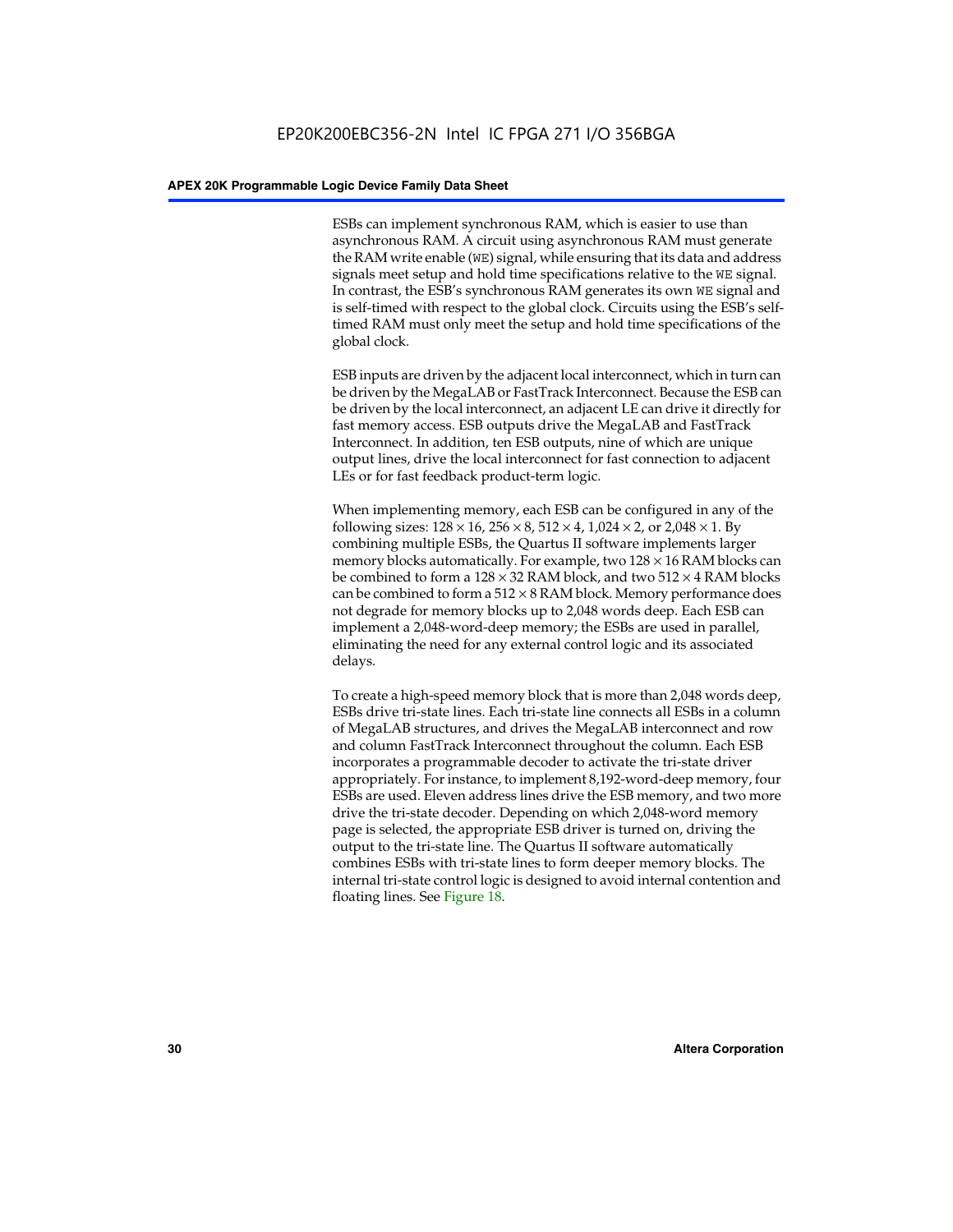ESBs can implement synchronous RAM, which is easier to use than asynchronous RAM. A circuit using asynchronous RAM must generate the RAM write enable (WE) signal, while ensuring that its data and address signals meet setup and hold time specifications relative to the WE signal. In contrast, the ESB's synchronous RAM generates its own WE signal and is self-timed with respect to the global clock. Circuits using the ESB's selftimed RAM must only meet the setup and hold time specifications of the global clock.

ESB inputs are driven by the adjacent local interconnect, which in turn can be driven by the MegaLAB or FastTrack Interconnect. Because the ESB can be driven by the local interconnect, an adjacent LE can drive it directly for fast memory access. ESB outputs drive the MegaLAB and FastTrack Interconnect. In addition, ten ESB outputs, nine of which are unique output lines, drive the local interconnect for fast connection to adjacent LEs or for fast feedback product-term logic.

When implementing memory, each ESB can be configured in any of the following sizes:  $128 \times 16$ ,  $256 \times 8$ ,  $512 \times 4$ ,  $1,024 \times 2$ , or  $2,048 \times 1$ . By combining multiple ESBs, the Quartus II software implements larger memory blocks automatically. For example, two  $128 \times 16$  RAM blocks can be combined to form a  $128 \times 32$  RAM block, and two  $512 \times 4$  RAM blocks can be combined to form a  $512 \times 8$  RAM block. Memory performance does not degrade for memory blocks up to 2,048 words deep. Each ESB can implement a 2,048-word-deep memory; the ESBs are used in parallel, eliminating the need for any external control logic and its associated delays.

To create a high-speed memory block that is more than 2,048 words deep, ESBs drive tri-state lines. Each tri-state line connects all ESBs in a column of MegaLAB structures, and drives the MegaLAB interconnect and row and column FastTrack Interconnect throughout the column. Each ESB incorporates a programmable decoder to activate the tri-state driver appropriately. For instance, to implement 8,192-word-deep memory, four ESBs are used. Eleven address lines drive the ESB memory, and two more drive the tri-state decoder. Depending on which 2,048-word memory page is selected, the appropriate ESB driver is turned on, driving the output to the tri-state line. The Quartus II software automatically combines ESBs with tri-state lines to form deeper memory blocks. The internal tri-state control logic is designed to avoid internal contention and floating lines. See Figure 18.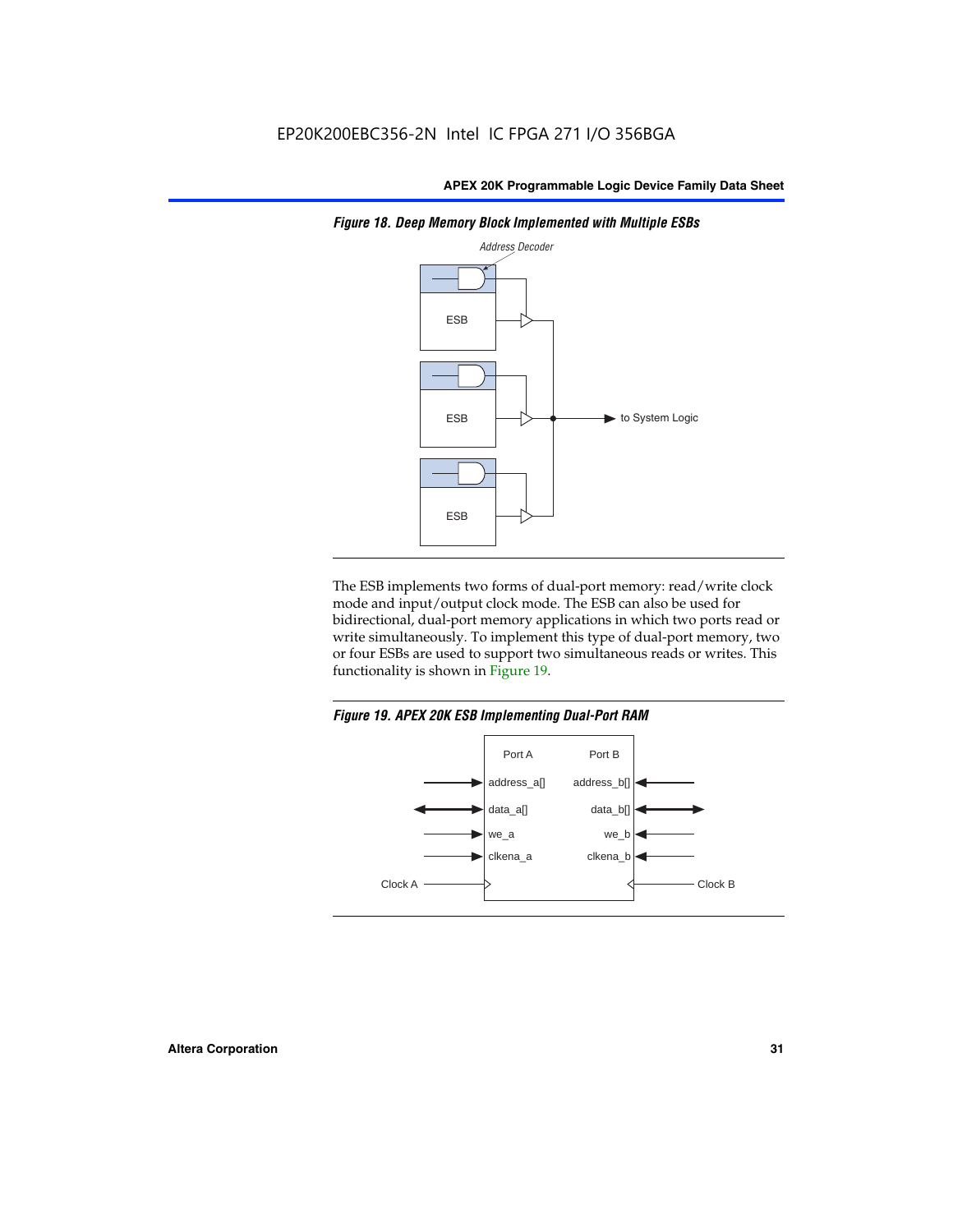

*Figure 18. Deep Memory Block Implemented with Multiple ESBs*

The ESB implements two forms of dual-port memory: read/write clock mode and input/output clock mode. The ESB can also be used for bidirectional, dual-port memory applications in which two ports read or write simultaneously. To implement this type of dual-port memory, two or four ESBs are used to support two simultaneous reads or writes. This functionality is shown in Figure 19.

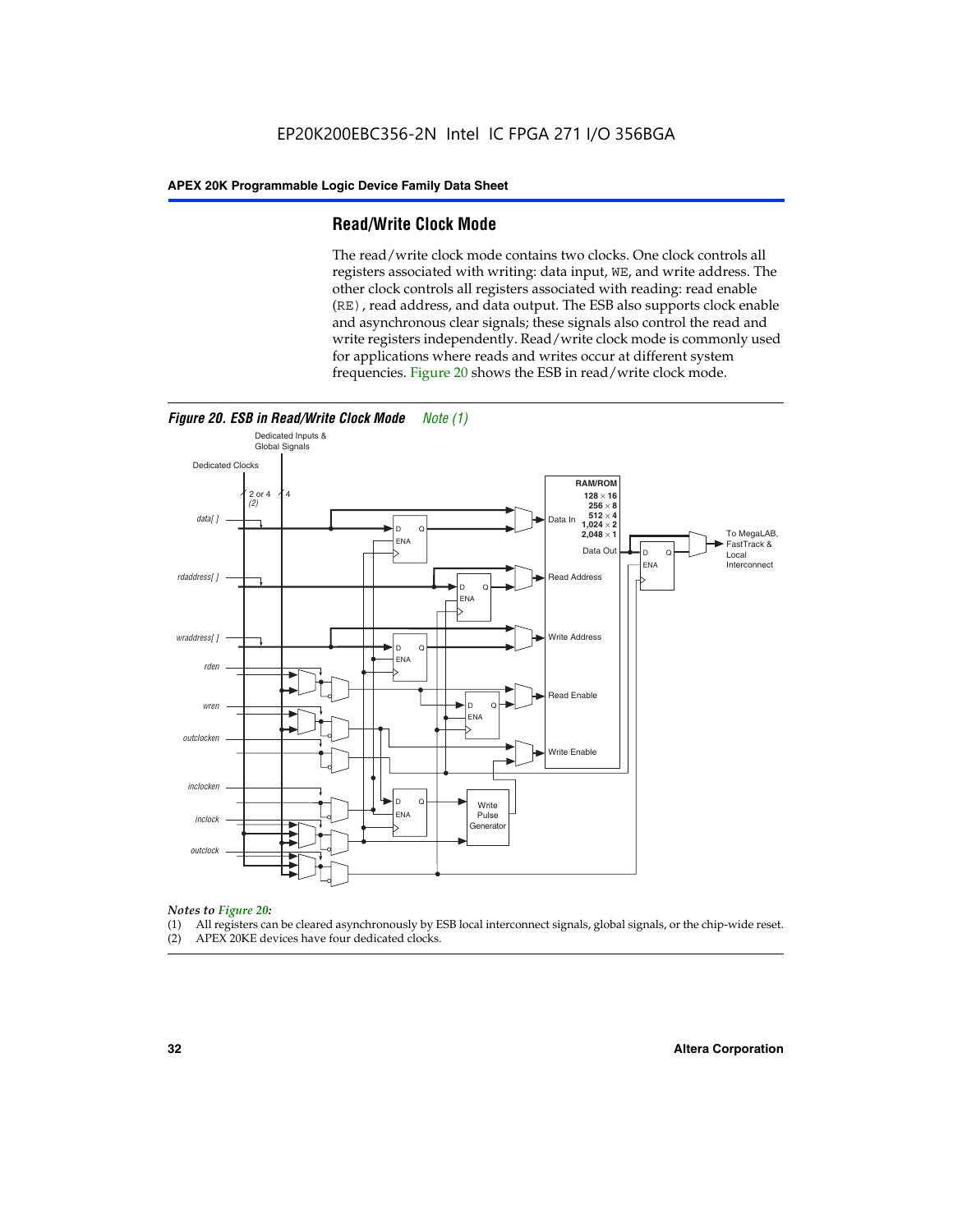#### **Read/Write Clock Mode**

The read/write clock mode contains two clocks. One clock controls all registers associated with writing: data input, WE, and write address. The other clock controls all registers associated with reading: read enable (RE), read address, and data output. The ESB also supports clock enable and asynchronous clear signals; these signals also control the read and write registers independently. Read/write clock mode is commonly used for applications where reads and writes occur at different system frequencies. Figure 20 shows the ESB in read/write clock mode.



### *Notes to Figure 20:*

- (1) All registers can be cleared asynchronously by ESB local interconnect signals, global signals, or the chip-wide reset.
- (2) APEX 20KE devices have four dedicated clocks.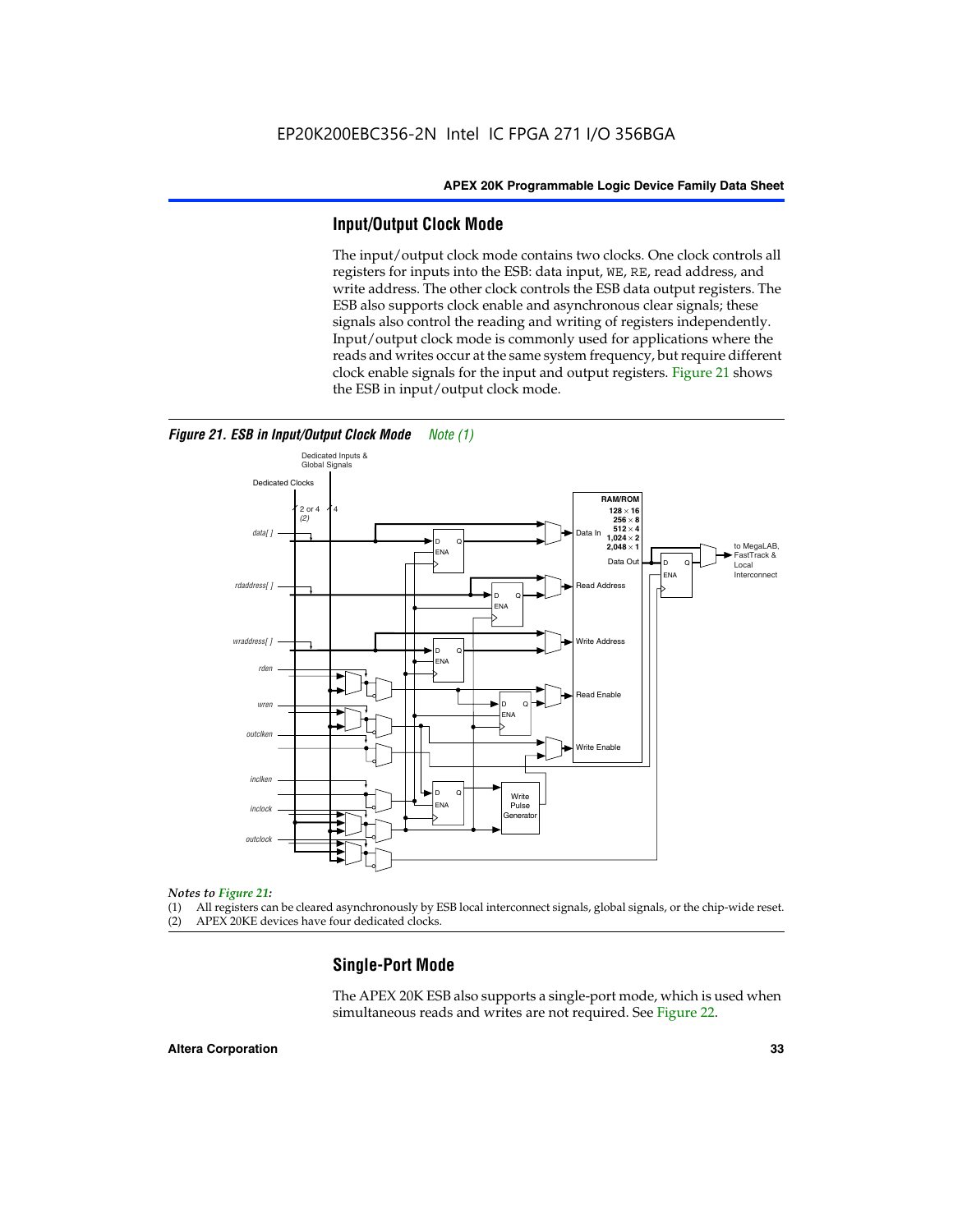#### **Input/Output Clock Mode**

The input/output clock mode contains two clocks. One clock controls all registers for inputs into the ESB: data input, WE, RE, read address, and write address. The other clock controls the ESB data output registers. The ESB also supports clock enable and asynchronous clear signals; these signals also control the reading and writing of registers independently. Input/output clock mode is commonly used for applications where the reads and writes occur at the same system frequency, but require different clock enable signals for the input and output registers. Figure 21 shows the ESB in input/output clock mode.



#### *Figure 21. ESB in Input/Output Clock Mode Note (1)*

#### *Notes to Figure 21:*

(1) All registers can be cleared asynchronously by ESB local interconnect signals, global signals, or the chip-wide reset.

(2) APEX 20KE devices have four dedicated clocks.

#### **Single-Port Mode**

The APEX 20K ESB also supports a single-port mode, which is used when simultaneous reads and writes are not required. See Figure 22.

#### **Altera Corporation 33**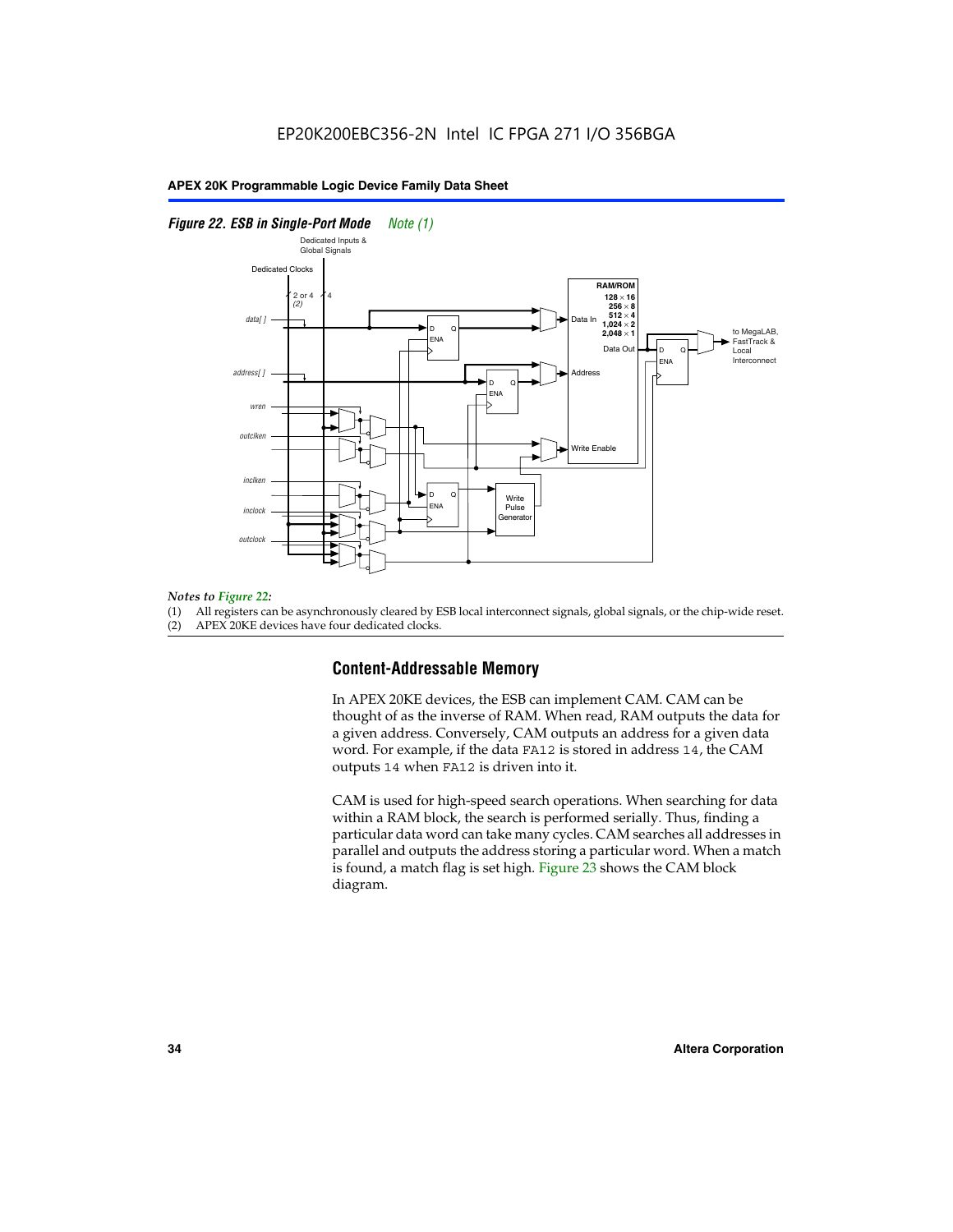#### *Figure 22. ESB in Single-Port Mode Note (1)*



#### *Notes to Figure 22:*

(1) All registers can be asynchronously cleared by ESB local interconnect signals, global signals, or the chip-wide reset.

(2) APEX 20KE devices have four dedicated clocks.

#### **Content-Addressable Memory**

In APEX 20KE devices, the ESB can implement CAM. CAM can be thought of as the inverse of RAM. When read, RAM outputs the data for a given address. Conversely, CAM outputs an address for a given data word. For example, if the data FA12 is stored in address 14, the CAM outputs 14 when FA12 is driven into it.

CAM is used for high-speed search operations. When searching for data within a RAM block, the search is performed serially. Thus, finding a particular data word can take many cycles. CAM searches all addresses in parallel and outputs the address storing a particular word. When a match is found, a match flag is set high. Figure 23 shows the CAM block diagram.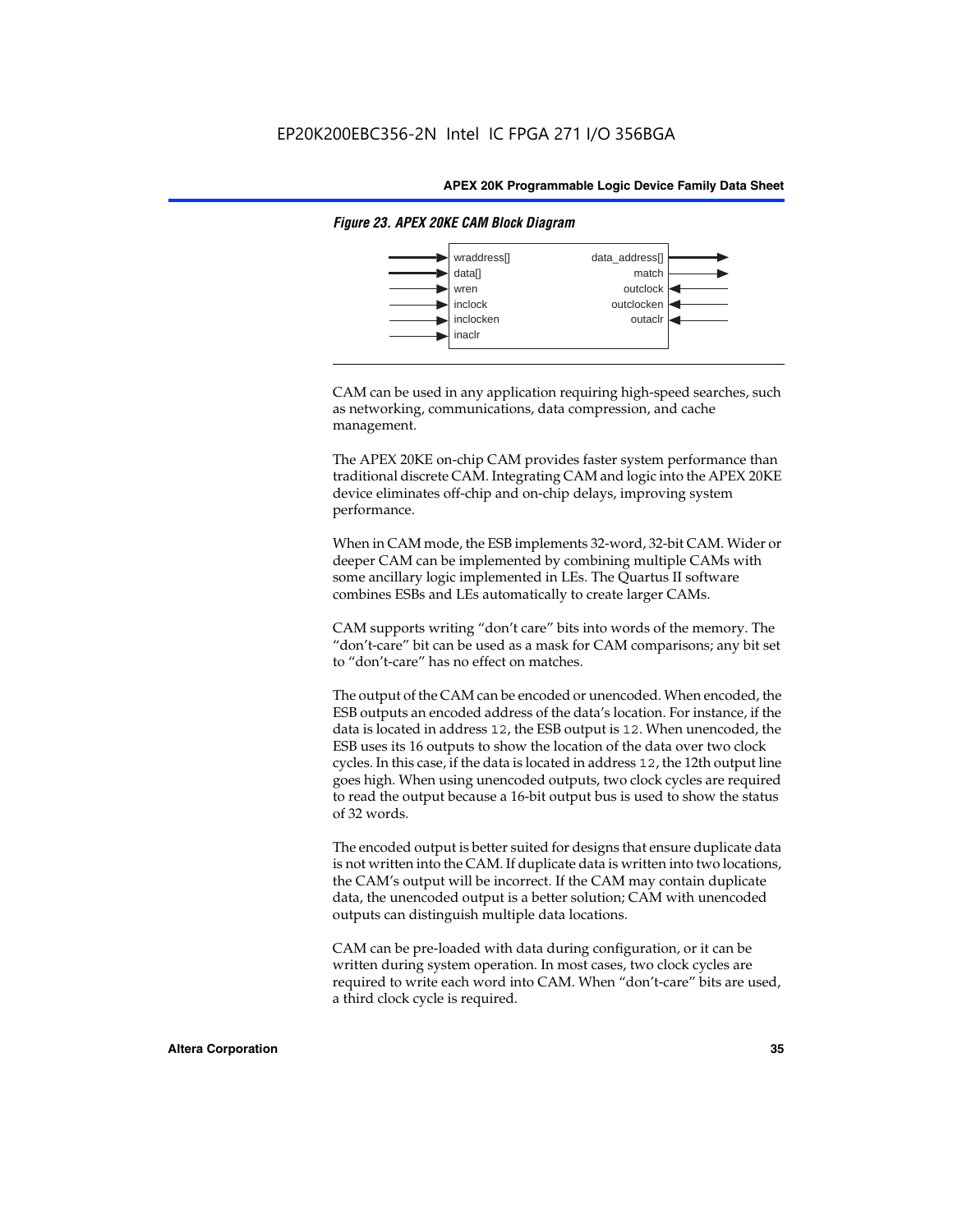

#### *Figure 23. APEX 20KE CAM Block Diagram*

CAM can be used in any application requiring high-speed searches, such as networking, communications, data compression, and cache management.

The APEX 20KE on-chip CAM provides faster system performance than traditional discrete CAM. Integrating CAM and logic into the APEX 20KE device eliminates off-chip and on-chip delays, improving system performance.

When in CAM mode, the ESB implements 32-word, 32-bit CAM. Wider or deeper CAM can be implemented by combining multiple CAMs with some ancillary logic implemented in LEs. The Quartus II software combines ESBs and LEs automatically to create larger CAMs.

CAM supports writing "don't care" bits into words of the memory. The "don't-care" bit can be used as a mask for CAM comparisons; any bit set to "don't-care" has no effect on matches.

The output of the CAM can be encoded or unencoded. When encoded, the ESB outputs an encoded address of the data's location. For instance, if the data is located in address 12, the ESB output is 12. When unencoded, the ESB uses its 16 outputs to show the location of the data over two clock cycles. In this case, if the data is located in address 12, the 12th output line goes high. When using unencoded outputs, two clock cycles are required to read the output because a 16-bit output bus is used to show the status of 32 words.

The encoded output is better suited for designs that ensure duplicate data is not written into the CAM. If duplicate data is written into two locations, the CAM's output will be incorrect. If the CAM may contain duplicate data, the unencoded output is a better solution; CAM with unencoded outputs can distinguish multiple data locations.

CAM can be pre-loaded with data during configuration, or it can be written during system operation. In most cases, two clock cycles are required to write each word into CAM. When "don't-care" bits are used, a third clock cycle is required.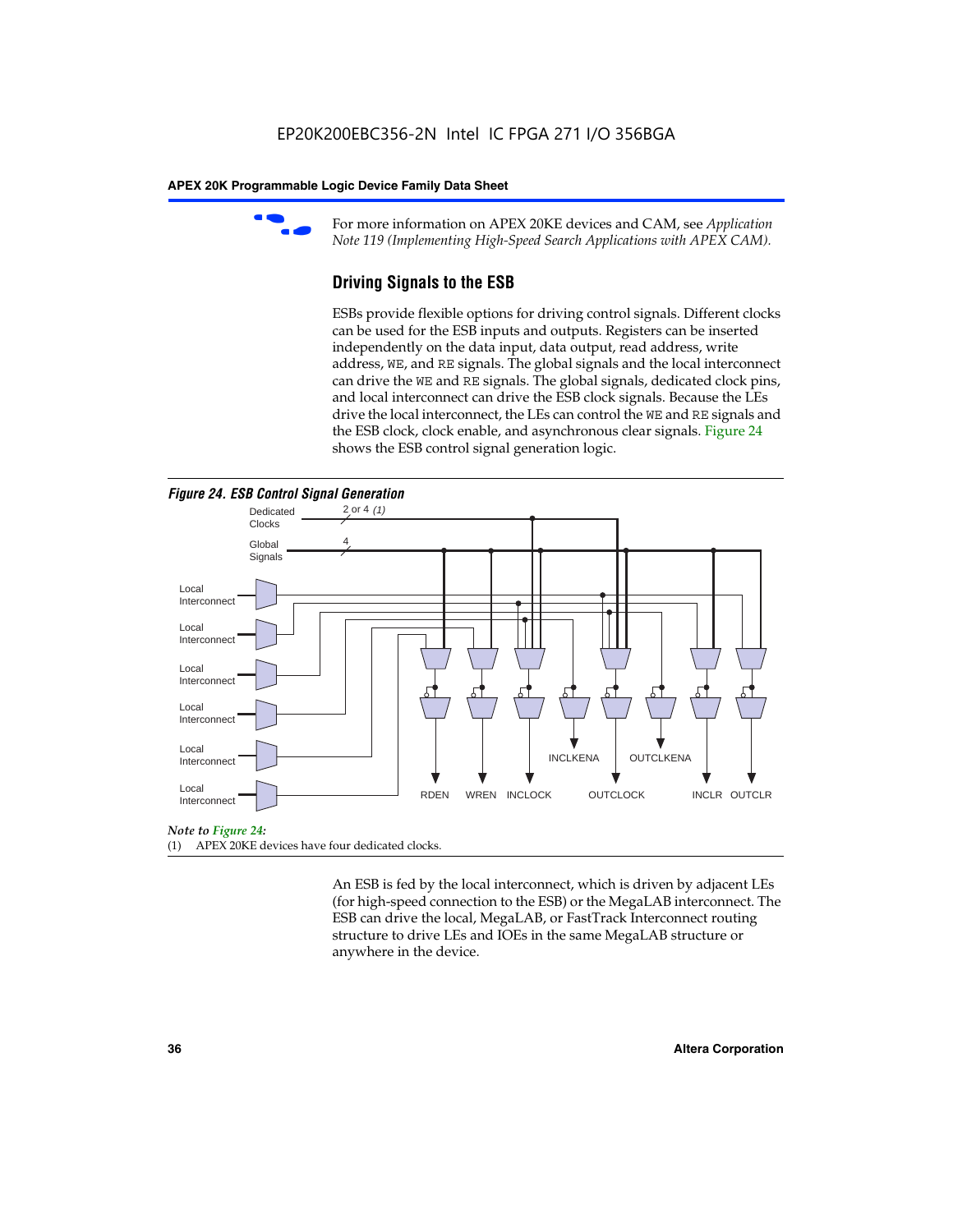

For more information on APEX 20KE devices and CAM, see *Application Note 119 (Implementing High-Speed Search Applications with APEX CAM).*

# **Driving Signals to the ESB**

ESBs provide flexible options for driving control signals. Different clocks can be used for the ESB inputs and outputs. Registers can be inserted independently on the data input, data output, read address, write address, WE, and RE signals. The global signals and the local interconnect can drive the WE and RE signals. The global signals, dedicated clock pins, and local interconnect can drive the ESB clock signals. Because the LEs drive the local interconnect, the LEs can control the WE and RE signals and the ESB clock, clock enable, and asynchronous clear signals. Figure 24 shows the ESB control signal generation logic.





#### *Note to Figure 24:*

(1) APEX 20KE devices have four dedicated clocks.

An ESB is fed by the local interconnect, which is driven by adjacent LEs (for high-speed connection to the ESB) or the MegaLAB interconnect. The ESB can drive the local, MegaLAB, or FastTrack Interconnect routing structure to drive LEs and IOEs in the same MegaLAB structure or anywhere in the device.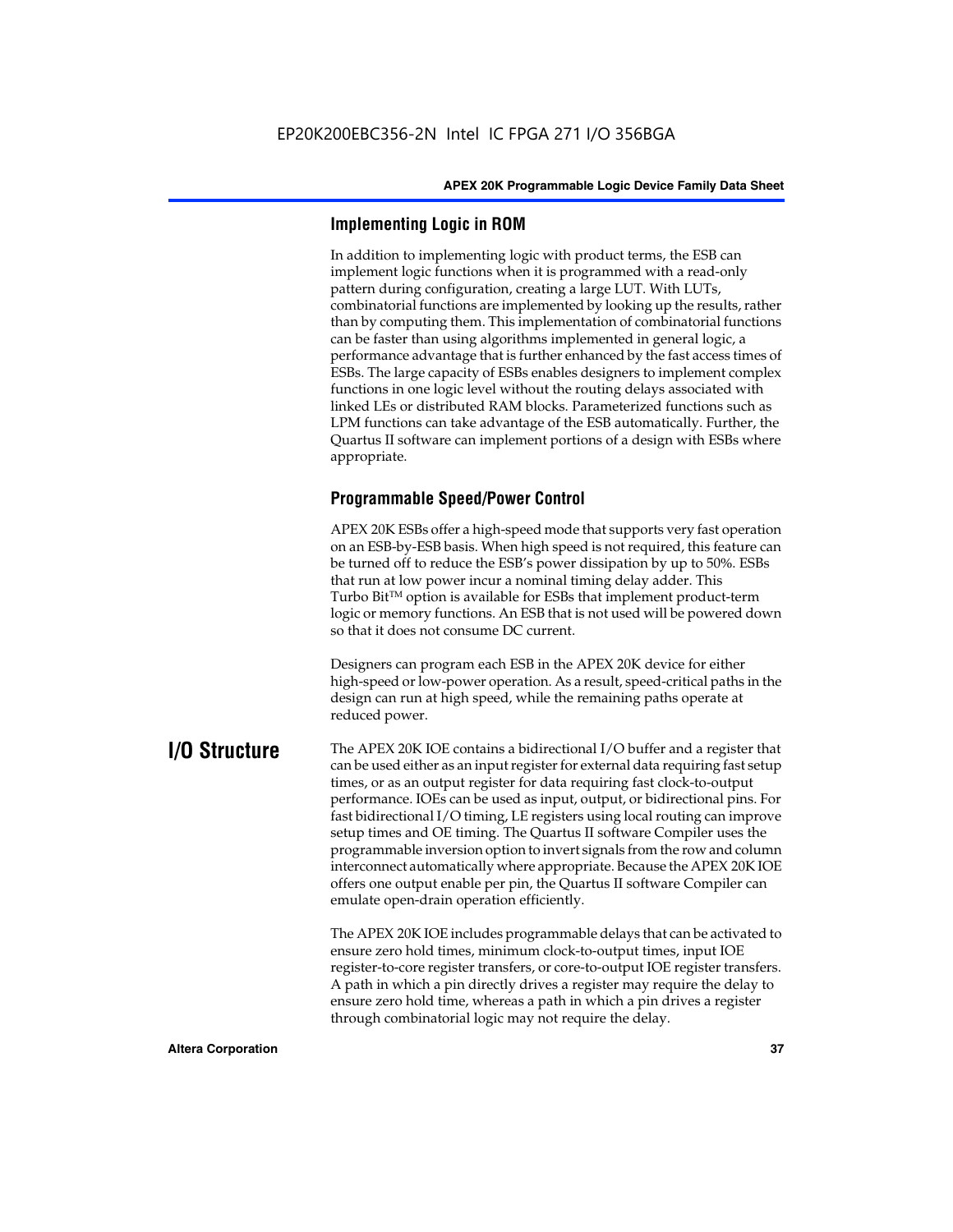# **Implementing Logic in ROM**

In addition to implementing logic with product terms, the ESB can implement logic functions when it is programmed with a read-only pattern during configuration, creating a large LUT. With LUTs, combinatorial functions are implemented by looking up the results, rather than by computing them. This implementation of combinatorial functions can be faster than using algorithms implemented in general logic, a performance advantage that is further enhanced by the fast access times of ESBs. The large capacity of ESBs enables designers to implement complex functions in one logic level without the routing delays associated with linked LEs or distributed RAM blocks. Parameterized functions such as LPM functions can take advantage of the ESB automatically. Further, the Quartus II software can implement portions of a design with ESBs where appropriate.

# **Programmable Speed/Power Control**

APEX 20K ESBs offer a high-speed mode that supports very fast operation on an ESB-by-ESB basis. When high speed is not required, this feature can be turned off to reduce the ESB's power dissipation by up to 50%. ESBs that run at low power incur a nominal timing delay adder. This Turbo  $Bit^{TM}$  option is available for ESBs that implement product-term logic or memory functions. An ESB that is not used will be powered down so that it does not consume DC current.

Designers can program each ESB in the APEX 20K device for either high-speed or low-power operation. As a result, speed-critical paths in the design can run at high speed, while the remaining paths operate at reduced power.

**I/O Structure** The APEX 20K IOE contains a bidirectional I/O buffer and a register that can be used either as an input register for external data requiring fast setup times, or as an output register for data requiring fast clock-to-output performance. IOEs can be used as input, output, or bidirectional pins. For fast bidirectional I/O timing, LE registers using local routing can improve setup times and OE timing. The Quartus II software Compiler uses the programmable inversion option to invert signals from the row and column interconnect automatically where appropriate. Because the APEX 20K IOE offers one output enable per pin, the Quartus II software Compiler can emulate open-drain operation efficiently.

> The APEX 20K IOE includes programmable delays that can be activated to ensure zero hold times, minimum clock-to-output times, input IOE register-to-core register transfers, or core-to-output IOE register transfers. A path in which a pin directly drives a register may require the delay to ensure zero hold time, whereas a path in which a pin drives a register through combinatorial logic may not require the delay.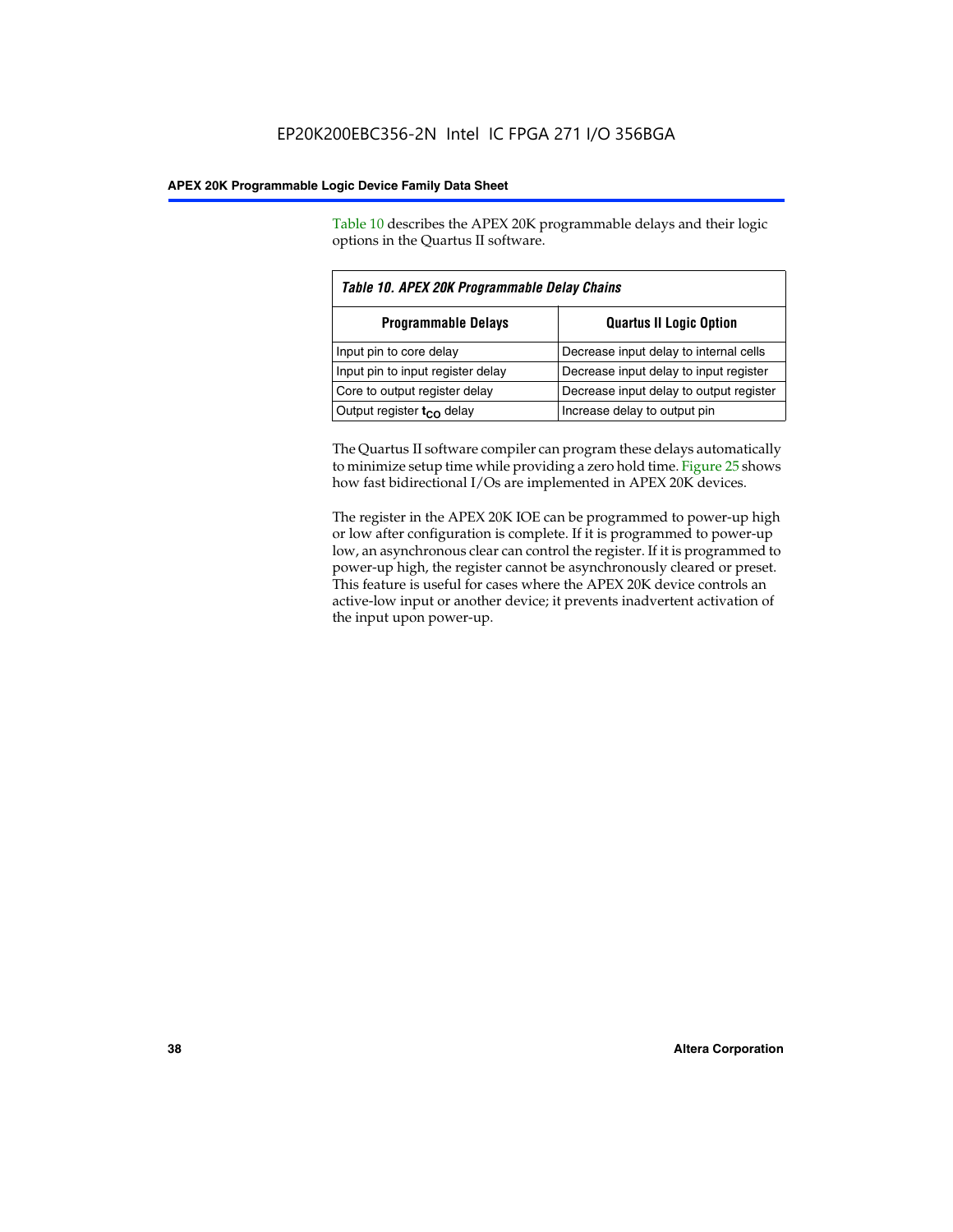Table 10 describes the APEX 20K programmable delays and their logic options in the Quartus II software.

| Table 10. APEX 20K Programmable Delay Chains |                                         |  |  |  |
|----------------------------------------------|-----------------------------------------|--|--|--|
| <b>Programmable Delays</b>                   | <b>Quartus II Logic Option</b>          |  |  |  |
| Input pin to core delay                      | Decrease input delay to internal cells  |  |  |  |
| Input pin to input register delay            | Decrease input delay to input register  |  |  |  |
| Core to output register delay                | Decrease input delay to output register |  |  |  |
| Output register $t_{\rm CO}$ delay           | Increase delay to output pin            |  |  |  |

The Quartus II software compiler can program these delays automatically to minimize setup time while providing a zero hold time. Figure 25 shows how fast bidirectional I/Os are implemented in APEX 20K devices.

The register in the APEX 20K IOE can be programmed to power-up high or low after configuration is complete. If it is programmed to power-up low, an asynchronous clear can control the register. If it is programmed to power-up high, the register cannot be asynchronously cleared or preset. This feature is useful for cases where the APEX 20K device controls an active-low input or another device; it prevents inadvertent activation of the input upon power-up.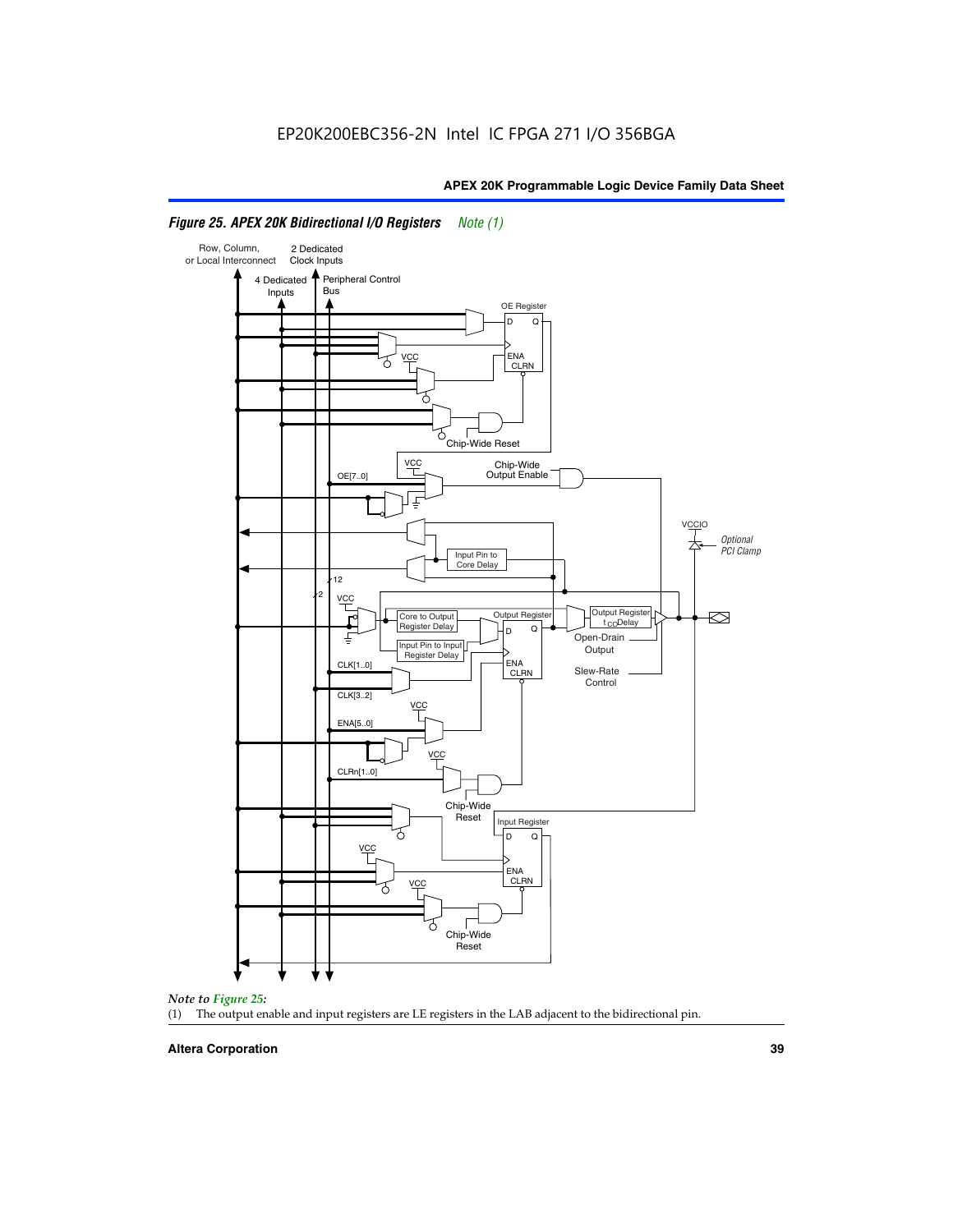

# *Figure 25. APEX 20K Bidirectional I/O Registers Note (1)*



#### **Altera Corporation 39**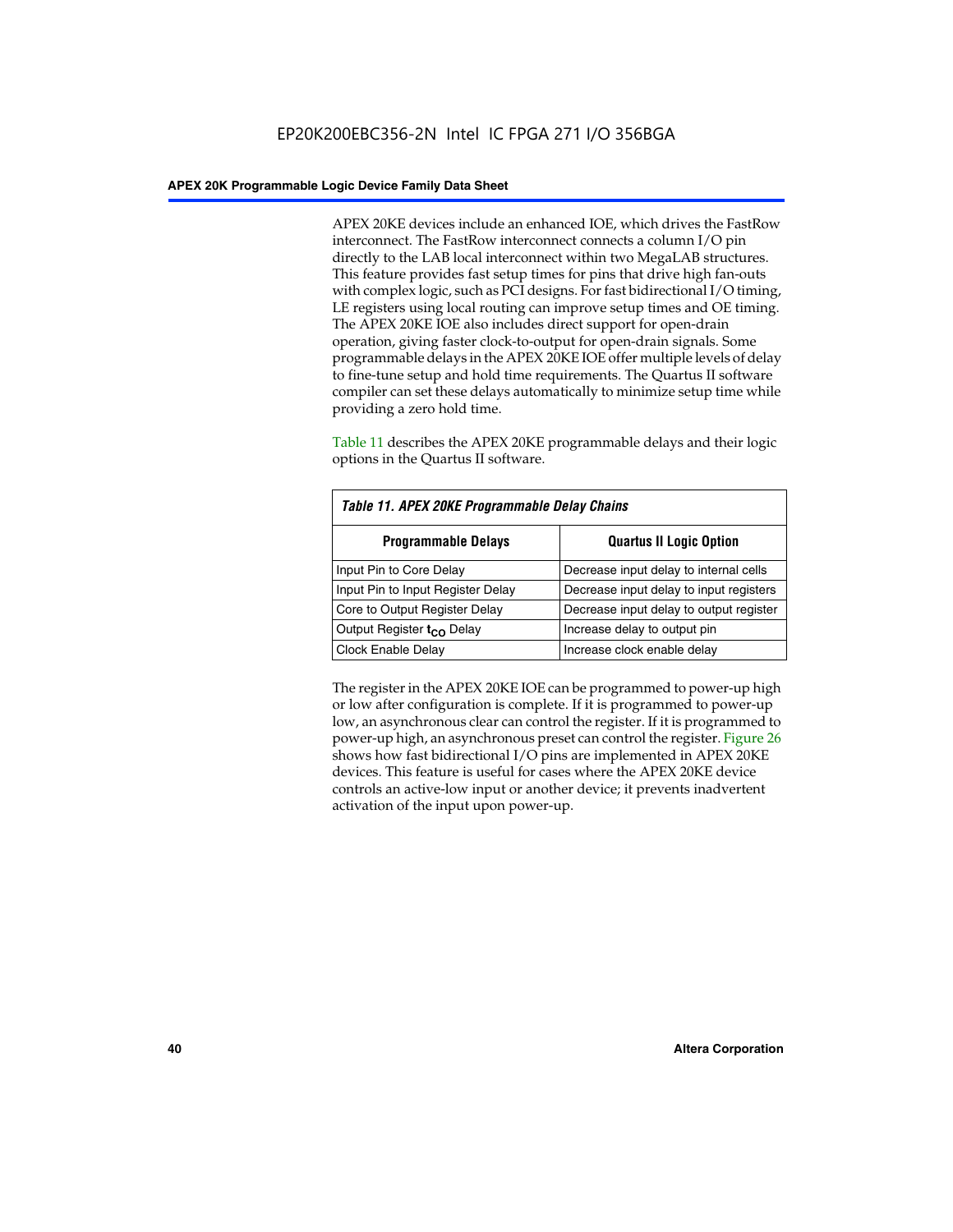APEX 20KE devices include an enhanced IOE, which drives the FastRow interconnect. The FastRow interconnect connects a column I/O pin directly to the LAB local interconnect within two MegaLAB structures. This feature provides fast setup times for pins that drive high fan-outs with complex logic, such as PCI designs. For fast bidirectional I/O timing, LE registers using local routing can improve setup times and OE timing. The APEX 20KE IOE also includes direct support for open-drain operation, giving faster clock-to-output for open-drain signals. Some programmable delays in the APEX 20KE IOE offer multiple levels of delay to fine-tune setup and hold time requirements. The Quartus II software compiler can set these delays automatically to minimize setup time while providing a zero hold time.

Table 11 describes the APEX 20KE programmable delays and their logic options in the Quartus II software.

| Table 11. APEX 20KE Programmable Delay Chains |                                         |  |  |  |
|-----------------------------------------------|-----------------------------------------|--|--|--|
| <b>Programmable Delays</b>                    | <b>Quartus II Logic Option</b>          |  |  |  |
| Input Pin to Core Delay                       | Decrease input delay to internal cells  |  |  |  |
| Input Pin to Input Register Delay             | Decrease input delay to input registers |  |  |  |
| Core to Output Register Delay                 | Decrease input delay to output register |  |  |  |
| Output Register t <sub>CO</sub> Delay         | Increase delay to output pin            |  |  |  |
| <b>Clock Enable Delay</b>                     | Increase clock enable delay             |  |  |  |

The register in the APEX 20KE IOE can be programmed to power-up high or low after configuration is complete. If it is programmed to power-up low, an asynchronous clear can control the register. If it is programmed to power-up high, an asynchronous preset can control the register. Figure 26 shows how fast bidirectional I/O pins are implemented in APEX 20KE devices. This feature is useful for cases where the APEX 20KE device controls an active-low input or another device; it prevents inadvertent activation of the input upon power-up.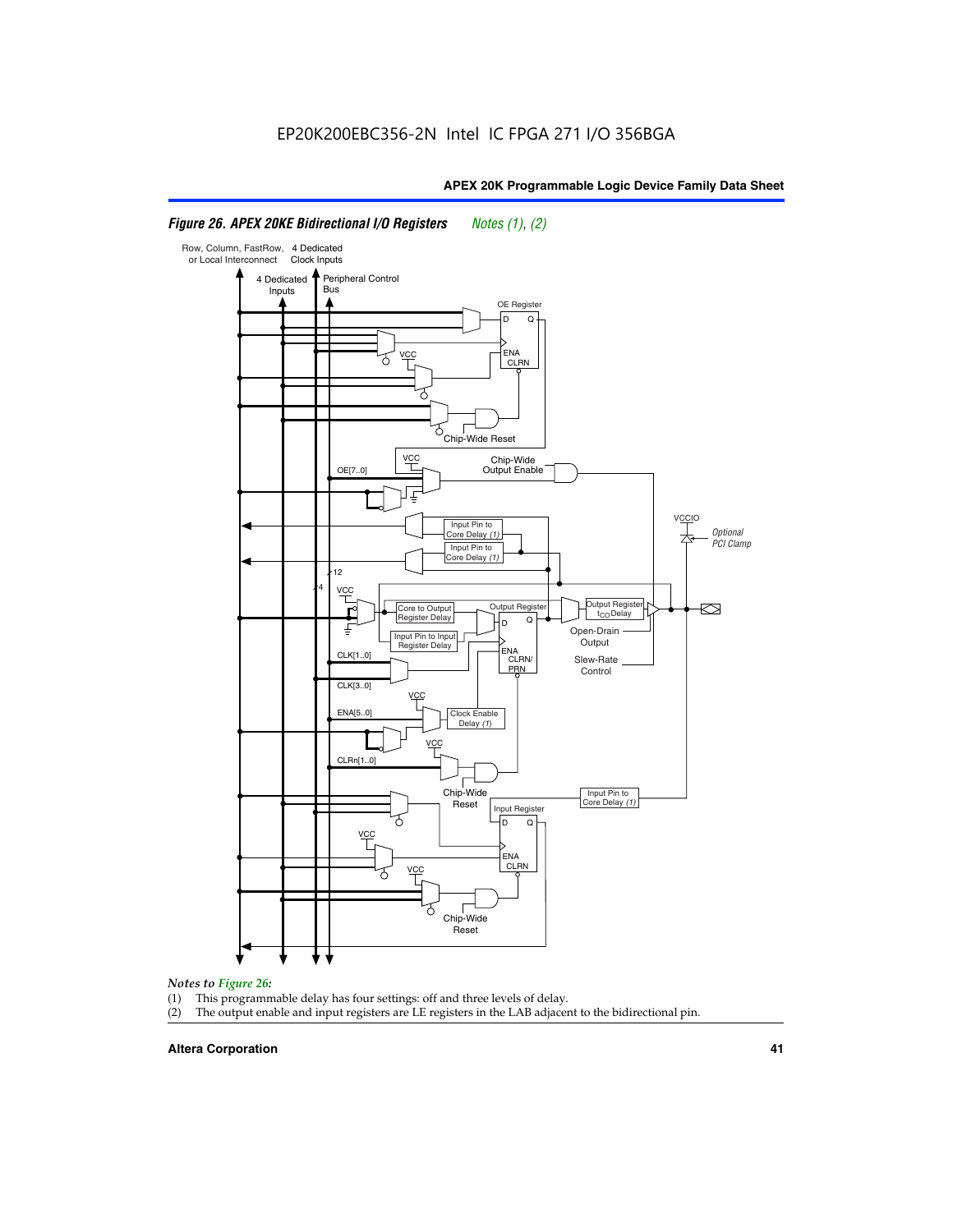#### Row, Column, FastRow, 4 Dedicated or Local Interconnect Clock Inputs Peripheral Control 4 Dedicated **Bus** Inputs OE Register D Q ENA VCC CLRN 7 Chip-Wide Reset vcc Chip-Wide Output Enable OE[7..0] VC Input Pin to **Optional** Core Delay (1) PCI Clamp Input Pin to Core Delay (1) 12 4 **VCC** Output Register **Output Registe**  $\approx$ Core to Output | Output Hegister | Durbut Tropieding | Contput Tropieding | Durbut Tropieding | Output Tropied<br>Register Delay | Durbut Tropieding | Contput Tropieding | Contput Tropieding | O t<sub>CO</sub>Delay  $D$  Q ī Open-Drain Input Pin to Input **Output** Register Delay ENA CLK[1..0] CLRN/ Slew-Rate PR<sub>N</sub> Control CLK[3..0] VCC ENA[5..0] Clock Enable Delay (1) VCC CLRn[1..0] Chip-Wide Input Pin to Core Delay (1) Reset Input Register D Q <u>vcc</u> .<br>ENA CLRN **VCC** Chip-Wide Reset

# *Figure 26. APEX 20KE Bidirectional I/O Registers Notes (1), (2)*

#### *Notes to Figure 26:*

- (1) This programmable delay has four settings: off and three levels of delay.<br>(2) The output enable and input registers are LE registers in the LAB adjacer
- The output enable and input registers are LE registers in the LAB adjacent to the bidirectional pin.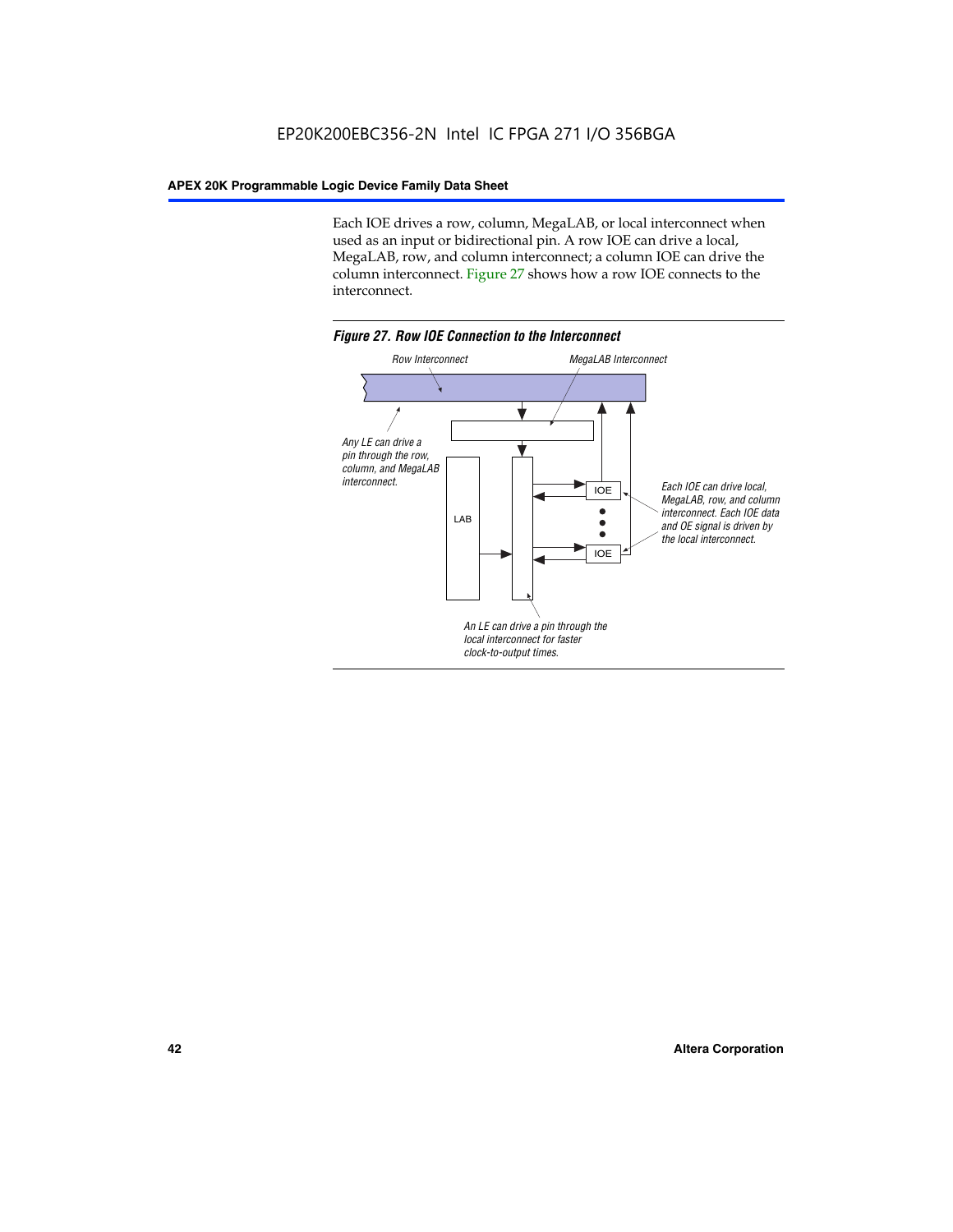Each IOE drives a row, column, MegaLAB, or local interconnect when used as an input or bidirectional pin. A row IOE can drive a local, MegaLAB, row, and column interconnect; a column IOE can drive the column interconnect. Figure 27 shows how a row IOE connects to the interconnect.

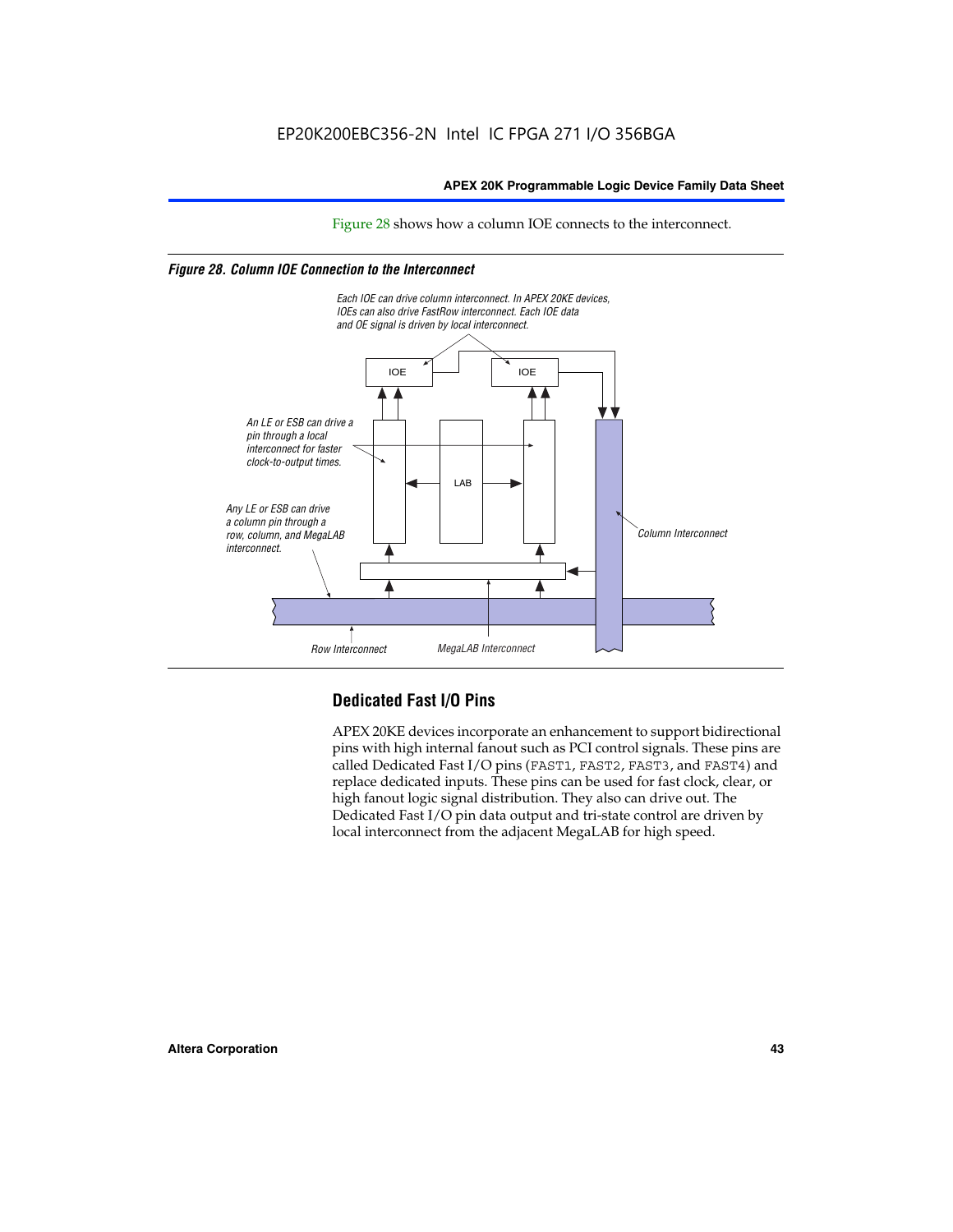Figure 28 shows how a column IOE connects to the interconnect.

# *Figure 28. Column IOE Connection to the Interconnect*



# **Dedicated Fast I/O Pins**

APEX 20KE devices incorporate an enhancement to support bidirectional pins with high internal fanout such as PCI control signals. These pins are called Dedicated Fast I/O pins (FAST1, FAST2, FAST3, and FAST4) and replace dedicated inputs. These pins can be used for fast clock, clear, or high fanout logic signal distribution. They also can drive out. The Dedicated Fast I/O pin data output and tri-state control are driven by local interconnect from the adjacent MegaLAB for high speed.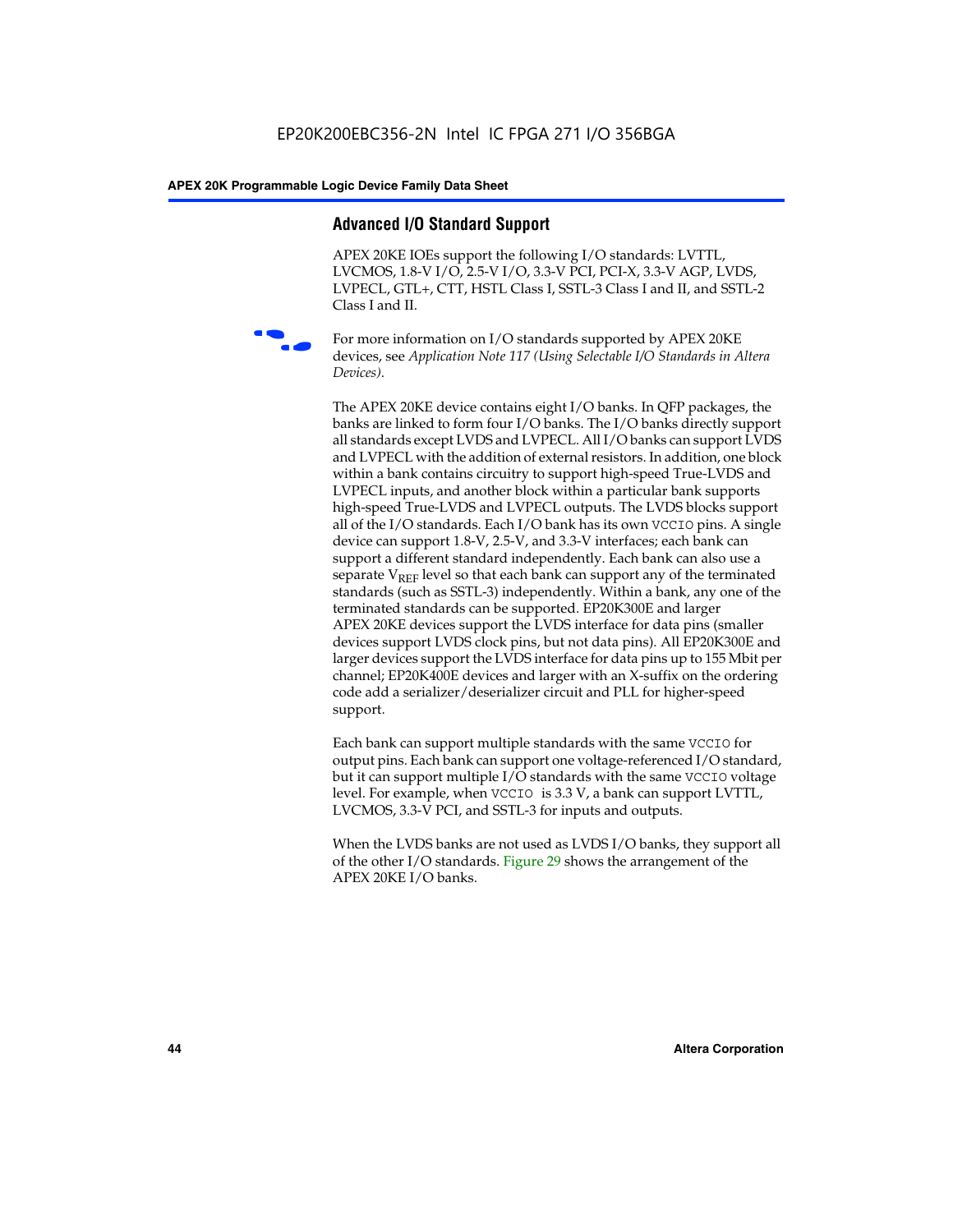# **Advanced I/O Standard Support**

APEX 20KE IOEs support the following I/O standards: LVTTL, LVCMOS, 1.8-V I/O, 2.5-V I/O, 3.3-V PCI, PCI-X, 3.3-V AGP, LVDS, LVPECL, GTL+, CTT, HSTL Class I, SSTL-3 Class I and II, and SSTL-2 Class I and II.



For more information on I/O standards supported by APEX 20KE devices, see *Application Note 117 (Using Selectable I/O Standards in Altera Devices)*.

The APEX 20KE device contains eight I/O banks. In QFP packages, the banks are linked to form four I/O banks. The I/O banks directly support all standards except LVDS and LVPECL. All I/O banks can support LVDS and LVPECL with the addition of external resistors. In addition, one block within a bank contains circuitry to support high-speed True-LVDS and LVPECL inputs, and another block within a particular bank supports high-speed True-LVDS and LVPECL outputs. The LVDS blocks support all of the I/O standards. Each I/O bank has its own VCCIO pins. A single device can support 1.8-V, 2.5-V, and 3.3-V interfaces; each bank can support a different standard independently. Each bank can also use a separate  $V_{\text{REF}}$  level so that each bank can support any of the terminated standards (such as SSTL-3) independently. Within a bank, any one of the terminated standards can be supported. EP20K300E and larger APEX 20KE devices support the LVDS interface for data pins (smaller devices support LVDS clock pins, but not data pins). All EP20K300E and larger devices support the LVDS interface for data pins up to 155 Mbit per channel; EP20K400E devices and larger with an X-suffix on the ordering code add a serializer/deserializer circuit and PLL for higher-speed support.

Each bank can support multiple standards with the same VCCIO for output pins. Each bank can support one voltage-referenced I/O standard, but it can support multiple I/O standards with the same VCCIO voltage level. For example, when VCCIO is 3.3 V, a bank can support LVTTL, LVCMOS, 3.3-V PCI, and SSTL-3 for inputs and outputs.

When the LVDS banks are not used as LVDS I/O banks, they support all of the other I/O standards. Figure 29 shows the arrangement of the APEX 20KE I/O banks.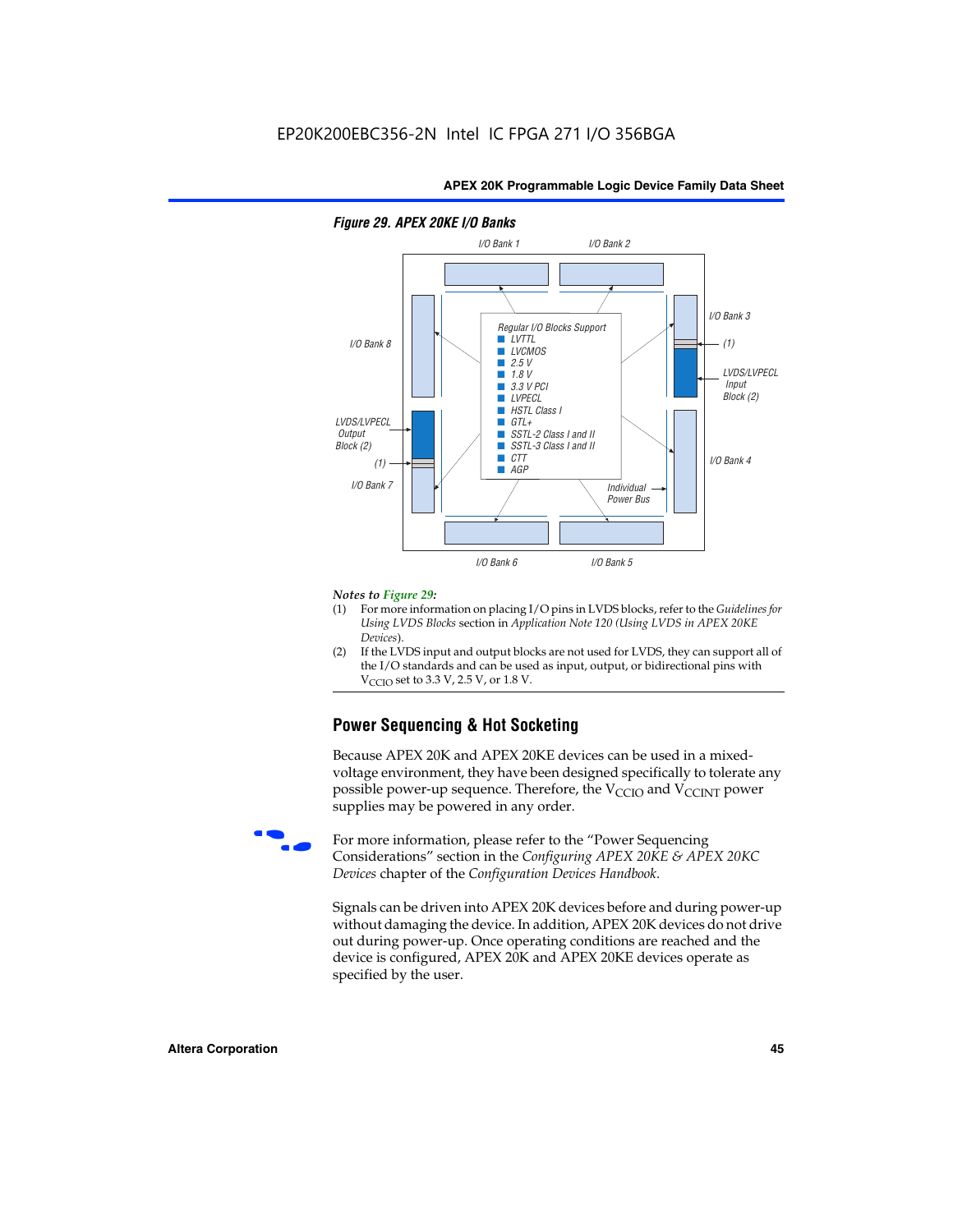

# *Figure 29. APEX 20KE I/O Banks*

#### *Notes to Figure 29:*

- (1) For more information on placing I/O pins in LVDS blocks, refer to the *Guidelines for Using LVDS Blocks* section in *Application Note 120 (Using LVDS in APEX 20KE Devices*).
- (2) If the LVDS input and output blocks are not used for LVDS, they can support all of the I/O standards and can be used as input, output, or bidirectional pins with  $V_{\text{C} \cap \text{O}}$  set to 3.3 V, 2.5 V, or 1.8 V.

# **Power Sequencing & Hot Socketing**

Because APEX 20K and APEX 20KE devices can be used in a mixedvoltage environment, they have been designed specifically to tolerate any possible power-up sequence. Therefore, the  $V_{\text{CCIO}}$  and  $V_{\text{CCINT}}$  power supplies may be powered in any order.

For more information, please refer to the "Power Sequencing Considerations" section in the *Configuring APEX 20KE & APEX 20KC Devices* chapter of the *Configuration Devices Handbook*.

Signals can be driven into APEX 20K devices before and during power-up without damaging the device. In addition, APEX 20K devices do not drive out during power-up. Once operating conditions are reached and the device is configured, APEX 20K and APEX 20KE devices operate as specified by the user.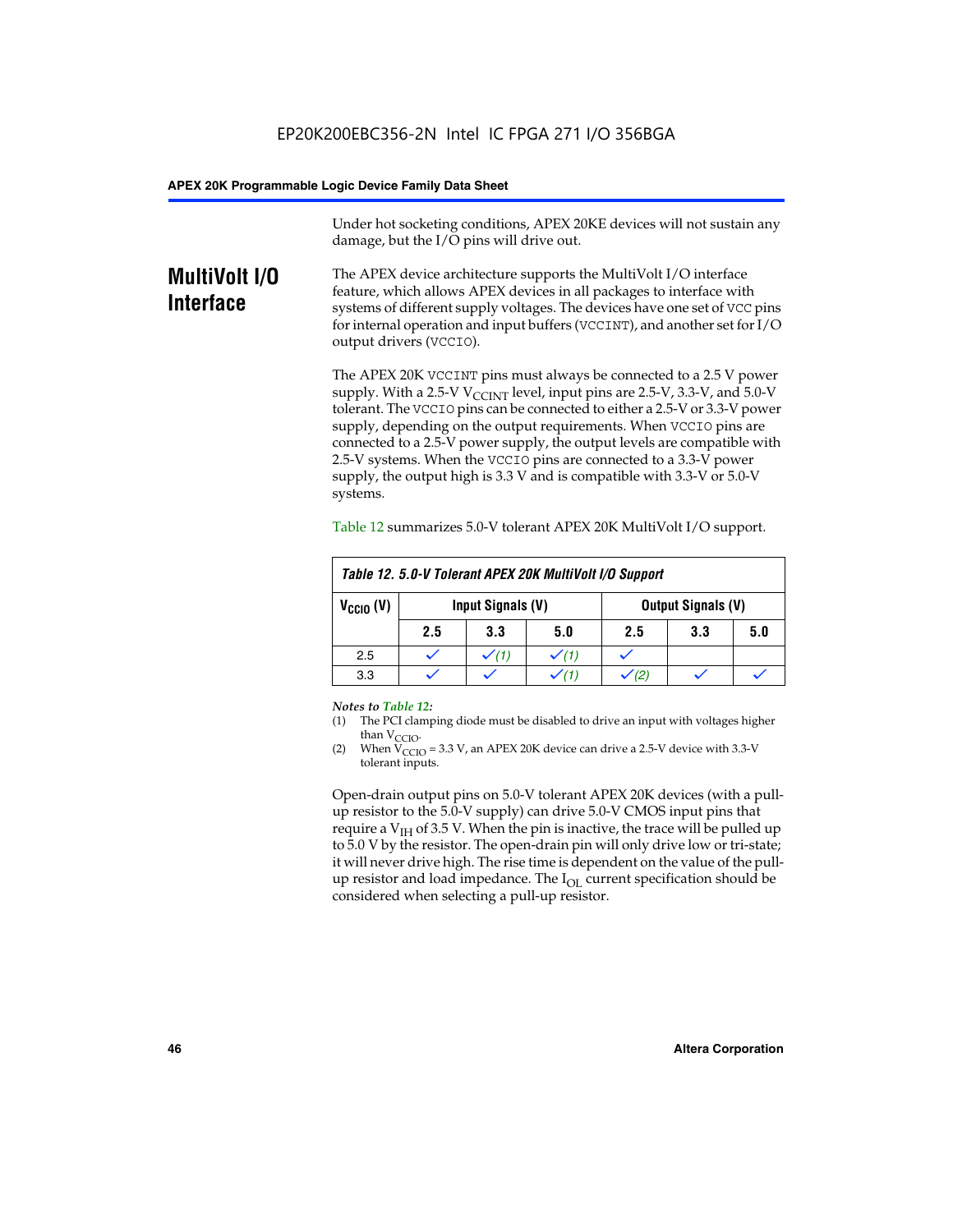Under hot socketing conditions, APEX 20KE devices will not sustain any damage, but the I/O pins will drive out.

# **MultiVolt I/O Interface**

The APEX device architecture supports the MultiVolt I/O interface feature, which allows APEX devices in all packages to interface with systems of different supply voltages. The devices have one set of VCC pins for internal operation and input buffers (VCCINT), and another set for I/O output drivers (VCCIO).

The APEX 20K VCCINT pins must always be connected to a 2.5 V power supply. With a 2.5-V  $V_{\text{CCMT}}$  level, input pins are 2.5-V, 3.3-V, and 5.0-V tolerant. The VCCIO pins can be connected to either a 2.5-V or 3.3-V power supply, depending on the output requirements. When VCCIO pins are connected to a 2.5-V power supply, the output levels are compatible with 2.5-V systems. When the VCCIO pins are connected to a 3.3-V power supply, the output high is 3.3 V and is compatible with 3.3-V or 5.0-V systems.

| Table 12. 5.0-V Tolerant APEX 20K MultiVolt I/O Support |                                                |                  |     |     |     |     |
|---------------------------------------------------------|------------------------------------------------|------------------|-----|-----|-----|-----|
| $V_{\text{CCIO}}(V)$                                    | Input Signals (V)<br><b>Output Signals (V)</b> |                  |     |     |     |     |
|                                                         | 2.5                                            | 3.3              | 5.0 | 2.5 | 3.3 | 5.0 |
| 2.5                                                     |                                                | $\checkmark$ (1) |     |     |     |     |
| 3.3                                                     |                                                |                  |     |     |     |     |

Table 12 summarizes 5.0-V tolerant APEX 20K MultiVolt I/O support.

#### *Notes to Table 12:*

- (1) The PCI clamping diode must be disabled to drive an input with voltages higher than  $V_{CCIO}$ .
- (2) When  $V_{CCIO} = 3.3 V$ , an APEX 20K device can drive a 2.5-V device with 3.3-V tolerant inputs.

Open-drain output pins on 5.0-V tolerant APEX 20K devices (with a pullup resistor to the 5.0-V supply) can drive 5.0-V CMOS input pins that require a  $V_{IH}$  of 3.5 V. When the pin is inactive, the trace will be pulled up to 5.0 V by the resistor. The open-drain pin will only drive low or tri-state; it will never drive high. The rise time is dependent on the value of the pullup resistor and load impedance. The  $I_{OI}$  current specification should be considered when selecting a pull-up resistor.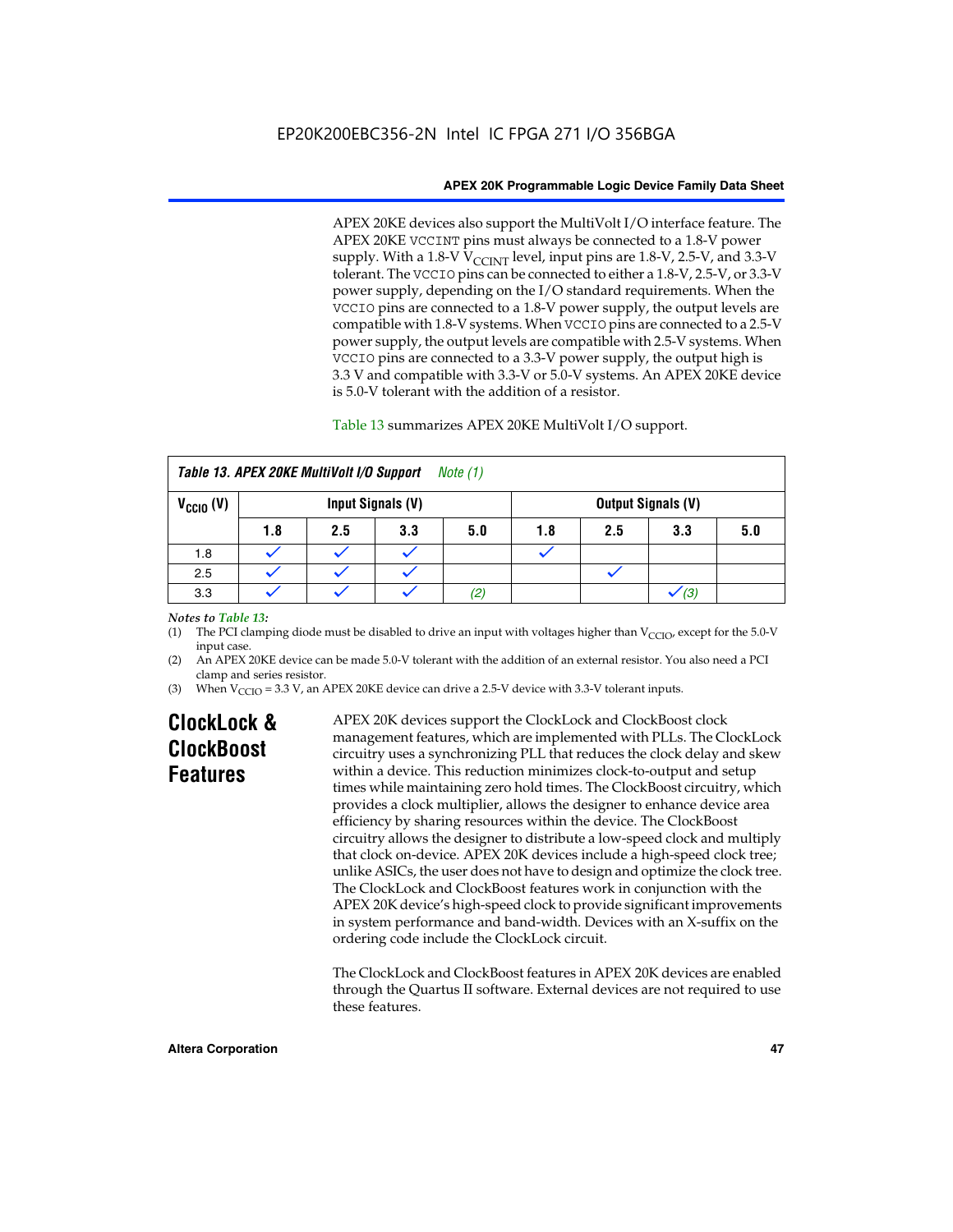APEX 20KE devices also support the MultiVolt I/O interface feature. The APEX 20KE VCCINT pins must always be connected to a 1.8-V power supply. With a 1.8-V  $V_{\text{CCINT}}$  level, input pins are 1.8-V, 2.5-V, and 3.3-V tolerant. The VCCIO pins can be connected to either a 1.8-V, 2.5-V, or 3.3-V power supply, depending on the I/O standard requirements. When the VCCIO pins are connected to a 1.8-V power supply, the output levels are compatible with 1.8-V systems. When VCCIO pins are connected to a 2.5-V power supply, the output levels are compatible with 2.5-V systems. When VCCIO pins are connected to a 3.3-V power supply, the output high is 3.3 V and compatible with 3.3-V or 5.0-V systems. An APEX 20KE device is 5.0-V tolerant with the addition of a resistor.

# Table 13 summarizes APEX 20KE MultiVolt I/O support.

|                                           | Table 13. APEX 20KE MultiVolt I/O Support<br>Note (1) |     |     |                   |     |                           |     |     |
|-------------------------------------------|-------------------------------------------------------|-----|-----|-------------------|-----|---------------------------|-----|-----|
| $V_{\text{CCIO}}(V)$<br>Input Signals (V) |                                                       |     |     |                   |     | <b>Output Signals (V)</b> |     |     |
|                                           | 1.8                                                   | 2.5 | 3.3 | 5.0               | 1.8 | 2.5                       | 3.3 | 5.0 |
| 1.8                                       |                                                       |     |     |                   |     |                           |     |     |
| 2.5                                       |                                                       |     |     |                   |     |                           |     |     |
| 3.3                                       |                                                       |     |     | $\left( 2\right)$ |     |                           | (3) |     |

## *Notes to Table 13:*

(1) The PCI clamping diode must be disabled to drive an input with voltages higher than  $V_{CCIO}$ , except for the 5.0-V input case.

(2) An APEX 20KE device can be made 5.0-V tolerant with the addition of an external resistor. You also need a PCI clamp and series resistor.

(3) When  $V_{\text{CCIO}} = 3.3$  V, an APEX 20KE device can drive a 2.5-V device with 3.3-V tolerant inputs.

# **ClockLock & ClockBoost Features**

APEX 20K devices support the ClockLock and ClockBoost clock management features, which are implemented with PLLs. The ClockLock circuitry uses a synchronizing PLL that reduces the clock delay and skew within a device. This reduction minimizes clock-to-output and setup times while maintaining zero hold times. The ClockBoost circuitry, which provides a clock multiplier, allows the designer to enhance device area efficiency by sharing resources within the device. The ClockBoost circuitry allows the designer to distribute a low-speed clock and multiply that clock on-device. APEX 20K devices include a high-speed clock tree; unlike ASICs, the user does not have to design and optimize the clock tree. The ClockLock and ClockBoost features work in conjunction with the APEX 20K device's high-speed clock to provide significant improvements in system performance and band-width. Devices with an X-suffix on the ordering code include the ClockLock circuit.

The ClockLock and ClockBoost features in APEX 20K devices are enabled through the Quartus II software. External devices are not required to use these features.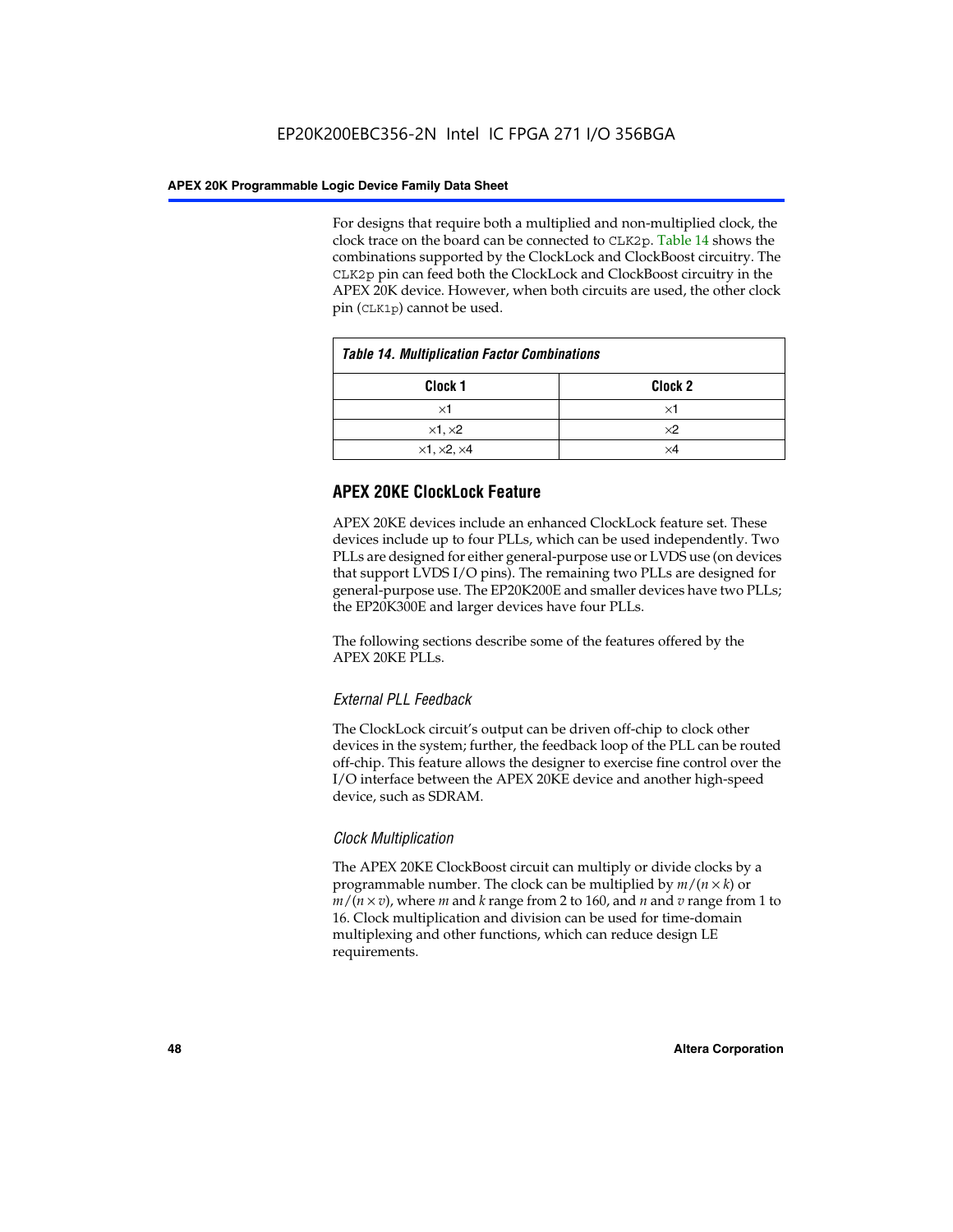For designs that require both a multiplied and non-multiplied clock, the clock trace on the board can be connected to CLK2p. Table 14 shows the combinations supported by the ClockLock and ClockBoost circuitry. The CLK2p pin can feed both the ClockLock and ClockBoost circuitry in the APEX 20K device. However, when both circuits are used, the other clock pin (CLK1p) cannot be used.

| <b>Table 14. Multiplication Factor Combinations</b> |                    |  |
|-----------------------------------------------------|--------------------|--|
| Clock 1                                             | Clock <sub>2</sub> |  |
| ×1                                                  | ×1                 |  |
| $\times$ 1, $\times$ 2                              | $\times 2$         |  |
| $\times$ 1, $\times$ 2, $\times$ 4                  | ×4                 |  |

# **APEX 20KE ClockLock Feature**

APEX 20KE devices include an enhanced ClockLock feature set. These devices include up to four PLLs, which can be used independently. Two PLLs are designed for either general-purpose use or LVDS use (on devices that support LVDS I/O pins). The remaining two PLLs are designed for general-purpose use. The EP20K200E and smaller devices have two PLLs; the EP20K300E and larger devices have four PLLs.

The following sections describe some of the features offered by the APEX 20KE PLLs.

# *External PLL Feedback*

The ClockLock circuit's output can be driven off-chip to clock other devices in the system; further, the feedback loop of the PLL can be routed off-chip. This feature allows the designer to exercise fine control over the I/O interface between the APEX 20KE device and another high-speed device, such as SDRAM.

# *Clock Multiplication*

The APEX 20KE ClockBoost circuit can multiply or divide clocks by a programmable number. The clock can be multiplied by *m*/(*n* × *k*) or  $m/(n \times v)$ , where *m* and *k* range from 2 to 160, and *n* and *v* range from 1 to 16. Clock multiplication and division can be used for time-domain multiplexing and other functions, which can reduce design LE requirements.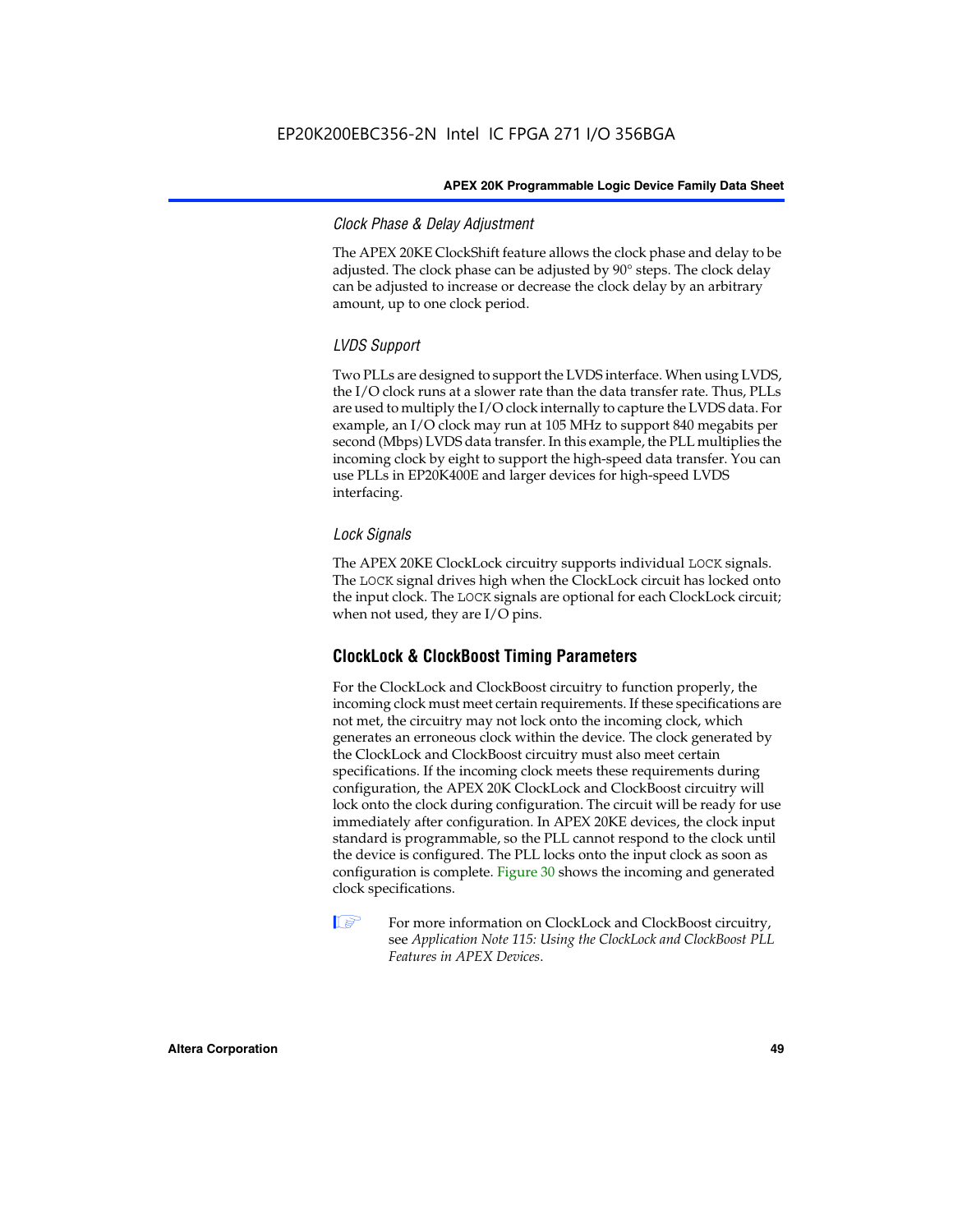# *Clock Phase & Delay Adjustment*

The APEX 20KE ClockShift feature allows the clock phase and delay to be adjusted. The clock phase can be adjusted by 90° steps. The clock delay can be adjusted to increase or decrease the clock delay by an arbitrary amount, up to one clock period.

# *LVDS Support*

Two PLLs are designed to support the LVDS interface. When using LVDS, the I/O clock runs at a slower rate than the data transfer rate. Thus, PLLs are used to multiply the I/O clock internally to capture the LVDS data. For example, an I/O clock may run at 105 MHz to support 840 megabits per second (Mbps) LVDS data transfer. In this example, the PLL multiplies the incoming clock by eight to support the high-speed data transfer. You can use PLLs in EP20K400E and larger devices for high-speed LVDS interfacing.

# *Lock Signals*

The APEX 20KE ClockLock circuitry supports individual LOCK signals. The LOCK signal drives high when the ClockLock circuit has locked onto the input clock. The LOCK signals are optional for each ClockLock circuit; when not used, they are I/O pins.

# **ClockLock & ClockBoost Timing Parameters**

For the ClockLock and ClockBoost circuitry to function properly, the incoming clock must meet certain requirements. If these specifications are not met, the circuitry may not lock onto the incoming clock, which generates an erroneous clock within the device. The clock generated by the ClockLock and ClockBoost circuitry must also meet certain specifications. If the incoming clock meets these requirements during configuration, the APEX 20K ClockLock and ClockBoost circuitry will lock onto the clock during configuration. The circuit will be ready for use immediately after configuration. In APEX 20KE devices, the clock input standard is programmable, so the PLL cannot respond to the clock until the device is configured. The PLL locks onto the input clock as soon as configuration is complete. Figure 30 shows the incoming and generated clock specifications.

 $\mathbb{I} \mathcal{F}$  For more information on ClockLock and ClockBoost circuitry, see *Application Note 115: Using the ClockLock and ClockBoost PLL Features in APEX Devices*.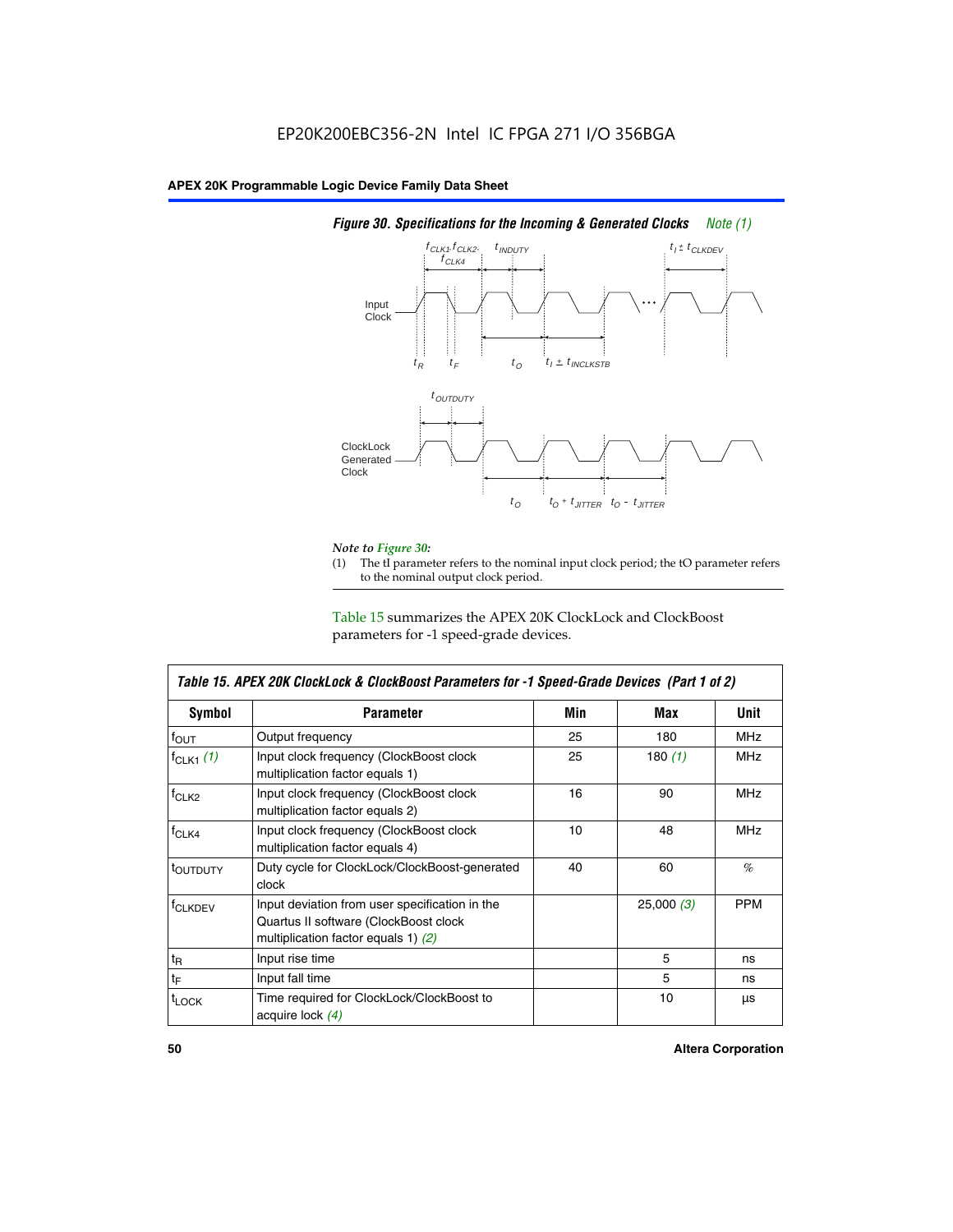

# *Figure 30. Specifications for the Incoming & Generated Clocks Note (1)*

# *Note to Figure 30:*

The tI parameter refers to the nominal input clock period; the tO parameter refers to the nominal output clock period.

Table 15 summarizes the APEX 20K ClockLock and ClockBoost parameters for -1 speed-grade devices.

| <b>Symbol</b>                                                                                                                                       | <b>Parameter</b>                                                           | Min | Max       | <b>Unit</b> |
|-----------------------------------------------------------------------------------------------------------------------------------------------------|----------------------------------------------------------------------------|-----|-----------|-------------|
| $f_{OUT}$                                                                                                                                           | Output frequency                                                           | 25  | 180       | MHz         |
| $f_{CLK1}$ $(1)$                                                                                                                                    | Input clock frequency (ClockBoost clock<br>multiplication factor equals 1) | 25  | 180 $(1)$ | <b>MHz</b>  |
| $f_{CLK2}$                                                                                                                                          | Input clock frequency (ClockBoost clock<br>multiplication factor equals 2) | 16  | 90        | <b>MHz</b>  |
| $f_{CLK4}$                                                                                                                                          | Input clock frequency (ClockBoost clock<br>multiplication factor equals 4) | 10  | 48        | <b>MHz</b>  |
| toutputy                                                                                                                                            | Duty cycle for ClockLock/ClockBoost-generated<br>clock                     | 40  | 60        | %           |
| Input deviation from user specification in the<br><b>f</b> CLKDEV<br>Quartus II software (ClockBoost clock<br>multiplication factor equals 1) $(2)$ |                                                                            |     | 25,000(3) | <b>PPM</b>  |
| $t_{\mathsf{R}}$                                                                                                                                    | Input rise time                                                            |     | 5         | ns          |
| $t_{\mathsf{F}}$                                                                                                                                    | Input fall time                                                            |     | 5         | ns          |
| <sup>t</sup> LOCK                                                                                                                                   | Time required for ClockLock/ClockBoost to<br>acquire lock (4)              |     | 10        | μs          |

 $\mathsf I$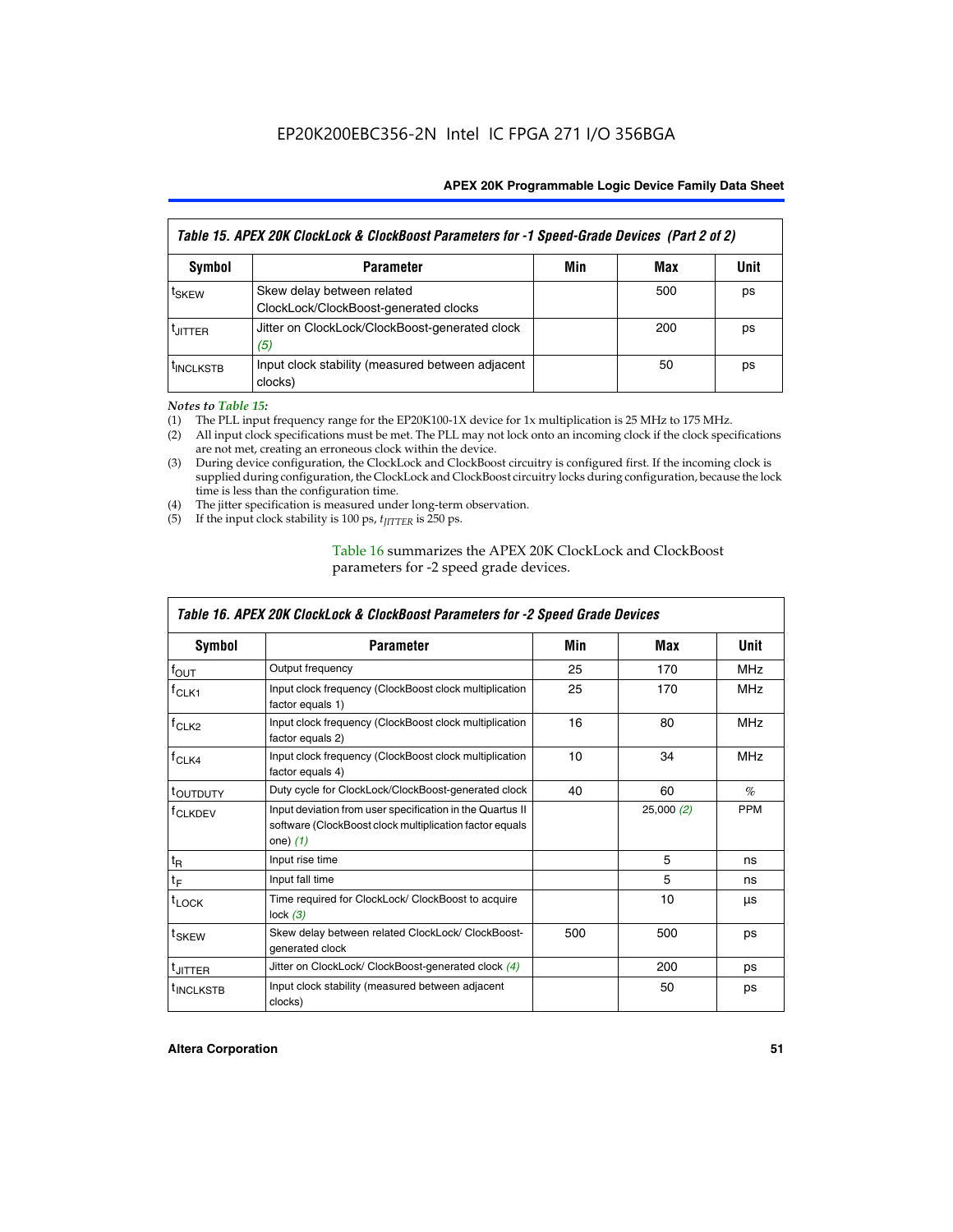| Table 15. APEX 20K ClockLock & ClockBoost Parameters for -1 Speed-Grade Devices (Part 2 of 2) |                                                                     |     |     |      |
|-----------------------------------------------------------------------------------------------|---------------------------------------------------------------------|-----|-----|------|
| <b>Symbol</b>                                                                                 | <b>Parameter</b>                                                    | Min | Max | Unit |
| t <sub>SKEW</sub>                                                                             | Skew delay between related<br>ClockLock/ClockBoost-generated clocks |     | 500 | ps   |
| <b>UITTER</b>                                                                                 | Jitter on ClockLock/ClockBoost-generated clock<br>(5)               |     | 200 | ps   |
| <b>INCLKSTB</b>                                                                               | Input clock stability (measured between adjacent<br>clocks)         |     | 50  | ps   |

*Notes to Table 15:*

- (1) The PLL input frequency range for the EP20K100-1X device for 1x multiplication is 25 MHz to 175 MHz.
- (2) All input clock specifications must be met. The PLL may not lock onto an incoming clock if the clock specifications are not met, creating an erroneous clock within the device.
- (3) During device configuration, the ClockLock and ClockBoost circuitry is configured first. If the incoming clock is supplied during configuration, the ClockLock and ClockBoost circuitry locks during configuration, because the lock time is less than the configuration time.
- (4) The jitter specification is measured under long-term observation.
- (5) If the input clock stability is 100 ps,  $t_{\text{JITTER}}$  is 250 ps.

# Table 16 summarizes the APEX 20K ClockLock and ClockBoost parameters for -2 speed grade devices.

| Symbol                                                                                          | <b>Parameter</b>                                                                                                                   | Min | Max       | Unit       |
|-------------------------------------------------------------------------------------------------|------------------------------------------------------------------------------------------------------------------------------------|-----|-----------|------------|
| $f_{\text{OUT}}$                                                                                | Output frequency                                                                                                                   | 25  | 170       | <b>MHz</b> |
| <sup>†</sup> CLK1                                                                               | Input clock frequency (ClockBoost clock multiplication<br>factor equals 1)                                                         | 25  | 170       | <b>MHz</b> |
| Input clock frequency (ClockBoost clock multiplication<br>f <sub>CLK2</sub><br>factor equals 2) |                                                                                                                                    | 16  | 80        | <b>MHz</b> |
| $f_{CLK4}$<br>Input clock frequency (ClockBoost clock multiplication<br>factor equals 4)        |                                                                                                                                    | 10  | 34        | <b>MHz</b> |
| <sup>τ</sup> ουτρυτγ                                                                            | Duty cycle for ClockLock/ClockBoost-generated clock                                                                                | 40  | 60        | $\%$       |
| <sup>T</sup> CLKDEV                                                                             | Input deviation from user specification in the Quartus II<br>software (ClockBoost clock multiplication factor equals<br>one) $(1)$ |     | 25,000(2) | <b>PPM</b> |
| $t_{\mathsf{R}}$                                                                                | Input rise time                                                                                                                    |     | 5         | ns         |
| $t_F$                                                                                           | Input fall time                                                                                                                    |     | 5         | ns         |
| $t_{\text{LOCK}}$                                                                               | Time required for ClockLock/ ClockBoost to acquire<br>lock $(3)$                                                                   |     | 10        | μs         |
| <sup>t</sup> SKEW                                                                               | Skew delay between related ClockLock/ ClockBoost-<br>generated clock                                                               | 500 | 500       | ps         |
| t <sub>JITTER</sub>                                                                             | Jitter on ClockLock/ ClockBoost-generated clock (4)                                                                                |     | 200       | ps         |
| <sup>I</sup> INCLKSTB                                                                           | Input clock stability (measured between adjacent<br>clocks)                                                                        |     | 50        | ps         |

# *Table 16. APEX 20K ClockLock & ClockBoost Parameters for -2 Speed Grade Devices*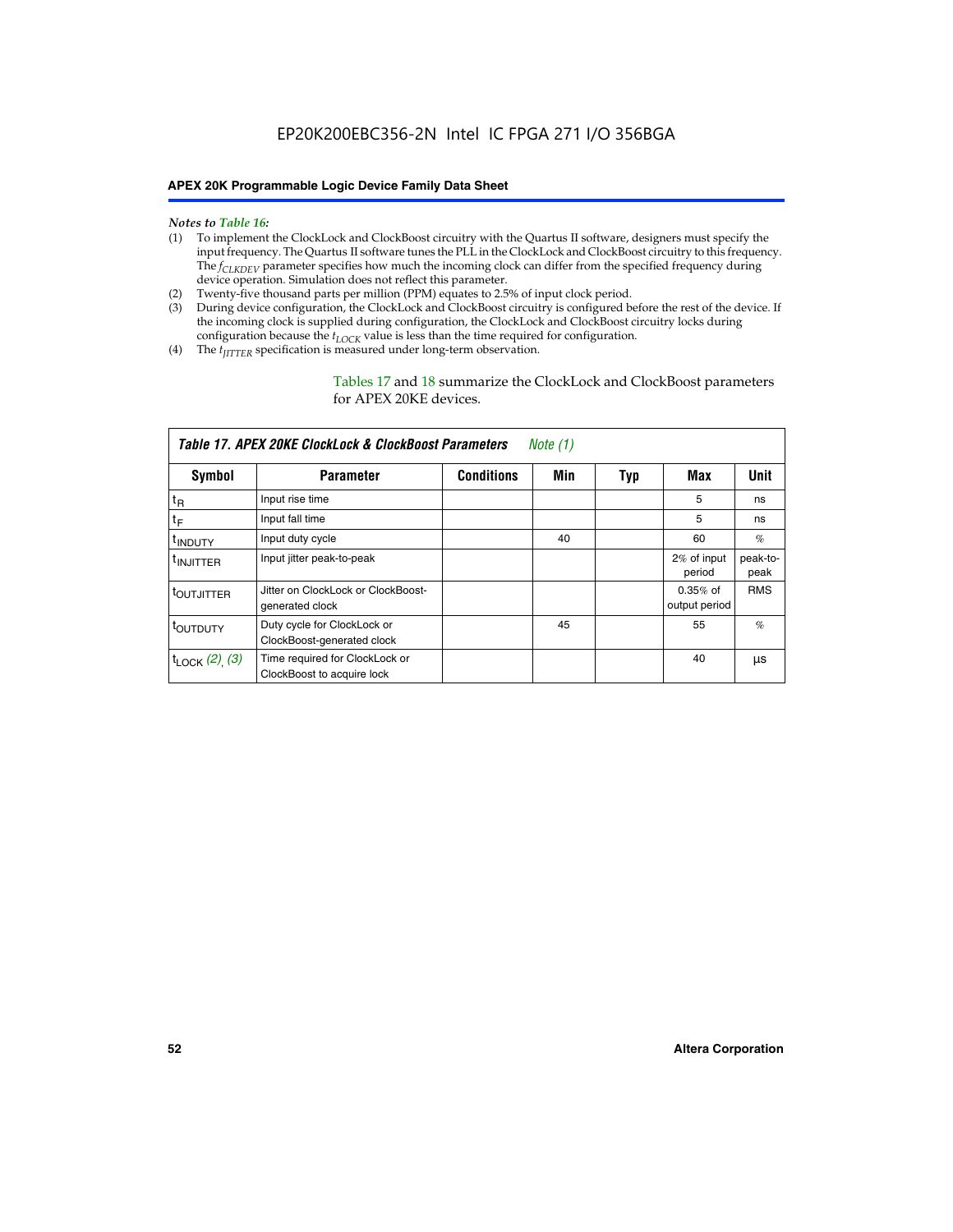- *Notes to Table 16:* (1) To implement the ClockLock and ClockBoost circuitry with the Quartus II software, designers must specify the input frequency. The Quartus II software tunes the PLL in the ClockLock and ClockBoost circuitry to this frequency. The *f<sub>CLKDEV</sub>* parameter specifies how much the incoming clock can differ from the specified frequency during device operation. Simulation does not reflect this parameter.
- (2) Twenty-five thousand parts per million (PPM) equates to 2.5% of input clock period.
- (3) During device configuration, the ClockLock and ClockBoost circuitry is configured before the rest of the device. If the incoming clock is supplied during configuration, the ClockLock and ClockBoost circuitry locks during configuration because the  $t_{LOCK}$  value is less than the time required for configuration.
- (4) The  $t_{\text{ITTTER}}$  specification is measured under long-term observation.

Tables 17 and 18 summarize the ClockLock and ClockBoost parameters for APEX 20KE devices.

|                            | Table 17. APEX 20KE ClockLock & ClockBoost Parameters        |                   | Note (1) |     |                             |                  |
|----------------------------|--------------------------------------------------------------|-------------------|----------|-----|-----------------------------|------------------|
| Symbol                     | <b>Parameter</b>                                             | <b>Conditions</b> | Min      | Typ | Max                         | <b>Unit</b>      |
| $t_{R}$                    | Input rise time                                              |                   |          |     | 5                           | ns               |
| tF                         | Input fall time                                              |                   |          |     | 5                           | ns               |
| <sup>t</sup> INDUTY        | Input duty cycle                                             |                   | 40       |     | 60                          | %                |
| <sup>t</sup> INJITTER      | Input jitter peak-to-peak                                    |                   |          |     | 2% of input<br>period       | peak-to-<br>peak |
| <sup>t</sup> OUTJITTER     | Jitter on ClockLock or ClockBoost-<br>generated clock        |                   |          |     | $0.35%$ of<br>output period | <b>RMS</b>       |
| t <sub>outputy</sub>       | Duty cycle for ClockLock or<br>ClockBoost-generated clock    |                   | 45       |     | 55                          | $\%$             |
| $t_{\text{LOCK}}$ (2), (3) | Time required for ClockLock or<br>ClockBoost to acquire lock |                   |          |     | 40                          | μs               |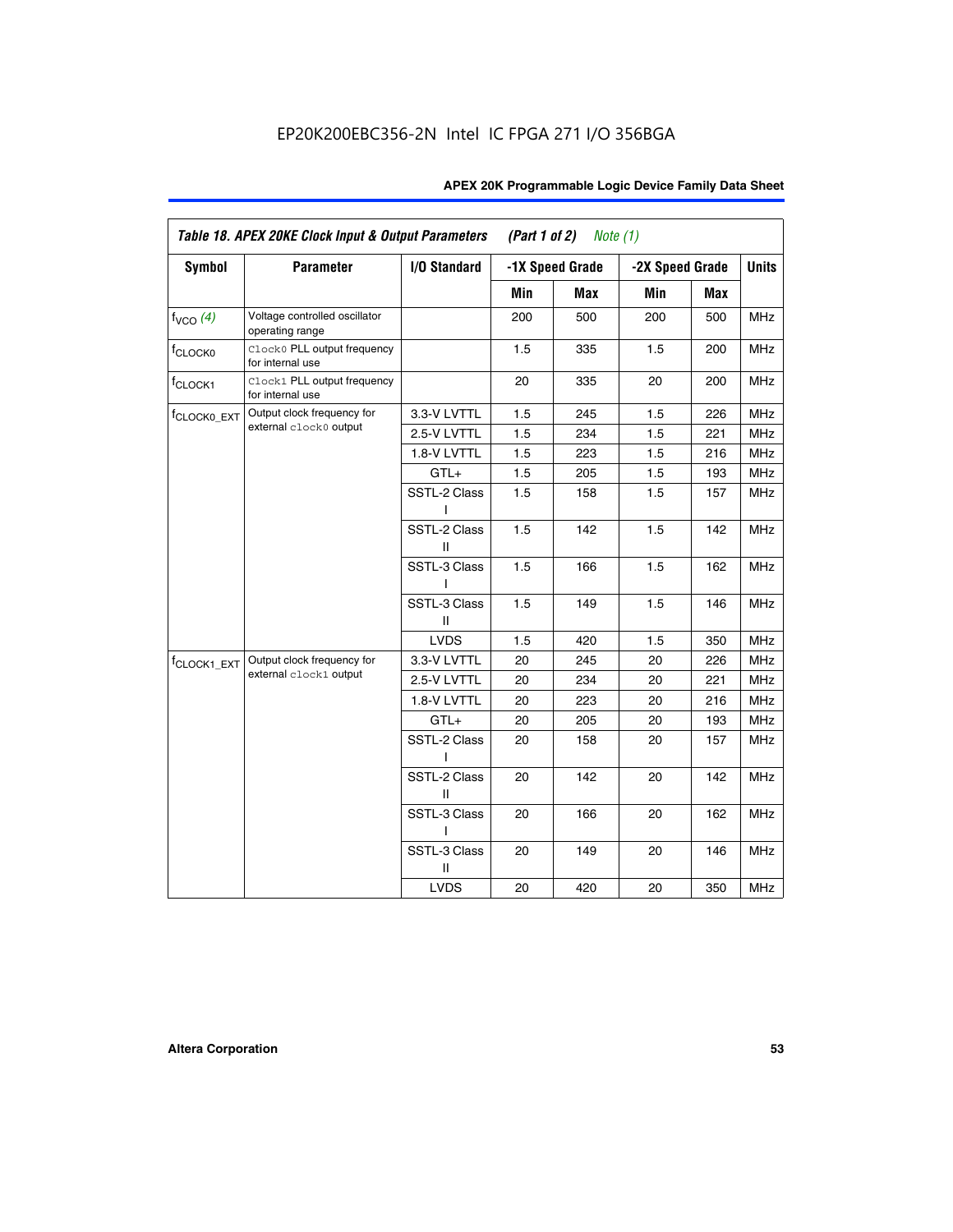| Table 18. APEX 20KE Clock Input & Output Parameters<br>(Part 1 of 2)<br>Note $(1)$ |                                                  |                   |     |                 |                 |     |              |
|------------------------------------------------------------------------------------|--------------------------------------------------|-------------------|-----|-----------------|-----------------|-----|--------------|
| <b>Symbol</b>                                                                      | <b>Parameter</b>                                 | I/O Standard      |     | -1X Speed Grade | -2X Speed Grade |     | <b>Units</b> |
|                                                                                    |                                                  |                   | Min | <b>Max</b>      | Min             | Max |              |
| $f_{VCO}$ $(4)$                                                                    | Voltage controlled oscillator<br>operating range |                   | 200 | 500             | 200             | 500 | <b>MHz</b>   |
| f <sub>CLOCK0</sub>                                                                | Clock0 PLL output frequency<br>for internal use  |                   | 1.5 | 335             | 1.5             | 200 | <b>MHz</b>   |
| f <sub>CLOCK1</sub>                                                                | Clock1 PLL output frequency<br>for internal use  |                   | 20  | 335             | 20              | 200 | <b>MHz</b>   |
| f <sub>CLOCK0_EXT</sub>                                                            | Output clock frequency for                       | 3.3-V LVTTL       | 1.5 | 245             | 1.5             | 226 | <b>MHz</b>   |
|                                                                                    | external clock0 output                           | 2.5-V LVTTL       | 1.5 | 234             | 1.5             | 221 | <b>MHz</b>   |
|                                                                                    |                                                  | 1.8-V LVTTL       | 1.5 | 223             | 1.5             | 216 | <b>MHz</b>   |
|                                                                                    |                                                  | $GTL+$            | 1.5 | 205             | 1.5             | 193 | <b>MHz</b>   |
|                                                                                    |                                                  | SSTL-2 Class<br>L | 1.5 | 158             | 1.5             | 157 | <b>MHz</b>   |
|                                                                                    |                                                  | SSTL-2 Class<br>Ш | 1.5 | 142             | 1.5             | 142 | <b>MHz</b>   |
|                                                                                    |                                                  | SSTL-3 Class<br>L | 1.5 | 166             | 1.5             | 162 | <b>MHz</b>   |
|                                                                                    |                                                  | SSTL-3 Class<br>Ш | 1.5 | 149             | 1.5             | 146 | <b>MHz</b>   |
|                                                                                    |                                                  | <b>LVDS</b>       | 1.5 | 420             | 1.5             | 350 | <b>MHz</b>   |
| f <sub>CLOCK1_EXT</sub>                                                            | Output clock frequency for                       | 3.3-V LVTTL       | 20  | 245             | 20              | 226 | <b>MHz</b>   |
|                                                                                    | external clock1 output                           | 2.5-V LVTTL       | 20  | 234             | 20              | 221 | <b>MHz</b>   |
|                                                                                    |                                                  | 1.8-V LVTTL       | 20  | 223             | 20              | 216 | <b>MHz</b>   |
|                                                                                    |                                                  | $GTL+$            | 20  | 205             | 20              | 193 | <b>MHz</b>   |
|                                                                                    |                                                  | SSTL-2 Class      | 20  | 158             | 20              | 157 | <b>MHz</b>   |
|                                                                                    |                                                  | SSTL-2 Class<br>Ш | 20  | 142             | 20              | 142 | <b>MHz</b>   |
|                                                                                    |                                                  | SSTL-3 Class      | 20  | 166             | 20              | 162 | <b>MHz</b>   |
|                                                                                    |                                                  | SSTL-3 Class<br>Ш | 20  | 149             | 20              | 146 | <b>MHz</b>   |
|                                                                                    |                                                  | <b>LVDS</b>       | 20  | 420             | 20              | 350 | MHz          |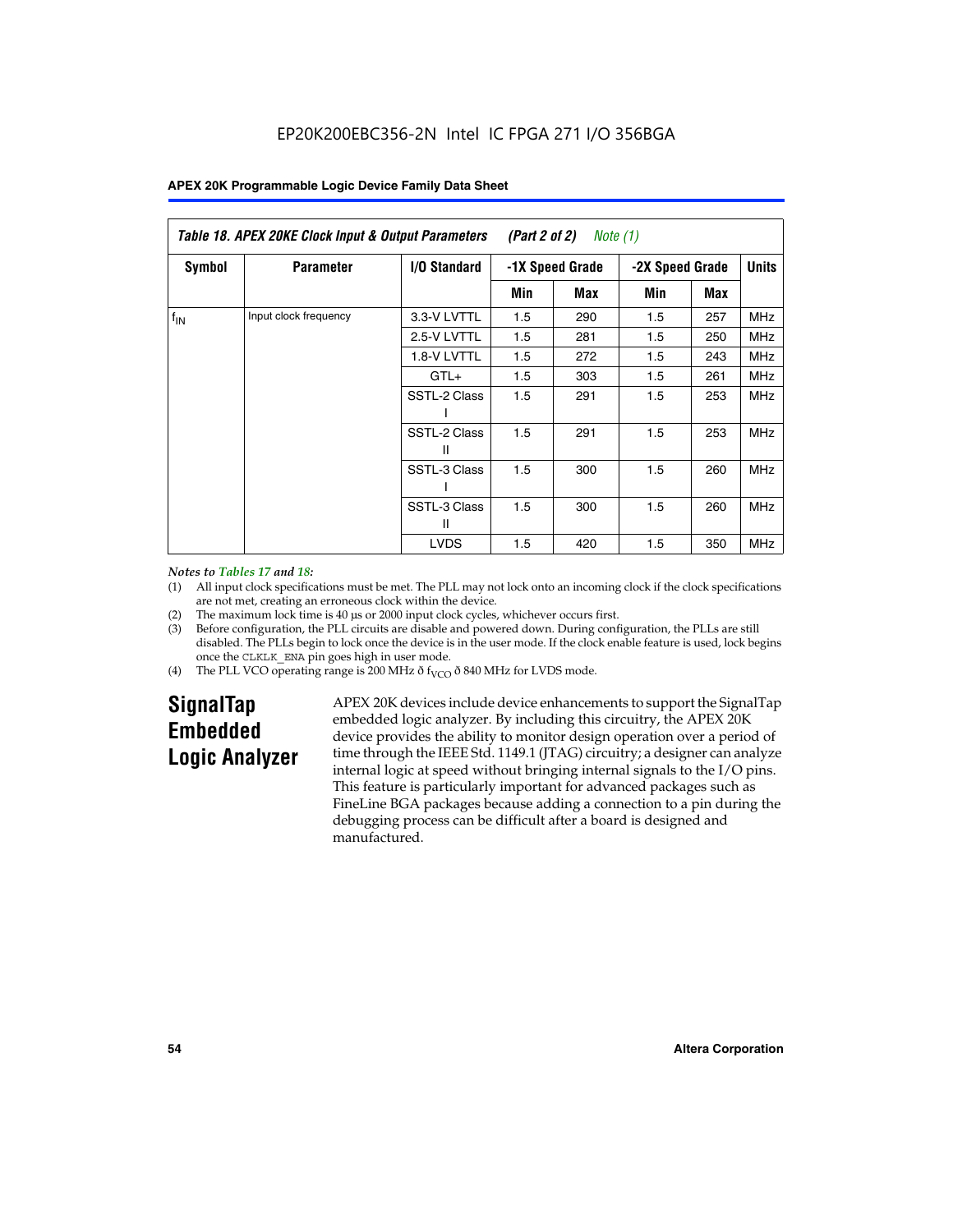|                 | Table 18. APEX 20KE Clock Input & Output Parameters<br>(Part 2 of 2)<br>Note (1) |                     |                                    |     |     |              |            |
|-----------------|----------------------------------------------------------------------------------|---------------------|------------------------------------|-----|-----|--------------|------------|
| Symbol          | <b>Parameter</b>                                                                 | <b>I/O Standard</b> | -1X Speed Grade<br>-2X Speed Grade |     |     | <b>Units</b> |            |
|                 |                                                                                  |                     | Min                                | Max | Min | Max          |            |
| $f_{\text{IN}}$ | Input clock frequency                                                            | 3.3-V LVTTL         | 1.5                                | 290 | 1.5 | 257          | MHz        |
|                 |                                                                                  | 2.5-V LVTTL         | 1.5                                | 281 | 1.5 | 250          | <b>MHz</b> |
|                 |                                                                                  | 1.8-V LVTTL         | 1.5                                | 272 | 1.5 | 243          | <b>MHz</b> |
|                 |                                                                                  | $GTL+$              | 1.5                                | 303 | 1.5 | 261          | <b>MHz</b> |
|                 |                                                                                  | SSTL-2 Class        | 1.5                                | 291 | 1.5 | 253          | <b>MHz</b> |
|                 |                                                                                  | SSTL-2 Class<br>Ш   | 1.5                                | 291 | 1.5 | 253          | <b>MHz</b> |
|                 |                                                                                  | SSTL-3 Class        | 1.5                                | 300 | 1.5 | 260          | <b>MHz</b> |
|                 |                                                                                  | SSTL-3 Class<br>Ш   | 1.5                                | 300 | 1.5 | 260          | <b>MHz</b> |
|                 |                                                                                  | <b>LVDS</b>         | 1.5                                | 420 | 1.5 | 350          | <b>MHz</b> |

#### *Notes to Tables 17 and 18:*

(1) All input clock specifications must be met. The PLL may not lock onto an incoming clock if the clock specifications are not met, creating an erroneous clock within the device.

- (2) The maximum lock time is 40 µs or 2000 input clock cycles, whichever occurs first.
- (3) Before configuration, the PLL circuits are disable and powered down. During configuration, the PLLs are still disabled. The PLLs begin to lock once the device is in the user mode. If the clock enable feature is used, lock begins once the CLKLK\_ENA pin goes high in user mode.
- (4) The PLL VCO operating range is 200 MHz  $\eth$  f<sub>VCO</sub>  $\eth$  840 MHz for LVDS mode.

# **SignalTap Embedded Logic Analyzer**

APEX 20K devices include device enhancements to support the SignalTap embedded logic analyzer. By including this circuitry, the APEX 20K device provides the ability to monitor design operation over a period of time through the IEEE Std. 1149.1 (JTAG) circuitry; a designer can analyze internal logic at speed without bringing internal signals to the I/O pins. This feature is particularly important for advanced packages such as FineLine BGA packages because adding a connection to a pin during the debugging process can be difficult after a board is designed and manufactured.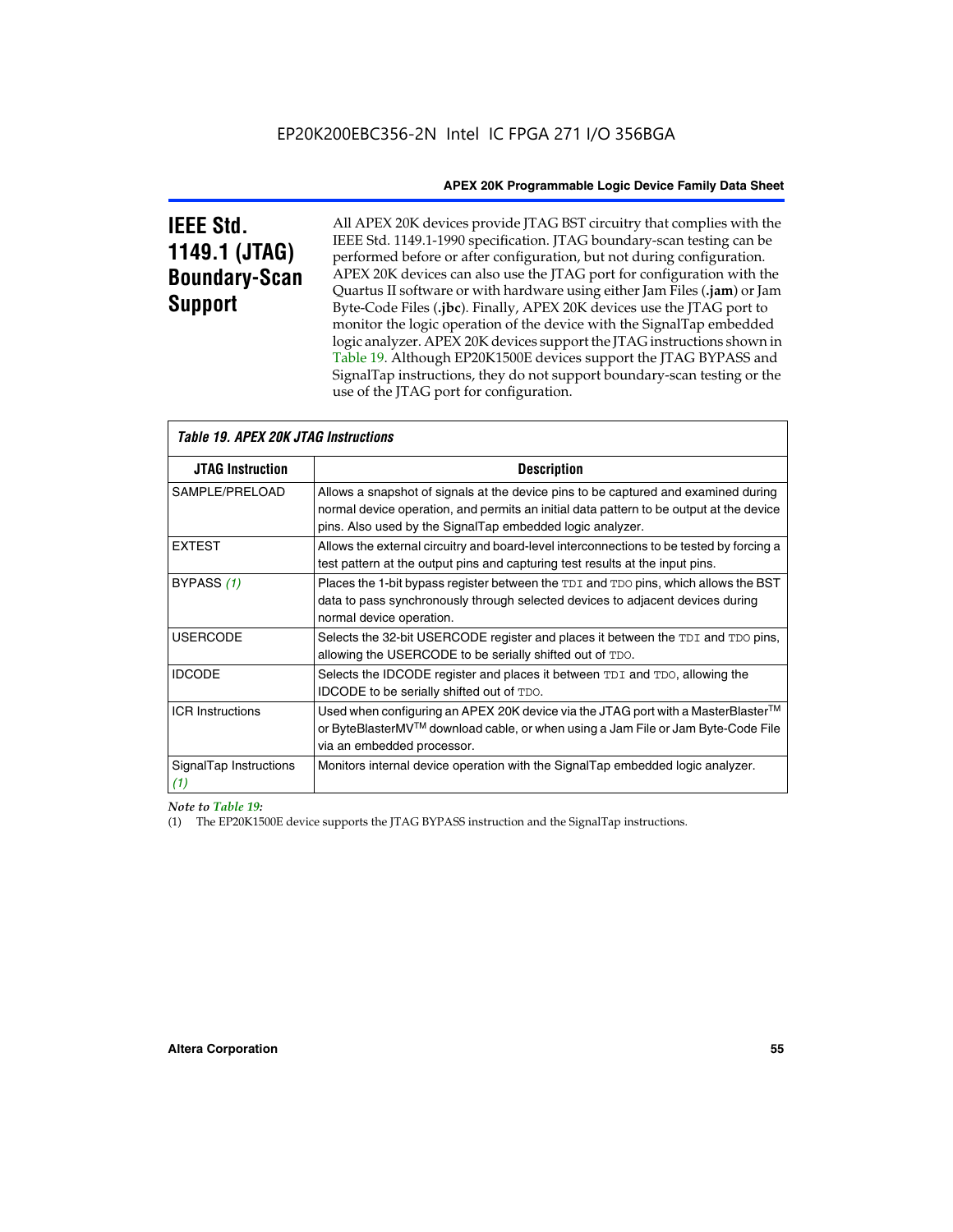# **IEEE Std. 1149.1 (JTAG) Boundary-Scan Support**

All APEX 20K devices provide JTAG BST circuitry that complies with the IEEE Std. 1149.1-1990 specification. JTAG boundary-scan testing can be performed before or after configuration, but not during configuration. APEX 20K devices can also use the JTAG port for configuration with the Quartus II software or with hardware using either Jam Files (**.jam**) or Jam Byte-Code Files (**.jbc**). Finally, APEX 20K devices use the JTAG port to monitor the logic operation of the device with the SignalTap embedded logic analyzer. APEX 20K devices support the JTAG instructions shown in Table 19. Although EP20K1500E devices support the JTAG BYPASS and SignalTap instructions, they do not support boundary-scan testing or the use of the JTAG port for configuration.

| <i><b>Table 19. APEX 20K JTAG Instructions</b></i> |                                                                                                                                                                                                                                            |
|----------------------------------------------------|--------------------------------------------------------------------------------------------------------------------------------------------------------------------------------------------------------------------------------------------|
| <b>JTAG Instruction</b>                            | <b>Description</b>                                                                                                                                                                                                                         |
| SAMPLE/PRELOAD                                     | Allows a snapshot of signals at the device pins to be captured and examined during<br>normal device operation, and permits an initial data pattern to be output at the device<br>pins. Also used by the SignalTap embedded logic analyzer. |
| <b>EXTEST</b>                                      | Allows the external circuitry and board-level interconnections to be tested by forcing a<br>test pattern at the output pins and capturing test results at the input pins.                                                                  |
| BYPASS (1)                                         | Places the 1-bit bypass register between the TDI and TDO pins, which allows the BST<br>data to pass synchronously through selected devices to adjacent devices during<br>normal device operation.                                          |
| <b>USERCODE</b>                                    | Selects the 32-bit USERCODE register and places it between the TDI and TDO pins,<br>allowing the USERCODE to be serially shifted out of TDO.                                                                                               |
| <b>IDCODE</b>                                      | Selects the IDCODE register and places it between TDI and TDO, allowing the<br>IDCODE to be serially shifted out of TDO.                                                                                                                   |
| <b>ICR Instructions</b>                            | Used when configuring an APEX 20K device via the JTAG port with a MasterBlaster™<br>or ByteBlasterMV™ download cable, or when using a Jam File or Jam Byte-Code File<br>via an embedded processor.                                         |
| SignalTap Instructions<br>(1)                      | Monitors internal device operation with the SignalTap embedded logic analyzer.                                                                                                                                                             |

 $\overline{\phantom{a}}$ 

*Note to Table 19:*

(1) The EP20K1500E device supports the JTAG BYPASS instruction and the SignalTap instructions.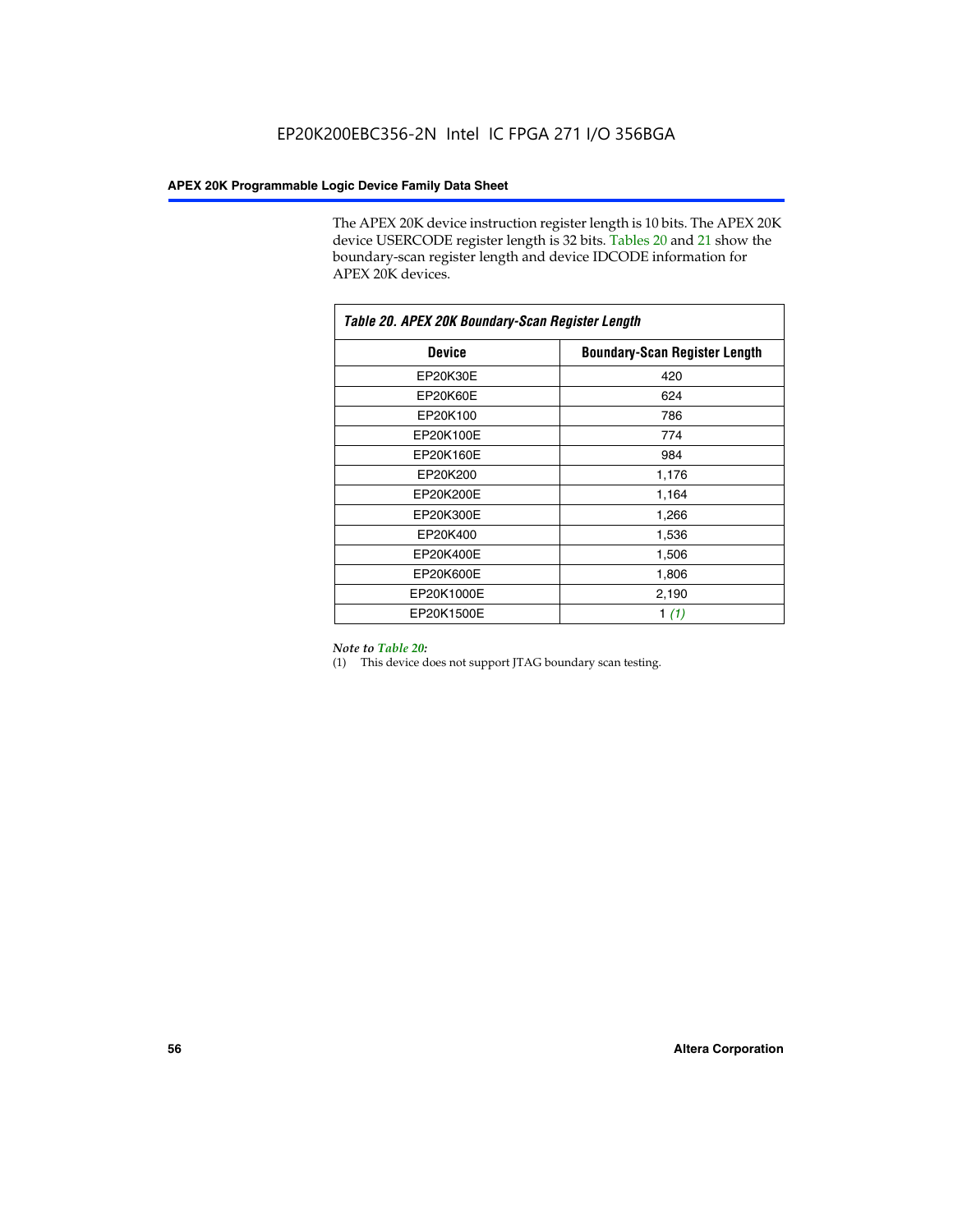The APEX 20K device instruction register length is 10 bits. The APEX 20K device USERCODE register length is 32 bits. Tables 20 and 21 show the boundary-scan register length and device IDCODE information for APEX 20K devices.

| Table 20. APEX 20K Boundary-Scan Register Length |                                      |  |  |  |
|--------------------------------------------------|--------------------------------------|--|--|--|
| <b>Device</b>                                    | <b>Boundary-Scan Register Length</b> |  |  |  |
| EP20K30E                                         | 420                                  |  |  |  |
| EP20K60E                                         | 624                                  |  |  |  |
| EP20K100                                         | 786                                  |  |  |  |
| EP20K100E                                        | 774                                  |  |  |  |
| EP20K160E                                        | 984                                  |  |  |  |
| EP20K200                                         | 1,176                                |  |  |  |
| EP20K200E                                        | 1,164                                |  |  |  |
| EP20K300E                                        | 1,266                                |  |  |  |
| EP20K400                                         | 1,536                                |  |  |  |
| EP20K400E                                        | 1,506                                |  |  |  |
| EP20K600E                                        | 1,806                                |  |  |  |
| EP20K1000E                                       | 2,190                                |  |  |  |
| EP20K1500E                                       | 1 $(1)$                              |  |  |  |

#### *Note to Table 20:*

(1) This device does not support JTAG boundary scan testing.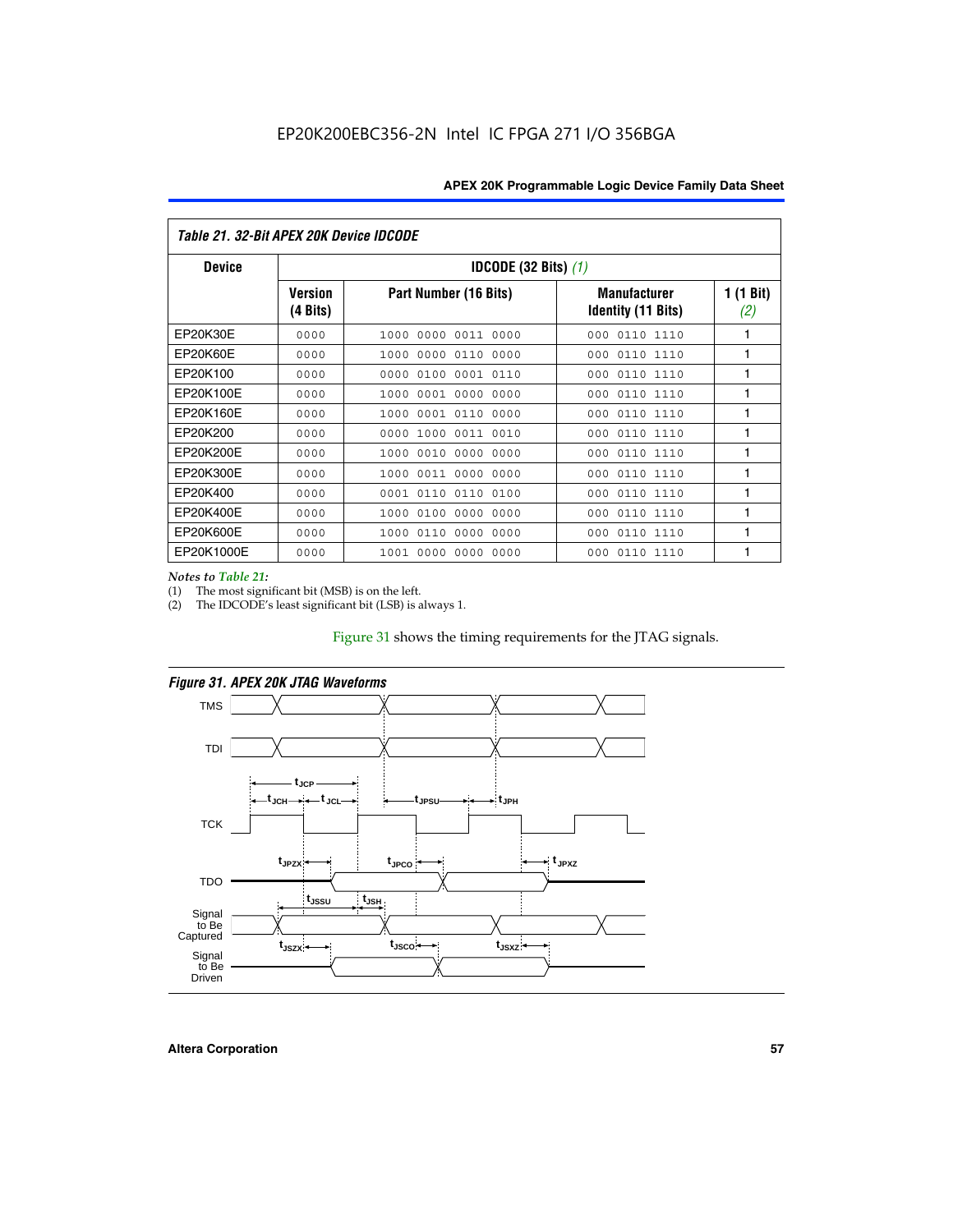| Table 21. 32-Bit APEX 20K Device IDCODE |                                          |                              |                                                  |                  |  |  |
|-----------------------------------------|------------------------------------------|------------------------------|--------------------------------------------------|------------------|--|--|
| <b>Device</b>                           | <b>IDCODE (32 Bits) <math>(1)</math></b> |                              |                                                  |                  |  |  |
|                                         | <b>Version</b><br>(4 Bits)               | Part Number (16 Bits)        | <b>Manufacturer</b><br><b>Identity (11 Bits)</b> | 1 (1 Bit)<br>(2) |  |  |
| EP20K30E                                | 0000                                     | 0000 0011 0000<br>1000       | 0110 1110<br>000                                 | 1                |  |  |
| EP20K60E                                | 0000                                     | 1000<br>0000 0110<br>0000    | 0110 1110<br>000                                 | 1                |  |  |
| EP20K100                                | 0000                                     | 0000<br>0100<br>0001 0110    | 000<br>0110 1110                                 | 1                |  |  |
| EP20K100E                               | 0000                                     | 1000<br>0001 0000<br>0000    | 0110 1110<br>000                                 | 1                |  |  |
| EP20K160E                               | 0000                                     | 0001 0110<br>0000<br>1000    | 000<br>0110 1110                                 | 1                |  |  |
| EP20K200                                | 0000                                     | 1000<br>0011 0010<br>0000    | 0110 1110<br>000                                 | 1                |  |  |
| EP20K200E                               | 0000                                     | 0010<br>0000<br>0000<br>1000 | 0110 1110<br>000                                 | 1                |  |  |
| EP20K300E                               | 0000                                     | 0011 0000<br>0000<br>1000    | 0110 1110<br>000                                 | 1                |  |  |
| EP20K400                                | 0000                                     | 0001<br>0110<br>0110<br>0100 | 0110 1110<br>000                                 | 1                |  |  |
| EP20K400E                               | 0000                                     | 0100<br>0000<br>0000<br>1000 | 0110 1110<br>000                                 | 1                |  |  |
| EP20K600E                               | 0000                                     | 1000<br>0110<br>0000<br>0000 | 0110 1110<br>000                                 | 1                |  |  |
| EP20K1000E                              | 0000                                     | 0000<br>0000<br>0000<br>1001 | 000<br>0110 1110                                 | 1                |  |  |

*Notes to Table 21:*

The most significant bit (MSB) is on the left.

(2) The IDCODE's least significant bit (LSB) is always 1.

# Figure 31 shows the timing requirements for the JTAG signals.





**Altera Corporation 57**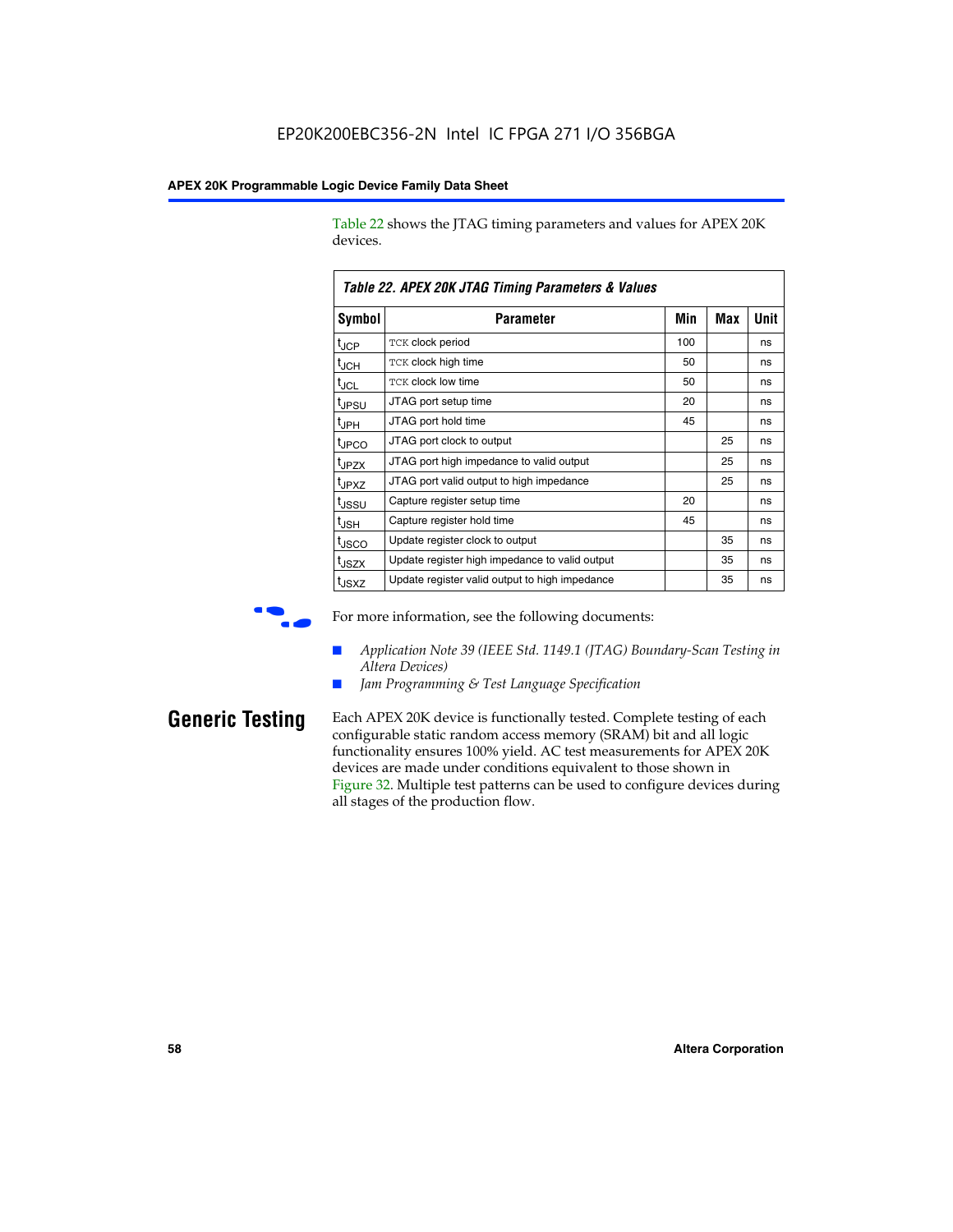Table 22 shows the JTAG timing parameters and values for APEX 20K devices.

|                   | TADIG LL. AF LA LUN JTAU THIIHIY FAIAHIGIGIS & VAIUGS |     |     |      |
|-------------------|-------------------------------------------------------|-----|-----|------|
| Symbol            | Parameter                                             | Min | Max | Unit |
| $t_{JCP}$         | <b>TCK clock period</b>                               | 100 |     | ns   |
| $t_{\text{JCH}}$  | TCK clock high time                                   | 50  |     | ns   |
| $t_{JCL}$         | TCK clock low time                                    | 50  |     | ns   |
| t <sub>JPSU</sub> | JTAG port setup time                                  | 20  |     | ns   |
| $t_{\rm JPH}$     | JTAG port hold time                                   | 45  |     | ns   |
| <sup>t</sup> JPCO | JTAG port clock to output                             |     | 25  | ns   |
| t <sub>JPZX</sub> | JTAG port high impedance to valid output              |     | 25  | ns   |
| t <sub>JPXZ</sub> | JTAG port valid output to high impedance              |     | 25  | ns   |
| tussu             | Capture register setup time                           | 20  |     | ns   |
| $t_{\rm JSH}$     | Capture register hold time                            | 45  |     | ns   |
| t <sub>JSCO</sub> | Update register clock to output                       |     | 35  | ns   |
| t <sub>JSZX</sub> | Update register high impedance to valid output        |     | 35  | ns   |
| t <sub>JSXZ</sub> | Update register valid output to high impedance        |     | 35  | ns   |

*Table 22. APEX 20K JTAG Timing Parameters & Values*



For more information, see the following documents:

- *Application Note 39 (IEEE Std. 1149.1 (JTAG) Boundary-Scan Testing in Altera Devices)*
- Jam Programming & Test Language Specification

**Generic Testing** Each APEX 20K device is functionally tested. Complete testing of each configurable static random access memory (SRAM) bit and all logic functionality ensures 100% yield. AC test measurements for APEX 20K devices are made under conditions equivalent to those shown in Figure 32. Multiple test patterns can be used to configure devices during all stages of the production flow.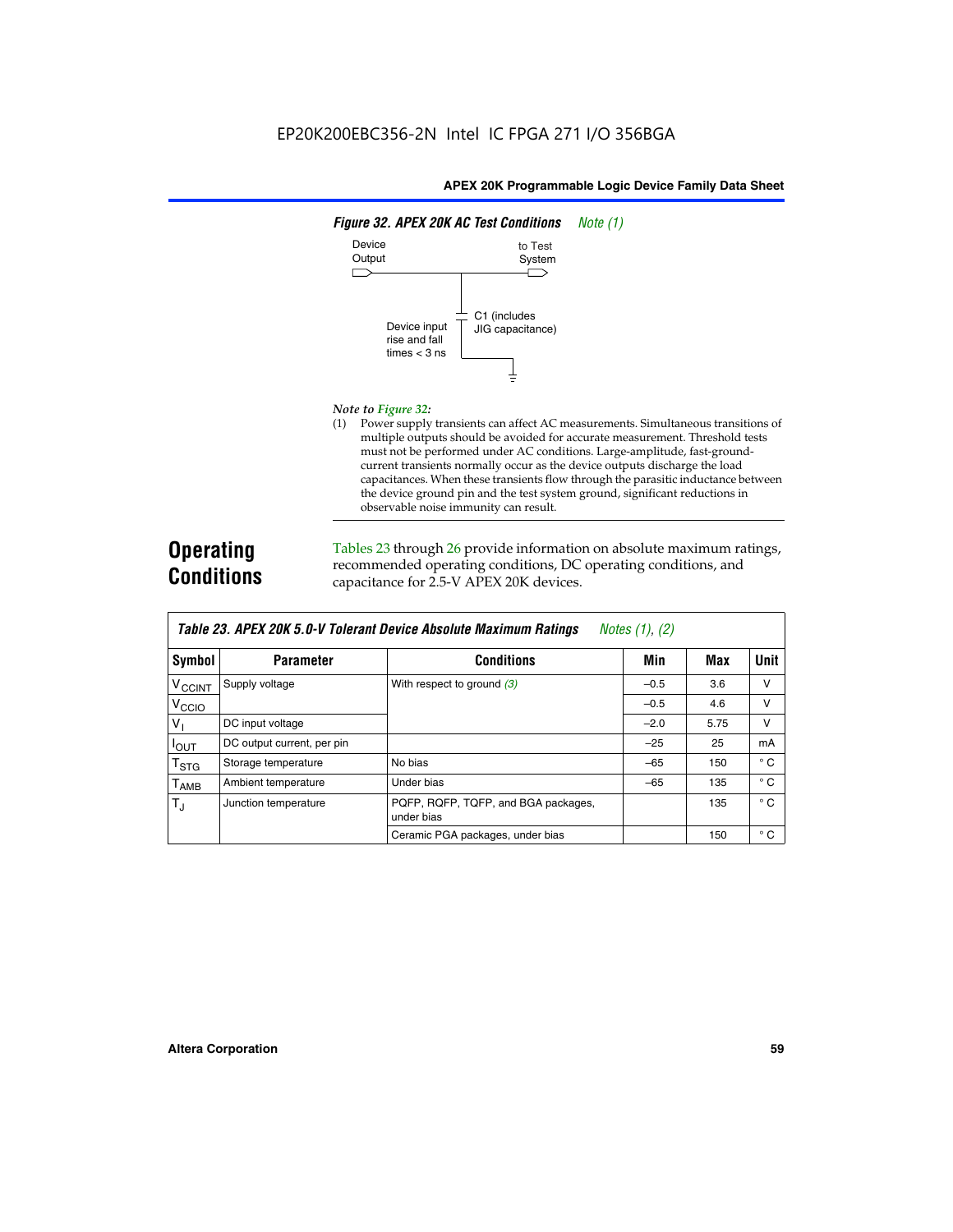

#### *Note to Figure 32:*

(1) Power supply transients can affect AC measurements. Simultaneous transitions of multiple outputs should be avoided for accurate measurement. Threshold tests must not be performed under AC conditions. Large-amplitude, fast-groundcurrent transients normally occur as the device outputs discharge the load capacitances. When these transients flow through the parasitic inductance between the device ground pin and the test system ground, significant reductions in observable noise immunity can result.

# **Operating Conditions**

Tables 23 through 26 provide information on absolute maximum ratings, recommended operating conditions, DC operating conditions, and capacitance for 2.5-V APEX 20K devices.

|                           |                            |                                                   | $1.00100 + 1.011 + 1.001$ |      |              |
|---------------------------|----------------------------|---------------------------------------------------|---------------------------|------|--------------|
| <b>Symbol</b>             | <b>Parameter</b>           | <b>Conditions</b>                                 | Min                       | Max  | Unit         |
| $V_{\text{CCINT}}$        | Supply voltage             | With respect to ground $(3)$                      | $-0.5$                    | 3.6  | v            |
| V <sub>CCIO</sub>         |                            |                                                   | $-0.5$                    | 4.6  | $\vee$       |
| $V_1$                     | DC input voltage           |                                                   | $-2.0$                    | 5.75 | v            |
| $I_{\text{OUT}}$          | DC output current, per pin |                                                   | $-25$                     | 25   | mA           |
| $\mathsf{T}_{\text{STG}}$ | Storage temperature        | No bias                                           | $-65$                     | 150  | $^{\circ}$ C |
| Т <sub>АМВ</sub>          | Ambient temperature        | Under bias                                        | $-65$                     | 135  | $^{\circ}$ C |
| $T_{\rm J}$               | Junction temperature       | PQFP, RQFP, TQFP, and BGA packages,<br>under bias |                           | 135  | $^{\circ}$ C |
|                           |                            | Ceramic PGA packages, under bias                  |                           | 150  | $^{\circ}$ C |

| <b>Table 23. APEX 20K 5.0-V Tolerant Device Absolute Maximum Ratings</b> Notes (1), (2) |  |
|-----------------------------------------------------------------------------------------|--|
|-----------------------------------------------------------------------------------------|--|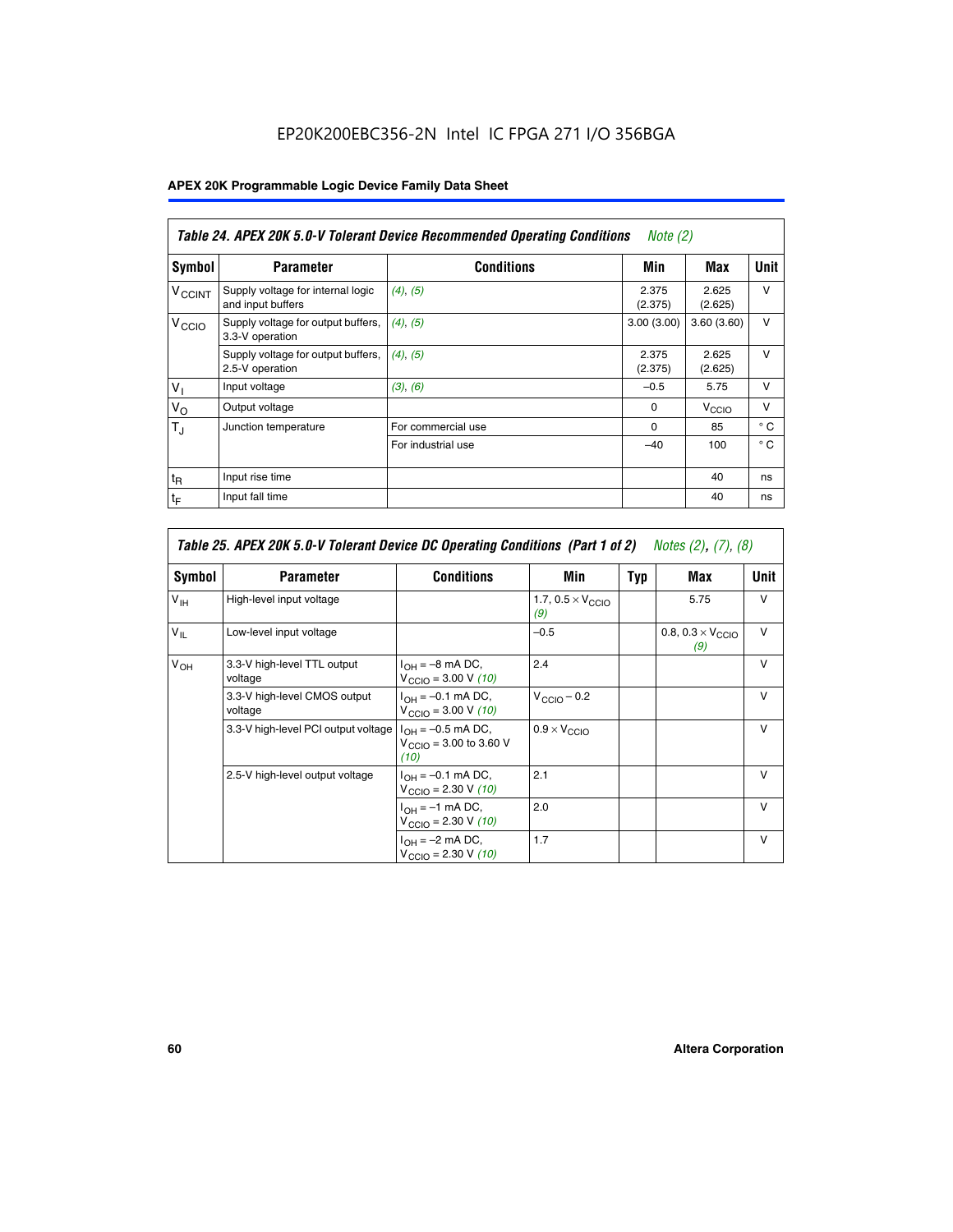# EP20K200EBC356-2N Intel IC FPGA 271 I/O 356BGA

# **APEX 20K Programmable Logic Device Family Data Sheet**

|                          | Table 24. APEX 20K 5.0-V Tolerant Device Recommended Operating Conditions<br><i>Note</i> $(2)$ |                    |                  |                  |              |  |
|--------------------------|------------------------------------------------------------------------------------------------|--------------------|------------------|------------------|--------------|--|
| Symbol                   | <b>Parameter</b>                                                                               | <b>Conditions</b>  | Min              | Max              | <b>Unit</b>  |  |
| <b>V<sub>CCINT</sub></b> | Supply voltage for internal logic<br>and input buffers                                         | $(4)$ , $(5)$      | 2.375<br>(2.375) | 2.625<br>(2.625) | $\vee$       |  |
| V <sub>CCIO</sub>        | Supply voltage for output buffers,<br>3.3-V operation                                          | (4), (5)           | 3.00(3.00)       | 3.60(3.60)       | $\vee$       |  |
|                          | Supply voltage for output buffers,<br>2.5-V operation                                          | (4), (5)           | 2.375<br>(2.375) | 2.625<br>(2.625) | $\vee$       |  |
| $V_1$                    | Input voltage                                                                                  | (3), (6)           | $-0.5$           | 5.75             | $\vee$       |  |
| $V_{\rm O}$              | Output voltage                                                                                 |                    | $\Omega$         | V <sub>CCO</sub> | $\vee$       |  |
| $T_{\rm J}$              | Junction temperature                                                                           | For commercial use | 0                | 85               | $^{\circ}$ C |  |
|                          |                                                                                                | For industrial use | $-40$            | 100              | $^{\circ}$ C |  |
| $t_{R}$                  | Input rise time                                                                                |                    |                  | 40               | ns           |  |
| $t_{\mathsf{F}}$         | Input fall time                                                                                |                    |                  | 40               | ns           |  |

|                 | Table 25. APEX 20K 5.0-V Tolerant Device DC Operating Conditions (Part 1 of 2) Notes (2), (7), (8) |                                                                      |                                          |     |                                          |              |  |  |
|-----------------|----------------------------------------------------------------------------------------------------|----------------------------------------------------------------------|------------------------------------------|-----|------------------------------------------|--------------|--|--|
| Symbol          | <b>Parameter</b>                                                                                   | <b>Conditions</b>                                                    | Min                                      | Typ | Max                                      | Unit         |  |  |
| $V_{\text{IH}}$ | High-level input voltage                                                                           |                                                                      | 1.7, $0.5 \times V_{\text{CCIO}}$<br>(9) |     | 5.75                                     | $\vee$       |  |  |
| $V_{IL}$        | Low-level input voltage                                                                            |                                                                      | $-0.5$                                   |     | 0.8, $0.3 \times V_{\text{CCIO}}$<br>(9) | v            |  |  |
| $V_{OH}$        | 3.3-V high-level TTL output<br>voltage                                                             | $I_{OH} = -8$ mA DC,<br>$V_{\text{CCIO}} = 3.00 V (10)$              | 2.4                                      |     |                                          | $\mathsf{v}$ |  |  |
|                 | 3.3-V high-level CMOS output<br>voltage                                                            | $I_{OH} = -0.1$ mA DC,<br>$V_{\text{CCIO}} = 3.00 V (10)$            | $V_{\text{CCIO}} - 0.2$                  |     |                                          | $\mathsf{V}$ |  |  |
|                 | 3.3-V high-level PCI output voltage                                                                | $I_{OH} = -0.5$ mA DC,<br>$V_{\text{CCIO}} = 3.00$ to 3.60 V<br>(10) | $0.9 \times V_{\text{CCIO}}$             |     |                                          | v            |  |  |
|                 | 2.5-V high-level output voltage                                                                    | $I_{OH} = -0.1$ mA DC,<br>$V_{\text{CCIO}} = 2.30 V (10)$            | 2.1                                      |     |                                          | $\mathsf{V}$ |  |  |
|                 |                                                                                                    | $I_{OH} = -1$ mA DC,<br>$V_{\text{CCIO}} = 2.30 V (10)$              | 2.0                                      |     |                                          | $\vee$       |  |  |
|                 |                                                                                                    | $I_{OH} = -2$ mA DC,<br>$V_{\text{CCIO}} = 2.30 V (10)$              | 1.7                                      |     |                                          | $\mathsf{V}$ |  |  |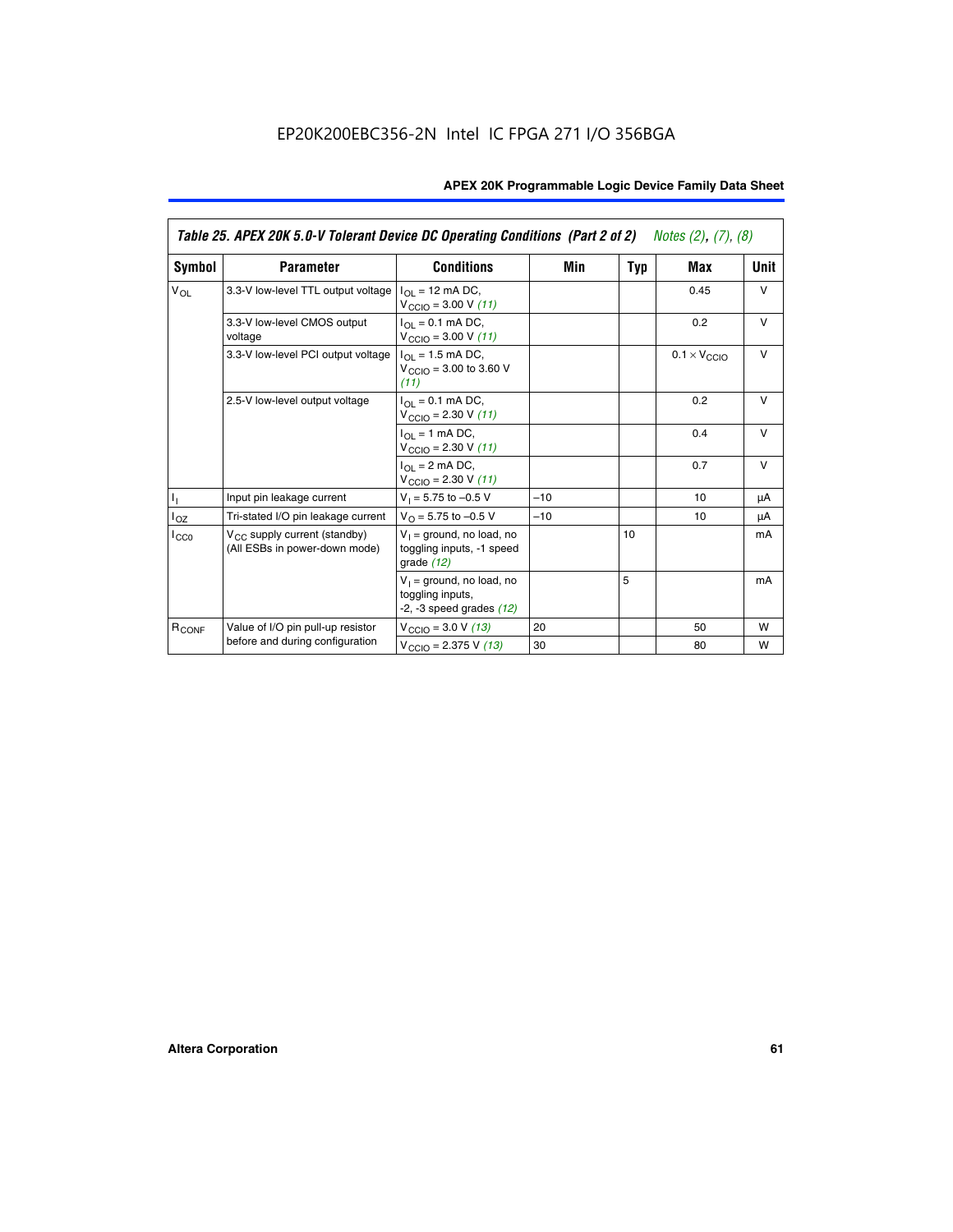|                   | Table 25. APEX 20K 5.0-V Tolerant Device DC Operating Conditions (Part 2 of 2) Notes (2), (7), (8) |                                                                                    |       |     |                              |        |  |
|-------------------|----------------------------------------------------------------------------------------------------|------------------------------------------------------------------------------------|-------|-----|------------------------------|--------|--|
| Symbol            | <b>Parameter</b>                                                                                   | <b>Conditions</b>                                                                  | Min   | Typ | Max                          | Unit   |  |
| $V_{OL}$          | 3.3-V low-level TTL output voltage                                                                 | $I_{\Omega}$ = 12 mA DC,<br>$V_{\text{CCIO}} = 3.00 V (11)$                        |       |     | 0.45                         | $\vee$ |  |
|                   | 3.3-V low-level CMOS output<br>voltage                                                             | $I_{\Omega I} = 0.1$ mA DC,<br>$V_{\text{CCIO}} = 3.00 V (11)$                     |       |     | 0.2                          | $\vee$ |  |
|                   | 3.3-V low-level PCI output voltage                                                                 | $I_{\Omega}$ = 1.5 mA DC,<br>$V_{CClO}$ = 3.00 to 3.60 V<br>(11)                   |       |     | $0.1 \times V_{\text{CCLO}}$ | $\vee$ |  |
|                   | 2.5-V low-level output voltage                                                                     | $I_{\Omega I} = 0.1$ mA DC,<br>$V_{\text{CCIO}} = 2.30 V (11)$                     |       |     | 0.2                          | $\vee$ |  |
|                   |                                                                                                    | $I_{\Omega}$ = 1 mA DC,<br>$V_{\text{CCIO}} = 2.30 V (11)$                         |       |     | 0.4                          | $\vee$ |  |
|                   |                                                                                                    | $I_{\Omega}$ = 2 mA DC,<br>$V_{\text{CCIO}} = 2.30 V (11)$                         |       |     | 0.7                          | $\vee$ |  |
| Τ,                | Input pin leakage current                                                                          | $V_1 = 5.75$ to $-0.5$ V                                                           | $-10$ |     | 10                           | μA     |  |
| $I_{OZ}$          | Tri-stated I/O pin leakage current                                                                 | $V_{\Omega}$ = 5.75 to -0.5 V                                                      | $-10$ |     | 10                           | μA     |  |
| $I_{CC0}$         | $V_{CC}$ supply current (standby)<br>(All ESBs in power-down mode)                                 | $V_1$ = ground, no load, no<br>toggling inputs, -1 speed<br>grade $(12)$           |       | 10  |                              | mA     |  |
|                   |                                                                                                    | $V_1$ = ground, no load, no<br>toggling inputs,<br>$-2$ , $-3$ speed grades $(12)$ |       | 5   |                              | mA     |  |
| R <sub>CONF</sub> | Value of I/O pin pull-up resistor                                                                  | $V_{\text{CCIO}} = 3.0 V (13)$                                                     | 20    |     | 50                           | W      |  |
|                   | before and during configuration                                                                    | $V_{\text{CCIO}} = 2.375 \text{ V} (13)$                                           | 30    |     | 80                           | W      |  |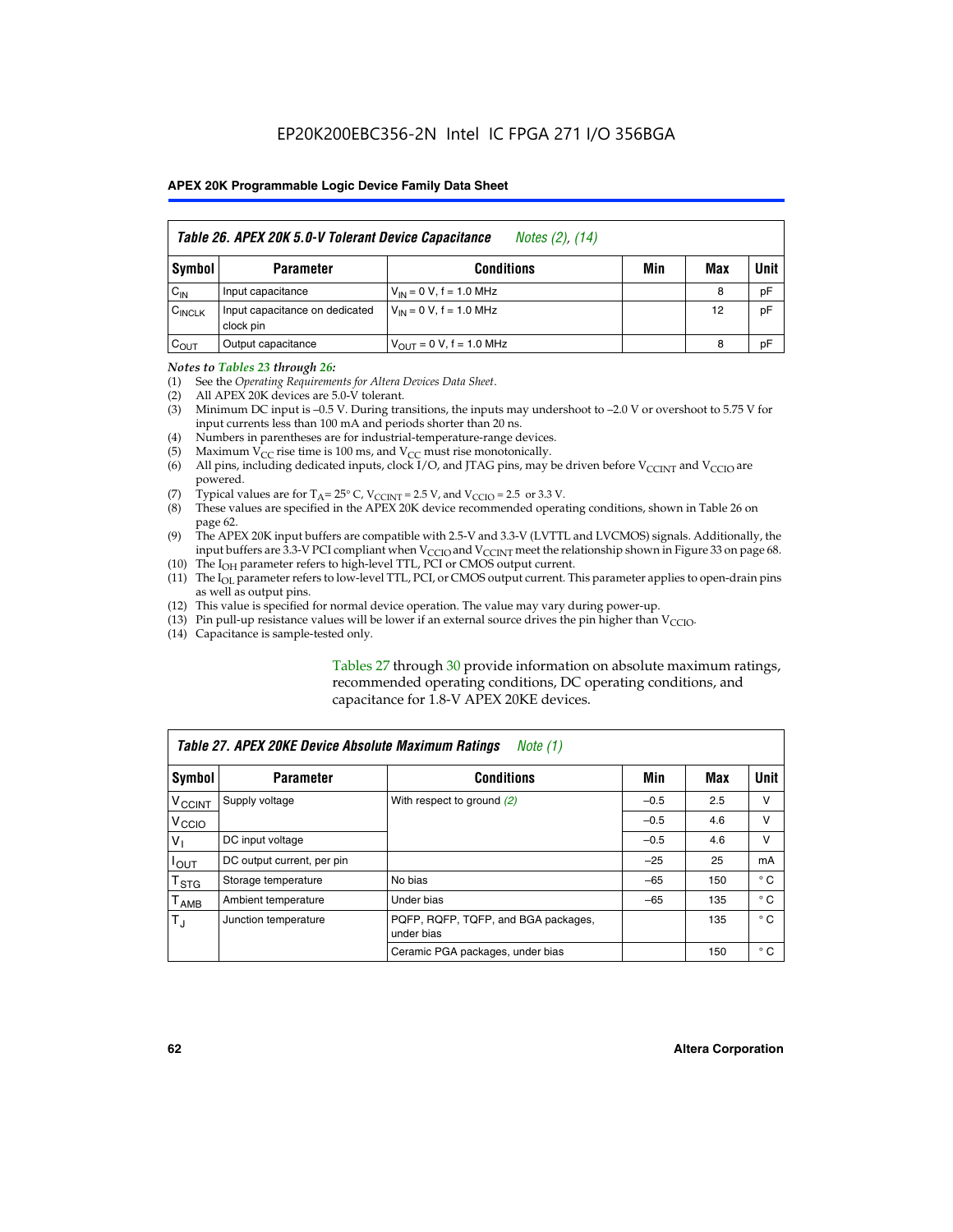|                    | Table 26. APEX 20K 5.0-V Tolerant Device Capacitance<br>Notes (2), (14) |                                     |     |     |      |  |  |
|--------------------|-------------------------------------------------------------------------|-------------------------------------|-----|-----|------|--|--|
| Symbol             | <b>Parameter</b>                                                        | <b>Conditions</b>                   | Min | Max | Unit |  |  |
| $C_{IN}$           | Input capacitance                                                       | $V_{1N} = 0 V$ , f = 1.0 MHz        |     | 8   | pF   |  |  |
| $C_{\text{INCLK}}$ | Input capacitance on dedicated<br>clock pin                             | $V_{IN} = 0 V$ , f = 1.0 MHz        |     | 12  | pF   |  |  |
| $C_{OUT}$          | Output capacitance                                                      | $V_{\text{OUT}} = 0 V, f = 1.0 MHz$ |     | 8   | pF   |  |  |

#### *Notes to Tables 23 through 26:*

- (1) See the *Operating Requirements for Altera Devices Data Sheet*.
- (2) All APEX 20K devices are 5.0-V tolerant.
- (3) Minimum DC input is –0.5 V. During transitions, the inputs may undershoot to –2.0 V or overshoot to 5.75 V for input currents less than 100 mA and periods shorter than 20 ns.
- (4) Numbers in parentheses are for industrial-temperature-range devices.
- (5) Maximum  $V_{CC}$  rise time is 100 ms, and  $V_{CC}$  must rise monotonically.<br>(6) All pins, including dedicated inputs, clock I/O, and JTAG pins, may b
- All pins, including dedicated inputs, clock I/O, and JTAG pins, may be driven before  $V_{\text{CCINT}}$  and  $V_{\text{CCIO}}$  are powered.
- (7) Typical values are for  $T_A = 25^\circ$  C, V<sub>CCINT</sub> = 2.5 V, and V<sub>CCIO</sub> = 2.5 or 3.3 V.<br>(8) These values are specified in the APEX 20K device recommended operat
- These values are specified in the APEX 20K device recommended operating conditions, shown in Table 26 on page 62.
- (9) The APEX 20K input buffers are compatible with 2.5-V and 3.3-V (LVTTL and LVCMOS) signals. Additionally, the input buffers are 3.3-V PCI compliant when  $V_{\text{CCIO}}$  and  $V_{\text{CCINI}}$  meet the relationship shown in Figure 33 on page 68.
- (10) The  $I<sub>OH</sub>$  parameter refers to high-level TTL, PCI or CMOS output current.
- (11) The I<sub>OL</sub> parameter refers to low-level TTL, PCI, or CMOS output current. This parameter applies to open-drain pins as well as output pins.
- (12) This value is specified for normal device operation. The value may vary during power-up.
- (13) Pin pull-up resistance values will be lower if an external source drives the pin higher than  $V_{\text{CCIO}}$ .
- (14) Capacitance is sample-tested only.

Tables 27 through 30 provide information on absolute maximum ratings, recommended operating conditions, DC operating conditions, and capacitance for 1.8-V APEX 20KE devices.

|                             | Table 27. APEX 20KE Device Absolute Maximum Ratings<br>Note (1) |                                                   |        |     |              |  |  |  |
|-----------------------------|-----------------------------------------------------------------|---------------------------------------------------|--------|-----|--------------|--|--|--|
| Symbol                      | <b>Parameter</b>                                                | <b>Conditions</b>                                 | Min    | Max | Unit         |  |  |  |
| $V_{\text{CCINT}}$          | Supply voltage                                                  | With respect to ground (2)                        | $-0.5$ | 2.5 | v            |  |  |  |
| V <sub>CCIO</sub>           |                                                                 |                                                   | $-0.5$ | 4.6 | v            |  |  |  |
| $V_{1}$                     | DC input voltage                                                |                                                   | $-0.5$ | 4.6 | $\vee$       |  |  |  |
| $I_{OUT}$                   | DC output current, per pin                                      |                                                   | $-25$  | 25  | mA           |  |  |  |
| $\mathsf{T}_{\texttt{STG}}$ | Storage temperature                                             | No bias                                           | $-65$  | 150 | $^{\circ}$ C |  |  |  |
| Т <sub>АМВ</sub>            | Ambient temperature                                             | Under bias                                        | $-65$  | 135 | $^{\circ}$ C |  |  |  |
| $\mathsf{T}_{\text{d}}$     | Junction temperature                                            | PQFP, RQFP, TQFP, and BGA packages,<br>under bias |        | 135 | $^{\circ}$ C |  |  |  |
|                             |                                                                 | Ceramic PGA packages, under bias                  |        | 150 | $^{\circ}$ C |  |  |  |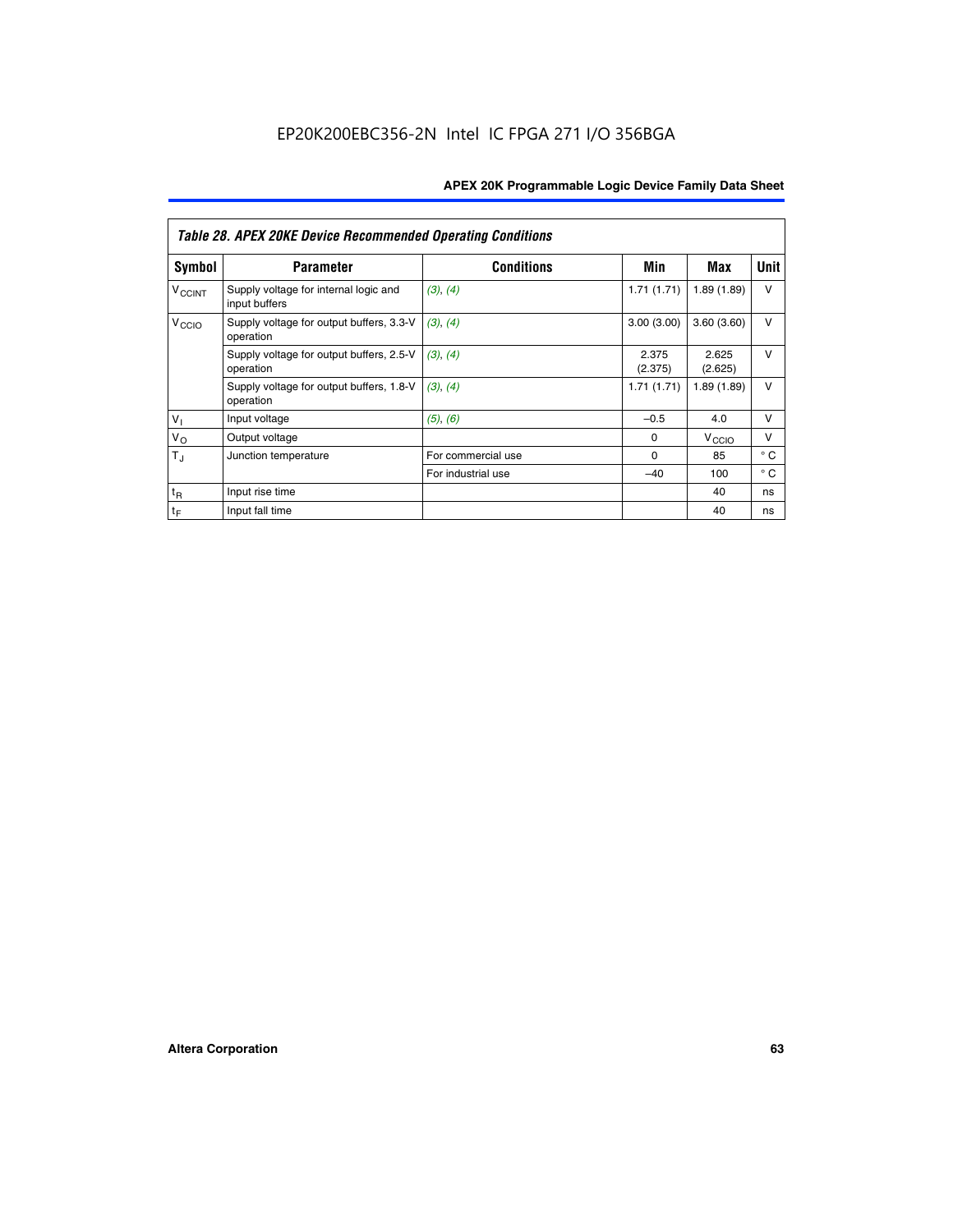|                             | <b>Table 28. APEX 20KE Device Recommended Operating Conditions</b> |                    |                  |                   |              |
|-----------------------------|--------------------------------------------------------------------|--------------------|------------------|-------------------|--------------|
| <b>Symbol</b>               | <b>Parameter</b>                                                   | <b>Conditions</b>  | Min              | Max               | <b>Unit</b>  |
| <b>V<sub>CCINT</sub></b>    | Supply voltage for internal logic and<br>input buffers             | (3), (4)           | 1.71(1.71)       | 1.89(1.89)        | $\vee$       |
| V <sub>CCIO</sub>           | Supply voltage for output buffers, 3.3-V<br>operation              | (3), (4)           | 3.00(3.00)       | 3.60(3.60)        | $\vee$       |
|                             | Supply voltage for output buffers, 2.5-V<br>operation              | (3), (4)           | 2.375<br>(2.375) | 2.625<br>(2.625)  | $\vee$       |
|                             | Supply voltage for output buffers, 1.8-V<br>operation              | (3), (4)           | 1.71(1.71)       | 1.89(1.89)        | $\vee$       |
| $V_1$                       | Input voltage                                                      | (5), (6)           | $-0.5$           | 4.0               | $\vee$       |
| $V_{\rm O}$                 | Output voltage                                                     |                    | $\Omega$         | V <sub>CCIO</sub> | v            |
| $T_{\rm J}$                 | Junction temperature                                               | For commercial use | $\Omega$         | 85                | $^{\circ}$ C |
|                             |                                                                    | For industrial use | $-40$            | 100               | $^{\circ}$ C |
| $t_{R}$                     | Input rise time                                                    |                    |                  | 40                | ns           |
| $\mathfrak{t}_{\mathsf{F}}$ | Input fall time                                                    |                    |                  | 40                | ns           |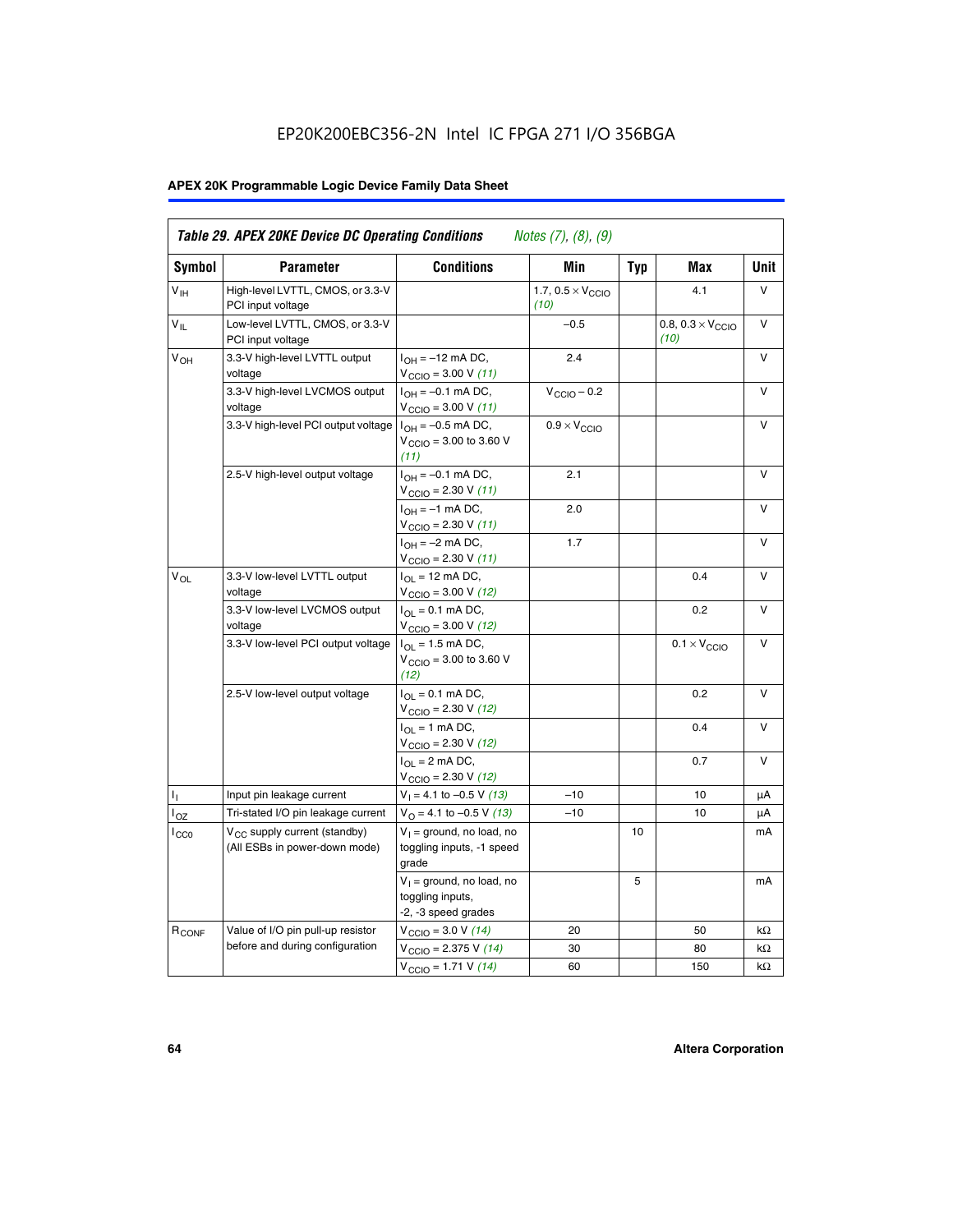# EP20K200EBC356-2N Intel IC FPGA 271 I/O 356BGA

# **APEX 20K Programmable Logic Device Family Data Sheet**

| Symbol                     | <b>Parameter</b>                                                   | <b>Conditions</b>                                                         | Min                                       | <b>Typ</b> | Max                                       | Unit      |
|----------------------------|--------------------------------------------------------------------|---------------------------------------------------------------------------|-------------------------------------------|------------|-------------------------------------------|-----------|
| $V_{\text{IH}}$            | High-level LVTTL, CMOS, or 3.3-V<br>PCI input voltage              |                                                                           | 1.7, $0.5 \times V_{\text{CCIO}}$<br>(10) |            | 4.1                                       | V         |
| $\mathsf{V}_{\mathsf{IL}}$ | Low-level LVTTL, CMOS, or 3.3-V<br>PCI input voltage               |                                                                           | $-0.5$                                    |            | 0.8, $0.3 \times V_{\text{CCIO}}$<br>(10) | $\vee$    |
| $V_{OH}$                   | 3.3-V high-level LVTTL output<br>voltage                           | $I_{OH} = -12$ mA DC,<br>$V_{\text{CCIO}} = 3.00 V (11)$                  | 2.4                                       |            |                                           | v         |
|                            | 3.3-V high-level LVCMOS output<br>voltage                          | $I_{OH} = -0.1$ mA DC,<br>$V_{\text{CCIO}} = 3.00 \text{ V} (11)$         | $V_{\text{CCIO}} - 0.2$                   |            |                                           | v         |
|                            | 3.3-V high-level PCI output voltage $ I_{OH} = -0.5$ mA DC,        | $V_{\text{CGIO}} = 3.00$ to 3.60 V<br>(11)                                | $0.9 \times V_{\text{CCIO}}$              |            |                                           | v         |
|                            | 2.5-V high-level output voltage                                    | $I_{OH} = -0.1$ mA DC,<br>$V_{\text{CCIO}} = 2.30 V (11)$                 | 2.1                                       |            |                                           | ν         |
|                            |                                                                    | $I_{OH} = -1$ mA DC,<br>$V_{\text{CCIO}} = 2.30 V (11)$                   | 2.0                                       |            |                                           | V         |
|                            |                                                                    | $I_{OH} = -2$ mA DC,<br>$V_{\text{CCIO}} = 2.30 V (11)$                   | 1.7                                       |            |                                           | v         |
| $V_{\Omega}$               | 3.3-V low-level LVTTL output<br>voltage                            | $I_{OL}$ = 12 mA DC,<br>$V_{\text{CCIO}} = 3.00 \text{ V} (12)$           |                                           |            | 0.4                                       | v         |
|                            | 3.3-V low-level LVCMOS output<br>voltage                           | $I_{\Omega} = 0.1$ mA DC,<br>$V_{\text{CCIO}} = 3.00 V (12)$              |                                           |            | 0.2                                       | $\vee$    |
|                            | 3.3-V low-level PCI output voltage                                 | $I_{\Omega I}$ = 1.5 mA DC,<br>$V_{\text{CGIO}} = 3.00$ to 3.60 V<br>(12) |                                           |            | $0.1 \times V_{\text{CCIO}}$              | v         |
|                            | 2.5-V low-level output voltage                                     | $I_{\Omega} = 0.1$ mA DC,<br>$V_{\text{CCIO}}$ = 2.30 V (12)              |                                           |            | 0.2                                       | v         |
|                            |                                                                    | $I_{\Omega}$ = 1 mA DC,<br>$V_{\text{CCIO}}$ = 2.30 V (12)                |                                           |            | 0.4                                       | $\vee$    |
|                            |                                                                    | $I_{\Omega}$ = 2 mA DC,<br>$V_{\text{CCIO}} = 2.30 V (12)$                |                                           |            | 0.7                                       | $\vee$    |
| ъ,                         | Input pin leakage current                                          | $V_1 = 4.1$ to -0.5 V (13)                                                | $-10$                                     |            | 10                                        | μA        |
| $I_{OZ}$                   | Tri-stated I/O pin leakage current                                 | $V_{\Omega}$ = 4.1 to -0.5 V (13)                                         | $-10$                                     |            | 10                                        | μA        |
| $I_{CC0}$                  | $V_{CC}$ supply current (standby)<br>(All ESBs in power-down mode) | $V_1$ = ground, no load, no<br>toggling inputs, -1 speed<br>grade         |                                           | 10         |                                           | mA        |
|                            |                                                                    | $V_1$ = ground, no load, no<br>toggling inputs,<br>-2, -3 speed grades    |                                           | 5          |                                           | mA        |
| R <sub>CONF</sub>          | Value of I/O pin pull-up resistor                                  | $V_{\text{CCIO}} = 3.0 V (14)$                                            | 20                                        |            | 50                                        | $k\Omega$ |
|                            | before and during configuration                                    | $V_{\text{CGIO}} = 2.375 V (14)$                                          | 30                                        |            | 80                                        | kΩ        |
|                            |                                                                    | $V_{\text{CCIO}} = 1.71 V (14)$                                           | 60                                        |            | 150                                       | $k\Omega$ |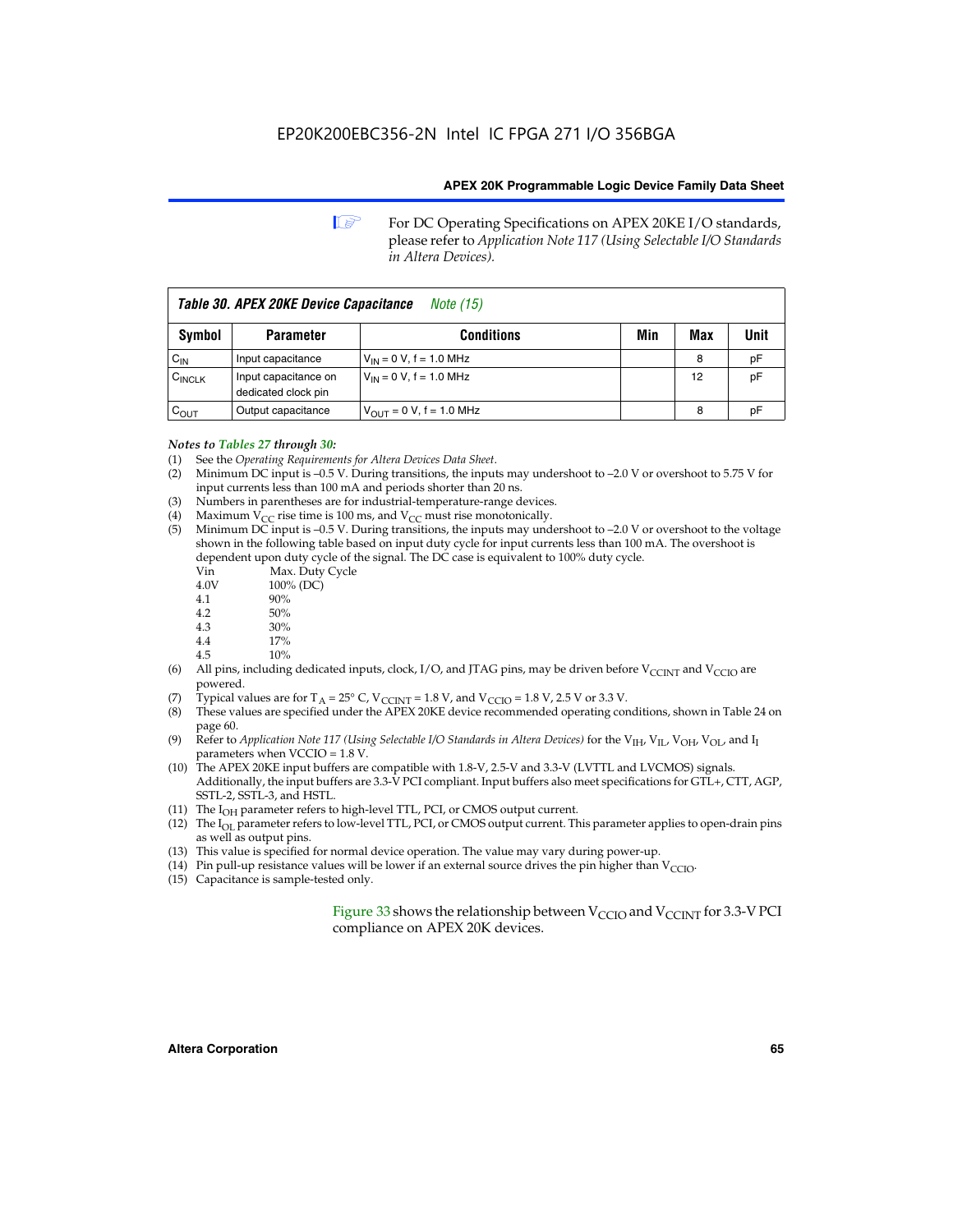**1 For DC Operating Specifications on APEX 20KE I/O standards,** please refer to *Application Note 117 (Using Selectable I/O Standards in Altera Devices).*

| Table 30. APEX 20KE Device Capacitance<br><i>Note</i> (15) |                                             |                                |     |     |      |
|------------------------------------------------------------|---------------------------------------------|--------------------------------|-----|-----|------|
| Symbol                                                     | <b>Parameter</b>                            | <b>Conditions</b>              | Min | Max | Unit |
| $C_{IN}$                                                   | Input capacitance                           | $V_{IN} = 0 V$ , f = 1.0 MHz   |     | 8   | рF   |
| CINCLK                                                     | Input capacitance on<br>dedicated clock pin | $V_{IN} = 0 V$ , f = 1.0 MHz   |     | 12  | pF   |
| $C_{OUT}$                                                  | Output capacitance                          | $V_{OUIT} = 0 V$ , f = 1.0 MHz |     | 8   | рF   |

#### *Notes to Tables 27 through 30:*

- (1) See the *Operating Requirements for Altera Devices Data Sheet*.
- (2) Minimum DC input is –0.5 V. During transitions, the inputs may undershoot to –2.0 V or overshoot to 5.75 V for input currents less than 100 mA and periods shorter than 20 ns.
- (3) Numbers in parentheses are for industrial-temperature-range devices.
- (4) Maximum  $V_{CC}$  rise time is 100 ms, and  $V_{CC}$  must rise monotonically.<br>(5) Minimum DC input is -0.5 V. During transitions, the inputs may und
- Minimum DC input is  $-0.5$  V. During transitions, the inputs may undershoot to  $-2.0$  V or overshoot to the voltage shown in the following table based on input duty cycle for input currents less than 100 mA. The overshoot is dependent upon duty cycle of the signal. The DC case is equivalent to 100% duty cycle.

| Vin  | Max. Duty Cycle |
|------|-----------------|
| 4.0V | 100% (DC)       |
| 4.1  | 90%             |
| 4.2  | 50%             |
| 4.3  | 30%             |
|      |                 |

- 4.4  $17\%$ <br>4.5  $10\%$
- 10%
- (6) All pins, including dedicated inputs, clock, I/O, and JTAG pins, may be driven before  $V_{\text{CCINT}}$  and  $V_{\text{CCIO}}$  are powered.
- (7) Typical values are for  $T_A = 25^\circ$  C, V<sub>CCINT</sub> = 1.8 V, and V<sub>CCIO</sub> = 1.8 V, 2.5 V or 3.3 V.
- (8) These values are specified under the APEX 20KE device recommended operating conditions, shown in Table 24 on page 60.
- (9) Refer to *Application Note 117 (Using Selectable I/O Standards in Altera Devices)* for the V<sub>IH</sub>, V<sub>IL</sub>, V<sub>OH</sub>, V<sub>OL</sub>, and I<sub>I</sub> parameters when VCCIO = 1.8 V.
- (10) The APEX 20KE input buffers are compatible with 1.8-V, 2.5-V and 3.3-V (LVTTL and LVCMOS) signals. Additionally, the input buffers are 3.3-V PCI compliant. Input buffers also meet specifications for GTL+, CTT, AGP, SSTL-2, SSTL-3, and HSTL.
- (11) The  $I_{OH}$  parameter refers to high-level TTL, PCI, or CMOS output current.
- (12) The I<sub>OL</sub> parameter refers to low-level TTL, PCI, or CMOS output current. This parameter applies to open-drain pins as well as output pins.
- (13) This value is specified for normal device operation. The value may vary during power-up.
- (14) Pin pull-up resistance values will be lower if an external source drives the pin higher than  $V_{CCIO}$ .
- (15) Capacitance is sample-tested only.

Figure 33 shows the relationship between  $V_{\text{CCIO}}$  and  $V_{\text{CCINT}}$  for 3.3-V PCI compliance on APEX 20K devices.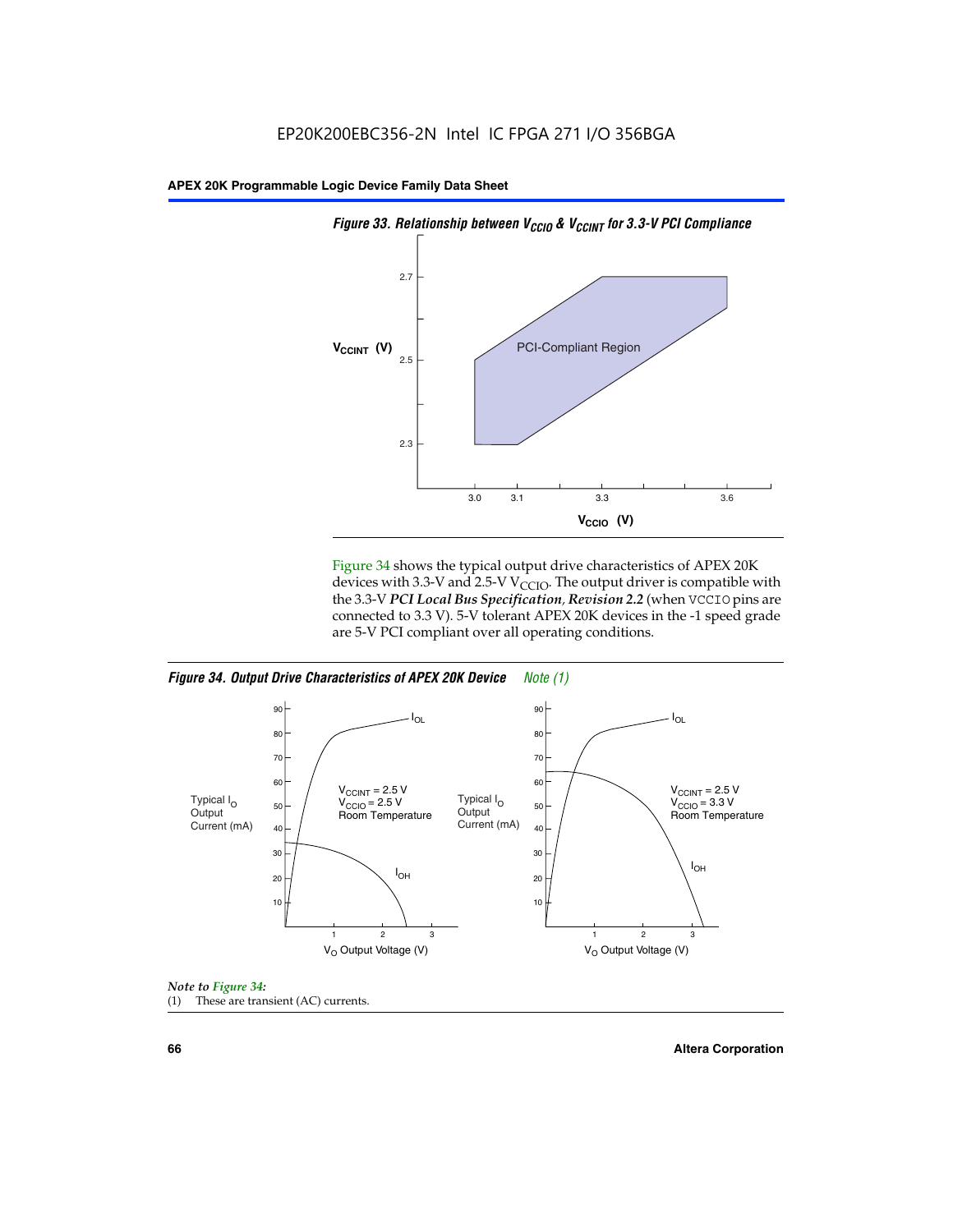

Figure 34 shows the typical output drive characteristics of APEX 20K devices with 3.3-V and 2.5-V V<sub>CCIO</sub>. The output driver is compatible with the 3.3-V *PCI Local Bus Specification, Revision 2.2* (when VCCIO pins are connected to 3.3 V). 5-V tolerant APEX 20K devices in the -1 speed grade are 5-V PCI compliant over all operating conditions.







**66 Altera Corporation**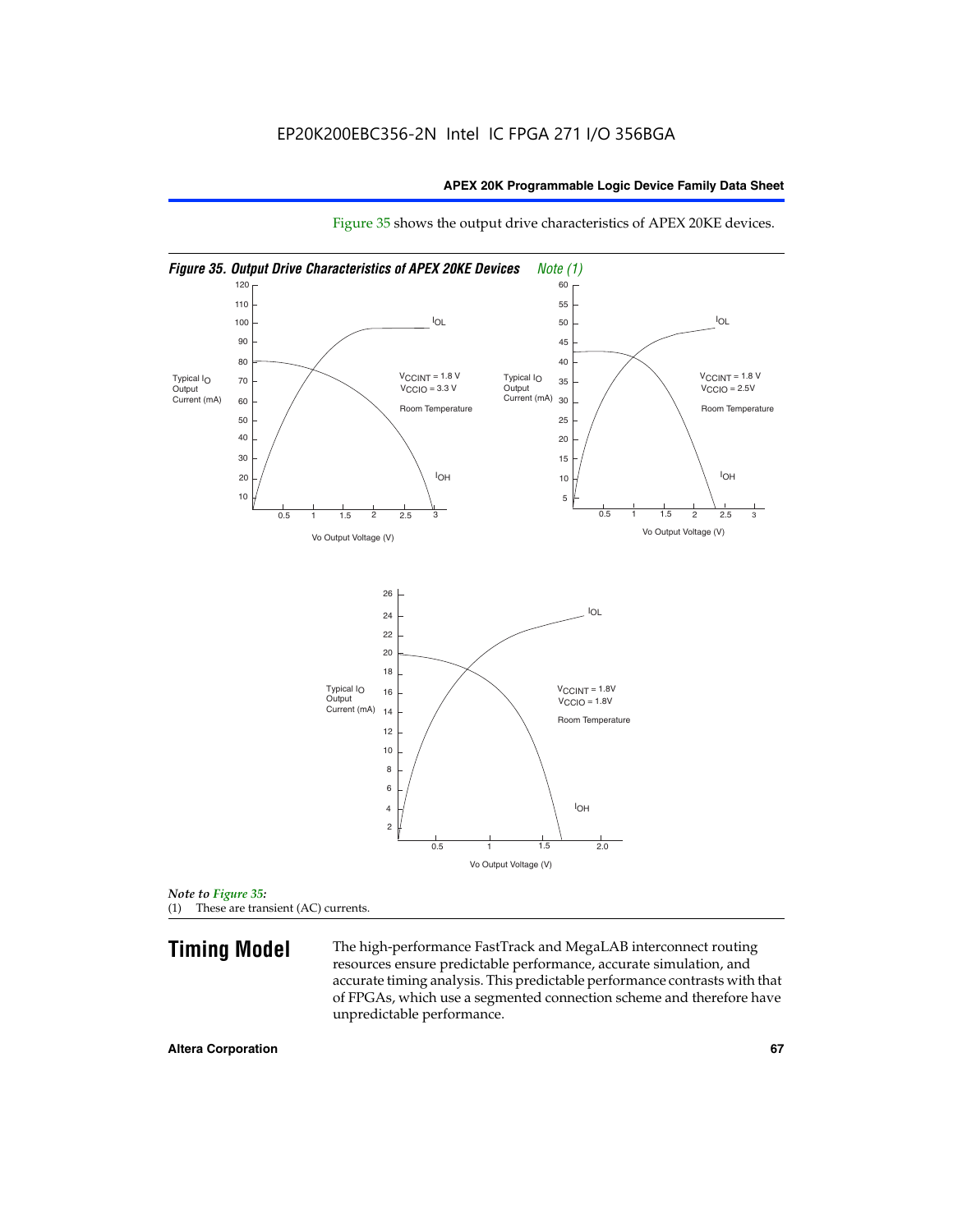

Figure 35 shows the output drive characteristics of APEX 20KE devices.

*Note to Figure 35:* (1) These are transient (AC) currents.

**Timing Model** The high-performance FastTrack and MegaLAB interconnect routing resources ensure predictable performance, accurate simulation, and accurate timing analysis. This predictable performance contrasts with that of FPGAs, which use a segmented connection scheme and therefore have unpredictable performance.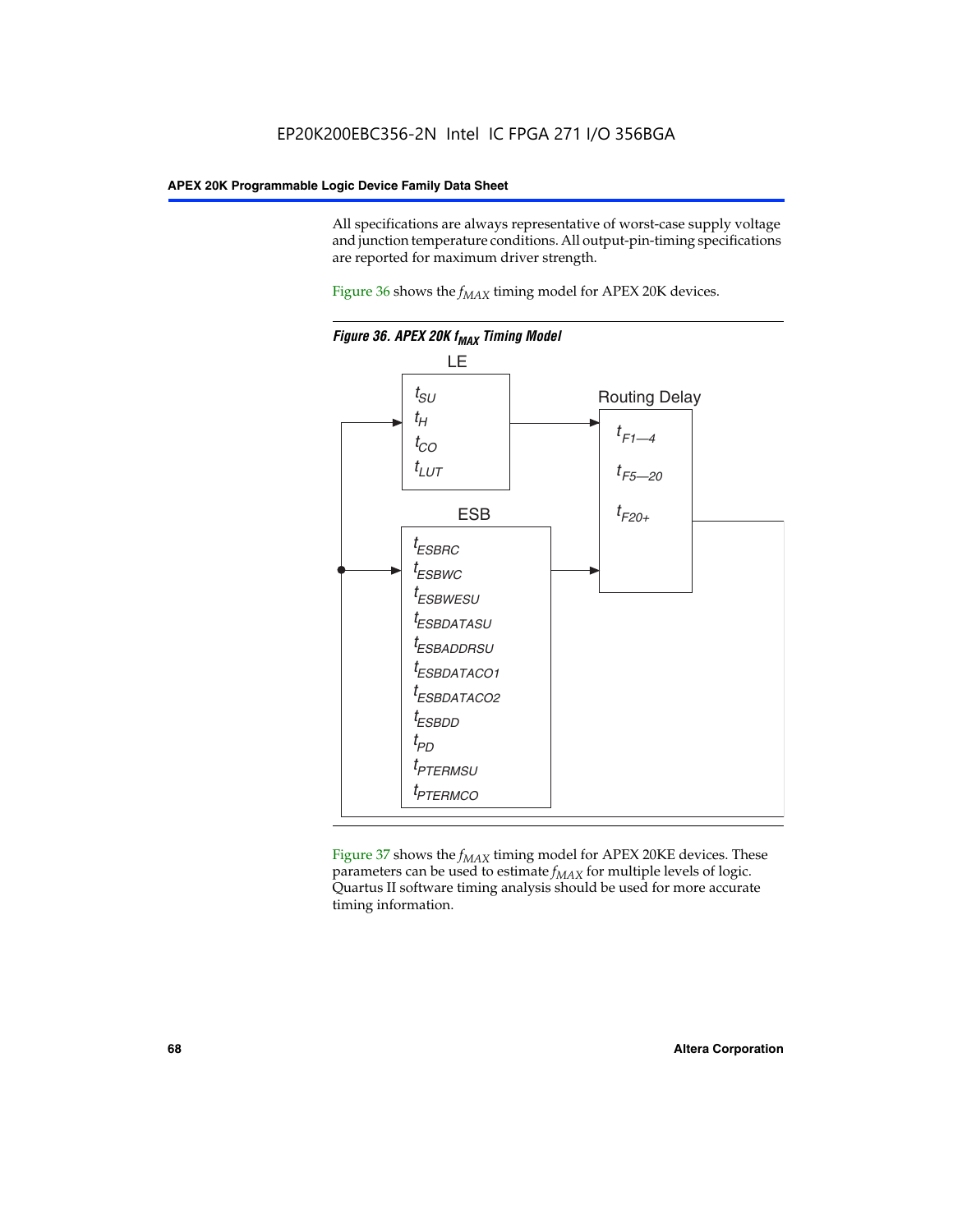All specifications are always representative of worst-case supply voltage and junction temperature conditions. All output-pin-timing specifications are reported for maximum driver strength.

Figure  $36$  shows the  $f_{MAX}$  timing model for APEX 20K devices.



Figure 37 shows the  $f_{MAX}$  timing model for APEX 20KE devices. These parameters can be used to estimate  $f_{MAX}$  for multiple levels of logic. Quartus II software timing analysis should be used for more accurate timing information.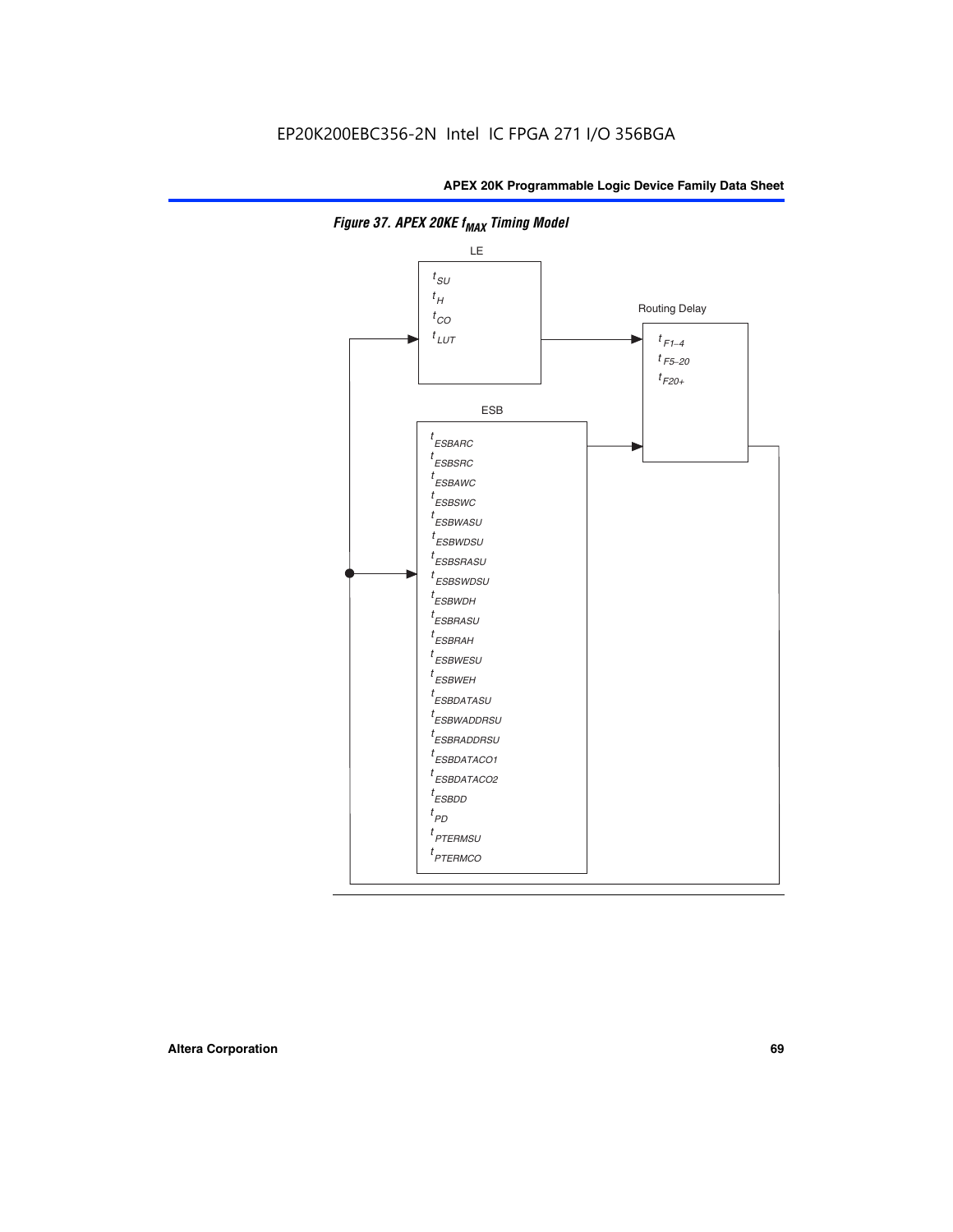

**Figure 37. APEX 20KE f<sub>MAX</sub> Timing Model**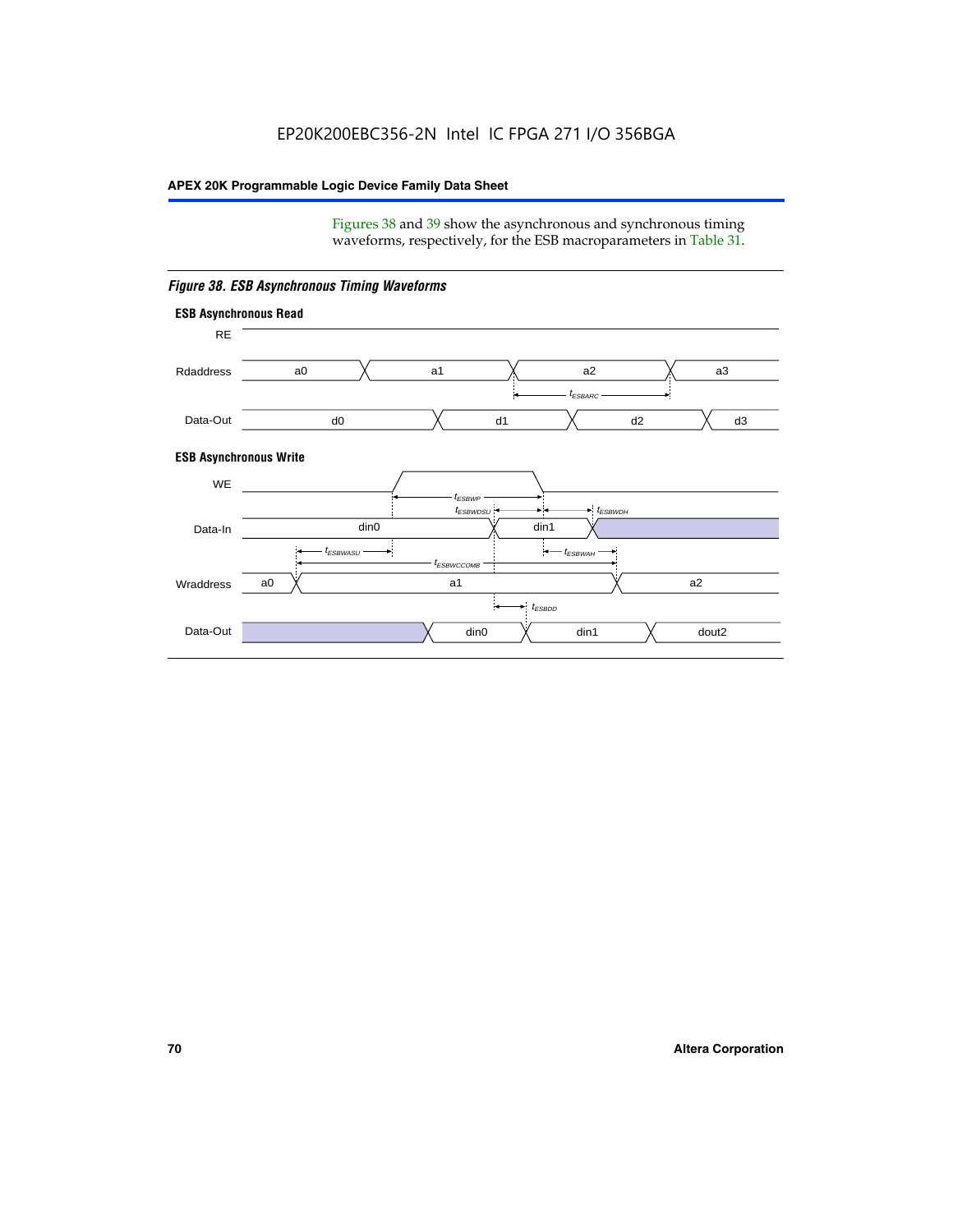Figures 38 and 39 show the asynchronous and synchronous timing waveforms, respectively, for the ESB macroparameters in Table 31.



*Figure 38. ESB Asynchronous Timing Waveforms*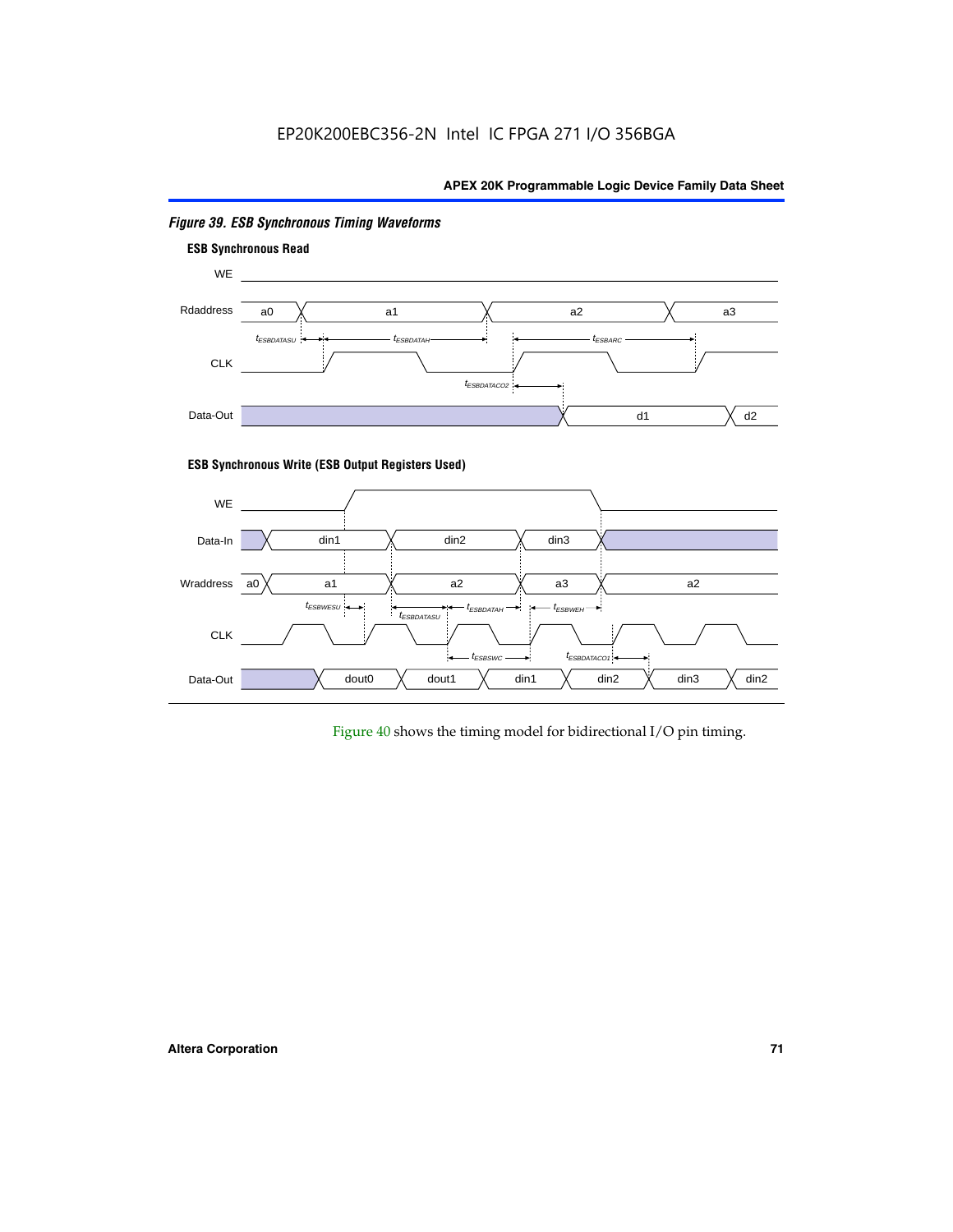# EP20K200EBC356-2N Intel IC FPGA 271 I/O 356BGA

# **APEX 20K Programmable Logic Device Family Data Sheet**



# *Figure 39. ESB Synchronous Timing Waveforms*

# **ESB Synchronous Write (ESB Output Registers Used)**



Figure 40 shows the timing model for bidirectional I/O pin timing.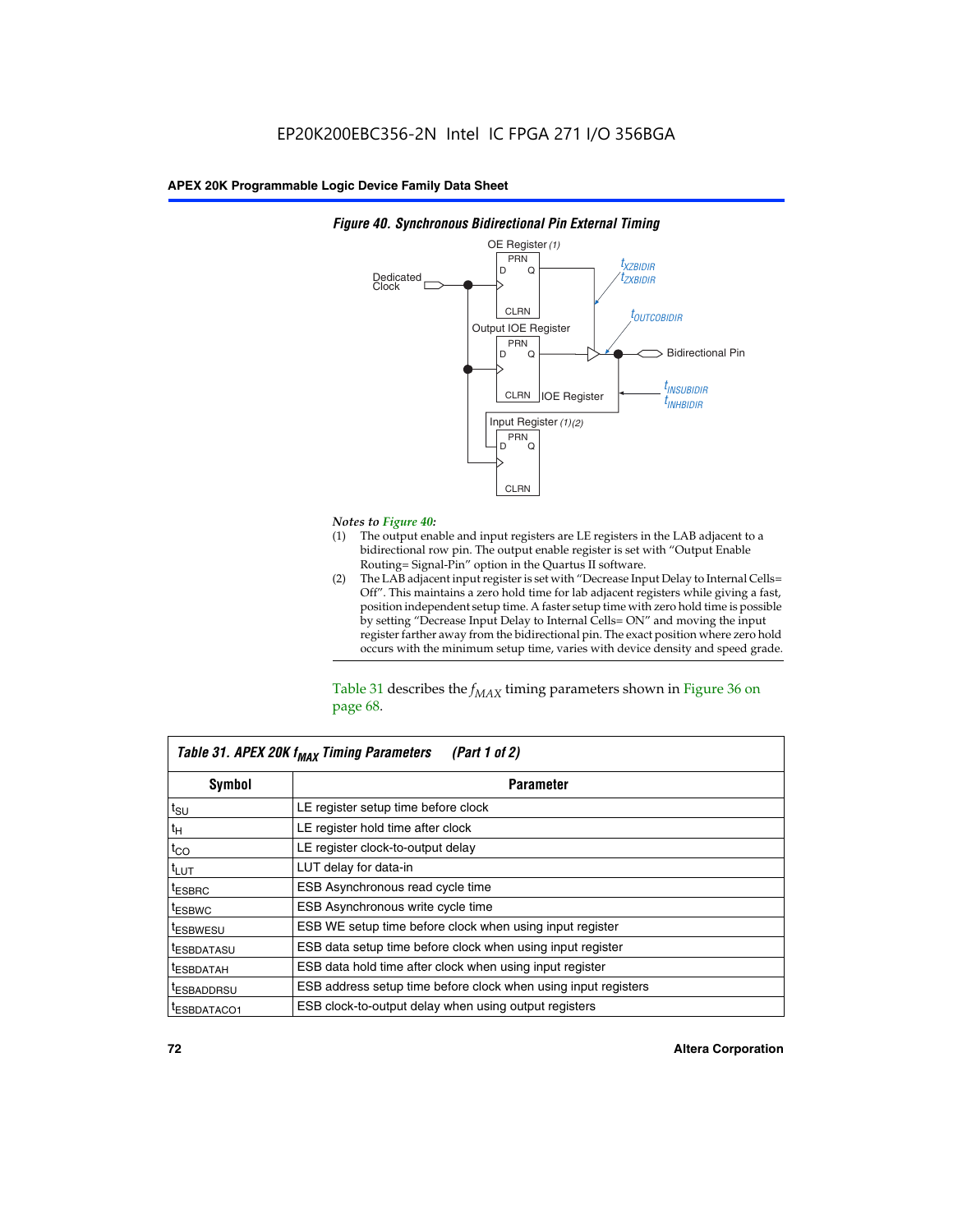

### *Figure 40. Synchronous Bidirectional Pin External Timing*

# *Notes to Figure 40:*

- The output enable and input registers are LE registers in the LAB adjacent to a bidirectional row pin. The output enable register is set with "Output Enable Routing= Signal-Pin" option in the Quartus II software.
- (2) The LAB adjacent input register is set with "Decrease Input Delay to Internal Cells= Off". This maintains a zero hold time for lab adjacent registers while giving a fast, position independent setup time. A faster setup time with zero hold time is possible by setting "Decrease Input Delay to Internal Cells= ON" and moving the input register farther away from the bidirectional pin. The exact position where zero hold occurs with the minimum setup time, varies with device density and speed grade.

Table 31 describes the  $f_{MAX}$  timing parameters shown in Figure 36 on page 68.

| Table 31. APEX 20K f <sub>MAX</sub> Timing Parameters<br>(Part 1 of 2) |                                                                |  |  |  |  |
|------------------------------------------------------------------------|----------------------------------------------------------------|--|--|--|--|
| Symbol                                                                 | <b>Parameter</b>                                               |  |  |  |  |
| $t_{\text{SU}}$                                                        | LE register setup time before clock                            |  |  |  |  |
| $t_H$                                                                  | LE register hold time after clock                              |  |  |  |  |
| $t_{CO}$                                                               | LE register clock-to-output delay                              |  |  |  |  |
| t <sub>LUT</sub>                                                       | LUT delay for data-in                                          |  |  |  |  |
| <sup>t</sup> ESBRC                                                     | ESB Asynchronous read cycle time                               |  |  |  |  |
| <sup>t</sup> ESBWC                                                     | ESB Asynchronous write cycle time                              |  |  |  |  |
| <sup>t</sup> ESBWESU                                                   | ESB WE setup time before clock when using input register       |  |  |  |  |
| <sup>t</sup> ESBDATASU                                                 | ESB data setup time before clock when using input register     |  |  |  |  |
| <sup>t</sup> ESBDATAH                                                  | ESB data hold time after clock when using input register       |  |  |  |  |
| <sup>t</sup> ESBADDRSU                                                 | ESB address setup time before clock when using input registers |  |  |  |  |
| ESBDATACO1                                                             | ESB clock-to-output delay when using output registers          |  |  |  |  |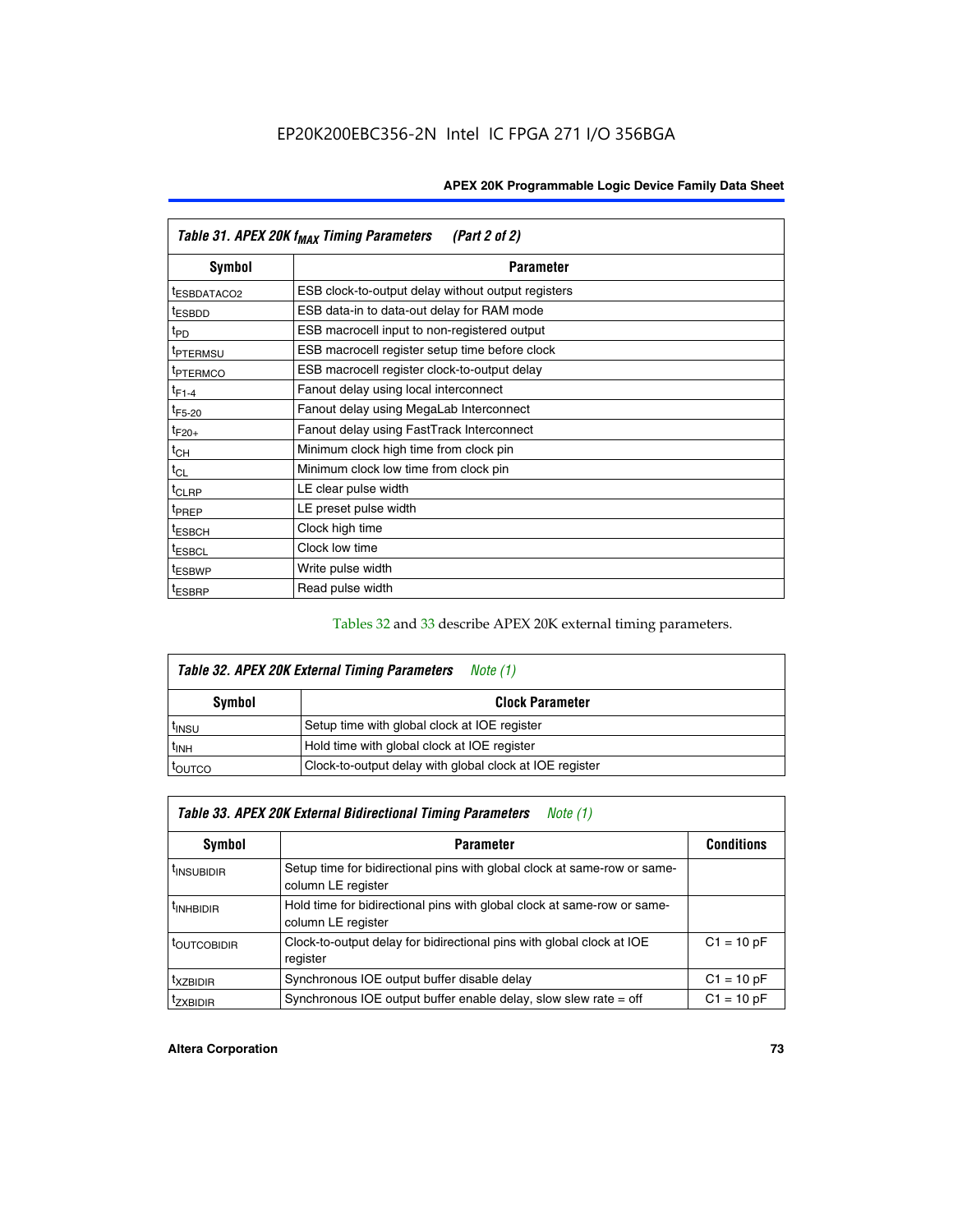| Table 31. APEX 20K f <sub>MAX</sub> Timing Parameters<br>(Part 2 of 2) |                                                    |  |  |  |  |
|------------------------------------------------------------------------|----------------------------------------------------|--|--|--|--|
| Symbol                                                                 | <b>Parameter</b>                                   |  |  |  |  |
| t <sub>ESBDATACO2</sub>                                                | ESB clock-to-output delay without output registers |  |  |  |  |
| <sup>t</sup> ESBDD                                                     | ESB data-in to data-out delay for RAM mode         |  |  |  |  |
| t <sub>PD</sub>                                                        | ESB macrocell input to non-registered output       |  |  |  |  |
| <sup>t</sup> PTERMSU                                                   | ESB macrocell register setup time before clock     |  |  |  |  |
| <sup>t</sup> PTERMCO                                                   | ESB macrocell register clock-to-output delay       |  |  |  |  |
| $t_{F1-4}$                                                             | Fanout delay using local interconnect              |  |  |  |  |
| $t_{F5-20}$                                                            | Fanout delay using MegaLab Interconnect            |  |  |  |  |
| $t_{F20+}$                                                             | Fanout delay using FastTrack Interconnect          |  |  |  |  |
| $t_{CH}$                                                               | Minimum clock high time from clock pin             |  |  |  |  |
| $t_{CL}$                                                               | Minimum clock low time from clock pin              |  |  |  |  |
| $t_{CLRP}$                                                             | LE clear pulse width                               |  |  |  |  |
| t <sub>PREP</sub>                                                      | LE preset pulse width                              |  |  |  |  |
| <sup>t</sup> ESBCH                                                     | Clock high time                                    |  |  |  |  |
| <sup>t</sup> ESBCL                                                     | Clock low time                                     |  |  |  |  |
| <sup>t</sup> ESBWP                                                     | Write pulse width                                  |  |  |  |  |
| <sup>t</sup> ESBRP                                                     | Read pulse width                                   |  |  |  |  |

## Tables 32 and 33 describe APEX 20K external timing parameters.

| Table 32. APEX 20K External Timing Parameters<br>Note (1) |                                                         |  |  |  |  |
|-----------------------------------------------------------|---------------------------------------------------------|--|--|--|--|
| Symbol                                                    | <b>Clock Parameter</b>                                  |  |  |  |  |
| <sup>t</sup> insu                                         | Setup time with global clock at IOE register            |  |  |  |  |
| $t_{\mathsf{INH}}$                                        | Hold time with global clock at IOE register             |  |  |  |  |
| toutco                                                    | Clock-to-output delay with global clock at IOE register |  |  |  |  |

| Table 33. APEX 20K External Bidirectional Timing Parameters<br>Note (1) |                                                                                                |              |  |  |  |  |
|-------------------------------------------------------------------------|------------------------------------------------------------------------------------------------|--------------|--|--|--|--|
| Symbol                                                                  | <b>Conditions</b><br><b>Parameter</b>                                                          |              |  |  |  |  |
| <sup>I</sup> INSUBIDIR                                                  | Setup time for bidirectional pins with global clock at same-row or same-<br>column LE register |              |  |  |  |  |
| <sup>t</sup> INHBIDIR                                                   | Hold time for bidirectional pins with global clock at same-row or same-<br>column LE register  |              |  |  |  |  |
| <sup>t</sup> OUTCOBIDIR                                                 | Clock-to-output delay for bidirectional pins with global clock at IOE<br>register              | $C1 = 10 pF$ |  |  |  |  |
| <sup>T</sup> XZBIDIR                                                    | Synchronous IOE output buffer disable delay                                                    | $C1 = 10 pF$ |  |  |  |  |
| <sup>I</sup> ZXBIDIR                                                    | Synchronous IOE output buffer enable delay, slow slew rate $=$ off                             | $C1 = 10 pF$ |  |  |  |  |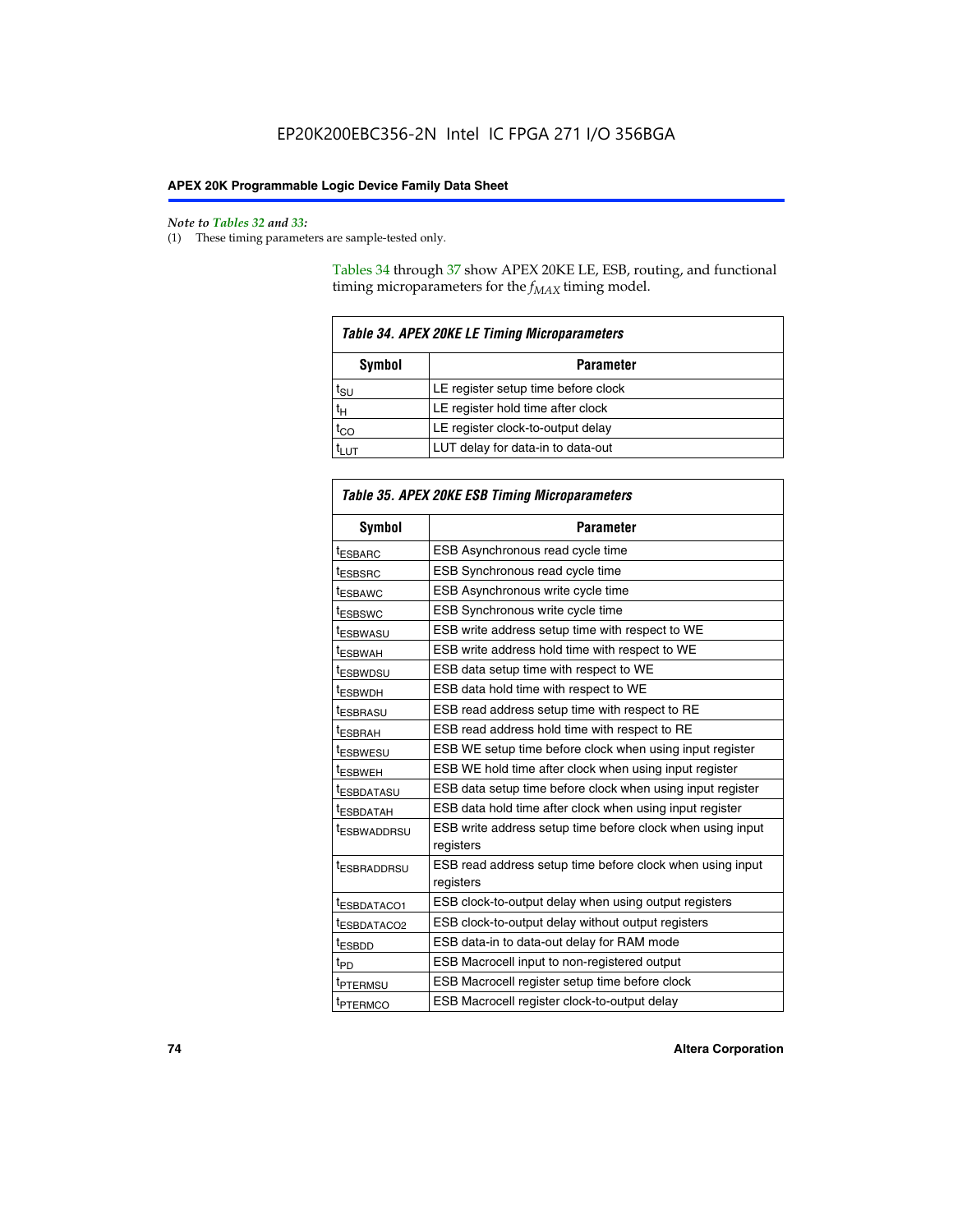#### *Note to Tables 32 and 33:*

(1) These timing parameters are sample-tested only.

Tables 34 through 37 show APEX 20KE LE, ESB, routing, and functional timing microparameters for the  $f_{MAX}$  timing model.

| <b>Table 34. APEX 20KE LE Timing Microparameters</b> |                                     |  |  |  |  |
|------------------------------------------------------|-------------------------------------|--|--|--|--|
| Symbol<br><b>Parameter</b>                           |                                     |  |  |  |  |
| t <sub>SU</sub>                                      | LE register setup time before clock |  |  |  |  |
| $t_H$                                                | LE register hold time after clock   |  |  |  |  |
| $t_{CO}$                                             | LE register clock-to-output delay   |  |  |  |  |
|                                                      | LUT delay for data-in to data-out   |  |  |  |  |

| Table 35. APEX 20KE ESB Timing Microparameters |                                                                        |  |  |  |
|------------------------------------------------|------------------------------------------------------------------------|--|--|--|
| Symbol                                         | <b>Parameter</b>                                                       |  |  |  |
| t <sub>ESBARC</sub>                            | ESB Asynchronous read cycle time                                       |  |  |  |
| <sup>t</sup> ESBSRC                            | <b>ESB Synchronous read cycle time</b>                                 |  |  |  |
| t <sub>ESBAWC</sub>                            | ESB Asynchronous write cycle time                                      |  |  |  |
| t <sub>ESBSWC</sub>                            | ESB Synchronous write cycle time                                       |  |  |  |
| tESBWASU                                       | ESB write address setup time with respect to WE                        |  |  |  |
| <sup>t</sup> ESBWAH                            | ESB write address hold time with respect to WE                         |  |  |  |
| t <sub>ESBWDSU</sub>                           | ESB data setup time with respect to WE                                 |  |  |  |
| <sup>t</sup> ESBWDH                            | ESB data hold time with respect to WE                                  |  |  |  |
| tESBRASU                                       | ESB read address setup time with respect to RE                         |  |  |  |
| t <sub>ESBRAH</sub>                            | ESB read address hold time with respect to RE                          |  |  |  |
| <sup>t</sup> ESBWESU                           | ESB WE setup time before clock when using input register               |  |  |  |
| <sup>t</sup> ESBWEH                            | ESB WE hold time after clock when using input register                 |  |  |  |
| <sup>t</sup> ESBDATASU                         | ESB data setup time before clock when using input register             |  |  |  |
| t <sub>ESBDATAH</sub>                          | ESB data hold time after clock when using input register               |  |  |  |
| <sup>t</sup> ESBWADDRSU                        | ESB write address setup time before clock when using input             |  |  |  |
|                                                | registers                                                              |  |  |  |
| tESBRADDRSU                                    | ESB read address setup time before clock when using input<br>registers |  |  |  |
| t <sub>ESBDATACO1</sub>                        | ESB clock-to-output delay when using output registers                  |  |  |  |
| t <sub>ESBDATACO2</sub>                        | ESB clock-to-output delay without output registers                     |  |  |  |
| $t_{ESBDD}$                                    | ESB data-in to data-out delay for RAM mode                             |  |  |  |
| $t_{PD}$                                       | ESB Macrocell input to non-registered output                           |  |  |  |
| t <sub>PTERMSU</sub>                           | ESB Macrocell register setup time before clock                         |  |  |  |
| t <sub>PTERMCO</sub>                           | ESB Macrocell register clock-to-output delay                           |  |  |  |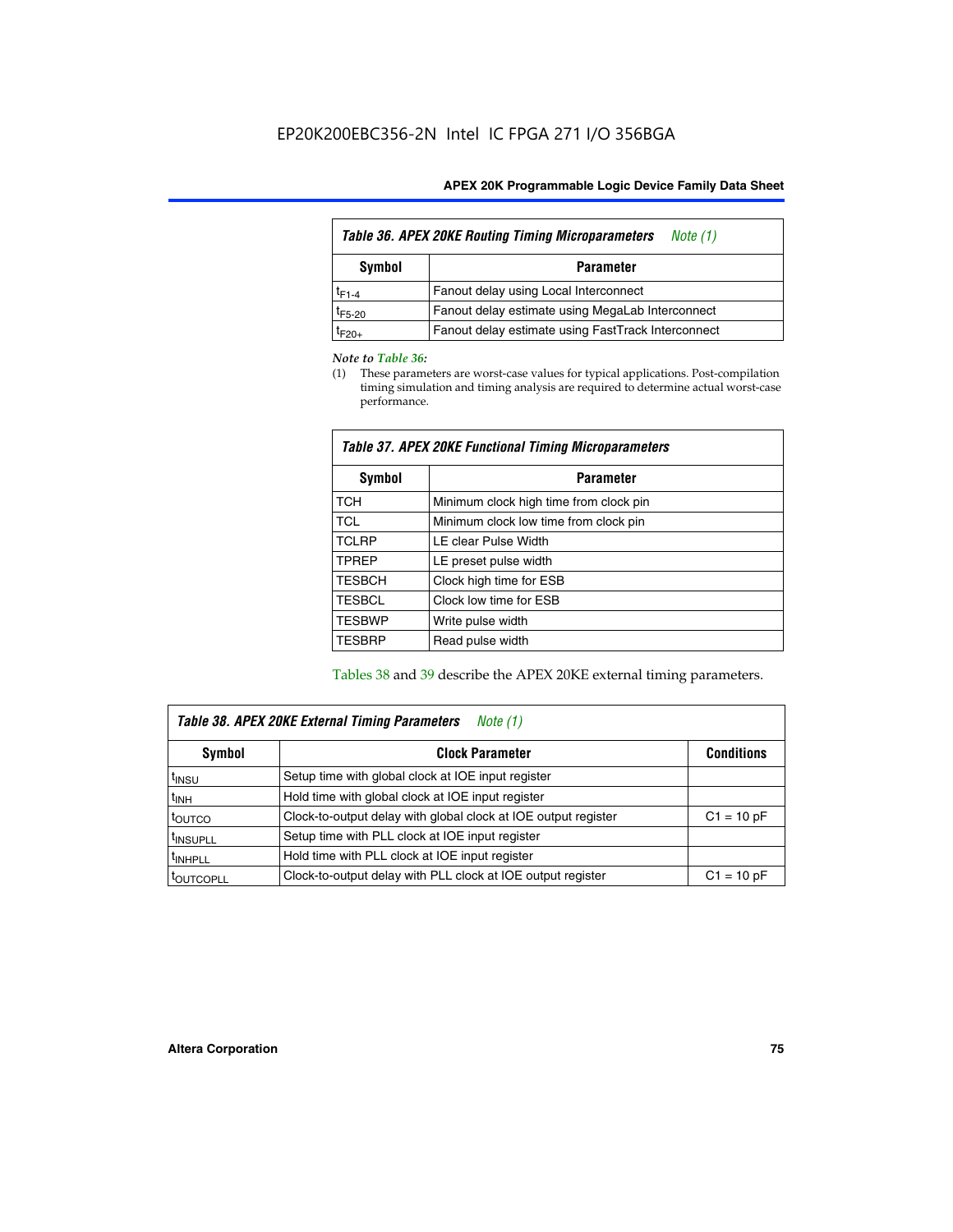| Table 36. APEX 20KE Routing Timing Microparameters<br>Note (1) |                                                    |  |  |  |  |
|----------------------------------------------------------------|----------------------------------------------------|--|--|--|--|
| Symbol<br><b>Parameter</b>                                     |                                                    |  |  |  |  |
| $t_{F1-4}$                                                     | Fanout delay using Local Interconnect              |  |  |  |  |
| $t_{F5-20}$                                                    | Fanout delay estimate using MegaLab Interconnect   |  |  |  |  |
| t <sub>F20+</sub>                                              | Fanout delay estimate using FastTrack Interconnect |  |  |  |  |

#### *Note to Table 36:*

(1) These parameters are worst-case values for typical applications. Post-compilation timing simulation and timing analysis are required to determine actual worst-case performance.

| Symbol        | <b>Parameter</b>                       |  |  |  |  |  |
|---------------|----------------------------------------|--|--|--|--|--|
| <b>TCH</b>    | Minimum clock high time from clock pin |  |  |  |  |  |
| <b>TCL</b>    | Minimum clock low time from clock pin  |  |  |  |  |  |
| <b>TCLRP</b>  | LE clear Pulse Width                   |  |  |  |  |  |
| <b>TPREP</b>  | LE preset pulse width                  |  |  |  |  |  |
| <b>TESBCH</b> | Clock high time for ESB                |  |  |  |  |  |
| <b>TESBCL</b> | Clock low time for ESB                 |  |  |  |  |  |
| <b>TESBWP</b> | Write pulse width                      |  |  |  |  |  |
| <b>TESBRP</b> | Read pulse width                       |  |  |  |  |  |

### *Table 37. APEX 20KE Functional Timing Microparameters*

Tables 38 and 39 describe the APEX 20KE external timing parameters.

| Table 38. APEX 20KE External Timing Parameters<br>Note (1) |                                                                |              |  |  |  |
|------------------------------------------------------------|----------------------------------------------------------------|--------------|--|--|--|
| <b>Clock Parameter</b><br>Symbol<br><b>Conditions</b>      |                                                                |              |  |  |  |
| <sup>t</sup> insu                                          | Setup time with global clock at IOE input register             |              |  |  |  |
| $t_{\text{INH}}$                                           | Hold time with global clock at IOE input register              |              |  |  |  |
| toutco                                                     | Clock-to-output delay with global clock at IOE output register | $C1 = 10 pF$ |  |  |  |
| <sup>t</sup> INSUPLL                                       | Setup time with PLL clock at IOE input register                |              |  |  |  |
| <sup>t</sup> INHPLL                                        | Hold time with PLL clock at IOE input register                 |              |  |  |  |
| <sup>I</sup> OUTCOPLL                                      | Clock-to-output delay with PLL clock at IOE output register    | $C1 = 10 pF$ |  |  |  |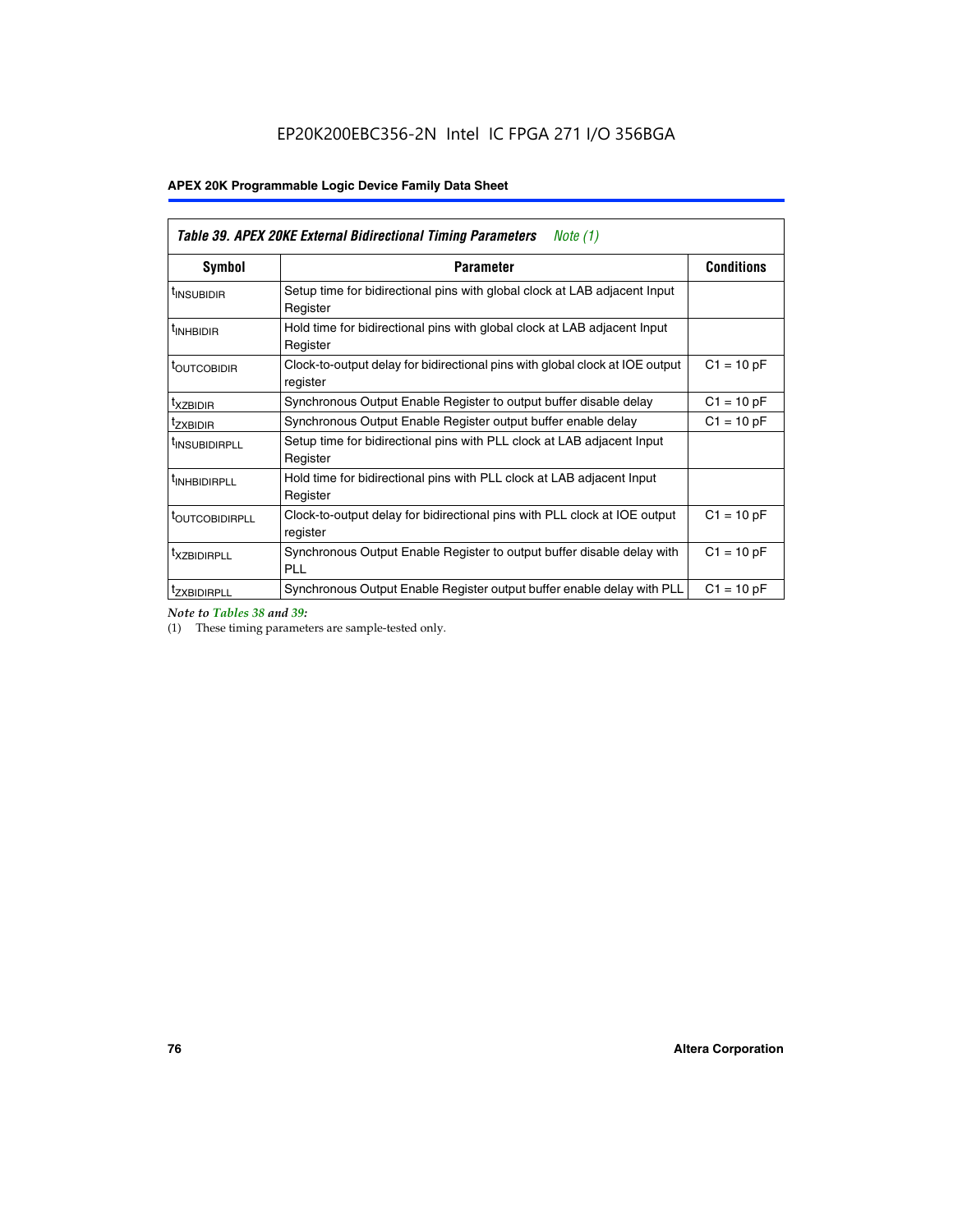| Table 39. APEX 20KE External Bidirectional Timing Parameters<br>Note $(1)$ |                                                                                                          |              |  |  |  |  |  |  |
|----------------------------------------------------------------------------|----------------------------------------------------------------------------------------------------------|--------------|--|--|--|--|--|--|
| <b>Symbol</b>                                                              | <b>Conditions</b><br><b>Parameter</b>                                                                    |              |  |  |  |  |  |  |
| <sup>t</sup> INSUBIDIR                                                     | Setup time for bidirectional pins with global clock at LAB adjacent Input<br>Register                    |              |  |  |  |  |  |  |
| <sup>t</sup> INHBIDIR                                                      | Hold time for bidirectional pins with global clock at LAB adjacent Input<br>Register                     |              |  |  |  |  |  |  |
| <b><i>LOUTCOBIDIR</i></b>                                                  | $C1 = 10 pF$<br>Clock-to-output delay for bidirectional pins with global clock at IOE output<br>register |              |  |  |  |  |  |  |
| t <sub>XZBIDIR</sub>                                                       | $C1 = 10 pF$<br>Synchronous Output Enable Register to output buffer disable delay                        |              |  |  |  |  |  |  |
| <sup>t</sup> zxbidir                                                       | Synchronous Output Enable Register output buffer enable delay                                            | $C1 = 10 pF$ |  |  |  |  |  |  |
| <sup>I</sup> INSUBIDIRPLL                                                  | Setup time for bidirectional pins with PLL clock at LAB adjacent Input<br>Register                       |              |  |  |  |  |  |  |
| <sup>t</sup> INHBIDIRPLL                                                   | Hold time for bidirectional pins with PLL clock at LAB adjacent Input<br>Register                        |              |  |  |  |  |  |  |
| <sup>t</sup> OUTCOBIDIRPLL                                                 | Clock-to-output delay for bidirectional pins with PLL clock at IOE output<br>register                    | $C1 = 10 pF$ |  |  |  |  |  |  |
| <sup>t</sup> XZBIDIRPLL                                                    | Synchronous Output Enable Register to output buffer disable delay with<br><b>PLL</b>                     | $C1 = 10 pF$ |  |  |  |  |  |  |
| <sup>I</sup> ZXBIDIRPLL                                                    | Synchronous Output Enable Register output buffer enable delay with PLL                                   | $C1 = 10 pF$ |  |  |  |  |  |  |

*Note to Tables 38 and 39:*

(1) These timing parameters are sample-tested only.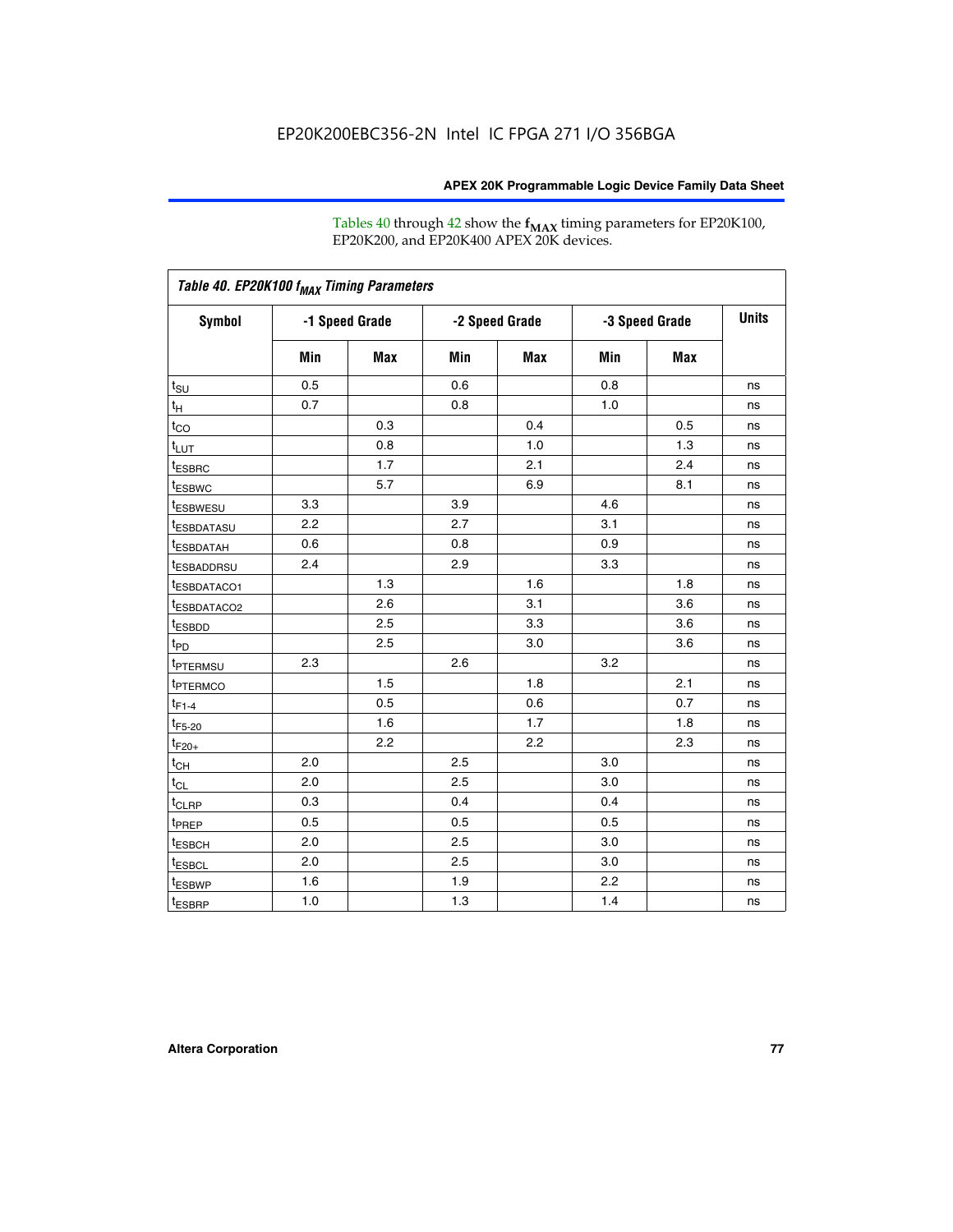Tables 40 through 42 show the **f<sub>MAX</sub>** timing parameters for EP20K100, EP20K200, and EP20K400 APEX 20K devices.

| Table 40. EP20K100 f <sub>MAX</sub> Timing Parameters |                |     |                |     |                |     |              |
|-------------------------------------------------------|----------------|-----|----------------|-----|----------------|-----|--------------|
| <b>Symbol</b>                                         | -1 Speed Grade |     | -2 Speed Grade |     | -3 Speed Grade |     | <b>Units</b> |
|                                                       | Min            | Max | Min            | Max | Min            | Max |              |
| $t_{\text{SU}}$                                       | 0.5            |     | 0.6            |     | 0.8            |     | ns           |
| $t_H$                                                 | 0.7            |     | 0.8            |     | 1.0            |     | ns           |
| $t_{CO}$                                              |                | 0.3 |                | 0.4 |                | 0.5 | ns           |
| $t_{LUT}$                                             |                | 0.8 |                | 1.0 |                | 1.3 | ns           |
| <sup>t</sup> ESBRC                                    |                | 1.7 |                | 2.1 |                | 2.4 | ns           |
| t <sub>ESBWC</sub>                                    |                | 5.7 |                | 6.9 |                | 8.1 | ns           |
| t <sub>ESBWESU</sub>                                  | 3.3            |     | 3.9            |     | 4.6            |     | ns           |
| <sup>t</sup> ESBDATASU                                | 2.2            |     | 2.7            |     | 3.1            |     | ns           |
| t <sub>ESBDATAH</sub>                                 | 0.6            |     | 0.8            |     | 0.9            |     | ns           |
| <sup>t</sup> ESBADDRSU                                | 2.4            |     | 2.9            |     | 3.3            |     | ns           |
| t <sub>ESBDATACO1</sub>                               |                | 1.3 |                | 1.6 |                | 1.8 | ns           |
| t <sub>ESBDATACO2</sub>                               |                | 2.6 |                | 3.1 |                | 3.6 | ns           |
| t <sub>ESBDD</sub>                                    |                | 2.5 |                | 3.3 |                | 3.6 | ns           |
| t <sub>PD</sub>                                       |                | 2.5 |                | 3.0 |                | 3.6 | ns           |
| <sup>t</sup> PTERMSU                                  | 2.3            |     | 2.6            |     | 3.2            |     | ns           |
| t <sub>PTERMCO</sub>                                  |                | 1.5 |                | 1.8 |                | 2.1 | ns           |
| $t_{F1-4}$                                            |                | 0.5 |                | 0.6 |                | 0.7 | ns           |
| $t_{F5-20}$                                           |                | 1.6 |                | 1.7 |                | 1.8 | ns           |
| $t_{F20+}$                                            |                | 2.2 |                | 2.2 |                | 2.3 | ns           |
| $t_{\mathsf{CH}}$                                     | 2.0            |     | 2.5            |     | 3.0            |     | ns           |
| $t_{CL}$                                              | 2.0            |     | 2.5            |     | 3.0            |     | ns           |
| t <sub>CLRP</sub>                                     | 0.3            |     | 0.4            |     | 0.4            |     | ns           |
| t <sub>PREP</sub>                                     | 0.5            |     | 0.5            |     | 0.5            |     | ns           |
| t <sub>ESBCH</sub>                                    | 2.0            |     | 2.5            |     | 3.0            |     | ns           |
| t <sub>ESBCL</sub>                                    | 2.0            |     | 2.5            |     | 3.0            |     | ns           |
| t <sub>ESBWP</sub>                                    | 1.6            |     | 1.9            |     | 2.2            |     | ns           |
| $t_{ESBRP}$                                           | 1.0            |     | 1.3            |     | 1.4            |     | ns           |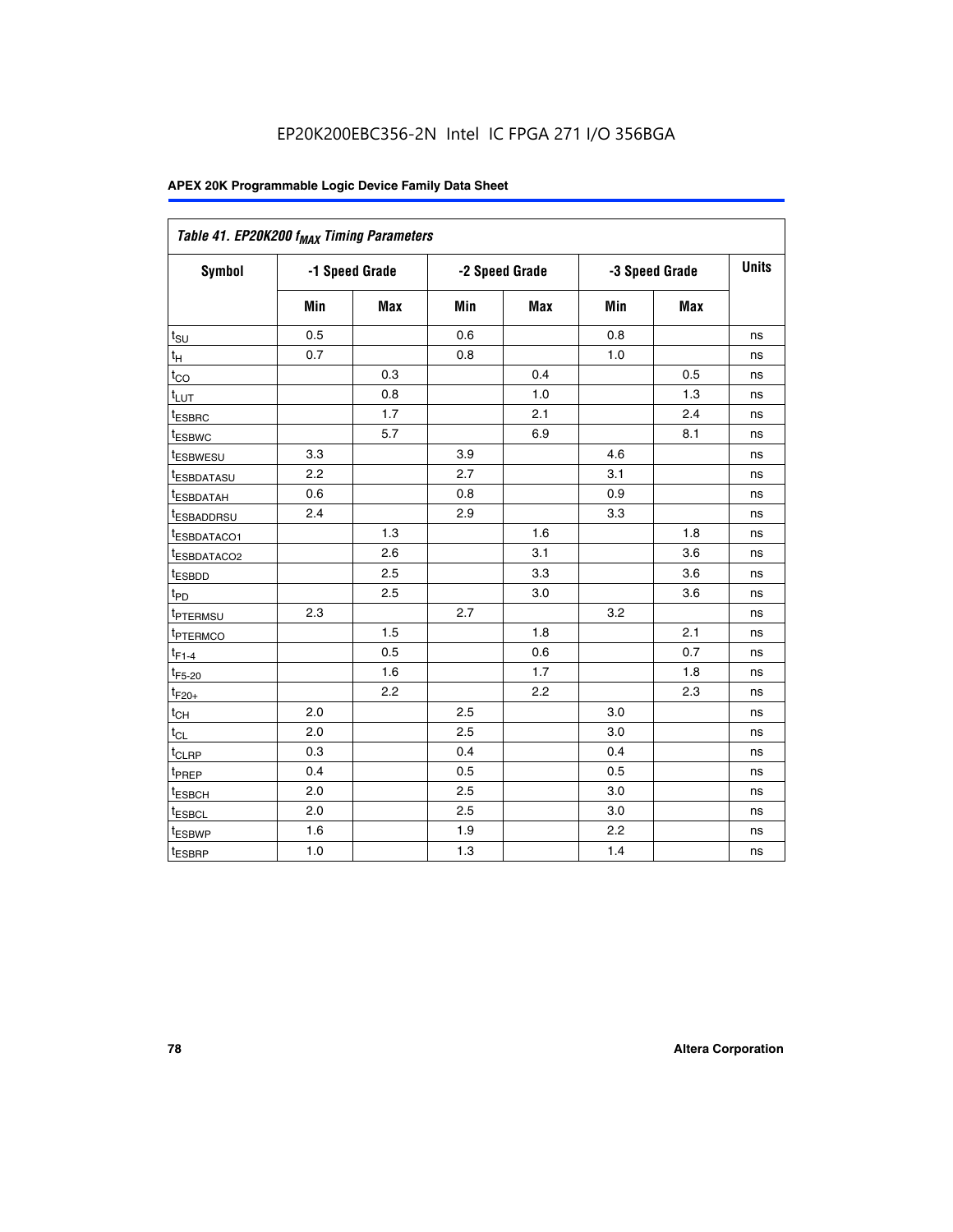| Table 41. EP20K200 f <sub>MAX</sub> Timing Parameters |                |     |     |                |     |                |    |
|-------------------------------------------------------|----------------|-----|-----|----------------|-----|----------------|----|
| Symbol                                                | -1 Speed Grade |     |     | -2 Speed Grade |     | -3 Speed Grade |    |
|                                                       | Min            | Max | Min | <b>Max</b>     | Min | Max            |    |
| $t_{\text{SU}}$                                       | 0.5            |     | 0.6 |                | 0.8 |                | ns |
| $t_H$                                                 | 0.7            |     | 0.8 |                | 1.0 |                | ns |
| $t_{CO}$                                              |                | 0.3 |     | 0.4            |     | 0.5            | ns |
| $t_{LUT}$                                             |                | 0.8 |     | 1.0            |     | 1.3            | ns |
| t <sub>ESBRC</sub>                                    |                | 1.7 |     | 2.1            |     | 2.4            | ns |
| t <sub>ESBWC</sub>                                    |                | 5.7 |     | 6.9            |     | 8.1            | ns |
| t <sub>ESBWESU</sub>                                  | 3.3            |     | 3.9 |                | 4.6 |                | ns |
| <sup>t</sup> ESBDATASU                                | 2.2            |     | 2.7 |                | 3.1 |                | ns |
| t <sub>ESBDATAH</sub>                                 | 0.6            |     | 0.8 |                | 0.9 |                | ns |
| t <sub>ESBADDRSU</sub>                                | 2.4            |     | 2.9 |                | 3.3 |                | ns |
| <u>t<sub>ESBDATACO1</sub></u>                         |                | 1.3 |     | 1.6            |     | 1.8            | ns |
| <sup>t</sup> ESBDATACO2                               |                | 2.6 |     | 3.1            |     | 3.6            | ns |
| t <sub>ESBDD</sub>                                    |                | 2.5 |     | 3.3            |     | 3.6            | ns |
| t <sub>PD</sub>                                       |                | 2.5 |     | 3.0            |     | 3.6            | ns |
| t <sub>PTERMSU</sub>                                  | 2.3            |     | 2.7 |                | 3.2 |                | ns |
| t <sub>PTERMCO</sub>                                  |                | 1.5 |     | 1.8            |     | 2.1            | ns |
| $t_{F1-4}$                                            |                | 0.5 |     | 0.6            |     | 0.7            | ns |
| $t_{F5-20}$                                           |                | 1.6 |     | 1.7            |     | 1.8            | ns |
| $t_{F20+}$                                            |                | 2.2 |     | 2.2            |     | 2.3            | ns |
| $\textnormal{t}_{\textnormal{CH}}$                    | 2.0            |     | 2.5 |                | 3.0 |                | ns |
| $t_{CL}$                                              | 2.0            |     | 2.5 |                | 3.0 |                | ns |
| t <sub>CLRP</sub>                                     | 0.3            |     | 0.4 |                | 0.4 |                | ns |
| t <sub>PREP</sub>                                     | 0.4            |     | 0.5 |                | 0.5 |                | ns |
| t <sub>ESBCH</sub>                                    | 2.0            |     | 2.5 |                | 3.0 |                | ns |
| t <sub>ESBCL</sub>                                    | 2.0            |     | 2.5 |                | 3.0 |                | ns |
| t <sub>ESBWP</sub>                                    | 1.6            |     | 1.9 |                | 2.2 |                | ns |
| t <sub>ESBRP</sub>                                    | 1.0            |     | 1.3 |                | 1.4 |                | ns |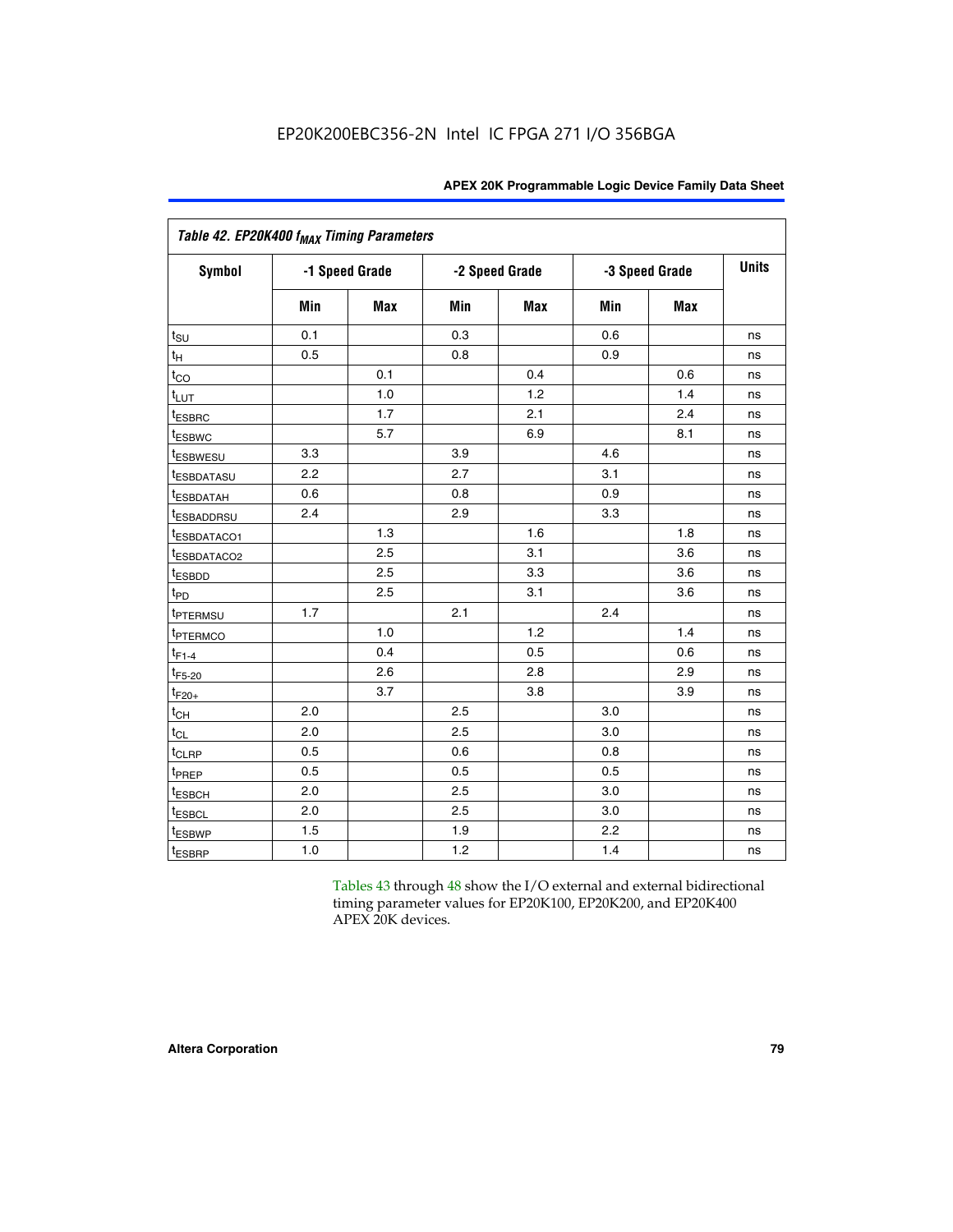|                           | Table 42. EP20K400 f <sub>MAX</sub> Timing Parameters |                |     |                |     |                |              |  |  |  |  |  |
|---------------------------|-------------------------------------------------------|----------------|-----|----------------|-----|----------------|--------------|--|--|--|--|--|
| <b>Symbol</b>             |                                                       | -1 Speed Grade |     | -2 Speed Grade |     | -3 Speed Grade | <b>Units</b> |  |  |  |  |  |
|                           | Min                                                   | Max            | Min | Max            | Min | <b>Max</b>     |              |  |  |  |  |  |
| $t_{\text{SU}}$           | 0.1                                                   |                | 0.3 |                | 0.6 |                | ns           |  |  |  |  |  |
| $t_H$                     | 0.5                                                   |                | 0.8 |                | 0.9 |                | ns           |  |  |  |  |  |
| $t_{CO}$                  |                                                       | 0.1            |     | 0.4            |     | 0.6            | ns           |  |  |  |  |  |
| $t_{LUT}$                 |                                                       | 1.0            |     | 1.2            |     | 1.4            | ns           |  |  |  |  |  |
| t <sub>ESBRC</sub>        |                                                       | 1.7            |     | 2.1            |     | 2.4            | ns           |  |  |  |  |  |
| <i>t</i> <sub>ESBWC</sub> |                                                       | 5.7            |     | 6.9            |     | 8.1            | ns           |  |  |  |  |  |
| <i>t</i> ESBWESU          | 3.3                                                   |                | 3.9 |                | 4.6 |                | ns           |  |  |  |  |  |
| <sup>t</sup> ESBDATASU    | 2.2                                                   |                | 2.7 |                | 3.1 |                | ns           |  |  |  |  |  |
| <b><i>ESBDATAH</i></b>    | 0.6                                                   |                | 0.8 |                | 0.9 |                | ns           |  |  |  |  |  |
| <sup>t</sup> ESBADDRSU    | 2.4                                                   |                | 2.9 |                | 3.3 |                | ns           |  |  |  |  |  |
| <sup>t</sup> ESBDATACO1   |                                                       | 1.3            |     | 1.6            |     | 1.8            | ns           |  |  |  |  |  |
| t <sub>ESBDATACO2</sub>   |                                                       | 2.5            |     | 3.1            |     | 3.6            | ns           |  |  |  |  |  |
| t <sub>ESBDD</sub>        |                                                       | 2.5            |     | 3.3            |     | 3.6            | ns           |  |  |  |  |  |
| t <sub>PD</sub>           |                                                       | 2.5            |     | 3.1            |     | 3.6            | ns           |  |  |  |  |  |
| t <sub>PTERMSU</sub>      | 1.7                                                   |                | 2.1 |                | 2.4 |                | ns           |  |  |  |  |  |
| <sup>t</sup> PTERMCO      |                                                       | 1.0            |     | 1.2            |     | 1.4            | ns           |  |  |  |  |  |
| $t_{F1-4}$                |                                                       | 0.4            |     | 0.5            |     | 0.6            | ns           |  |  |  |  |  |
| $t_{F5-20}$               |                                                       | 2.6            |     | 2.8            |     | 2.9            | ns           |  |  |  |  |  |
| $t_{F20+}$                |                                                       | 3.7            |     | 3.8            |     | 3.9            | ns           |  |  |  |  |  |
| $t_{CH}$                  | 2.0                                                   |                | 2.5 |                | 3.0 |                | ns           |  |  |  |  |  |
| $t_{CL}$                  | 2.0                                                   |                | 2.5 |                | 3.0 |                | ns           |  |  |  |  |  |
| t <sub>CLRP</sub>         | 0.5                                                   |                | 0.6 |                | 0.8 |                | ns           |  |  |  |  |  |
| t <sub>PREP</sub>         | 0.5                                                   |                | 0.5 |                | 0.5 |                | ns           |  |  |  |  |  |
| t <sub>ESBCH</sub>        | 2.0                                                   |                | 2.5 |                | 3.0 |                | ns           |  |  |  |  |  |
| t <sub>ESBCL</sub>        | 2.0                                                   |                | 2.5 |                | 3.0 |                | ns           |  |  |  |  |  |
| t <sub>ESBWP</sub>        | 1.5                                                   |                | 1.9 |                | 2.2 |                | ns           |  |  |  |  |  |
| t <sub>ESBRP</sub>        | 1.0                                                   |                | 1.2 |                | 1.4 |                | ns           |  |  |  |  |  |

Tables 43 through 48 show the I/O external and external bidirectional timing parameter values for EP20K100, EP20K200, and EP20K400 APEX 20K devices.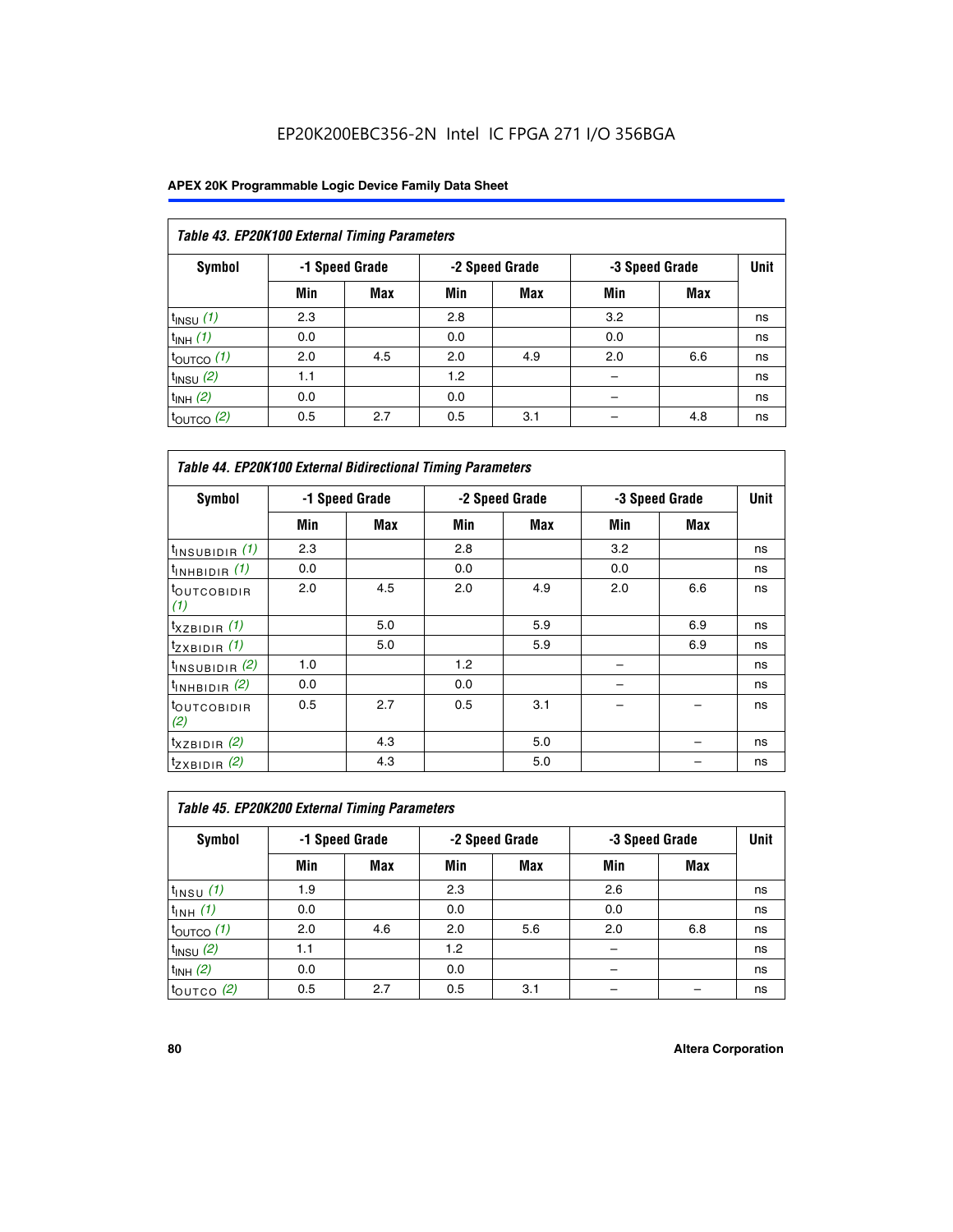| Table 43. EP20K100 External Timing Parameters |     |                |     |                |     |                |             |  |  |  |
|-----------------------------------------------|-----|----------------|-----|----------------|-----|----------------|-------------|--|--|--|
| Symbol                                        |     | -1 Speed Grade |     | -2 Speed Grade |     | -3 Speed Grade | <b>Unit</b> |  |  |  |
|                                               | Min | Max            | Min | <b>Max</b>     | Min | <b>Max</b>     |             |  |  |  |
| $t_{INSU}$ (1)                                | 2.3 |                | 2.8 |                | 3.2 |                | ns          |  |  |  |
| $t_{INH}$ (1)                                 | 0.0 |                | 0.0 |                | 0.0 |                | ns          |  |  |  |
| $t_{\text{OUTCO}}(1)$                         | 2.0 | 4.5            | 2.0 | 4.9            | 2.0 | 6.6            | ns          |  |  |  |
| $t_{INSU}(2)$                                 | 1.1 |                | 1.2 |                |     |                | ns          |  |  |  |
| $t_{INH}$ (2)                                 | 0.0 |                | 0.0 |                |     |                | ns          |  |  |  |
| $t_{\text{OUTCO}}$ (2)                        | 0.5 | 2.7            | 0.5 | 3.1            |     | 4.8            | ns          |  |  |  |

| <b>Table 44. EP20K100 External Bidirectional Timing Parameters</b> |     |                |     |                |     |                |    |
|--------------------------------------------------------------------|-----|----------------|-----|----------------|-----|----------------|----|
| Symbol                                                             |     | -1 Speed Grade |     | -2 Speed Grade |     | -3 Speed Grade |    |
|                                                                    | Min | Max            | Min | Max            | Min | Max            |    |
| $t_{\text{INSUBIDIR}}(1)$                                          | 2.3 |                | 2.8 |                | 3.2 |                | ns |
| $t_{INHBIDIR}$ (1)                                                 | 0.0 |                | 0.0 |                | 0.0 |                | ns |
| <sup>t</sup> OUTCOBIDIR<br>(1)                                     | 2.0 | 4.5            | 2.0 | 4.9            | 2.0 | 6.6            | ns |
| $t_{XZBIDIR}$ (1)                                                  |     | 5.0            |     | 5.9            |     | 6.9            | ns |
| $t_{ZXBIDIR}$ (1)                                                  |     | 5.0            |     | 5.9            |     | 6.9            | ns |
| $t_{INSUBIDIR}$ (2)                                                | 1.0 |                | 1.2 |                |     |                | ns |
| $t_{INHBIDIR}$ (2)                                                 | 0.0 |                | 0.0 |                |     |                | ns |
| <sup>t</sup> OUTCOBIDIR<br>(2)                                     | 0.5 | 2.7            | 0.5 | 3.1            |     |                | ns |
| $t_{XZBIDIR}$ (2)                                                  |     | 4.3            |     | 5.0            |     |                | ns |
| $t_{ZXBIDIR}$ (2)                                                  |     | 4.3            |     | 5.0            |     |                | ns |

| Table 45. EP20K200 External Timing Parameters |     |                |     |                |     |                |             |  |  |  |  |
|-----------------------------------------------|-----|----------------|-----|----------------|-----|----------------|-------------|--|--|--|--|
| Symbol                                        |     | -1 Speed Grade |     | -2 Speed Grade |     | -3 Speed Grade | <b>Unit</b> |  |  |  |  |
|                                               | Min | Max            | Min | <b>Max</b>     | Min | <b>Max</b>     |             |  |  |  |  |
| $t_{INSU}$ (1)                                | 1.9 |                | 2.3 |                | 2.6 |                | ns          |  |  |  |  |
| $t_{INH}$ (1)                                 | 0.0 |                | 0.0 |                | 0.0 |                | ns          |  |  |  |  |
| $t_{\text{OUTCO}}(1)$                         | 2.0 | 4.6            | 2.0 | 5.6            | 2.0 | 6.8            | ns          |  |  |  |  |
| $t_{INSU}$ (2)                                | 1.1 |                | 1.2 |                |     |                | ns          |  |  |  |  |
| $t_{INH}$ (2)                                 | 0.0 |                | 0.0 |                |     |                | ns          |  |  |  |  |
| $t_{\text{OUTCO}}$ (2)                        | 0.5 | 2.7            | 0.5 | 3.1            |     |                | ns          |  |  |  |  |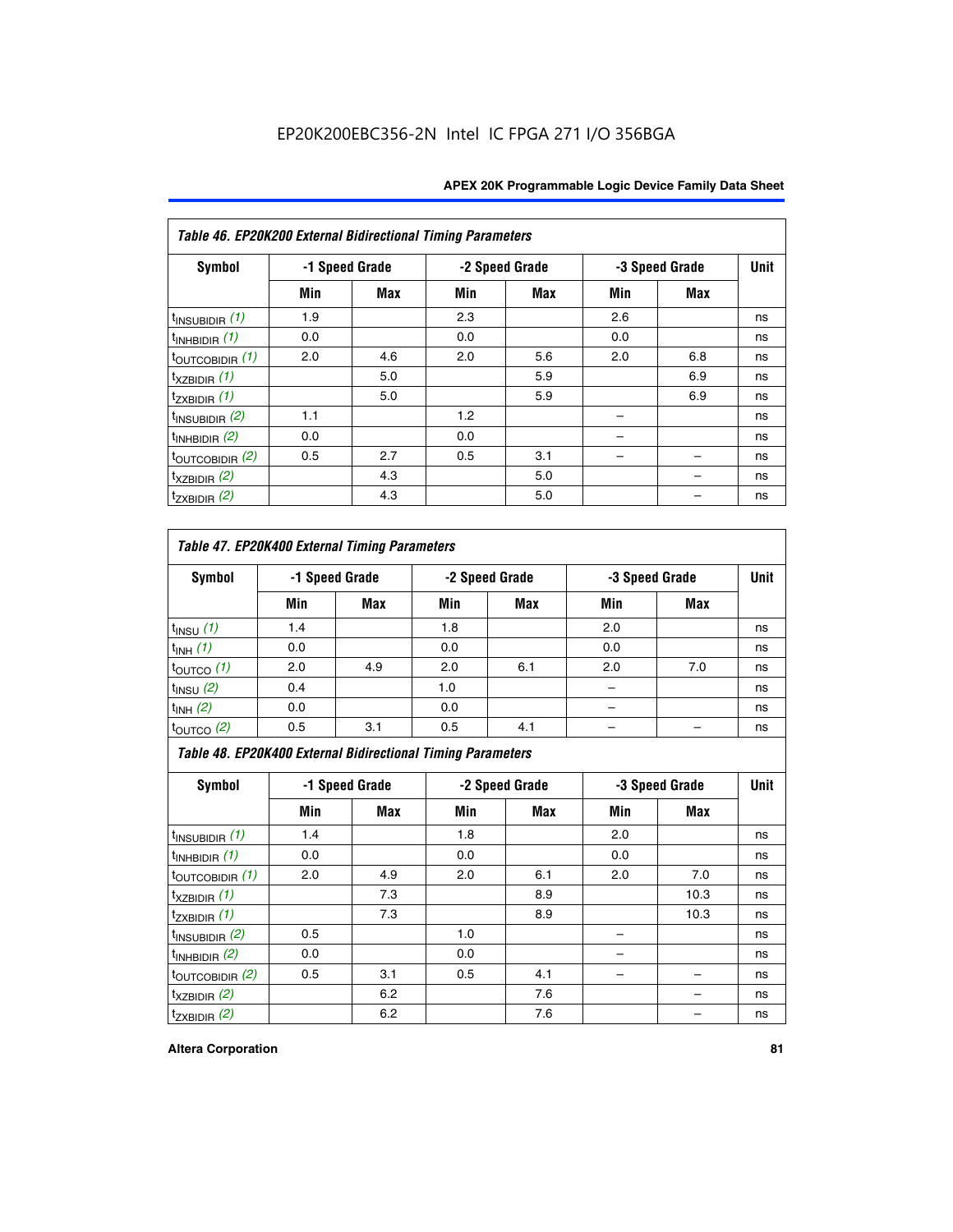| Table 46. EP20K200 External Bidirectional Timing Parameters |     |                |     |                |     |                |             |
|-------------------------------------------------------------|-----|----------------|-----|----------------|-----|----------------|-------------|
| Symbol                                                      |     | -1 Speed Grade |     | -2 Speed Grade |     | -3 Speed Grade | <b>Unit</b> |
|                                                             | Min | <b>Max</b>     | Min | Max            | Min | <b>Max</b>     |             |
| $t_{\text{INSUBIDIR}}(1)$                                   | 1.9 |                | 2.3 |                | 2.6 |                | ns          |
| $t_{INHBIDIR}$ (1)                                          | 0.0 |                | 0.0 |                | 0.0 |                | ns          |
| $t_{\text{OUTCOBIDIR}}(1)$                                  | 2.0 | 4.6            | 2.0 | 5.6            | 2.0 | 6.8            | ns          |
| $t_{XZBIDIR}$ (1)                                           |     | 5.0            |     | 5.9            |     | 6.9            | ns          |
| $t_{ZXBIDIR}$ (1)                                           |     | 5.0            |     | 5.9            |     | 6.9            | ns          |
| $t_{\text{INSUBIDIR}}(2)$                                   | 1.1 |                | 1.2 |                |     |                | ns          |
| $t_{INHBIDIR}$ (2)                                          | 0.0 |                | 0.0 |                |     |                | ns          |
| $t_{\text{OUTCOBIDIR}}$ (2)                                 | 0.5 | 2.7            | 0.5 | 3.1            |     |                | ns          |
| $t_{XZBIDIR}$ (2)                                           |     | 4.3            |     | 5.0            |     |                | ns          |
| $t_{ZXBIDIR}$ (2)                                           |     | 4.3            |     | 5.0            |     |                | ns          |

## *Table 47. EP20K400 External Timing Parameters*

| Symbol                | -1 Speed Grade<br>-2 Speed Grade |            | -3 Speed Grade |            | <b>Unit</b> |     |    |
|-----------------------|----------------------------------|------------|----------------|------------|-------------|-----|----|
|                       | Min                              | <b>Max</b> | Min            | <b>Max</b> | Min         | Max |    |
| $t_{INSU}$ (1)        | 1.4                              |            | 1.8            |            | 2.0         |     | ns |
| $t_{INH}$ (1)         | 0.0                              |            | 0.0            |            | 0.0         |     | ns |
| $t_{\text{OUTCO}}(1)$ | 2.0                              | 4.9        | 2.0            | 6.1        | 2.0         | 7.0 | ns |
| $t_{INSU}$ (2)        | 0.4                              |            | 1.0            |            |             |     | ns |
| $t_{INH}$ (2)         | 0.0                              |            | 0.0            |            | -           |     | ns |
| $t_{\text{OUTCO}}(2)$ | 0.5                              | 3.1        | 0.5            | 4.1        |             |     | ns |

*Table 48. EP20K400 External Bidirectional Timing Parameters*

| Symbol                      | -1 Speed Grade |     | -2 Speed Grade |            |     | -3 Speed Grade | <b>Unit</b> |
|-----------------------------|----------------|-----|----------------|------------|-----|----------------|-------------|
|                             | Min            | Max | Min            | <b>Max</b> | Min | <b>Max</b>     |             |
| $t_{\text{INSUBIDIR}}(1)$   | 1.4            |     | 1.8            |            | 2.0 |                | ns          |
| $t_{INHBIDIR}$ (1)          | 0.0            |     | 0.0            |            | 0.0 |                | ns          |
| $t_{\text{OUTCOBIDIR}}(1)$  | 2.0            | 4.9 | 2.0            | 6.1        | 2.0 | 7.0            | ns          |
| $t_{XZBIDIR}$ (1)           |                | 7.3 |                | 8.9        |     | 10.3           | ns          |
| $t_{ZXBIDIR}$ (1)           |                | 7.3 |                | 8.9        |     | 10.3           | ns          |
| $t_{\text{INSUBIDIR}}(2)$   | 0.5            |     | 1.0            |            |     |                | ns          |
| $t_{INHBIDIR}$ (2)          | 0.0            |     | 0.0            |            |     |                | ns          |
| $t_{\text{OUTCOBIDIR}}$ (2) | 0.5            | 3.1 | 0.5            | 4.1        |     |                | ns          |
| $t_{XZBIDIR}$ (2)           |                | 6.2 |                | 7.6        |     |                | ns          |
| $t_{ZXBIDIR}$ $(2)$         |                | 6.2 |                | 7.6        |     |                | ns          |

#### **Altera Corporation 81**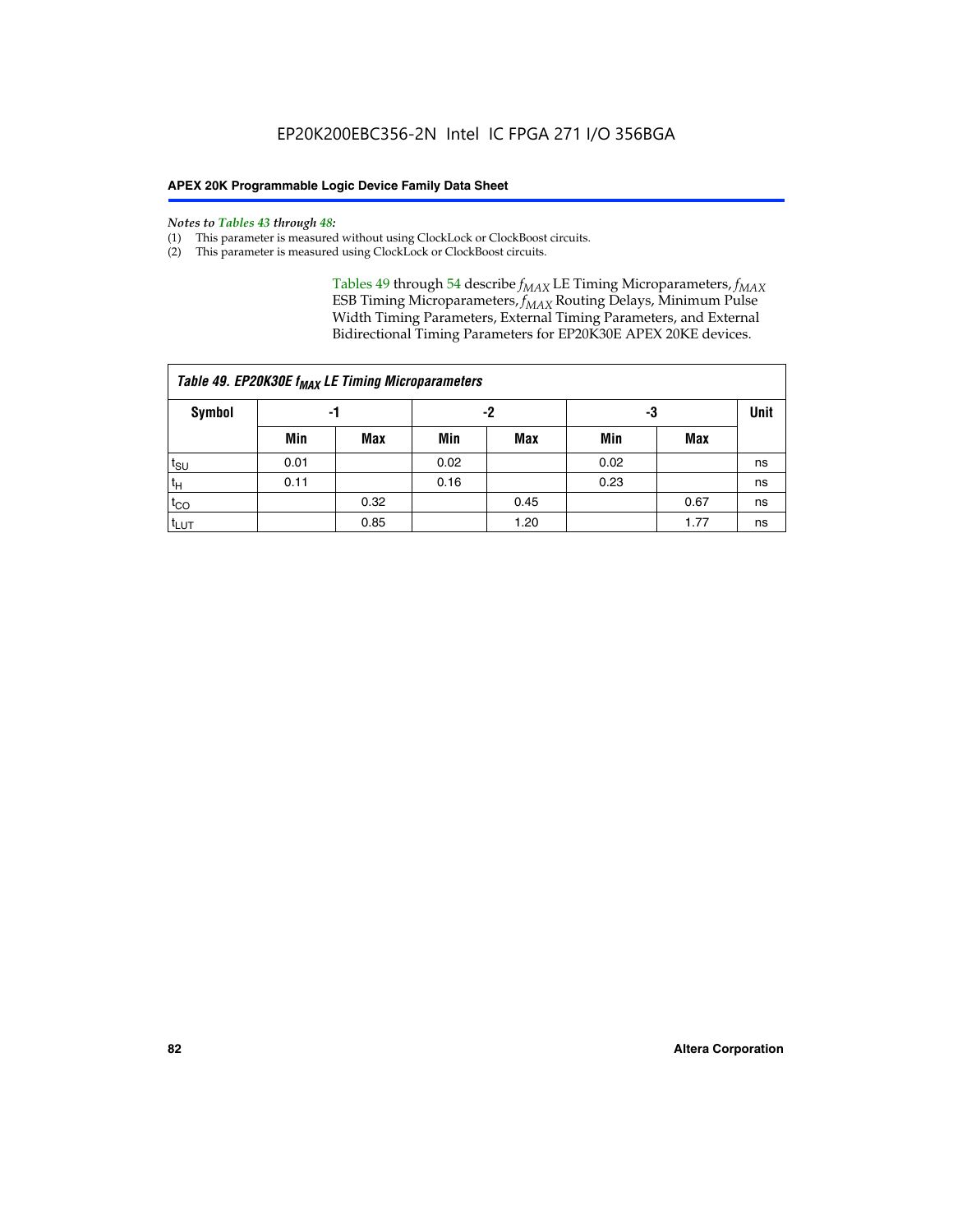#### *Notes to Tables 43 through 48:*

- (1) This parameter is measured without using ClockLock or ClockBoost circuits.
- (2) This parameter is measured using ClockLock or ClockBoost circuits.

Tables 49 through 54 describe  $f_{MAX}$  LE Timing Microparameters,  $f_{MAX}$ ESB Timing Microparameters, *f<sub>MAX</sub>* Routing Delays, Minimum Pulse Width Timing Parameters, External Timing Parameters, and External Bidirectional Timing Parameters for EP20K30E APEX 20KE devices.

| Table 49. EP20K30E f <sub>MAX</sub> LE Timing Microparameters |      |      |      |      |      |      |    |  |  |  |  |
|---------------------------------------------------------------|------|------|------|------|------|------|----|--|--|--|--|
| Symbol                                                        |      | -1   |      | -2   |      | -3   |    |  |  |  |  |
|                                                               | Min  | Max  | Min  | Max  | Min  | Max  |    |  |  |  |  |
| $t_{\text{SU}}$                                               | 0.01 |      | 0.02 |      | 0.02 |      | ns |  |  |  |  |
| $t_H$                                                         | 0.11 |      | 0.16 |      | 0.23 |      | ns |  |  |  |  |
| $t_{CO}$                                                      |      | 0.32 |      | 0.45 |      | 0.67 | ns |  |  |  |  |
| $t_{LUT}$                                                     |      | 0.85 |      | 1.20 |      | 1.77 | ns |  |  |  |  |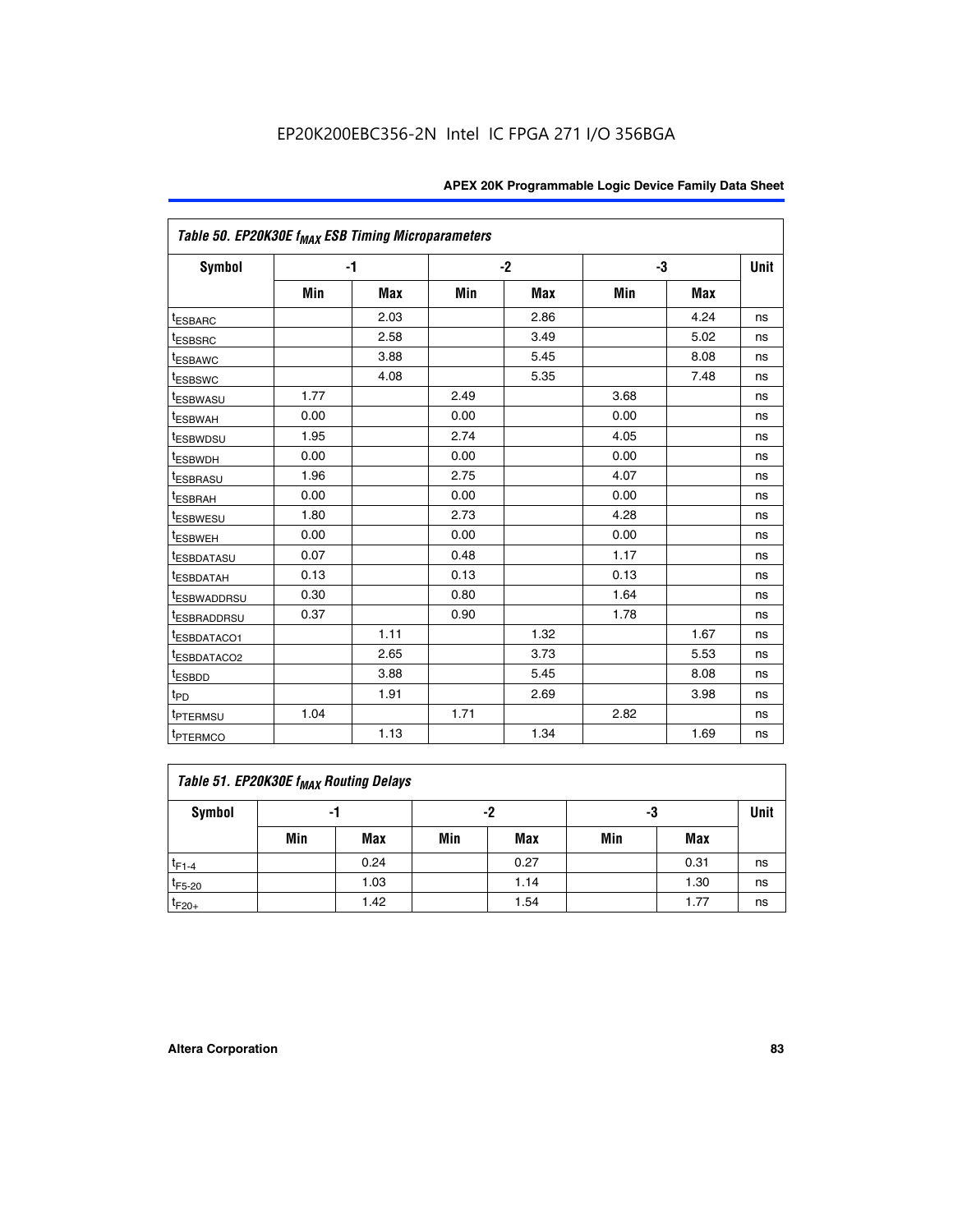| Table 50. EP20K30E f <sub>MAX</sub> ESB Timing Microparameters |      |      |      |            |      |            |             |
|----------------------------------------------------------------|------|------|------|------------|------|------------|-------------|
| <b>Symbol</b>                                                  |      | -1   |      | $-2$       |      | -3         | <b>Unit</b> |
|                                                                | Min  | Max  | Min  | <b>Max</b> | Min  | <b>Max</b> |             |
| <sup>t</sup> ESBARC                                            |      | 2.03 |      | 2.86       |      | 4.24       | ns          |
| <sup>t</sup> ESBSRC                                            |      | 2.58 |      | 3.49       |      | 5.02       | ns          |
| <sup>t</sup> ESBAWC                                            |      | 3.88 |      | 5.45       |      | 8.08       | ns          |
| <sup>t</sup> ESBSWC                                            |      | 4.08 |      | 5.35       |      | 7.48       | ns          |
| <sup>t</sup> ESBWASU                                           | 1.77 |      | 2.49 |            | 3.68 |            | ns          |
| <sup>t</sup> ESBWAH                                            | 0.00 |      | 0.00 |            | 0.00 |            | ns          |
| <sup>t</sup> ESBWDSU                                           | 1.95 |      | 2.74 |            | 4.05 |            | ns          |
| <sup>t</sup> ESBWDH                                            | 0.00 |      | 0.00 |            | 0.00 |            | ns          |
| <sup>t</sup> ESBRASU                                           | 1.96 |      | 2.75 |            | 4.07 |            | ns          |
| <sup>t</sup> ESBRAH                                            | 0.00 |      | 0.00 |            | 0.00 |            | ns          |
| <sup>t</sup> ESBWESU                                           | 1.80 |      | 2.73 |            | 4.28 |            | ns          |
| <sup>t</sup> ESBWEH                                            | 0.00 |      | 0.00 |            | 0.00 |            | ns          |
| t <sub>ESBDATASU</sub>                                         | 0.07 |      | 0.48 |            | 1.17 |            | ns          |
| <sup>t</sup> ESBDATAH                                          | 0.13 |      | 0.13 |            | 0.13 |            | ns          |
| <sup>t</sup> ESBWADDRSU                                        | 0.30 |      | 0.80 |            | 1.64 |            | ns          |
| <sup>t</sup> ESBRADDRSU                                        | 0.37 |      | 0.90 |            | 1.78 |            | ns          |
| ESBDATACO1                                                     |      | 1.11 |      | 1.32       |      | 1.67       | ns          |
| t <sub>ESBDATACO2</sub>                                        |      | 2.65 |      | 3.73       |      | 5.53       | ns          |
| <sup>t</sup> ESBDD                                             |      | 3.88 |      | 5.45       |      | 8.08       | ns          |
| t <sub>PD</sub>                                                |      | 1.91 |      | 2.69       |      | 3.98       | ns          |
| <sup>t</sup> PTERMSU                                           | 1.04 |      | 1.71 |            | 2.82 |            | ns          |
| t <sub>PTERMCO</sub>                                           |      | 1.13 |      | 1.34       |      | 1.69       | ns          |

## **Table 51. EP20K30E f<sub>MAX</sub> Routing Delays**

| Symbol      | - 1 |            | -2  |            | -3  |      | Unit |
|-------------|-----|------------|-----|------------|-----|------|------|
|             | Min | <b>Max</b> | Min | <b>Max</b> | Min | Max  |      |
| $t_{F1-4}$  |     | 0.24       |     | 0.27       |     | 0.31 | ns   |
| $t_{F5-20}$ |     | 1.03       |     | 1.14       |     | 1.30 | ns   |
| $t_{F20+}$  |     | 1.42       |     | 1.54       |     | 1.77 | ns   |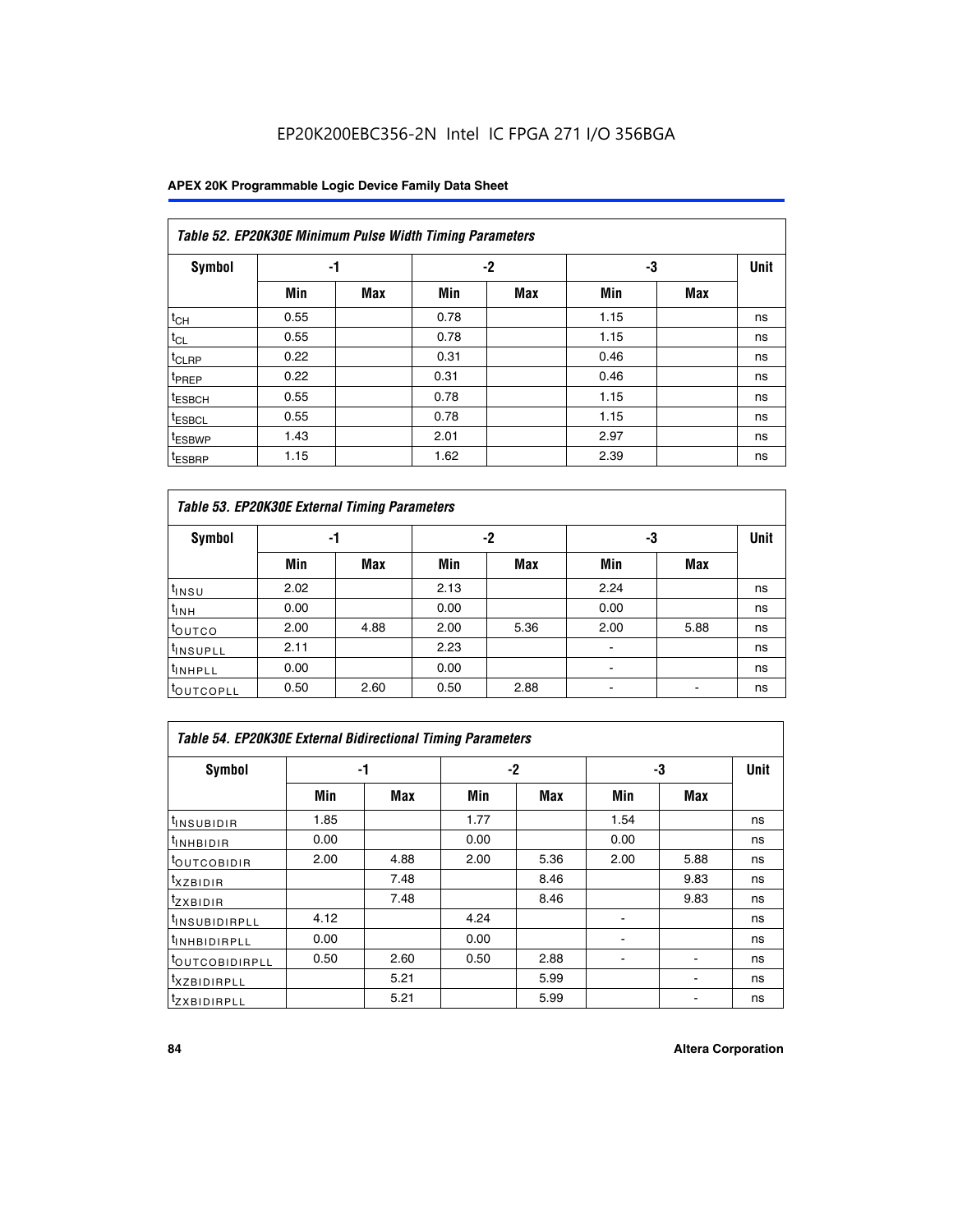### **APEX 20K Programmable Logic Device Family Data Sheet**

|                    | Table 52. EP20K30E Minimum Pulse Width Timing Parameters |                |      |            |             |     |    |  |  |  |  |  |
|--------------------|----------------------------------------------------------|----------------|------|------------|-------------|-----|----|--|--|--|--|--|
| <b>Symbol</b>      |                                                          | -2<br>-3<br>-1 |      |            | <b>Unit</b> |     |    |  |  |  |  |  |
|                    | Min                                                      | <b>Max</b>     | Min  | <b>Max</b> | Min         | Max |    |  |  |  |  |  |
| $t_{CH}$           | 0.55                                                     |                | 0.78 |            | 1.15        |     | ns |  |  |  |  |  |
| $t_{CL}$           | 0.55                                                     |                | 0.78 |            | 1.15        |     | ns |  |  |  |  |  |
| t <sub>CLRP</sub>  | 0.22                                                     |                | 0.31 |            | 0.46        |     | ns |  |  |  |  |  |
| <sup>t</sup> PREP  | 0.22                                                     |                | 0.31 |            | 0.46        |     | ns |  |  |  |  |  |
| t <sub>ESBCH</sub> | 0.55                                                     |                | 0.78 |            | 1.15        |     | ns |  |  |  |  |  |
| <sup>t</sup> ESBCL | 0.55                                                     |                | 0.78 |            | 1.15        |     | ns |  |  |  |  |  |
| <sup>t</sup> ESBWP | 1.43                                                     |                | 2.01 |            | 2.97        |     | ns |  |  |  |  |  |
| <sup>t</sup> ESBRP | 1.15                                                     |                | 1.62 |            | 2.39        |     | ns |  |  |  |  |  |

| Table 53. EP20K30E External Timing Parameters |      |            |      |            |                |            |             |  |  |  |  |
|-----------------------------------------------|------|------------|------|------------|----------------|------------|-------------|--|--|--|--|
| <b>Symbol</b>                                 | -1   |            |      | -2         |                | -3         | <b>Unit</b> |  |  |  |  |
|                                               | Min  | <b>Max</b> | Min  | <b>Max</b> | Min            | <b>Max</b> |             |  |  |  |  |
| t <sub>INSU</sub>                             | 2.02 |            | 2.13 |            | 2.24           |            | ns          |  |  |  |  |
| $t_{\text{INH}}$                              | 0.00 |            | 0.00 |            | 0.00           |            | ns          |  |  |  |  |
| toutco                                        | 2.00 | 4.88       | 2.00 | 5.36       | 2.00           | 5.88       | ns          |  |  |  |  |
| <sup>t</sup> INSUPLL                          | 2.11 |            | 2.23 |            |                |            | ns          |  |  |  |  |
| <sup>t</sup> INHPLL                           | 0.00 |            | 0.00 |            | $\blacksquare$ |            | ns          |  |  |  |  |
| <b>LOUTCOPLL</b>                              | 0.50 | 2.60       | 0.50 | 2.88       |                |            | ns          |  |  |  |  |

| Table 54. EP20K30E External Bidirectional Timing Parameters |      |      |      |      |                          |      |             |  |  |  |  |
|-------------------------------------------------------------|------|------|------|------|--------------------------|------|-------------|--|--|--|--|
| Symbol                                                      |      | -1   |      | $-2$ |                          | -3   | <b>Unit</b> |  |  |  |  |
|                                                             | Min  | Max  | Min  | Max  | Min                      | Max  |             |  |  |  |  |
| <sup>t</sup> INSUBIDIR                                      | 1.85 |      | 1.77 |      | 1.54                     |      | ns          |  |  |  |  |
| <b>INHBIDIR</b>                                             | 0.00 |      | 0.00 |      | 0.00                     |      | ns          |  |  |  |  |
| <b>LOUTCOBIDIR</b>                                          | 2.00 | 4.88 | 2.00 | 5.36 | 2.00                     | 5.88 | ns          |  |  |  |  |
| <sup>T</sup> XZBIDIR                                        |      | 7.48 |      | 8.46 |                          | 9.83 | ns          |  |  |  |  |
| <sup>t</sup> zxbidir                                        |      | 7.48 |      | 8.46 |                          | 9.83 | ns          |  |  |  |  |
| <sup>I</sup> INSUBIDIRPLL                                   | 4.12 |      | 4.24 |      | $\overline{\phantom{0}}$ |      | ns          |  |  |  |  |
| <b>INHBIDIRPLL</b>                                          | 0.00 |      | 0.00 |      |                          |      | ns          |  |  |  |  |
| <b><i>COUTCOBIDIRPLL</i></b>                                | 0.50 | 2.60 | 0.50 | 2.88 |                          |      | ns          |  |  |  |  |
| <sup>I</sup> XZBIDIRPLL                                     |      | 5.21 |      | 5.99 |                          |      | ns          |  |  |  |  |
| <sup>I</sup> ZXBIDIRPLL                                     |      | 5.21 |      | 5.99 |                          |      | ns          |  |  |  |  |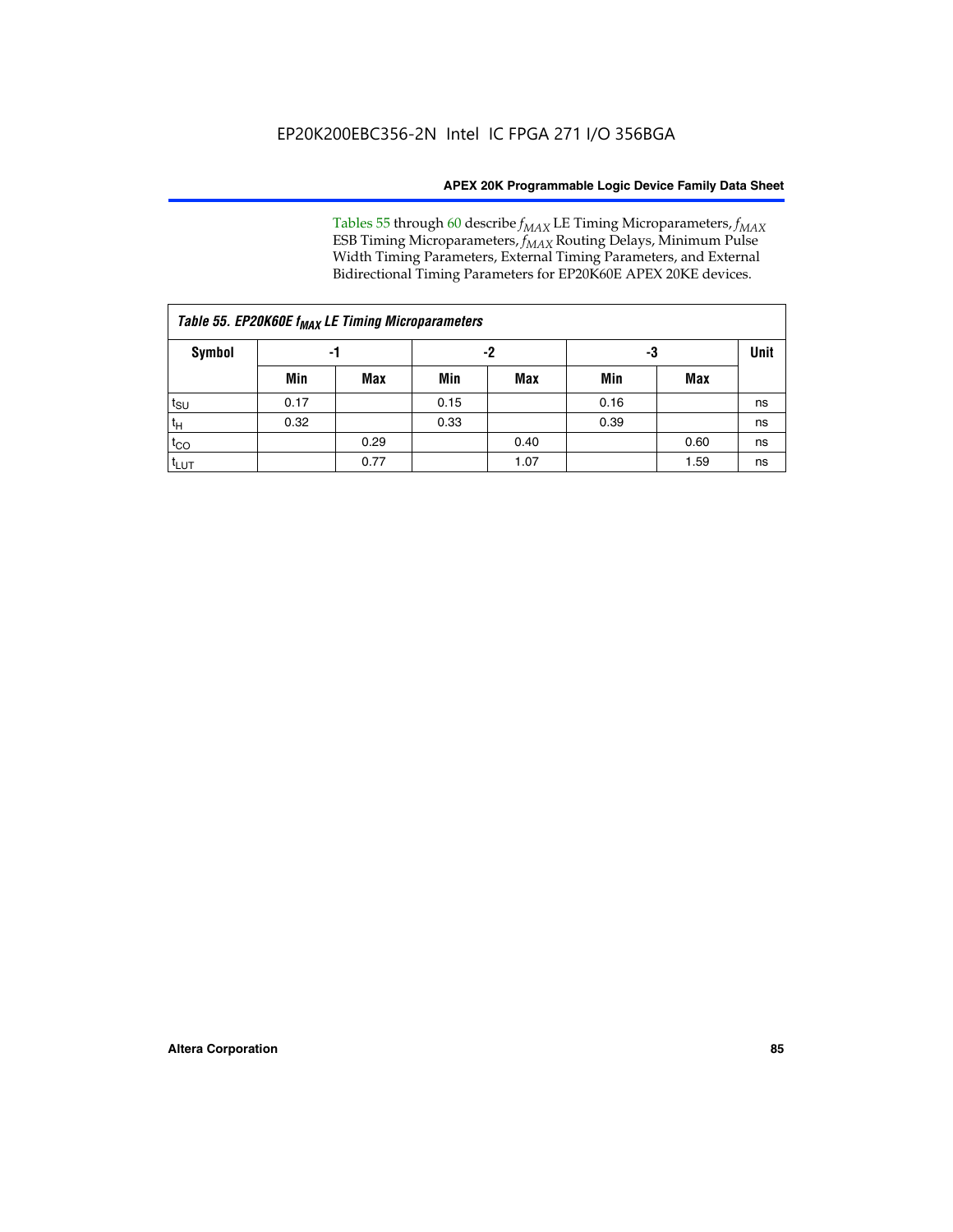Tables 55 through 60 describe *f<sub>MAX</sub>* LE Timing Microparameters, *f<sub>MAX</sub>* ESB Timing Microparameters, *f<sub>MAX</sub>* Routing Delays, Minimum Pulse Width Timing Parameters, External Timing Parameters, and External Bidirectional Timing Parameters for EP20K60E APEX 20KE devices.

| Table 55. EP20K60E f <sub>MAX</sub> LE Timing Microparameters |      |      |      |      |      |      |    |  |  |  |  |
|---------------------------------------------------------------|------|------|------|------|------|------|----|--|--|--|--|
| <b>Symbol</b>                                                 |      | -1   |      | -2   |      | -3   |    |  |  |  |  |
|                                                               | Min  | Max  | Min  | Max  | Min  | Max  |    |  |  |  |  |
| $t_{\text{SU}}$                                               | 0.17 |      | 0.15 |      | 0.16 |      | ns |  |  |  |  |
| $t_H$                                                         | 0.32 |      | 0.33 |      | 0.39 |      | ns |  |  |  |  |
| $t_{CO}$                                                      |      | 0.29 |      | 0.40 |      | 0.60 | ns |  |  |  |  |
| t <sub>lut</sub>                                              |      | 0.77 |      | 1.07 |      | 1.59 | ns |  |  |  |  |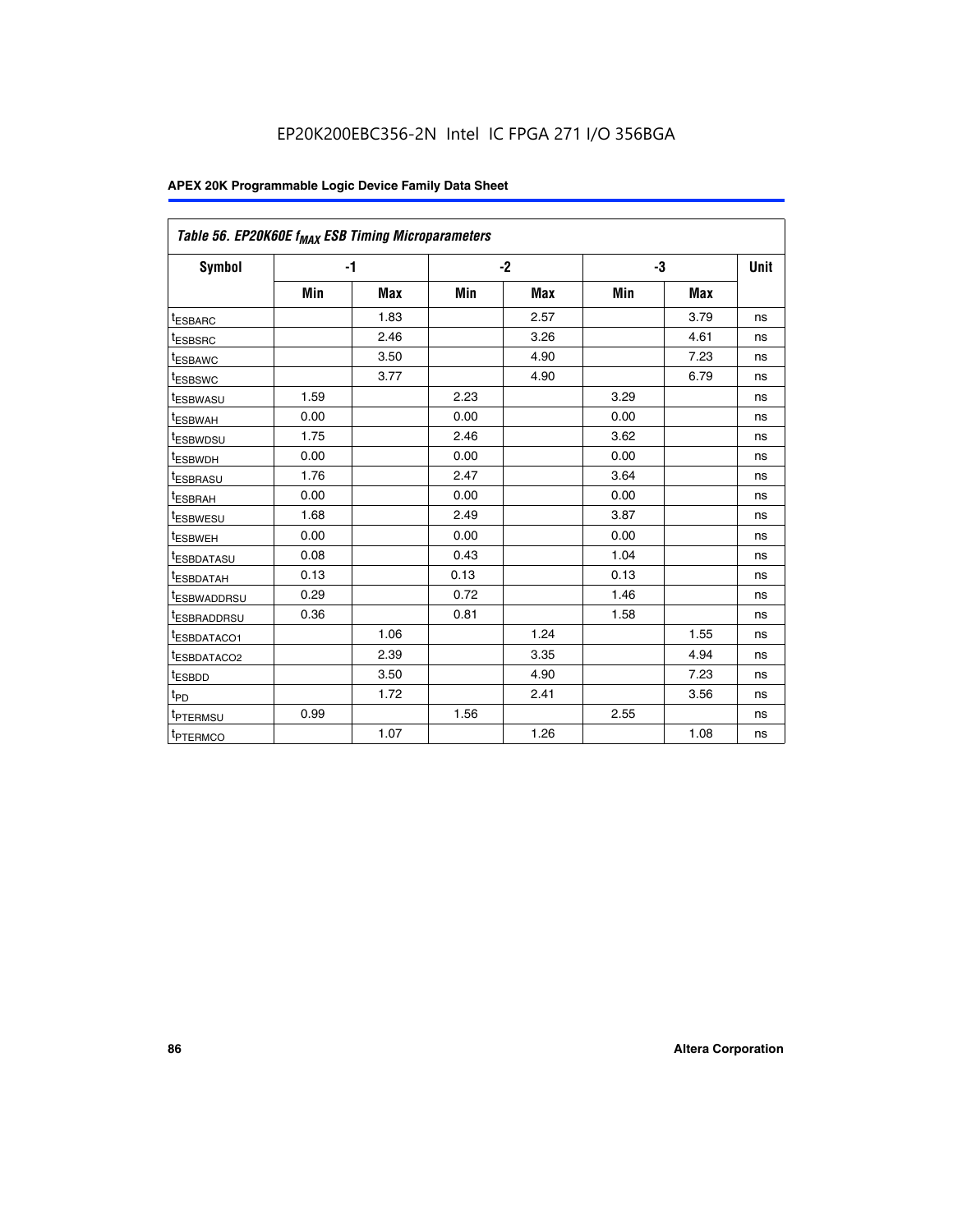| Table 56. EP20K60E f <sub>MAX</sub> ESB Timing Microparameters |      |      |      |      |      |            |      |
|----------------------------------------------------------------|------|------|------|------|------|------------|------|
| <b>Symbol</b>                                                  | $-1$ |      |      | $-2$ |      | -3         | Unit |
|                                                                | Min  | Max  | Min  | Max  | Min  | <b>Max</b> |      |
| <sup>t</sup> ESBARC                                            |      | 1.83 |      | 2.57 |      | 3.79       | ns   |
| t <sub>ESBSRC</sub>                                            |      | 2.46 |      | 3.26 |      | 4.61       | ns   |
| <sup>t</sup> ESBAWC                                            |      | 3.50 |      | 4.90 |      | 7.23       | ns   |
| t <sub>ESBSWC</sub>                                            |      | 3.77 |      | 4.90 |      | 6.79       | ns   |
| <sup>T</sup> ESBWASU                                           | 1.59 |      | 2.23 |      | 3.29 |            | ns   |
| <sup>t</sup> ESBWAH                                            | 0.00 |      | 0.00 |      | 0.00 |            | ns   |
| <sup>t</sup> ESBWDSU                                           | 1.75 |      | 2.46 |      | 3.62 |            | ns   |
| <sup>t</sup> ESBWDH                                            | 0.00 |      | 0.00 |      | 0.00 |            | ns   |
| <sup>t</sup> ESBRASU                                           | 1.76 |      | 2.47 |      | 3.64 |            | ns   |
| t <sub>ESBRAH</sub>                                            | 0.00 |      | 0.00 |      | 0.00 |            | ns   |
| <sup>t</sup> ESBWESU                                           | 1.68 |      | 2.49 |      | 3.87 |            | ns   |
| t <sub>ESBWEH</sub>                                            | 0.00 |      | 0.00 |      | 0.00 |            | ns   |
| <sup>t</sup> ESBDATASU                                         | 0.08 |      | 0.43 |      | 1.04 |            | ns   |
| <sup>t</sup> ESBDATAH                                          | 0.13 |      | 0.13 |      | 0.13 |            | ns   |
| <sup>t</sup> ESBWADDRSU                                        | 0.29 |      | 0.72 |      | 1.46 |            | ns   |
| <sup>t</sup> ESBRADDRSU                                        | 0.36 |      | 0.81 |      | 1.58 |            | ns   |
| <sup>I</sup> ESBDATACO1                                        |      | 1.06 |      | 1.24 |      | 1.55       | ns   |
| t <sub>ESBDATACO2</sub>                                        |      | 2.39 |      | 3.35 |      | 4.94       | ns   |
| <sup>t</sup> ESBDD                                             |      | 3.50 |      | 4.90 |      | 7.23       | ns   |
| t <sub>PD</sub>                                                |      | 1.72 |      | 2.41 |      | 3.56       | ns   |
| t <sub>PTERMSU</sub>                                           | 0.99 |      | 1.56 |      | 2.55 |            | ns   |
| t <sub>PTERMCO</sub>                                           |      | 1.07 |      | 1.26 |      | 1.08       | ns   |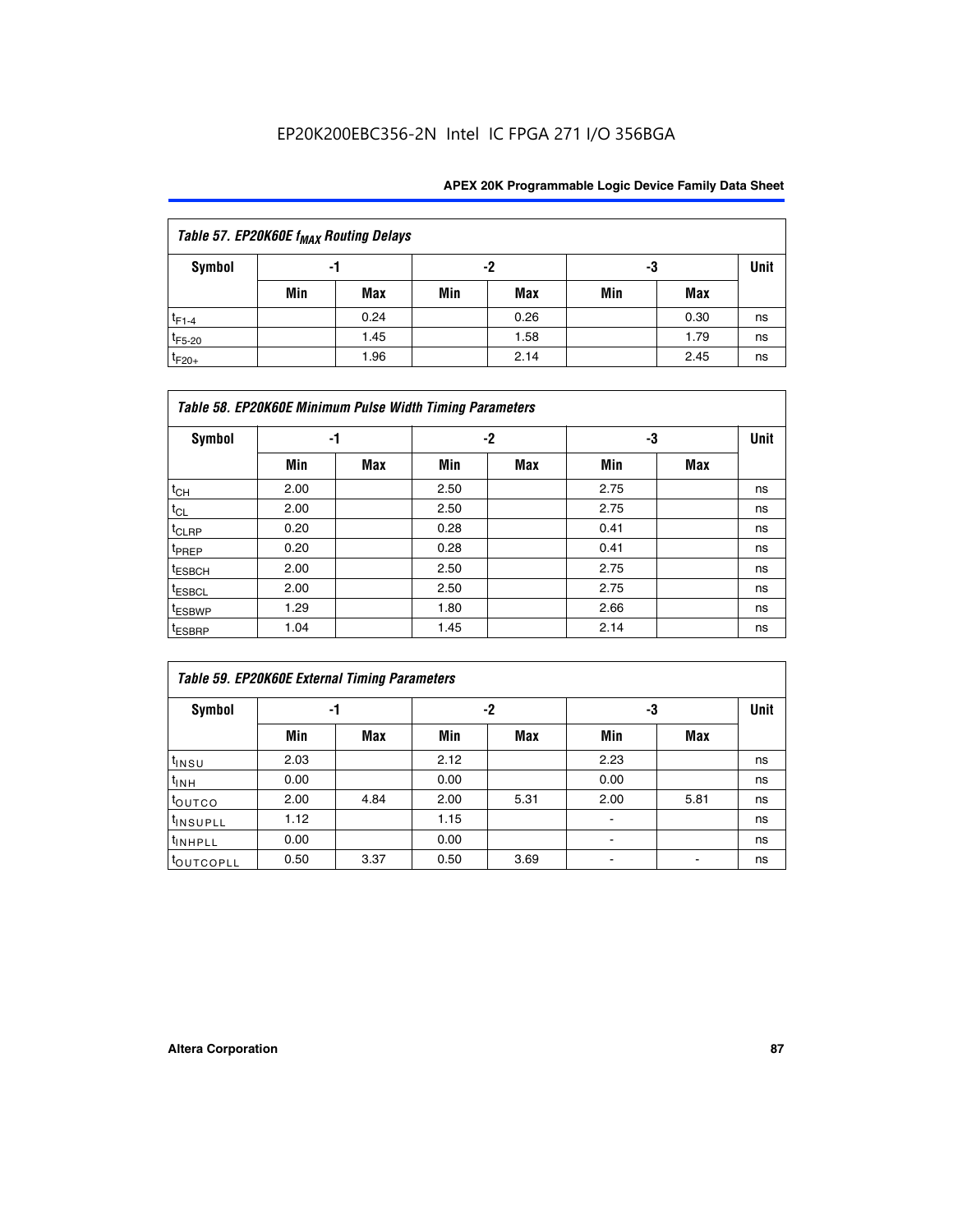| Table 57. EP20K60E f <sub>MAX</sub> Routing Delays |     |      |     |      |     |             |    |  |  |  |  |
|----------------------------------------------------|-----|------|-----|------|-----|-------------|----|--|--|--|--|
| Symbol                                             |     | -1   |     | -2   | -3  | <b>Unit</b> |    |  |  |  |  |
|                                                    | Min | Max  | Min | Max  | Min | Max         |    |  |  |  |  |
| $t_{F1-4}$                                         |     | 0.24 |     | 0.26 |     | 0.30        | ns |  |  |  |  |
| $t_{F5-20}$                                        |     | 1.45 |     | 1.58 |     | 1.79        | ns |  |  |  |  |
| $t_{F20+}$                                         |     | 1.96 |     | 2.14 |     | 2.45        | ns |  |  |  |  |

|                    | Table 58. EP20K60E Minimum Pulse Width Timing Parameters |            |      |     |      |     |             |  |  |  |  |  |  |
|--------------------|----------------------------------------------------------|------------|------|-----|------|-----|-------------|--|--|--|--|--|--|
| Symbol             |                                                          | -1         |      | -2  |      | -3  | <b>Unit</b> |  |  |  |  |  |  |
|                    | Min                                                      | <b>Max</b> | Min  | Max | Min  | Max |             |  |  |  |  |  |  |
| $t_{CH}$           | 2.00                                                     |            | 2.50 |     | 2.75 |     | ns          |  |  |  |  |  |  |
| $t_{CL}$           | 2.00                                                     |            | 2.50 |     | 2.75 |     | ns          |  |  |  |  |  |  |
| $t_{CLRP}$         | 0.20                                                     |            | 0.28 |     | 0.41 |     | ns          |  |  |  |  |  |  |
| t <sub>PREP</sub>  | 0.20                                                     |            | 0.28 |     | 0.41 |     | ns          |  |  |  |  |  |  |
| <sup>t</sup> ESBCH | 2.00                                                     |            | 2.50 |     | 2.75 |     | ns          |  |  |  |  |  |  |
| <sup>t</sup> ESBCL | 2.00                                                     |            | 2.50 |     | 2.75 |     | ns          |  |  |  |  |  |  |
| <sup>t</sup> ESBWP | 1.29                                                     |            | 1.80 |     | 2.66 |     | ns          |  |  |  |  |  |  |
| <sup>t</sup> ESBRP | 1.04                                                     |            | 1.45 |     | 2.14 |     | ns          |  |  |  |  |  |  |

| <b>Table 59. EP20K60E External Timing Parameters</b> |      |      |      |      |      |      |      |  |  |  |  |  |
|------------------------------------------------------|------|------|------|------|------|------|------|--|--|--|--|--|
| Symbol                                               | -1   |      |      | -2   | -3   |      | Unit |  |  |  |  |  |
|                                                      | Min  | Max  | Min  | Max  | Min  | Max  |      |  |  |  |  |  |
| $t_{INSU}$                                           | 2.03 |      | 2.12 |      | 2.23 |      | ns   |  |  |  |  |  |
| $t_{INH}$                                            | 0.00 |      | 0.00 |      | 0.00 |      | ns   |  |  |  |  |  |
| toutco                                               | 2.00 | 4.84 | 2.00 | 5.31 | 2.00 | 5.81 | ns   |  |  |  |  |  |
| <sup>t</sup> INSUPLL                                 | 1.12 |      | 1.15 |      | ٠    |      | ns   |  |  |  |  |  |
| <sup>t</sup> INHPLL                                  | 0.00 |      | 0.00 |      | ۰    |      | ns   |  |  |  |  |  |
| toutcopll                                            | 0.50 | 3.37 | 0.50 | 3.69 |      |      | ns   |  |  |  |  |  |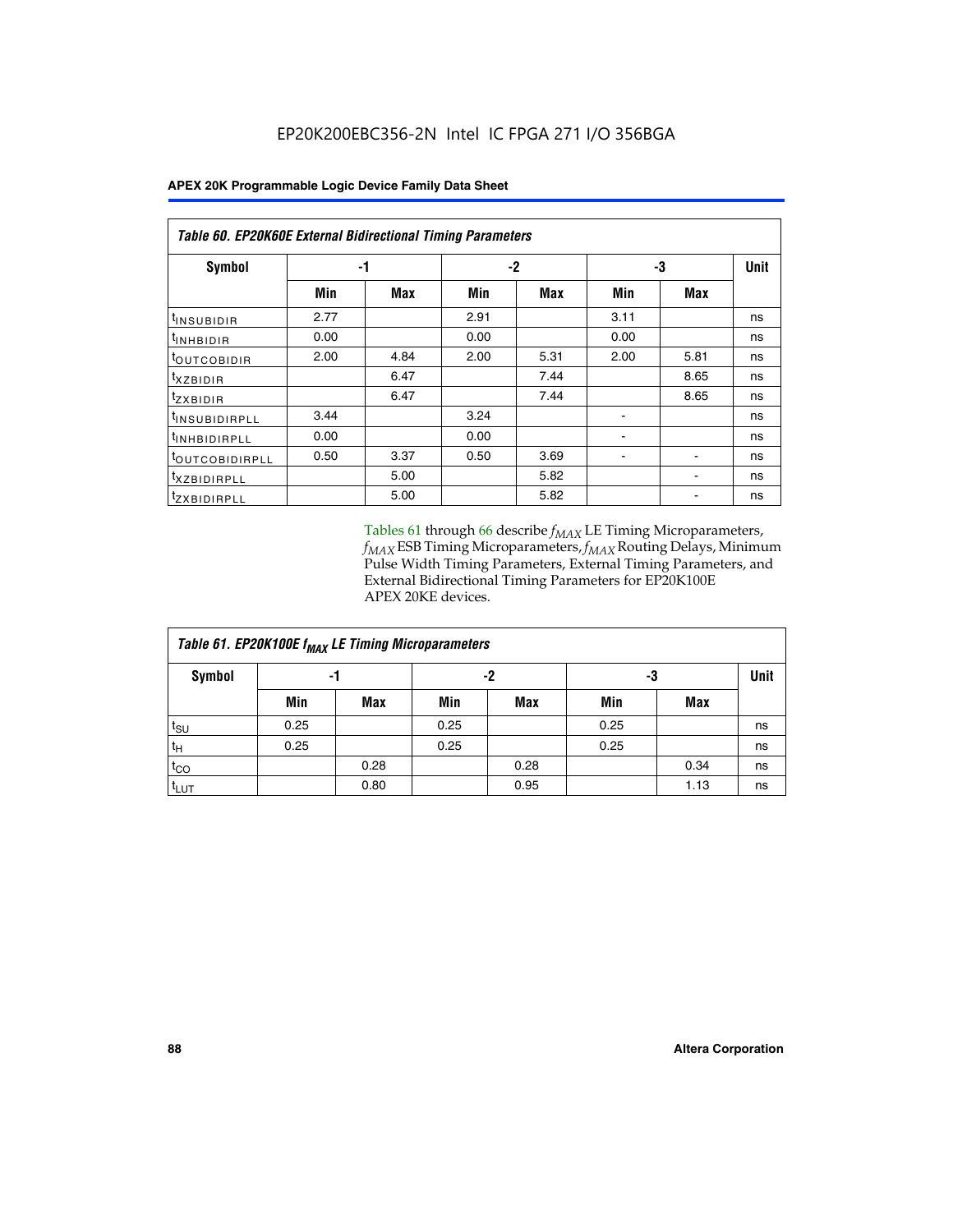| Table 60. EP20K60E External Bidirectional Timing Parameters |      |            |      |      |      |            |      |  |  |  |  |
|-------------------------------------------------------------|------|------------|------|------|------|------------|------|--|--|--|--|
| Symbol                                                      |      | -1         |      | -2   |      | -3         | Unit |  |  |  |  |
|                                                             | Min  | <b>Max</b> | Min  | Max  | Min  | <b>Max</b> |      |  |  |  |  |
| <sup>t</sup> INSUBIDIR                                      | 2.77 |            | 2.91 |      | 3.11 |            | ns   |  |  |  |  |
| $t_{\rm INHBIDIR}$                                          | 0.00 |            | 0.00 |      | 0.00 |            | ns   |  |  |  |  |
| <sup>t</sup> OUTCOBIDIR                                     | 2.00 | 4.84       | 2.00 | 5.31 | 2.00 | 5.81       | ns   |  |  |  |  |
| txzBIDIR                                                    |      | 6.47       |      | 7.44 |      | 8.65       | ns   |  |  |  |  |
| $t_{ZXBIDIR}$                                               |      | 6.47       |      | 7.44 |      | 8.65       | ns   |  |  |  |  |
| <sup>t</sup> INSUBIDIRPLL                                   | 3.44 |            | 3.24 |      |      |            | ns   |  |  |  |  |
| <sup>t</sup> INHBIDIRPLL                                    | 0.00 |            | 0.00 |      |      |            | ns   |  |  |  |  |
| <sup>t</sup> OUTCOBIDIRPLL                                  | 0.50 | 3.37       | 0.50 | 3.69 |      |            | ns   |  |  |  |  |
| <sup>t</sup> XZBIDIRPLL                                     |      | 5.00       |      | 5.82 |      |            | ns   |  |  |  |  |
| <sup>I</sup> ZXBIDIRPLL                                     |      | 5.00       |      | 5.82 |      |            | ns   |  |  |  |  |

Tables 61 through 66 describe  $f_{MAX}$  LE Timing Microparameters, *fMAX* ESB Timing Microparameters, *fMAX* Routing Delays, Minimum Pulse Width Timing Parameters, External Timing Parameters, and External Bidirectional Timing Parameters for EP20K100E APEX 20KE devices.

| Table 61. EP20K100E f <sub>MAX</sub> LE Timing Microparameters |      |      |      |            |      |            |             |  |  |  |  |
|----------------------------------------------------------------|------|------|------|------------|------|------------|-------------|--|--|--|--|
| <b>Symbol</b>                                                  |      | -1   |      | -2         |      | -3         | <b>Unit</b> |  |  |  |  |
|                                                                | Min  | Max  | Min  | <b>Max</b> | Min  | <b>Max</b> |             |  |  |  |  |
| $t_{\text{SU}}$                                                | 0.25 |      | 0.25 |            | 0.25 |            | ns          |  |  |  |  |
| tμ                                                             | 0.25 |      | 0.25 |            | 0.25 |            | ns          |  |  |  |  |
| $t_{CO}$                                                       |      | 0.28 |      | 0.28       |      | 0.34       | ns          |  |  |  |  |
| t <sub>LUT</sub>                                               |      | 0.80 |      | 0.95       |      | 1.13       | ns          |  |  |  |  |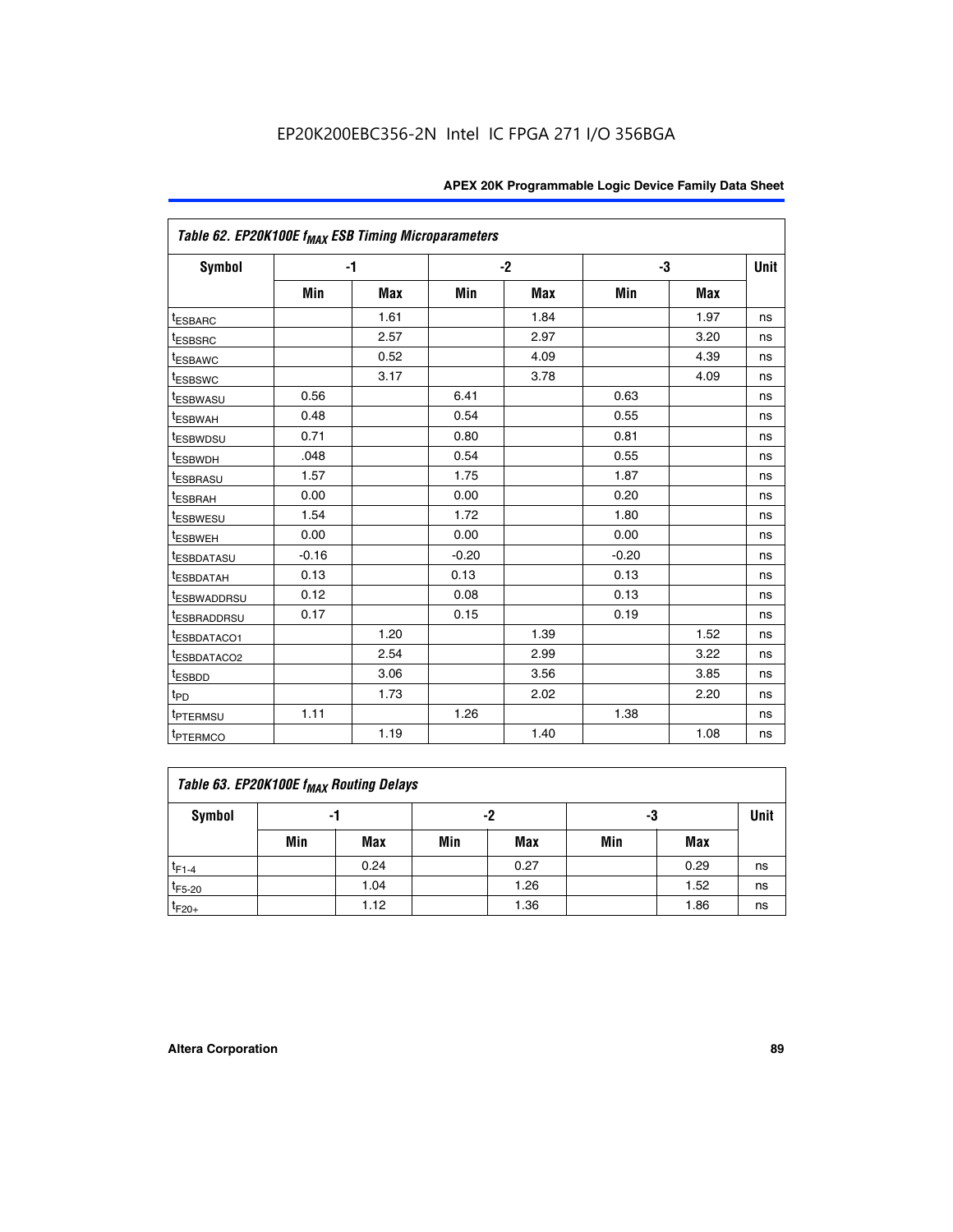| Table 62. EP20K100E f <sub>MAX</sub> ESB Timing Microparameters |         |      |         |            |         |            |             |
|-----------------------------------------------------------------|---------|------|---------|------------|---------|------------|-------------|
| Symbol                                                          |         | -1   |         | $-2$       |         | -3         | <b>Unit</b> |
|                                                                 | Min     | Max  | Min     | <b>Max</b> | Min     | <b>Max</b> |             |
| <sup>t</sup> ESBARC                                             |         | 1.61 |         | 1.84       |         | 1.97       | ns          |
| <sup>t</sup> ESBSRC                                             |         | 2.57 |         | 2.97       |         | 3.20       | ns          |
| <sup>t</sup> ESBAWC                                             |         | 0.52 |         | 4.09       |         | 4.39       | ns          |
| <sup>t</sup> ESBSWC                                             |         | 3.17 |         | 3.78       |         | 4.09       | ns          |
| <sup>t</sup> ESBWASU                                            | 0.56    |      | 6.41    |            | 0.63    |            | ns          |
| t <sub>ESBWAH</sub>                                             | 0.48    |      | 0.54    |            | 0.55    |            | ns          |
| <sup>t</sup> ESBWDSU                                            | 0.71    |      | 0.80    |            | 0.81    |            | ns          |
| <sup>t</sup> ESBWDH                                             | .048    |      | 0.54    |            | 0.55    |            | ns          |
| <sup>t</sup> ESBRASU                                            | 1.57    |      | 1.75    |            | 1.87    |            | ns          |
| <sup>t</sup> ESBRAH                                             | 0.00    |      | 0.00    |            | 0.20    |            | ns          |
| <sup>t</sup> ESBWESU                                            | 1.54    |      | 1.72    |            | 1.80    |            | ns          |
| <sup>t</sup> ESBWEH                                             | 0.00    |      | 0.00    |            | 0.00    |            | ns          |
| <sup>t</sup> ESBDATASU                                          | $-0.16$ |      | $-0.20$ |            | $-0.20$ |            | ns          |
| <sup>t</sup> ESBDATAH                                           | 0.13    |      | 0.13    |            | 0.13    |            | ns          |
| <sup>T</sup> ESBWADDRSU                                         | 0.12    |      | 0.08    |            | 0.13    |            | ns          |
| <sup>T</sup> ESBRADDRSU                                         | 0.17    |      | 0.15    |            | 0.19    |            | ns          |
| <sup>I</sup> ESBDATACO1                                         |         | 1.20 |         | 1.39       |         | 1.52       | ns          |
| <sup>t</sup> ESBDATACO2                                         |         | 2.54 |         | 2.99       |         | 3.22       | ns          |
| <sup>t</sup> ESBDD                                              |         | 3.06 |         | 3.56       |         | 3.85       | ns          |
| t <sub>PD</sub>                                                 |         | 1.73 |         | 2.02       |         | 2.20       | ns          |
| <sup>I</sup> PTERMSU                                            | 1.11    |      | 1.26    |            | 1.38    |            | ns          |
| t <sub>PTERMCO</sub>                                            |         | 1.19 |         | 1.40       |         | 1.08       | ns          |

| Table 63. EP20K100E f <sub>MAX</sub> Routing Delays |     |                |     |            |     |      |    |  |  |  |
|-----------------------------------------------------|-----|----------------|-----|------------|-----|------|----|--|--|--|
| Symbol                                              |     | -2<br>-3<br>-1 |     |            |     |      |    |  |  |  |
|                                                     | Min | Max            | Min | <b>Max</b> | Min | Max  |    |  |  |  |
| $t_{F1-4}$                                          |     | 0.24           |     | 0.27       |     | 0.29 | ns |  |  |  |
| $t_{F5-20}$                                         |     | 1.04           |     | 1.26       |     | 1.52 | ns |  |  |  |
| $t_{F20+}$                                          |     | 1.12           |     | 1.36       |     | 1.86 | ns |  |  |  |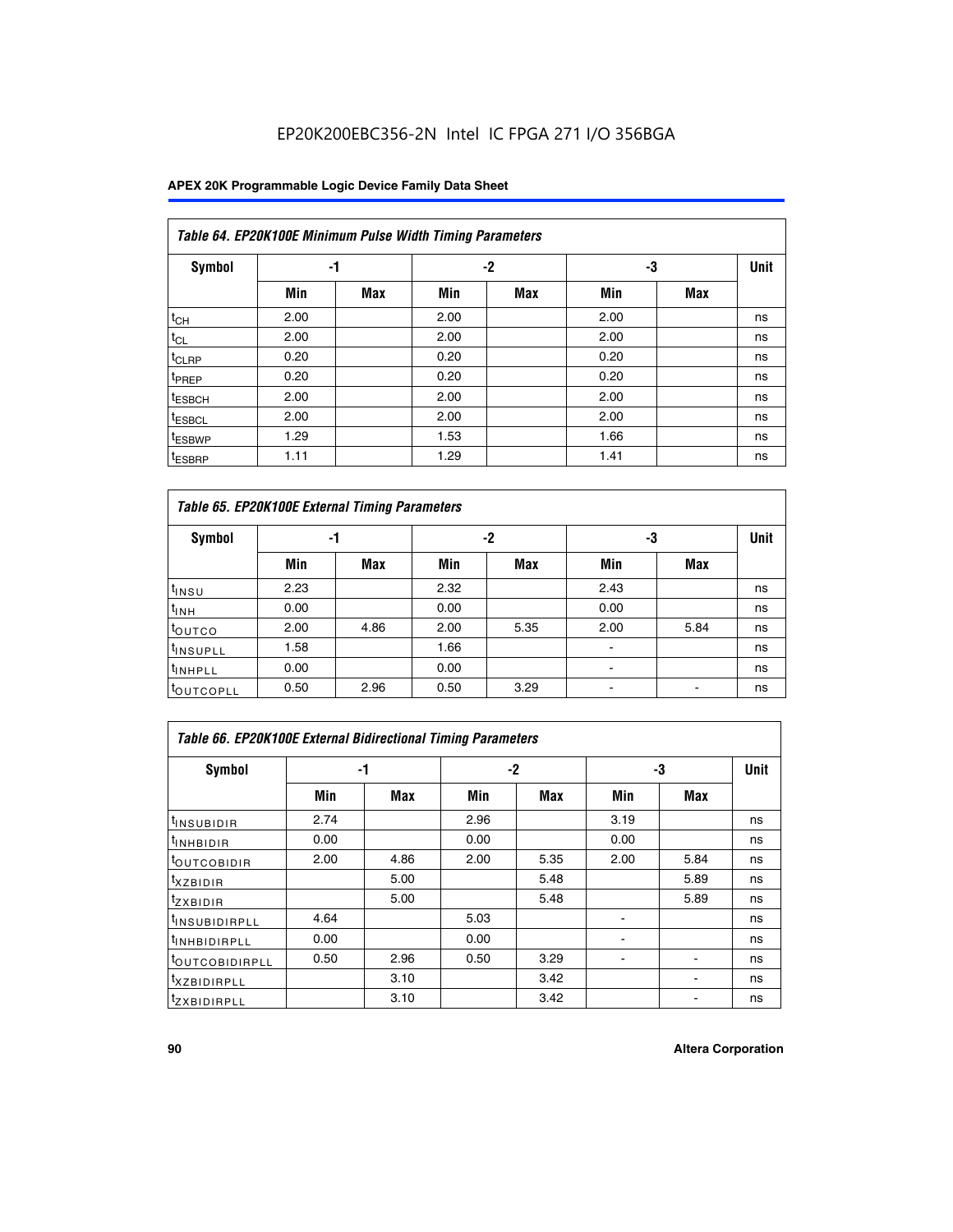| Table 64. EP20K100E Minimum Pulse Width Timing Parameters |      |            |      |            |      |            |             |  |  |  |  |  |
|-----------------------------------------------------------|------|------------|------|------------|------|------------|-------------|--|--|--|--|--|
| <b>Symbol</b>                                             | -1   |            |      | -2         | -3   |            | <b>Unit</b> |  |  |  |  |  |
|                                                           | Min  | <b>Max</b> | Min  | <b>Max</b> | Min  | <b>Max</b> |             |  |  |  |  |  |
| $t_{CH}$                                                  | 2.00 |            | 2.00 |            | 2.00 |            | ns          |  |  |  |  |  |
| $t_{CL}$                                                  | 2.00 |            | 2.00 |            | 2.00 |            | ns          |  |  |  |  |  |
| $t_{CLRP}$                                                | 0.20 |            | 0.20 |            | 0.20 |            | ns          |  |  |  |  |  |
| <sup>t</sup> PREP                                         | 0.20 |            | 0.20 |            | 0.20 |            | ns          |  |  |  |  |  |
| <sup>t</sup> ESBCH                                        | 2.00 |            | 2.00 |            | 2.00 |            | ns          |  |  |  |  |  |
| <sup>t</sup> ESBCL                                        | 2.00 |            | 2.00 |            | 2.00 |            | ns          |  |  |  |  |  |
| <sup>t</sup> ESBWP                                        | 1.29 |            | 1.53 |            | 1.66 |            | ns          |  |  |  |  |  |
| <sup>t</sup> ESBRP                                        | 1.11 |            | 1.29 |            | 1.41 |            | ns          |  |  |  |  |  |

|                      | Table 65. EP20K100E External Timing Parameters |            |      |            |                |            |    |  |  |  |  |  |
|----------------------|------------------------------------------------|------------|------|------------|----------------|------------|----|--|--|--|--|--|
| <b>Symbol</b>        | -1                                             |            |      | -2         |                | -3         |    |  |  |  |  |  |
|                      | Min                                            | <b>Max</b> | Min  | <b>Max</b> | Min            | <b>Max</b> |    |  |  |  |  |  |
| $t_{INSU}$           | 2.23                                           |            | 2.32 |            | 2.43           |            | ns |  |  |  |  |  |
| $t_{\rm INH}$        | 0.00                                           |            | 0.00 |            | 0.00           |            | ns |  |  |  |  |  |
| toutco               | 2.00                                           | 4.86       | 2.00 | 5.35       | 2.00           | 5.84       | ns |  |  |  |  |  |
| <sup>t</sup> INSUPLL | 1.58                                           |            | 1.66 |            |                |            | ns |  |  |  |  |  |
| <sup>t</sup> INHPLL  | 0.00                                           |            | 0.00 |            | $\blacksquare$ |            | ns |  |  |  |  |  |
| <b>LOUTCOPLL</b>     | 0.50                                           | 2.96       | 0.50 | 3.29       | -              |            | ns |  |  |  |  |  |

| <b>Table 66. EP20K100E External Bidirectional Timing Parameters</b> |      |      |      |      |      |                          |             |  |  |  |
|---------------------------------------------------------------------|------|------|------|------|------|--------------------------|-------------|--|--|--|
| Symbol                                                              |      | -1   | -2   |      | -3   |                          | <b>Unit</b> |  |  |  |
|                                                                     | Min  | Max  | Min  | Max  | Min  | Max                      |             |  |  |  |
| <sup>t</sup> INSUBIDIR                                              | 2.74 |      | 2.96 |      | 3.19 |                          | ns          |  |  |  |
| <sup>t</sup> INHBIDIR                                               | 0.00 |      | 0.00 |      | 0.00 |                          | ns          |  |  |  |
| <b>LOUTCOBIDIR</b>                                                  | 2.00 | 4.86 | 2.00 | 5.35 | 2.00 | 5.84                     | ns          |  |  |  |
| txzBIDIR                                                            |      | 5.00 |      | 5.48 |      | 5.89                     | ns          |  |  |  |
| <sup>t</sup> zxbidir                                                |      | 5.00 |      | 5.48 |      | 5.89                     | ns          |  |  |  |
| <sup>t</sup> INSUBIDIRPLL                                           | 4.64 |      | 5.03 |      |      |                          | ns          |  |  |  |
| <sup>t</sup> INHBIDIRPLL                                            | 0.00 |      | 0.00 |      |      |                          | ns          |  |  |  |
| <b><i>LOUTCOBIDIRPLL</i></b>                                        | 0.50 | 2.96 | 0.50 | 3.29 |      | $\overline{\phantom{a}}$ | ns          |  |  |  |
| <sup>t</sup> XZBIDIRPLL                                             |      | 3.10 |      | 3.42 |      |                          | ns          |  |  |  |
| <sup>I</sup> ZXBIDIRPLL                                             |      | 3.10 |      | 3.42 |      |                          | ns          |  |  |  |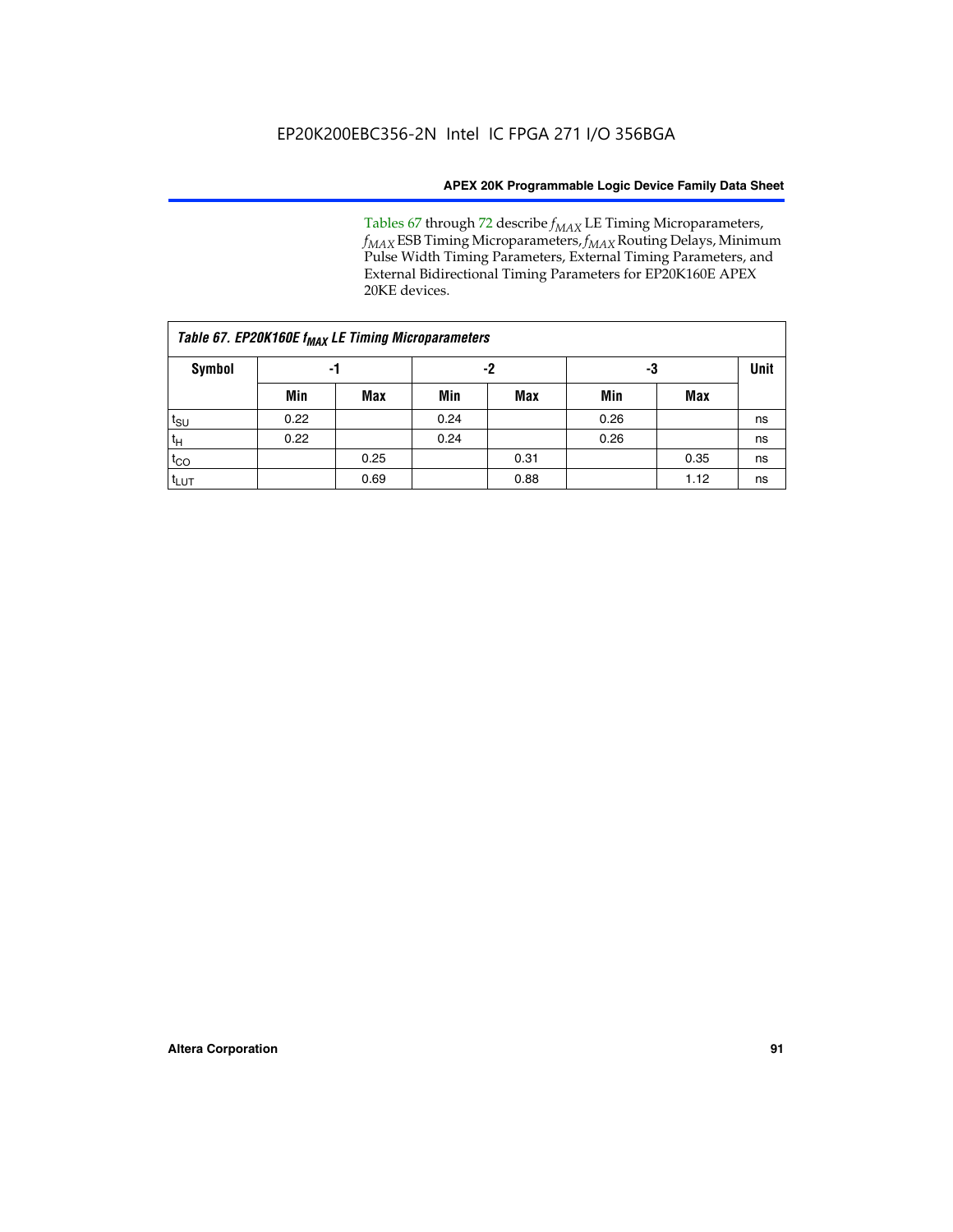Tables 67 through 72 describe *f<sub>MAX</sub>* LE Timing Microparameters, *f<sub>MAX</sub>* ESB Timing Microparameters, *f<sub>MAX</sub>* Routing Delays, Minimum Pulse Width Timing Parameters, External Timing Parameters, and External Bidirectional Timing Parameters for EP20K160E APEX 20KE devices.

| Table 67. EP20K160E f <sub>MAX</sub> LE Timing Microparameters |      |            |      |            |      |      |             |  |  |  |
|----------------------------------------------------------------|------|------------|------|------------|------|------|-------------|--|--|--|
| <b>Symbol</b>                                                  | -1   |            | -2   |            | -3   |      | <b>Unit</b> |  |  |  |
|                                                                | Min  | <b>Max</b> | Min  | <b>Max</b> | Min  | Max  |             |  |  |  |
| $t_{\text{SU}}$                                                | 0.22 |            | 0.24 |            | 0.26 |      | ns          |  |  |  |
| $t_H$                                                          | 0.22 |            | 0.24 |            | 0.26 |      | ns          |  |  |  |
| $t_{CO}$                                                       |      | 0.25       |      | 0.31       |      | 0.35 | ns          |  |  |  |
| t <sub>LUT</sub>                                               |      | 0.69       |      | 0.88       |      | 1.12 | ns          |  |  |  |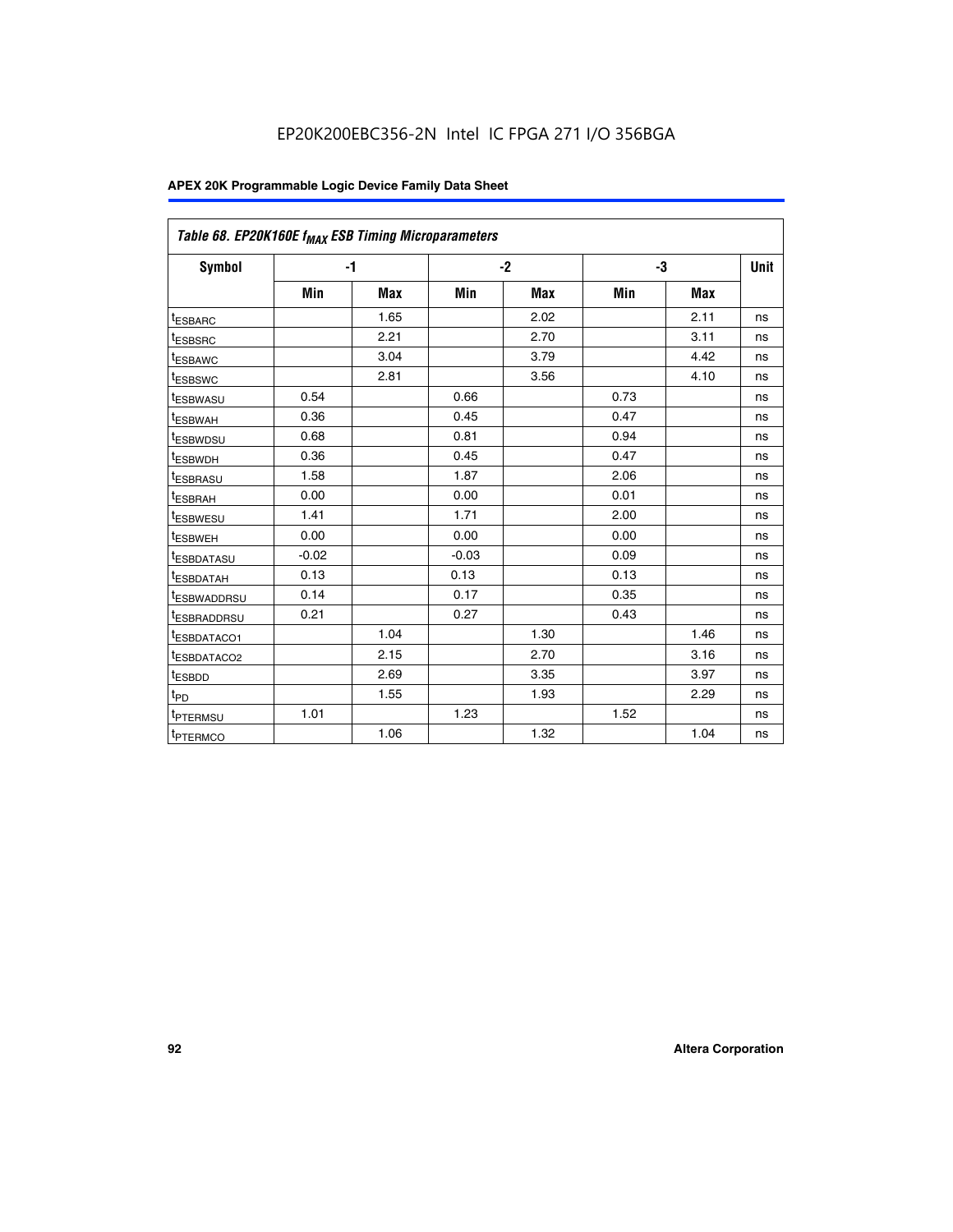| Table 68. EP20K160E f <sub>MAX</sub> ESB Timing Microparameters |         |            |         |            |      |      |      |
|-----------------------------------------------------------------|---------|------------|---------|------------|------|------|------|
| <b>Symbol</b>                                                   |         | $-1$       |         | $-2$       |      | -3   | Unit |
|                                                                 | Min     | <b>Max</b> | Min     | <b>Max</b> | Min  | Max  |      |
| <sup>t</sup> ESBARC                                             |         | 1.65       |         | 2.02       |      | 2.11 | ns   |
| t <sub>ESBSRC</sub>                                             |         | 2.21       |         | 2.70       |      | 3.11 | ns   |
| <sup>t</sup> ESBAWC                                             |         | 3.04       |         | 3.79       |      | 4.42 | ns   |
| t <sub>ESBSWC</sub>                                             |         | 2.81       |         | 3.56       |      | 4.10 | ns   |
| <sup>t</sup> ESBWASU                                            | 0.54    |            | 0.66    |            | 0.73 |      | ns   |
| <sup>t</sup> ESBWAH                                             | 0.36    |            | 0.45    |            | 0.47 |      | ns   |
| t <sub>ESBWDSU</sub>                                            | 0.68    |            | 0.81    |            | 0.94 |      | ns   |
| <sup>t</sup> ESBWDH                                             | 0.36    |            | 0.45    |            | 0.47 |      | ns   |
| t <sub>ESBRASU</sub>                                            | 1.58    |            | 1.87    |            | 2.06 |      | ns   |
| <sup>t</sup> ESBRAH                                             | 0.00    |            | 0.00    |            | 0.01 |      | ns   |
| <sup>t</sup> ESBWESU                                            | 1.41    |            | 1.71    |            | 2.00 |      | ns   |
| t <sub>ESBWEH</sub>                                             | 0.00    |            | 0.00    |            | 0.00 |      | ns   |
| t <sub>ESBDATASU</sub>                                          | $-0.02$ |            | $-0.03$ |            | 0.09 |      | ns   |
| t <sub>ESBDATAH</sub>                                           | 0.13    |            | 0.13    |            | 0.13 |      | ns   |
| t <sub>ESBWADDRSU</sub>                                         | 0.14    |            | 0.17    |            | 0.35 |      | ns   |
| <sup>t</sup> ESBRADDRSU                                         | 0.21    |            | 0.27    |            | 0.43 |      | ns   |
| <sup>I</sup> ESBDATACO1                                         |         | 1.04       |         | 1.30       |      | 1.46 | ns   |
| t <sub>ESBDATACO2</sub>                                         |         | 2.15       |         | 2.70       |      | 3.16 | ns   |
| <sup>t</sup> ESBDD                                              |         | 2.69       |         | 3.35       |      | 3.97 | ns   |
| $t_{\mathsf{PD}}$                                               |         | 1.55       |         | 1.93       |      | 2.29 | ns   |
| t <sub>PTERMSU</sub>                                            | 1.01    |            | 1.23    |            | 1.52 |      | ns   |
| t <sub>PTERMCO</sub>                                            |         | 1.06       |         | 1.32       |      | 1.04 | ns   |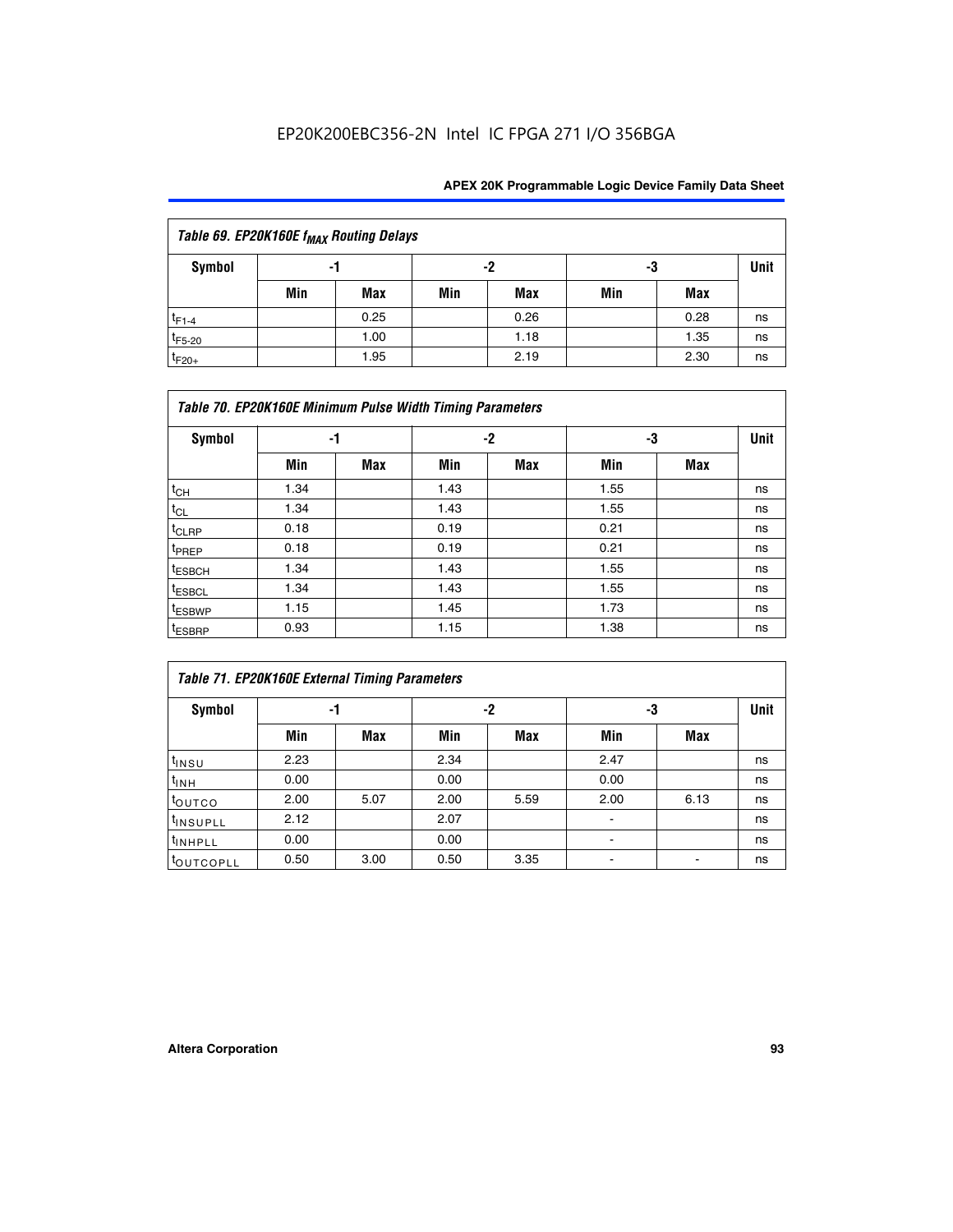| Table 69. EP20K160E f <sub>MAX</sub> Routing Delays |     |      |     |      |     |      |             |  |  |  |  |
|-----------------------------------------------------|-----|------|-----|------|-----|------|-------------|--|--|--|--|
| Symbol                                              | -1  |      |     | -2   | -3  |      | <b>Unit</b> |  |  |  |  |
|                                                     | Min | Max  | Min | Max  | Min | Max  |             |  |  |  |  |
| $t_{F1-4}$                                          |     | 0.25 |     | 0.26 |     | 0.28 | ns          |  |  |  |  |
| $t_{F5-20}$                                         |     | 1.00 |     | 1.18 |     | 1.35 | ns          |  |  |  |  |
| $t_{F20+}$                                          |     | 1.95 |     | 2.19 |     | 2.30 | ns          |  |  |  |  |

| Table 70. EP20K160E Minimum Pulse Width Timing Parameters |      |     |      |     |      |     |             |  |  |  |  |
|-----------------------------------------------------------|------|-----|------|-----|------|-----|-------------|--|--|--|--|
| <b>Symbol</b>                                             | -1   |     |      | -2  | -3   |     | <b>Unit</b> |  |  |  |  |
|                                                           | Min  | Max | Min  | Max | Min  | Max |             |  |  |  |  |
| $t_{CH}$                                                  | 1.34 |     | 1.43 |     | 1.55 |     | ns          |  |  |  |  |
| $t_{CL}$                                                  | 1.34 |     | 1.43 |     | 1.55 |     | ns          |  |  |  |  |
| $t_{CLRP}$                                                | 0.18 |     | 0.19 |     | 0.21 |     | ns          |  |  |  |  |
| t <sub>PREP</sub>                                         | 0.18 |     | 0.19 |     | 0.21 |     | ns          |  |  |  |  |
| <sup>t</sup> ESBCH                                        | 1.34 |     | 1.43 |     | 1.55 |     | ns          |  |  |  |  |
| <sup>t</sup> ESBCL                                        | 1.34 |     | 1.43 |     | 1.55 |     | ns          |  |  |  |  |
| <sup>t</sup> ESBWP                                        | 1.15 |     | 1.45 |     | 1.73 |     | ns          |  |  |  |  |
| <sup>t</sup> ESBRP                                        | 0.93 |     | 1.15 |     | 1.38 |     | ns          |  |  |  |  |

| Table 71. EP20K160E External Timing Parameters |      |      |      |      |                |      |      |  |  |  |  |
|------------------------------------------------|------|------|------|------|----------------|------|------|--|--|--|--|
| Symbol                                         | -1   |      |      | -2   | -3             |      | Unit |  |  |  |  |
|                                                | Min  | Max  | Min  | Max  | Min            | Max  |      |  |  |  |  |
| $t_{INSU}$                                     | 2.23 |      | 2.34 |      | 2.47           |      | ns   |  |  |  |  |
| $t_{INH}$                                      | 0.00 |      | 0.00 |      | 0.00           |      | ns   |  |  |  |  |
| toutco                                         | 2.00 | 5.07 | 2.00 | 5.59 | 2.00           | 6.13 | ns   |  |  |  |  |
| <sup>t</sup> INSUPLL                           | 2.12 |      | 2.07 |      | $\blacksquare$ |      | ns   |  |  |  |  |
| <sup>t</sup> INHPLL                            | 0.00 |      | 0.00 |      | ۰              |      | ns   |  |  |  |  |
| toutcopll                                      | 0.50 | 3.00 | 0.50 | 3.35 |                |      | ns   |  |  |  |  |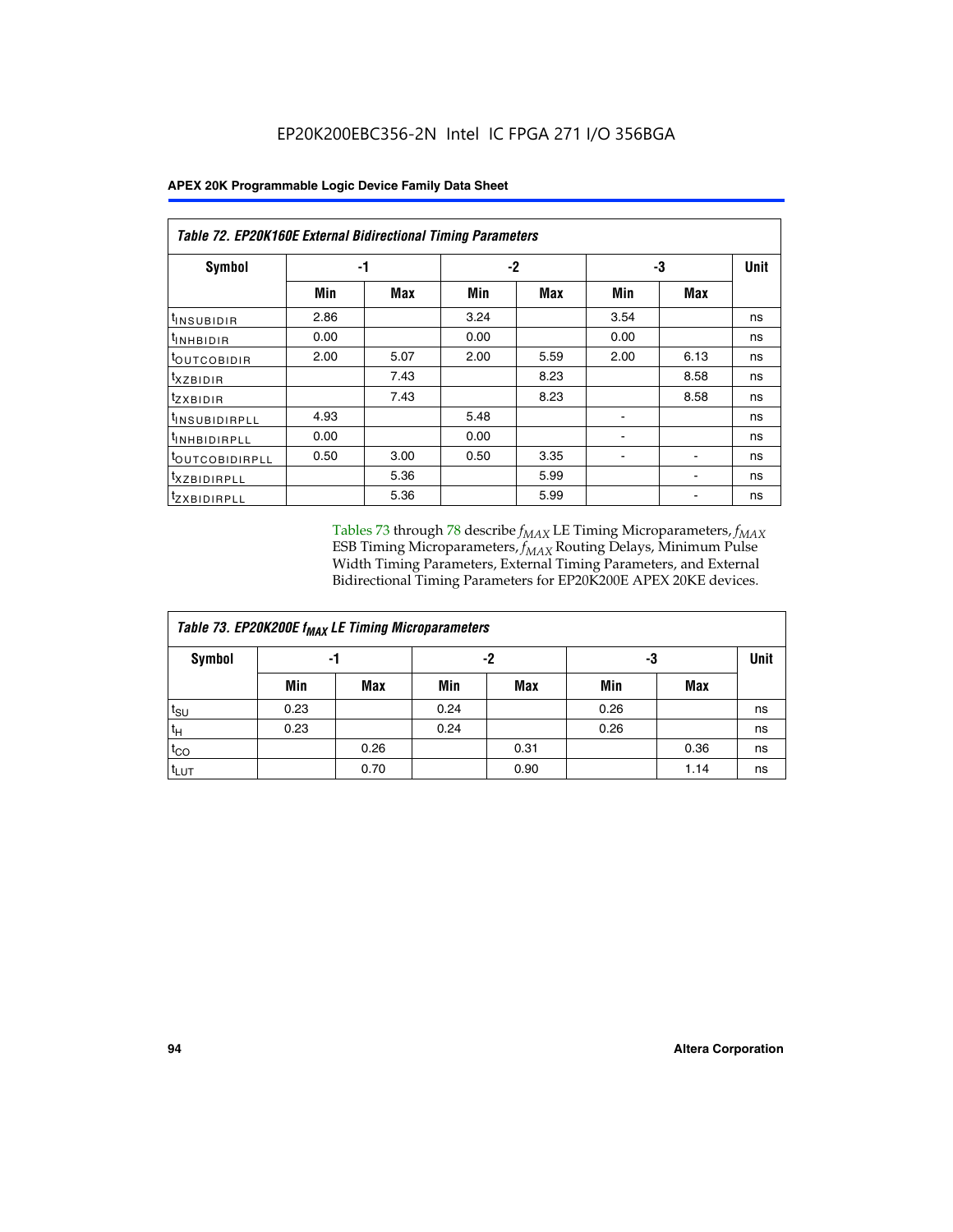|  |  |  | APEX 20K Programmable Logic Device Family Data Sheet |
|--|--|--|------------------------------------------------------|
|--|--|--|------------------------------------------------------|

|                                | Table 72. EP20K160E External Bidirectional Timing Parameters |      |      |      |      |      |             |  |  |  |  |
|--------------------------------|--------------------------------------------------------------|------|------|------|------|------|-------------|--|--|--|--|
| Symbol                         |                                                              | -1   |      | $-2$ | -3   |      | <b>Unit</b> |  |  |  |  |
|                                | Min                                                          | Max  | Min  | Max  | Min  | Max  |             |  |  |  |  |
| <sup>t</sup> INSUB <u>IDIR</u> | 2.86                                                         |      | 3.24 |      | 3.54 |      | ns          |  |  |  |  |
| <b>UNHBIDIR</b>                | 0.00                                                         |      | 0.00 |      | 0.00 |      | ns          |  |  |  |  |
| <b>LOUTCOBIDIR</b>             | 2.00                                                         | 5.07 | 2.00 | 5.59 | 2.00 | 6.13 | ns          |  |  |  |  |
| KZBIDIR                        |                                                              | 7.43 |      | 8.23 |      | 8.58 | ns          |  |  |  |  |
| <sup>t</sup> zxbidir           |                                                              | 7.43 |      | 8.23 |      | 8.58 | ns          |  |  |  |  |
| <sup>t</sup> INSUBIDIRPLL      | 4.93                                                         |      | 5.48 |      |      |      | ns          |  |  |  |  |
| <sup>I</sup> INHBIDIRPLL       | 0.00                                                         |      | 0.00 |      | ۰    |      | ns          |  |  |  |  |
| <b><i>LOUTCOBIDIRPLL</i></b>   | 0.50                                                         | 3.00 | 0.50 | 3.35 |      |      | ns          |  |  |  |  |
| <sup>T</sup> XZBIDIRPLL        |                                                              | 5.36 |      | 5.99 |      |      | ns          |  |  |  |  |
| <sup>t</sup> ZXBIDIRPLL        |                                                              | 5.36 |      | 5.99 |      |      | ns          |  |  |  |  |

Tables 73 through 78 describe  $f_{MAX}$  LE Timing Microparameters,  $f_{MAX}$ ESB Timing Microparameters, *f<sub>MAX</sub>* Routing Delays, Minimum Pulse Width Timing Parameters, External Timing Parameters, and External Bidirectional Timing Parameters for EP20K200E APEX 20KE devices.

| Table 73. EP20K200E f <sub>MAX</sub> LE Timing Microparameters |      |      |      |            |      |      |             |  |  |  |  |
|----------------------------------------------------------------|------|------|------|------------|------|------|-------------|--|--|--|--|
| <b>Symbol</b>                                                  | -1   |      | -2   |            | -3   |      | <b>Unit</b> |  |  |  |  |
|                                                                | Min  | Max  | Min  | <b>Max</b> | Min  | Max  |             |  |  |  |  |
| $t_{\text{SU}}$                                                | 0.23 |      | 0.24 |            | 0.26 |      | ns          |  |  |  |  |
| $t_H$                                                          | 0.23 |      | 0.24 |            | 0.26 |      | ns          |  |  |  |  |
| $t_{CO}$                                                       |      | 0.26 |      | 0.31       |      | 0.36 | ns          |  |  |  |  |
| t <sub>LUT</sub>                                               |      | 0.70 |      | 0.90       |      | 1.14 | ns          |  |  |  |  |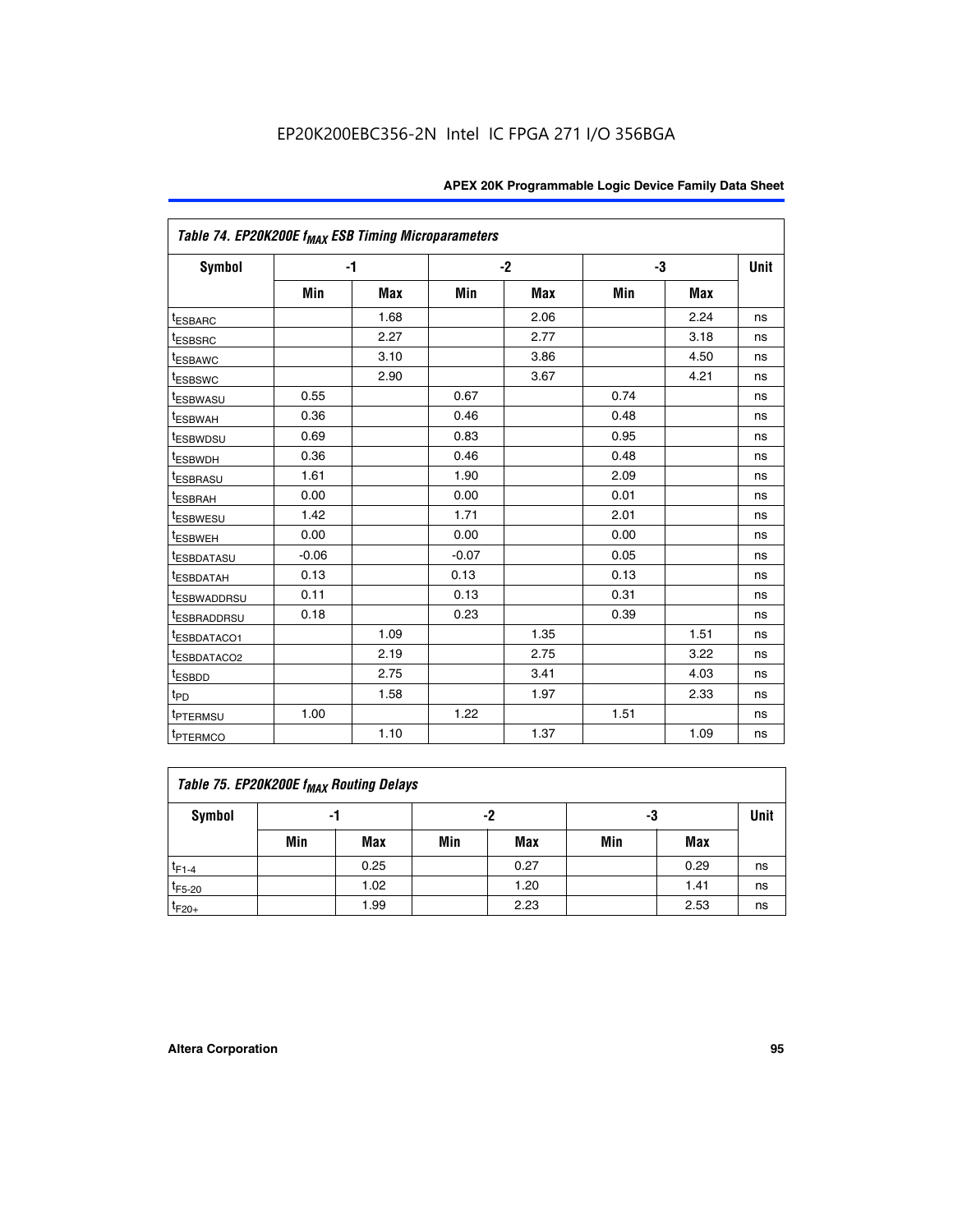|                                     | Table 74. EP20K200E f <sub>MAX</sub> ESB Timing Microparameters |            |         |            |      |            |      |  |  |  |  |
|-------------------------------------|-----------------------------------------------------------------|------------|---------|------------|------|------------|------|--|--|--|--|
| Symbol                              |                                                                 | $-1$       |         | $-2$       |      | -3         | Unit |  |  |  |  |
|                                     | Min                                                             | <b>Max</b> | Min     | <b>Max</b> | Min  | <b>Max</b> |      |  |  |  |  |
| <sup>t</sup> ESBARC                 |                                                                 | 1.68       |         | 2.06       |      | 2.24       | ns   |  |  |  |  |
| <sup>t</sup> ESBSRC                 |                                                                 | 2.27       |         | 2.77       |      | 3.18       | ns   |  |  |  |  |
| t <sub>ESBAWC</sub>                 |                                                                 | 3.10       |         | 3.86       |      | 4.50       | ns   |  |  |  |  |
| <sup>t</sup> ESBSWC                 |                                                                 | 2.90       |         | 3.67       |      | 4.21       | ns   |  |  |  |  |
| t <sub>ESBWASU</sub>                | 0.55                                                            |            | 0.67    |            | 0.74 |            | ns   |  |  |  |  |
| <sup>t</sup> ESBWAH                 | 0.36                                                            |            | 0.46    |            | 0.48 |            | ns   |  |  |  |  |
| <sup>t</sup> ESBWDSU                | 0.69                                                            |            | 0.83    |            | 0.95 |            | ns   |  |  |  |  |
| t <sub>ESBWDH</sub>                 | 0.36                                                            |            | 0.46    |            | 0.48 |            | ns   |  |  |  |  |
| <sup>t</sup> ESBRASU                | 1.61                                                            |            | 1.90    |            | 2.09 |            | ns   |  |  |  |  |
| <sup>t</sup> ESBRAH                 | 0.00                                                            |            | 0.00    |            | 0.01 |            | ns   |  |  |  |  |
| <i>t</i> ESBWESU                    | 1.42                                                            |            | 1.71    |            | 2.01 |            | ns   |  |  |  |  |
| <sup>t</sup> ESBWEH                 | 0.00                                                            |            | 0.00    |            | 0.00 |            | ns   |  |  |  |  |
| <sup>t</sup> ESBDATASU              | $-0.06$                                                         |            | $-0.07$ |            | 0.05 |            | ns   |  |  |  |  |
| <sup>I</sup> ESBDATAH               | 0.13                                                            |            | 0.13    |            | 0.13 |            | ns   |  |  |  |  |
| <sup>t</sup> ESBWADDRSU             | 0.11                                                            |            | 0.13    |            | 0.31 |            | ns   |  |  |  |  |
| <sup>t</sup> ESBRADDRSU             | 0.18                                                            |            | 0.23    |            | 0.39 |            | ns   |  |  |  |  |
| <sup>t</sup> ESBDATACO1             |                                                                 | 1.09       |         | 1.35       |      | 1.51       | ns   |  |  |  |  |
| <sup>t</sup> ESBDATACO <sub>2</sub> |                                                                 | 2.19       |         | 2.75       |      | 3.22       | ns   |  |  |  |  |
| t <sub>ESBDD</sub>                  |                                                                 | 2.75       |         | 3.41       |      | 4.03       | ns   |  |  |  |  |
| $t_{\text{PD}}$                     |                                                                 | 1.58       |         | 1.97       |      | 2.33       | ns   |  |  |  |  |
| <sup>t</sup> PTERMSU                | 1.00                                                            |            | 1.22    |            | 1.51 |            | ns   |  |  |  |  |
| t <sub>PTERMCO</sub>                |                                                                 | 1.10       |         | 1.37       |      | 1.09       | ns   |  |  |  |  |

| Table 75. EP20K200E f <sub>MAX</sub> Routing Delays |     |      |     |            |     |      |    |  |  |  |
|-----------------------------------------------------|-----|------|-----|------------|-----|------|----|--|--|--|
| Symbol                                              | -1  |      |     | -2         |     | -3   |    |  |  |  |
|                                                     | Min | Max  | Min | <b>Max</b> | Min | Max  |    |  |  |  |
| $t_{F1-4}$                                          |     | 0.25 |     | 0.27       |     | 0.29 | ns |  |  |  |
| $t_{F5-20}$                                         |     | 1.02 |     | 1.20       |     | 1.41 | ns |  |  |  |
| $t_{F20+}$                                          |     | 1.99 |     | 2.23       |     | 2.53 | ns |  |  |  |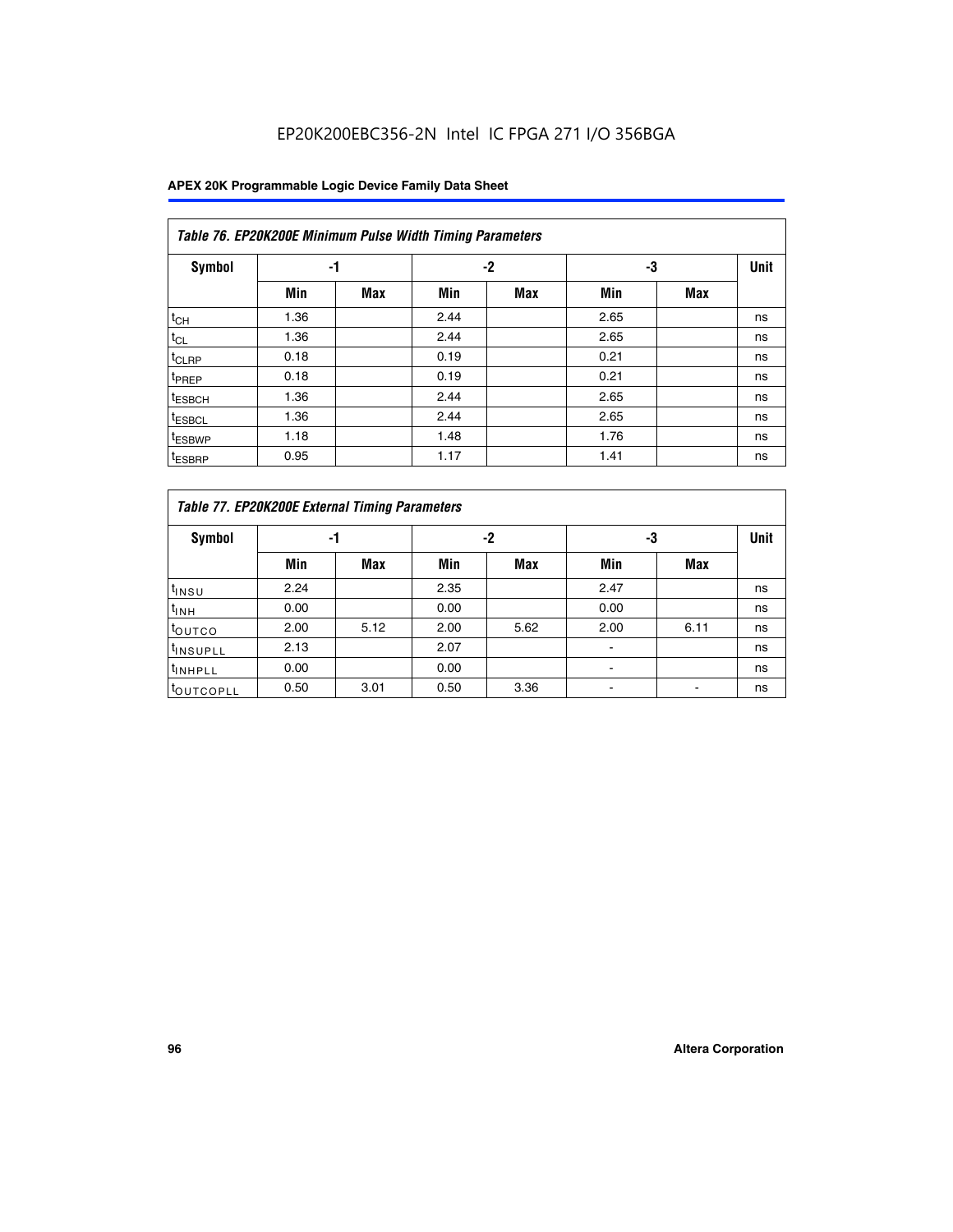| Table 76. EP20K200E Minimum Pulse Width Timing Parameters |      |            |      |            |      |            |             |  |  |  |
|-----------------------------------------------------------|------|------------|------|------------|------|------------|-------------|--|--|--|
| <b>Symbol</b>                                             | -1   |            |      | $-2$       | -3   |            | <b>Unit</b> |  |  |  |
|                                                           | Min  | <b>Max</b> | Min  | <b>Max</b> | Min  | <b>Max</b> |             |  |  |  |
| $t_{CH}$                                                  | 1.36 |            | 2.44 |            | 2.65 |            | ns          |  |  |  |
| $t_{CL}$                                                  | 1.36 |            | 2.44 |            | 2.65 |            | ns          |  |  |  |
| $t_{CLRP}$                                                | 0.18 |            | 0.19 |            | 0.21 |            | ns          |  |  |  |
| t <sub>PREP</sub>                                         | 0.18 |            | 0.19 |            | 0.21 |            | ns          |  |  |  |
| <sup>t</sup> ESBCH                                        | 1.36 |            | 2.44 |            | 2.65 |            | ns          |  |  |  |
| <sup>t</sup> ESBCL                                        | 1.36 |            | 2.44 |            | 2.65 |            | ns          |  |  |  |
| t <sub>ESBWP</sub>                                        | 1.18 |            | 1.48 |            | 1.76 |            | ns          |  |  |  |
| <sup>t</sup> ESBRP                                        | 0.95 |            | 1.17 |            | 1.41 |            | ns          |  |  |  |

|                       | Table 77. EP20K200E External Timing Parameters |            |      |            |      |      |    |  |  |  |  |  |
|-----------------------|------------------------------------------------|------------|------|------------|------|------|----|--|--|--|--|--|
| <b>Symbol</b>         |                                                | -1         |      | -2         |      | -3   |    |  |  |  |  |  |
|                       | Min                                            | <b>Max</b> | Min  | <b>Max</b> | Min  | Max  |    |  |  |  |  |  |
| t <sub>INSU</sub>     | 2.24                                           |            | 2.35 |            | 2.47 |      | ns |  |  |  |  |  |
| $t_{\text{INH}}$      | 0.00                                           |            | 0.00 |            | 0.00 |      | ns |  |  |  |  |  |
| toutco                | 2.00                                           | 5.12       | 2.00 | 5.62       | 2.00 | 6.11 | ns |  |  |  |  |  |
| <sup>t</sup> INSUPLL  | 2.13                                           |            | 2.07 |            |      |      | ns |  |  |  |  |  |
| <sup>t</sup> INHPLL   | 0.00                                           |            | 0.00 |            | -    |      | ns |  |  |  |  |  |
| <sup>I</sup> OUTCOPLL | 0.50                                           | 3.01       | 0.50 | 3.36       |      |      | ns |  |  |  |  |  |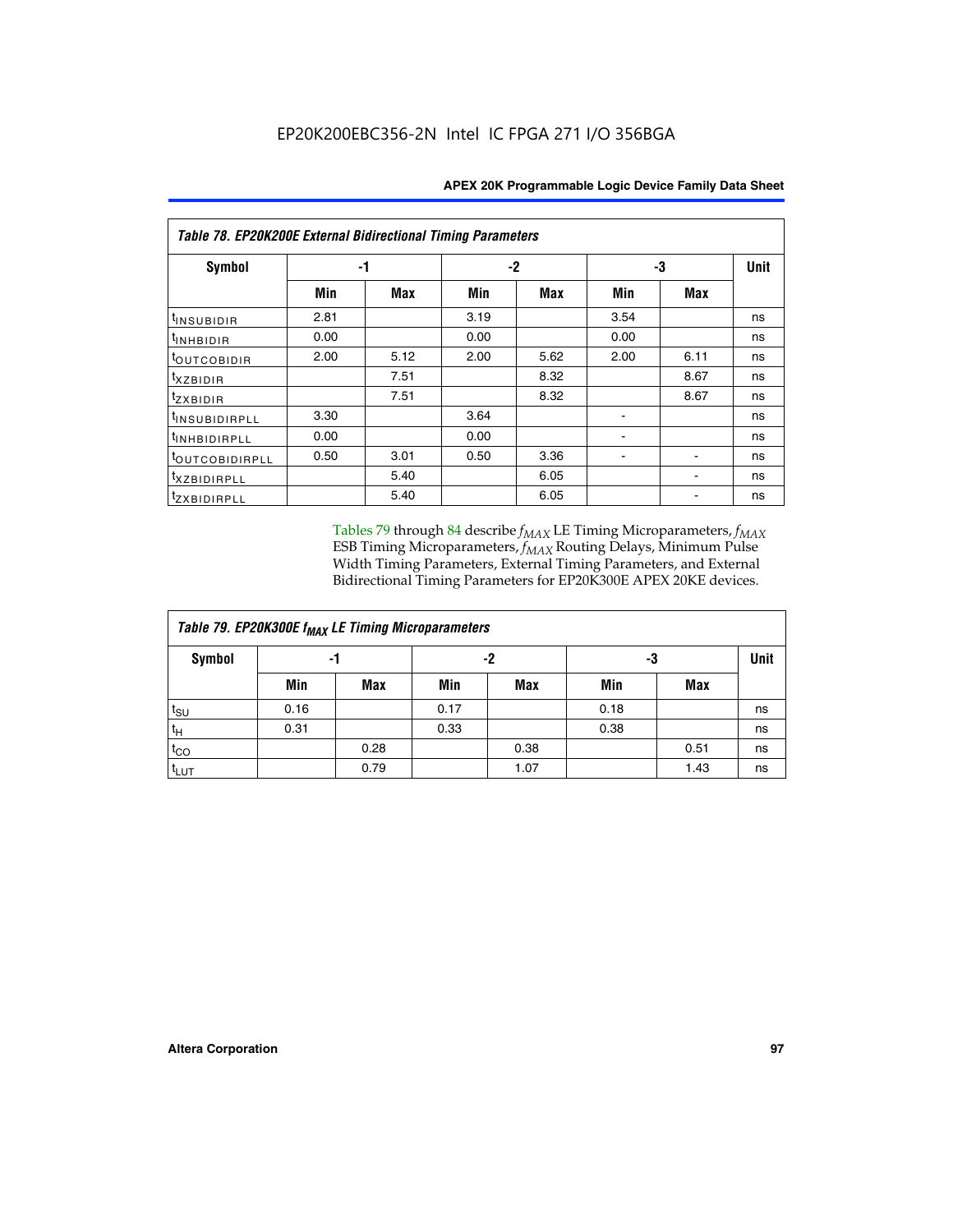| <b>Table 78. EP20K200E External Bidirectional Timing Parameters</b> |      |      |      |      |      |             |    |  |  |  |  |
|---------------------------------------------------------------------|------|------|------|------|------|-------------|----|--|--|--|--|
| Symbol                                                              |      | -1   |      | -2   | -3   | <b>Unit</b> |    |  |  |  |  |
|                                                                     | Min  | Max  | Min  | Max  | Min  | Max         |    |  |  |  |  |
| t <sub>INSUBIDIR</sub>                                              | 2.81 |      | 3.19 |      | 3.54 |             | ns |  |  |  |  |
| t <sub>INHBIDIR</sub>                                               | 0.00 |      | 0.00 |      | 0.00 |             | ns |  |  |  |  |
| toutcobidir                                                         | 2.00 | 5.12 | 2.00 | 5.62 | 2.00 | 6.11        | ns |  |  |  |  |
| <i>txzbidir</i>                                                     |      | 7.51 |      | 8.32 |      | 8.67        | ns |  |  |  |  |
| tzxbidir                                                            |      | 7.51 |      | 8.32 |      | 8.67        | ns |  |  |  |  |
| t <sub>INSUBIDIRPLL</sub>                                           | 3.30 |      | 3.64 |      |      |             | ns |  |  |  |  |
| tINHBIDIRPLL                                                        | 0.00 |      | 0.00 |      |      |             | ns |  |  |  |  |
| toutco <u>bidirpll</u>                                              | 0.50 | 3.01 | 0.50 | 3.36 |      |             | ns |  |  |  |  |
| txzBIDIRPLL                                                         |      | 5.40 |      | 6.05 |      |             | ns |  |  |  |  |
| tzxBIDIRPLL                                                         |      | 5.40 |      | 6.05 |      |             | ns |  |  |  |  |

Tables 79 through 84 describe  $f_{MAX}$  LE Timing Microparameters,  $f_{MAX}$ ESB Timing Microparameters, *f<sub>MAX</sub>* Routing Delays, Minimum Pulse Width Timing Parameters, External Timing Parameters, and External Bidirectional Timing Parameters for EP20K300E APEX 20KE devices.

| Table 79. EP20K300E f <sub>MAX</sub> LE Timing Microparameters |      |            |      |            |      |            |    |  |  |  |  |
|----------------------------------------------------------------|------|------------|------|------------|------|------------|----|--|--|--|--|
| <b>Symbol</b>                                                  |      | -1         |      | -2         |      | -3         |    |  |  |  |  |
|                                                                | Min  | <b>Max</b> | Min  | <b>Max</b> | Min  | <b>Max</b> |    |  |  |  |  |
| $t_{\text{SU}}$                                                | 0.16 |            | 0.17 |            | 0.18 |            | ns |  |  |  |  |
| $t_H$                                                          | 0.31 |            | 0.33 |            | 0.38 |            | ns |  |  |  |  |
| $t_{CO}$                                                       |      | 0.28       |      | 0.38       |      | 0.51       | ns |  |  |  |  |
| $t_{LUT}$                                                      |      | 0.79       |      | 1.07       |      | 1.43       | ns |  |  |  |  |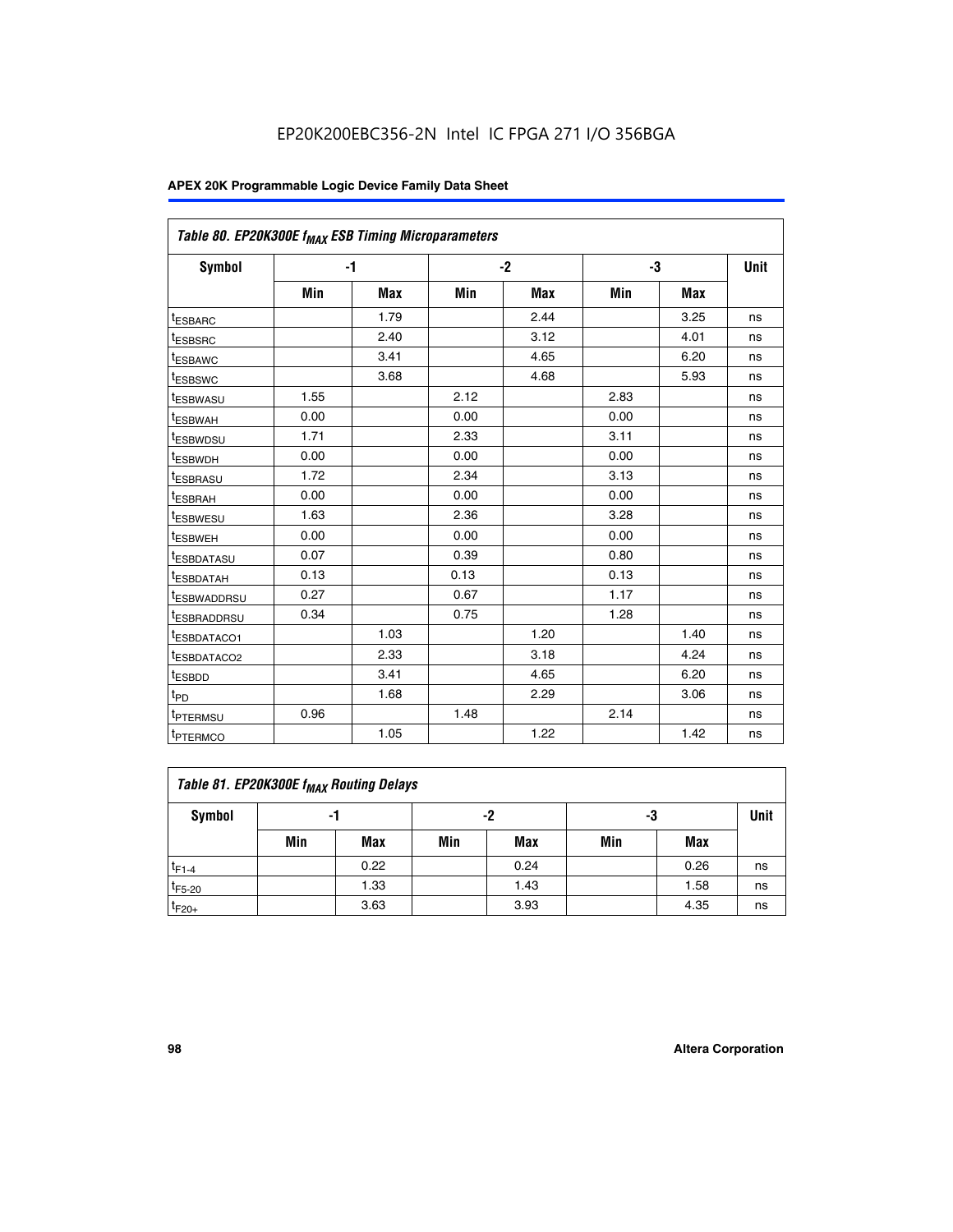| Table 80. EP20K300E f <sub>MAX</sub> ESB Timing Microparameters |      |      |      |      |      |      |      |
|-----------------------------------------------------------------|------|------|------|------|------|------|------|
| <b>Symbol</b>                                                   |      | $-1$ |      | $-2$ |      | -3   | Unit |
|                                                                 | Min  | Max  | Min  | Max  | Min  | Max  |      |
| <sup>t</sup> ESBARC                                             |      | 1.79 |      | 2.44 |      | 3.25 | ns   |
| t <sub>ESBSRC</sub>                                             |      | 2.40 |      | 3.12 |      | 4.01 | ns   |
| t <sub>ESBAWC</sub>                                             |      | 3.41 |      | 4.65 |      | 6.20 | ns   |
| <sup>t</sup> ESBSWC                                             |      | 3.68 |      | 4.68 |      | 5.93 | ns   |
| t <sub>ESBWASU</sub>                                            | 1.55 |      | 2.12 |      | 2.83 |      | ns   |
| t <sub>ESBWAH</sub>                                             | 0.00 |      | 0.00 |      | 0.00 |      | ns   |
| <sup>t</sup> ESBWDSU                                            | 1.71 |      | 2.33 |      | 3.11 |      | ns   |
| <sup>t</sup> ESBWDH                                             | 0.00 |      | 0.00 |      | 0.00 |      | ns   |
| t <sub>ESBRASU</sub>                                            | 1.72 |      | 2.34 |      | 3.13 |      | ns   |
| <sup>t</sup> ESBRAH                                             | 0.00 |      | 0.00 |      | 0.00 |      | ns   |
| t <sub>ESBWESU</sub>                                            | 1.63 |      | 2.36 |      | 3.28 |      | ns   |
| <sup>t</sup> ESBWEH                                             | 0.00 |      | 0.00 |      | 0.00 |      | ns   |
| <sup>t</sup> ESBDATASU                                          | 0.07 |      | 0.39 |      | 0.80 |      | ns   |
| <sup>t</sup> ESBDATAH                                           | 0.13 |      | 0.13 |      | 0.13 |      | ns   |
| <sup>t</sup> ESBWADDRSU                                         | 0.27 |      | 0.67 |      | 1.17 |      | ns   |
| tESBRADDRSU                                                     | 0.34 |      | 0.75 |      | 1.28 |      | ns   |
| <sup>I</sup> ESBDATACO1                                         |      | 1.03 |      | 1.20 |      | 1.40 | ns   |
| <sup>t</sup> ESBDATACO2                                         |      | 2.33 |      | 3.18 |      | 4.24 | ns   |
| <sup>t</sup> ESBDD                                              |      | 3.41 |      | 4.65 |      | 6.20 | ns   |
| t <sub>PD</sub>                                                 |      | 1.68 |      | 2.29 |      | 3.06 | ns   |
| t <sub>PTERMSU</sub>                                            | 0.96 |      | 1.48 |      | 2.14 |      | ns   |
| t <sub>PTERMCO</sub>                                            |      | 1.05 |      | 1.22 |      | 1.42 | ns   |

| Table 81. EP20K300E f <sub>MAX</sub> Routing Delays |     |      |     |            |     |      |      |  |  |  |
|-----------------------------------------------------|-----|------|-----|------------|-----|------|------|--|--|--|
| Symbol                                              |     | -1   | -2  |            | -3  |      | Unit |  |  |  |
|                                                     | Min | Max  | Min | <b>Max</b> | Min | Max  |      |  |  |  |
| $t_{F1-4}$                                          |     | 0.22 |     | 0.24       |     | 0.26 | ns   |  |  |  |
| $t_{F5-20}$                                         |     | 1.33 |     | 1.43       |     | 1.58 | ns   |  |  |  |
| $t_{F20+}$                                          |     | 3.63 |     | 3.93       |     | 4.35 | ns   |  |  |  |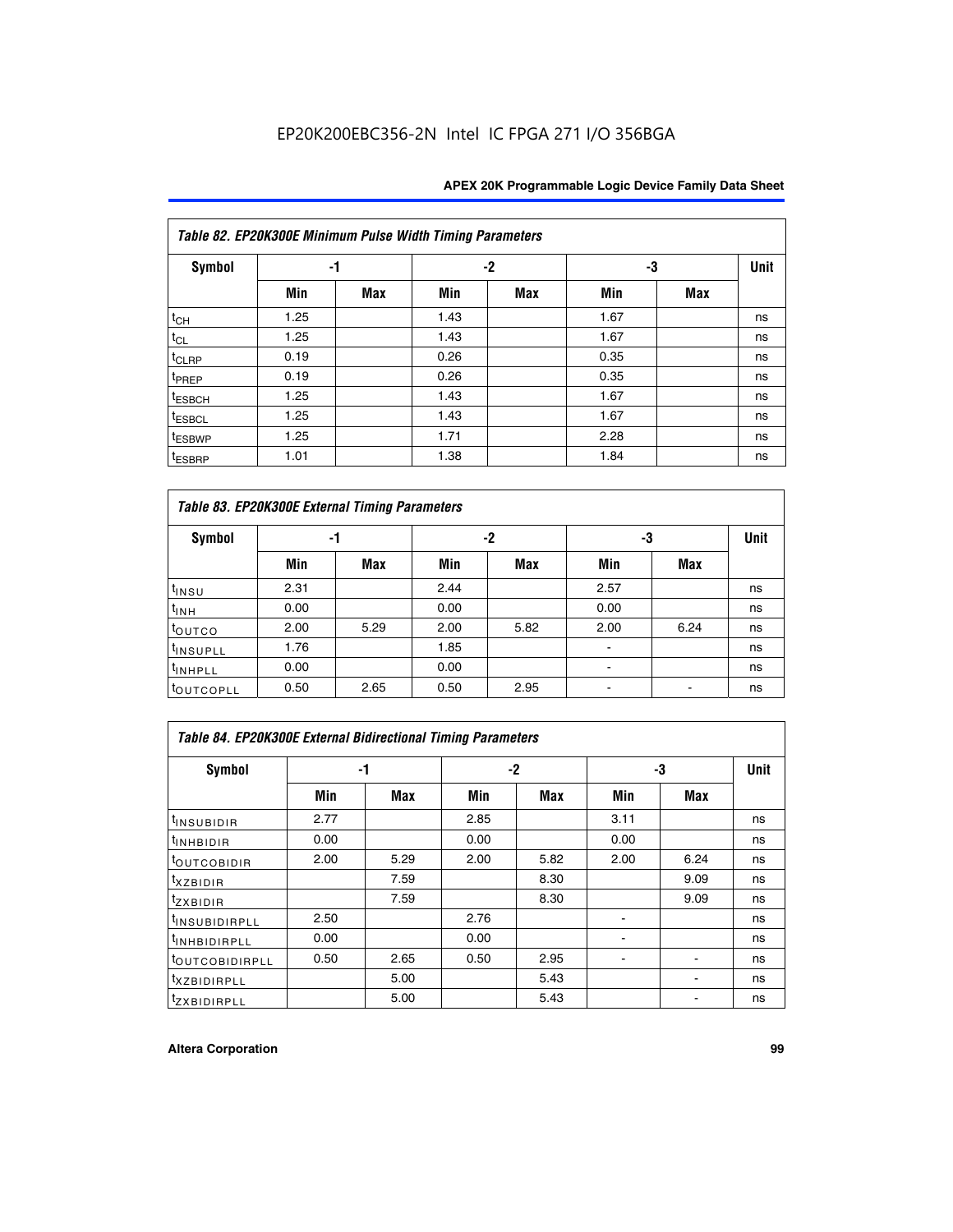|                    | Table 82. EP20K300E Minimum Pulse Width Timing Parameters |            |      |      |      |     |             |  |  |  |  |  |
|--------------------|-----------------------------------------------------------|------------|------|------|------|-----|-------------|--|--|--|--|--|
| <b>Symbol</b>      | -1                                                        |            |      | $-2$ | -3   |     | <b>Unit</b> |  |  |  |  |  |
|                    | Min                                                       | <b>Max</b> | Min  | Max  | Min  | Max |             |  |  |  |  |  |
| $t_{CH}$           | 1.25                                                      |            | 1.43 |      | 1.67 |     | ns          |  |  |  |  |  |
| $t_{CL}$           | 1.25                                                      |            | 1.43 |      | 1.67 |     | ns          |  |  |  |  |  |
| t <sub>CLRP</sub>  | 0.19                                                      |            | 0.26 |      | 0.35 |     | ns          |  |  |  |  |  |
| t <sub>PREP</sub>  | 0.19                                                      |            | 0.26 |      | 0.35 |     | ns          |  |  |  |  |  |
| t <sub>ESBCH</sub> | 1.25                                                      |            | 1.43 |      | 1.67 |     | ns          |  |  |  |  |  |
| <sup>t</sup> ESBCL | 1.25                                                      |            | 1.43 |      | 1.67 |     | ns          |  |  |  |  |  |
| <sup>t</sup> ESBWP | 1.25                                                      |            | 1.71 |      | 2.28 |     | ns          |  |  |  |  |  |
| <sup>t</sup> ESBRP | 1.01                                                      |            | 1.38 |      | 1.84 |     | ns          |  |  |  |  |  |

|                       | Table 83. EP20K300E External Timing Parameters |      |      |      |      |            |             |  |  |  |  |  |  |
|-----------------------|------------------------------------------------|------|------|------|------|------------|-------------|--|--|--|--|--|--|
| Symbol                |                                                | -1   |      | -2   |      | -3         | <b>Unit</b> |  |  |  |  |  |  |
|                       | Min                                            | Max  | Min  | Max  | Min  | <b>Max</b> |             |  |  |  |  |  |  |
| t <sub>INSU</sub>     | 2.31                                           |      | 2.44 |      | 2.57 |            | ns          |  |  |  |  |  |  |
| $t_{INH}$             | 0.00                                           |      | 0.00 |      | 0.00 |            | ns          |  |  |  |  |  |  |
| toutco                | 2.00                                           | 5.29 | 2.00 | 5.82 | 2.00 | 6.24       | ns          |  |  |  |  |  |  |
| <sup>t</sup> INSUPLL  | 1.76                                           |      | 1.85 |      |      |            | ns          |  |  |  |  |  |  |
| <sup>t</sup> INHPLL   | 0.00                                           |      | 0.00 |      | -    |            | ns          |  |  |  |  |  |  |
| <sup>t</sup> OUTCOPLL | 0.50                                           | 2.65 | 0.50 | 2.95 |      |            | ns          |  |  |  |  |  |  |

| Table 84. EP20K300E External Bidirectional Timing Parameters |      |      |      |      |      |             |    |  |  |  |  |
|--------------------------------------------------------------|------|------|------|------|------|-------------|----|--|--|--|--|
| Symbol                                                       |      | -1   | -2   |      | -3   | <b>Unit</b> |    |  |  |  |  |
|                                                              | Min  | Max  | Min  | Max  | Min  | Max         |    |  |  |  |  |
| <sup>t</sup> INSUBIDIR                                       | 2.77 |      | 2.85 |      | 3.11 |             | ns |  |  |  |  |
| <b>TINHBIDIR</b>                                             | 0.00 |      | 0.00 |      | 0.00 |             | ns |  |  |  |  |
| <sup>t</sup> OUTCOBIDIR                                      | 2.00 | 5.29 | 2.00 | 5.82 | 2.00 | 6.24        | ns |  |  |  |  |
| KZBIDIR                                                      |      | 7.59 |      | 8.30 |      | 9.09        | ns |  |  |  |  |
| $t_{Z}$ <i>x</i> BIDIR                                       |      | 7.59 |      | 8.30 |      | 9.09        | ns |  |  |  |  |
| <sup>I</sup> INSUBIDIRPLL                                    | 2.50 |      | 2.76 |      |      |             | ns |  |  |  |  |
| <sup>t</sup> INHBIDIRPLL                                     | 0.00 |      | 0.00 |      |      |             | ns |  |  |  |  |
| <b><i>LOUTCOBIDIRPLL</i></b>                                 | 0.50 | 2.65 | 0.50 | 2.95 |      |             | ns |  |  |  |  |
| <sup>T</sup> XZBIDIRPLL                                      |      | 5.00 |      | 5.43 |      |             | ns |  |  |  |  |
| <sup>t</sup> ZXBIDIRPLL                                      |      | 5.00 |      | 5.43 |      |             | ns |  |  |  |  |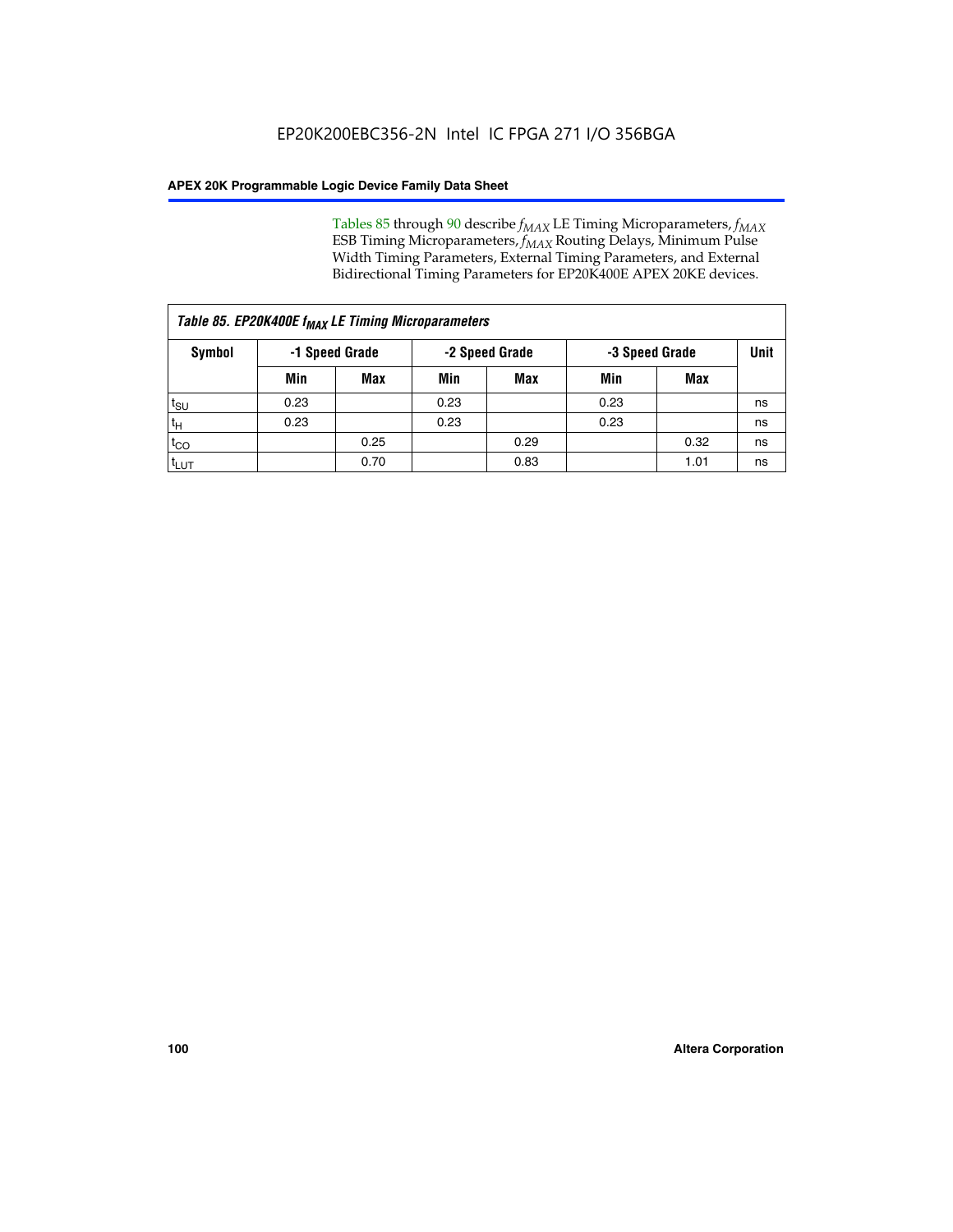Tables 85 through 90 describe  $f_{MAX}$  LE Timing Microparameters,  $f_{MAX}$ ESB Timing Microparameters, *f<sub>MAX</sub>* Routing Delays, Minimum Pulse Width Timing Parameters, External Timing Parameters, and External Bidirectional Timing Parameters for EP20K400E APEX 20KE devices.

| Table 85. EP20K400E f <sub>MAX</sub> LE Timing Microparameters |      |                |      |                |      |                |    |  |  |  |
|----------------------------------------------------------------|------|----------------|------|----------------|------|----------------|----|--|--|--|
| <b>Symbol</b>                                                  |      | -1 Speed Grade |      | -2 Speed Grade |      | -3 Speed Grade |    |  |  |  |
|                                                                | Min  | <b>Max</b>     | Min  | Max            | Min  | Max            |    |  |  |  |
| t <sub>SU</sub>                                                | 0.23 |                | 0.23 |                | 0.23 |                | ns |  |  |  |
| tн                                                             | 0.23 |                | 0.23 |                | 0.23 |                | ns |  |  |  |
| $t_{CO}$                                                       |      | 0.25           |      | 0.29           |      | 0.32           | ns |  |  |  |
| <sup>t</sup> LUT                                               |      | 0.70           |      | 0.83           |      | 1.01           | ns |  |  |  |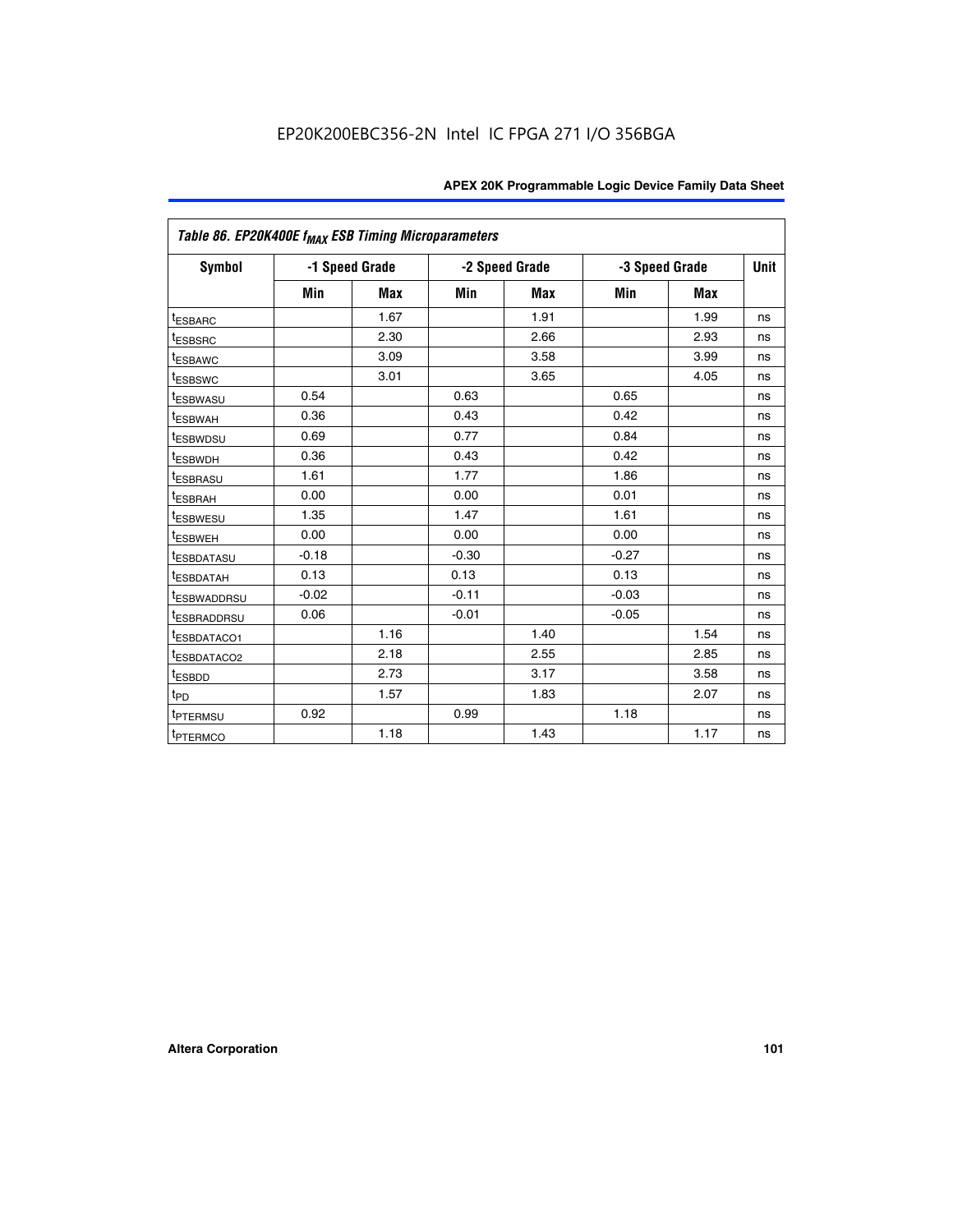| Table 86. EP20K400E f <sub>MAX</sub> ESB Timing Microparameters |         |                |         |                |                |            |      |
|-----------------------------------------------------------------|---------|----------------|---------|----------------|----------------|------------|------|
| <b>Symbol</b>                                                   |         | -1 Speed Grade |         | -2 Speed Grade | -3 Speed Grade |            | Unit |
|                                                                 | Min     | <b>Max</b>     | Min     | Max            | Min            | <b>Max</b> |      |
| <b>tESBARC</b>                                                  |         | 1.67           |         | 1.91           |                | 1.99       | ns   |
| <sup>t</sup> ESBSRC                                             |         | 2.30           |         | 2.66           |                | 2.93       | ns   |
| <sup>t</sup> ESBAWC                                             |         | 3.09           |         | 3.58           |                | 3.99       | ns   |
| <sup>t</sup> ESBSWC                                             |         | 3.01           |         | 3.65           |                | 4.05       | ns   |
| <sup>t</sup> ESBWASU                                            | 0.54    |                | 0.63    |                | 0.65           |            | ns   |
| t <sub>ESBWAH</sub>                                             | 0.36    |                | 0.43    |                | 0.42           |            | ns   |
| <sup>t</sup> ESBWDSU                                            | 0.69    |                | 0.77    |                | 0.84           |            | ns   |
| <sup>I</sup> ESBWDH                                             | 0.36    |                | 0.43    |                | 0.42           |            | ns   |
| t <sub>ESBRASU</sub>                                            | 1.61    |                | 1.77    |                | 1.86           |            | ns   |
| t <sub>ESBRAH</sub>                                             | 0.00    |                | 0.00    |                | 0.01           |            | ns   |
| <sup>t</sup> ESBWESU                                            | 1.35    |                | 1.47    |                | 1.61           |            | ns   |
| t <sub>ESBWEH</sub>                                             | 0.00    |                | 0.00    |                | 0.00           |            | ns   |
| <sup>I</sup> ESBDATASU                                          | $-0.18$ |                | $-0.30$ |                | $-0.27$        |            | ns   |
| <b>ESBDATAH</b>                                                 | 0.13    |                | 0.13    |                | 0.13           |            | ns   |
| <sup>T</sup> ESBWADDRSU                                         | $-0.02$ |                | $-0.11$ |                | $-0.03$        |            | ns   |
| <sup>T</sup> ESBRADDRSU                                         | 0.06    |                | $-0.01$ |                | $-0.05$        |            | ns   |
| <sup>t</sup> ESBDATACO1                                         |         | 1.16           |         | 1.40           |                | 1.54       | ns   |
| <sup>t</sup> ESBDATACO2                                         |         | 2.18           |         | 2.55           |                | 2.85       | ns   |
| <sup>t</sup> ESBDD                                              |         | 2.73           |         | 3.17           |                | 3.58       | ns   |
| $t_{P\underline{D}}$                                            |         | 1.57           |         | 1.83           |                | 2.07       | ns   |
| t <sub>PTERMSU</sub>                                            | 0.92    |                | 0.99    |                | 1.18           |            | ns   |
| <sup>t</sup> PTERMCO                                            |         | 1.18           |         | 1.43           |                | 1.17       | ns   |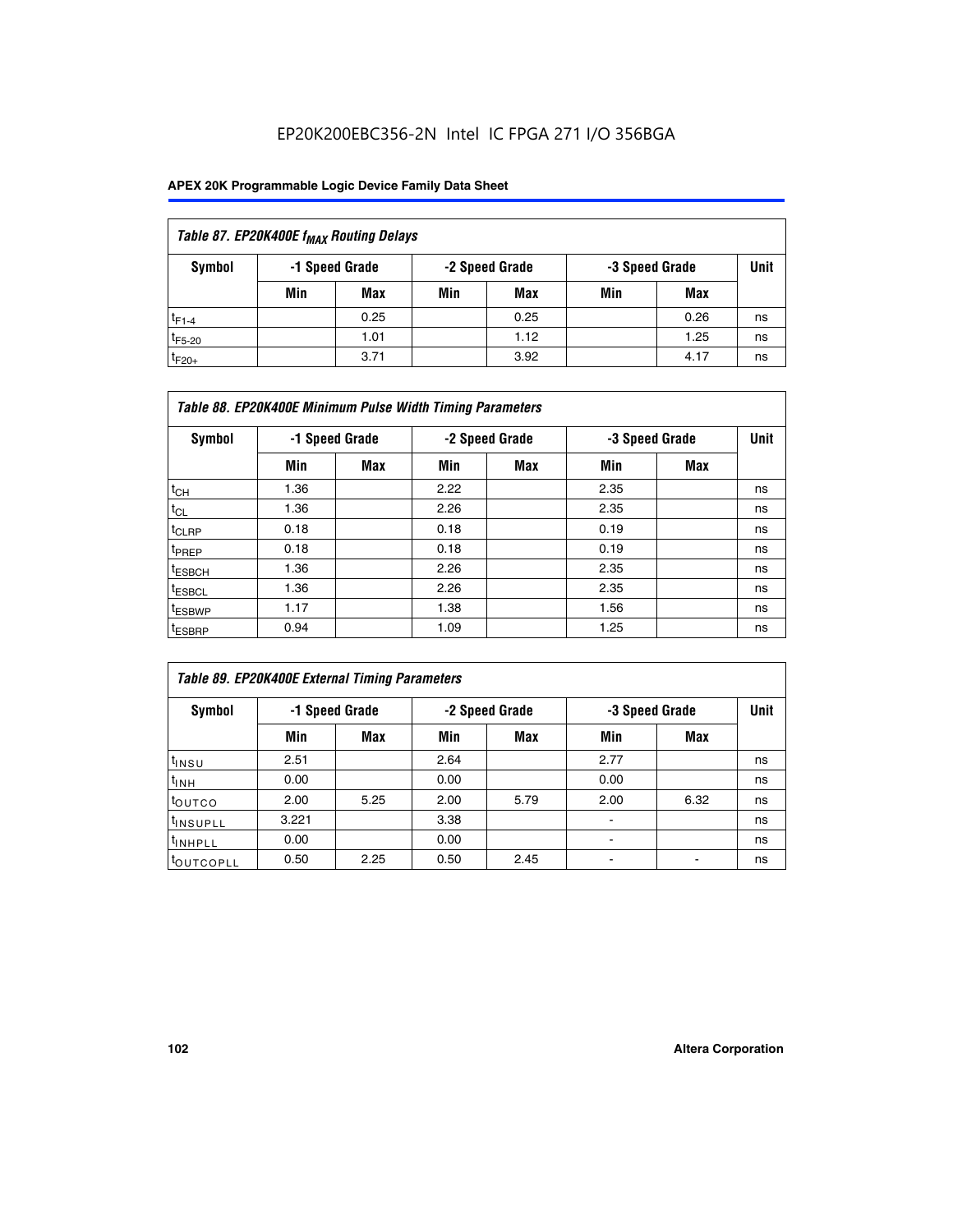| Table 87. EP20K400E f <sub>MAX</sub> Routing Delays |     |                |     |                |     |                |      |  |  |  |
|-----------------------------------------------------|-----|----------------|-----|----------------|-----|----------------|------|--|--|--|
| Symbol                                              |     | -1 Speed Grade |     | -2 Speed Grade |     | -3 Speed Grade | Unit |  |  |  |
|                                                     | Min | <b>Max</b>     | Min | Max            | Min | Max            |      |  |  |  |
| $t_{F1-4}$                                          |     | 0.25           |     | 0.25           |     | 0.26           | ns   |  |  |  |
| $t_{F5-20}$                                         |     | 1.01           |     | 1.12           |     | 1.25           | ns   |  |  |  |
| $t_{F20+}$                                          |     | 3.71           |     | 3.92           |     | 4.17           | ns   |  |  |  |

|                    | Table 88. EP20K400E Minimum Pulse Width Timing Parameters |                |      |                |      |                |             |  |  |  |  |
|--------------------|-----------------------------------------------------------|----------------|------|----------------|------|----------------|-------------|--|--|--|--|
| Symbol             |                                                           | -1 Speed Grade |      | -2 Speed Grade |      | -3 Speed Grade | <b>Unit</b> |  |  |  |  |
|                    | Min                                                       | <b>Max</b>     | Min  | <b>Max</b>     | Min  | Max            |             |  |  |  |  |
| $t_{CH}$           | 1.36                                                      |                | 2.22 |                | 2.35 |                | ns          |  |  |  |  |
| $t_{CL}$           | 1.36                                                      |                | 2.26 |                | 2.35 |                | ns          |  |  |  |  |
| $t_{CLRP}$         | 0.18                                                      |                | 0.18 |                | 0.19 |                | ns          |  |  |  |  |
| t <sub>PREP</sub>  | 0.18                                                      |                | 0.18 |                | 0.19 |                | ns          |  |  |  |  |
| t <sub>ESBCH</sub> | 1.36                                                      |                | 2.26 |                | 2.35 |                | ns          |  |  |  |  |
| <sup>t</sup> ESBCL | 1.36                                                      |                | 2.26 |                | 2.35 |                | ns          |  |  |  |  |
| <sup>t</sup> ESBWP | 1.17                                                      |                | 1.38 |                | 1.56 |                | ns          |  |  |  |  |
| <sup>t</sup> ESBRP | 0.94                                                      |                | 1.09 |                | 1.25 |                | ns          |  |  |  |  |

| Table 89. EP20K400E External Timing Parameters |                |            |                |            |                |      |             |  |  |
|------------------------------------------------|----------------|------------|----------------|------------|----------------|------|-------------|--|--|
| Symbol                                         | -1 Speed Grade |            | -2 Speed Grade |            | -3 Speed Grade |      | <b>Unit</b> |  |  |
|                                                | Min            | <b>Max</b> | Min            | <b>Max</b> | Min            | Max  |             |  |  |
| t <sub>INSU</sub>                              | 2.51           |            | 2.64           |            | 2.77           |      | ns          |  |  |
| $t_{INH}$                                      | 0.00           |            | 0.00           |            | 0.00           |      | ns          |  |  |
| <b>t</b> outco                                 | 2.00           | 5.25       | 2.00           | 5.79       | 2.00           | 6.32 | ns          |  |  |
| <sup>t</sup> INSUPLL                           | 3.221          |            | 3.38           |            | -              |      | ns          |  |  |
| I <sup>t</sup> INHPLL                          | 0.00           |            | 0.00           |            | -              |      | ns          |  |  |
| toutcopll                                      | 0.50           | 2.25       | 0.50           | 2.45       | -              |      | ns          |  |  |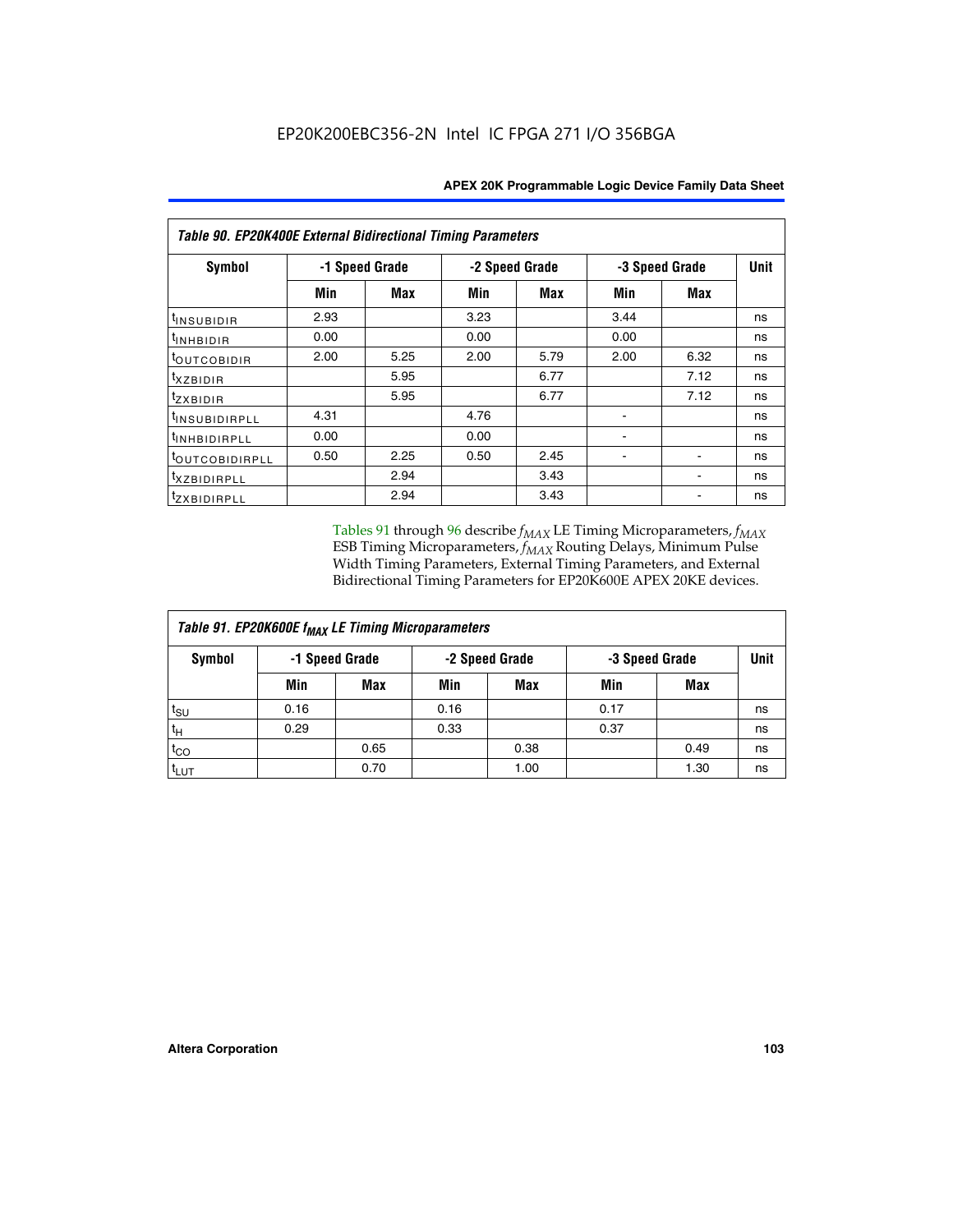| Table 90. EP20K400E External Bidirectional Timing Parameters |                |      |                |            |                |             |    |  |  |
|--------------------------------------------------------------|----------------|------|----------------|------------|----------------|-------------|----|--|--|
| Symbol                                                       | -1 Speed Grade |      | -2 Speed Grade |            | -3 Speed Grade | <b>Unit</b> |    |  |  |
|                                                              | Min            | Max  | Min            | <b>Max</b> | Min            | Max         |    |  |  |
| <sup>t</sup> INSUBIDIR                                       | 2.93           |      | 3.23           |            | 3.44           |             | ns |  |  |
| $t_{\rm INHBIDIR}$                                           | 0.00           |      | 0.00           |            | 0.00           |             | ns |  |  |
| <sup>t</sup> OUTCOBIDIR                                      | 2.00           | 5.25 | 2.00           | 5.79       | 2.00           | 6.32        | ns |  |  |
| $t_{XZBIDIR}$                                                |                | 5.95 |                | 6.77       |                | 7.12        | ns |  |  |
| tzxbidir                                                     |                | 5.95 |                | 6.77       |                | 7.12        | ns |  |  |
| <sup>t</sup> insubidirpll                                    | 4.31           |      | 4.76           |            |                |             | ns |  |  |
| <sup>t</sup> INHBIDIRPLL                                     | 0.00           |      | 0.00           |            |                |             | ns |  |  |
| <sup>t</sup> OUTCOBIDIRPLL                                   | 0.50           | 2.25 | 0.50           | 2.45       |                |             | ns |  |  |
| <sup>t</sup> XZBIDIRPLL                                      |                | 2.94 |                | 3.43       |                |             | ns |  |  |
| <sup>t</sup> zxbidirpll                                      |                | 2.94 |                | 3.43       |                |             | ns |  |  |

Tables 91 through 96 describe  $f_{MAX}$  LE Timing Microparameters,  $f_{MAX}$ ESB Timing Microparameters, *f<sub>MAX</sub>* Routing Delays, Minimum Pulse Width Timing Parameters, External Timing Parameters, and External Bidirectional Timing Parameters for EP20K600E APEX 20KE devices.

| Table 91. EP20K600E f <sub>MAX</sub> LE Timing Microparameters |                |            |                |            |                |      |             |  |  |
|----------------------------------------------------------------|----------------|------------|----------------|------------|----------------|------|-------------|--|--|
| Symbol                                                         | -1 Speed Grade |            | -2 Speed Grade |            | -3 Speed Grade |      | <b>Unit</b> |  |  |
|                                                                | Min            | <b>Max</b> | Min            | <b>Max</b> | Min            | Max  |             |  |  |
| t <sub>SU</sub>                                                | 0.16           |            | 0.16           |            | 0.17           |      | ns          |  |  |
| $t_H$                                                          | 0.29           |            | 0.33           |            | 0.37           |      | ns          |  |  |
| $t_{CO}$                                                       |                | 0.65       |                | 0.38       |                | 0.49 | ns          |  |  |
| t <sub>LUT</sub>                                               |                | 0.70       |                | 1.00       |                | 1.30 | ns          |  |  |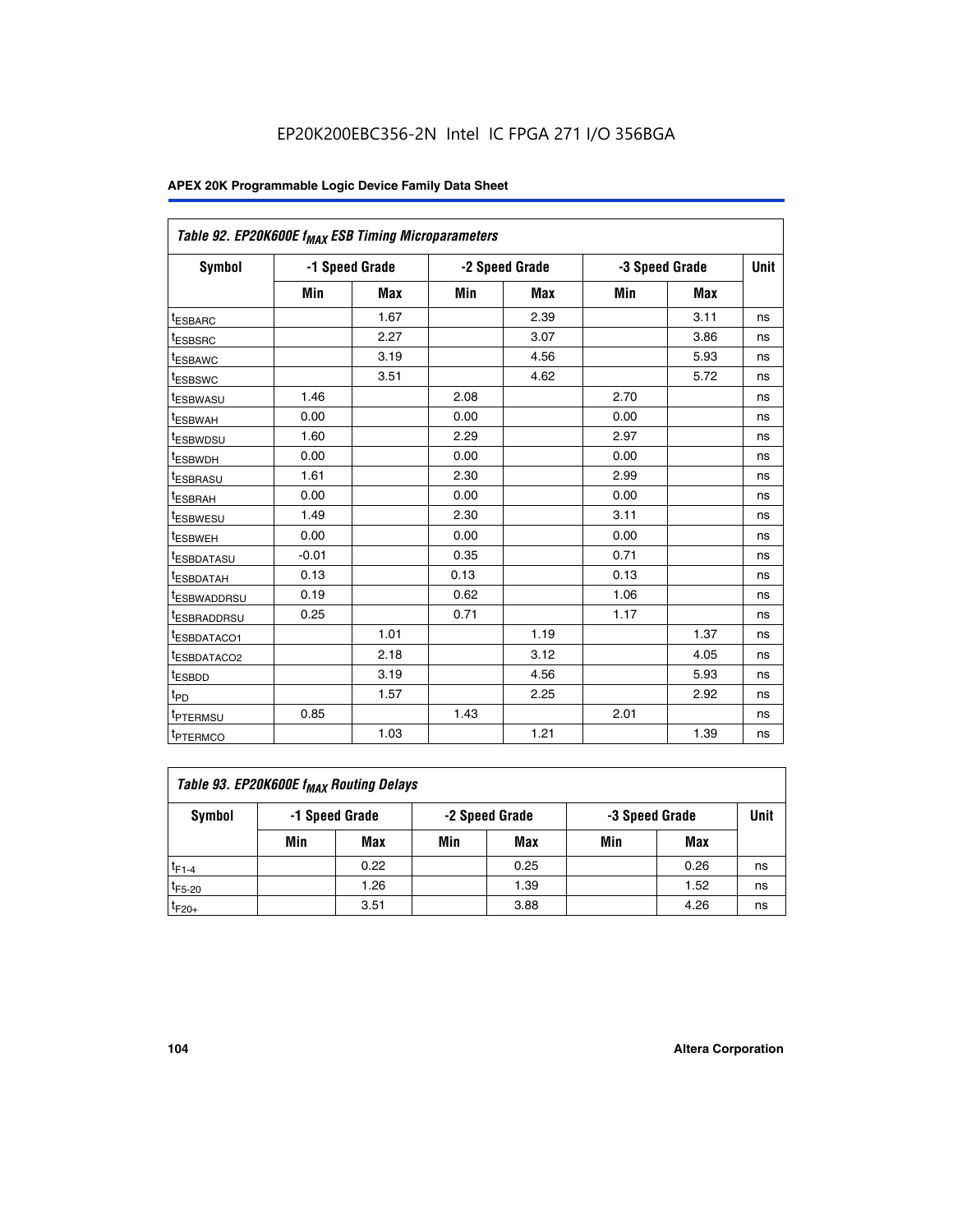| Table 92. EP20K600E f <sub>MAX</sub> ESB Timing Microparameters |         |                |      |                |      |                |             |
|-----------------------------------------------------------------|---------|----------------|------|----------------|------|----------------|-------------|
| <b>Symbol</b>                                                   |         | -1 Speed Grade |      | -2 Speed Grade |      | -3 Speed Grade | <b>Unit</b> |
|                                                                 | Min     | <b>Max</b>     | Min  | <b>Max</b>     | Min  | <b>Max</b>     |             |
| t <sub>ESBARC</sub>                                             |         | 1.67           |      | 2.39           |      | 3.11           | ns          |
| t <sub>ESBSRC</sub>                                             |         | 2.27           |      | 3.07           |      | 3.86           | ns          |
| <sup>t</sup> ESBAWC                                             |         | 3.19           |      | 4.56           |      | 5.93           | ns          |
| t <sub>ESBSWC</sub>                                             |         | 3.51           |      | 4.62           |      | 5.72           | ns          |
| <sup>t</sup> ESBWASU                                            | 1.46    |                | 2.08 |                | 2.70 |                | ns          |
| t <sub>ESBWAH</sub>                                             | 0.00    |                | 0.00 |                | 0.00 |                | ns          |
| t <sub>ESBWDSU</sub>                                            | 1.60    |                | 2.29 |                | 2.97 |                | ns          |
| <sup>t</sup> ESBWDH                                             | 0.00    |                | 0.00 |                | 0.00 |                | ns          |
| <sup>t</sup> ESBRASU                                            | 1.61    |                | 2.30 |                | 2.99 |                | ns          |
| t <sub>ESBRAH</sub>                                             | 0.00    |                | 0.00 |                | 0.00 |                | ns          |
| t <sub>ESBWESU</sub>                                            | 1.49    |                | 2.30 |                | 3.11 |                | ns          |
| <sup>t</sup> ESBWEH                                             | 0.00    |                | 0.00 |                | 0.00 |                | ns          |
| <sup>t</sup> ESBDATASU                                          | $-0.01$ |                | 0.35 |                | 0.71 |                | ns          |
| <sup>t</sup> ESBDATAH                                           | 0.13    |                | 0.13 |                | 0.13 |                | ns          |
| <sup>t</sup> ESBWADDRSU                                         | 0.19    |                | 0.62 |                | 1.06 |                | ns          |
| <sup>t</sup> ESBRADDRSU                                         | 0.25    |                | 0.71 |                | 1.17 |                | ns          |
| <sup>I</sup> ESBDATACO1                                         |         | 1.01           |      | 1.19           |      | 1.37           | ns          |
| <sup>t</sup> ESBDATACO2                                         |         | 2.18           |      | 3.12           |      | 4.05           | ns          |
| <sup>t</sup> ESBDD                                              |         | 3.19           |      | 4.56           |      | 5.93           | ns          |
| t <sub>PD</sub>                                                 |         | 1.57           |      | 2.25           |      | 2.92           | ns          |
| t <sub>PTERMSU</sub>                                            | 0.85    |                | 1.43 |                | 2.01 |                | ns          |
| t <sub>PTERMCO</sub>                                            |         | 1.03           |      | 1.21           |      | 1.39           | ns          |

| Table 93. EP20K600E f <sub>MAX</sub> Routing Delays |                                                    |      |     |      |      |      |    |  |  |
|-----------------------------------------------------|----------------------------------------------------|------|-----|------|------|------|----|--|--|
| Symbol                                              | -1 Speed Grade<br>-2 Speed Grade<br>-3 Speed Grade |      |     |      | Unit |      |    |  |  |
|                                                     | Min                                                | Max  | Min | Max  | Min  | Max  |    |  |  |
| $t_{F1-4}$                                          |                                                    | 0.22 |     | 0.25 |      | 0.26 | ns |  |  |
| $t_{F5-20}$                                         |                                                    | 1.26 |     | 1.39 |      | 1.52 | ns |  |  |
| $t_{F20+}$                                          |                                                    | 3.51 |     | 3.88 |      | 4.26 | ns |  |  |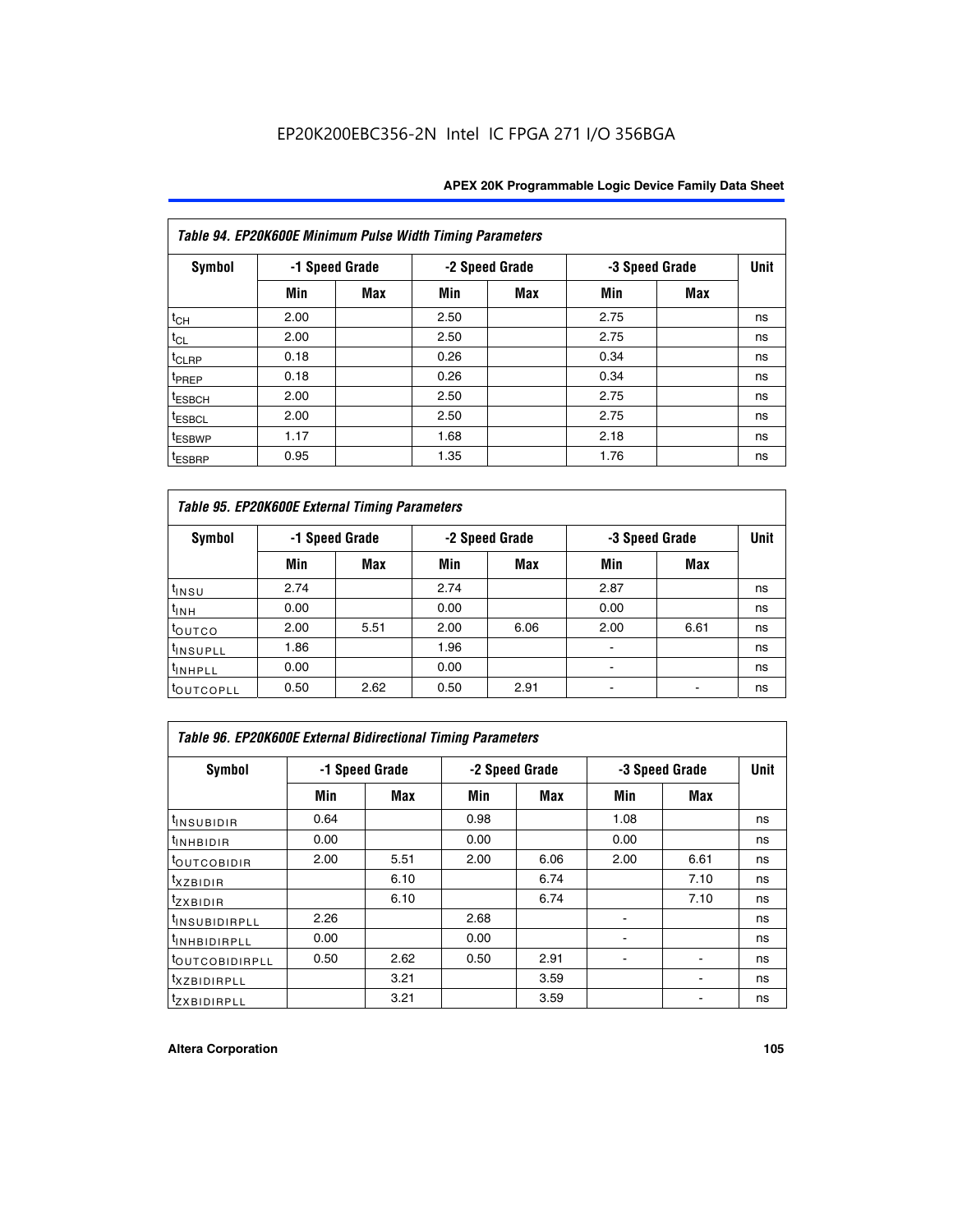| Table 94. EP20K600E Minimum Pulse Width Timing Parameters |      |                |      |                |                |            |             |  |  |
|-----------------------------------------------------------|------|----------------|------|----------------|----------------|------------|-------------|--|--|
| Symbol                                                    |      | -1 Speed Grade |      | -2 Speed Grade | -3 Speed Grade |            | <b>Unit</b> |  |  |
|                                                           | Min  | Max            | Min  | Max            | Min            | <b>Max</b> |             |  |  |
| $t_{CH}$                                                  | 2.00 |                | 2.50 |                | 2.75           |            | ns          |  |  |
| $t_{CL}$                                                  | 2.00 |                | 2.50 |                | 2.75           |            | ns          |  |  |
| t <sub>CLRP</sub>                                         | 0.18 |                | 0.26 |                | 0.34           |            | ns          |  |  |
| t <sub>PREP</sub>                                         | 0.18 |                | 0.26 |                | 0.34           |            | ns          |  |  |
| <sup>t</sup> ESBCH                                        | 2.00 |                | 2.50 |                | 2.75           |            | ns          |  |  |
| <sup>t</sup> ESBCL                                        | 2.00 |                | 2.50 |                | 2.75           |            | ns          |  |  |
| <sup>t</sup> ESBWP                                        | 1.17 |                | 1.68 |                | 2.18           |            | ns          |  |  |
| <sup>t</sup> ESBRP                                        | 0.95 |                | 1.35 |                | 1.76           |            | ns          |  |  |

| Table 95. EP20K600E External Timing Parameters |      |                |      |                |                          |      |    |  |  |
|------------------------------------------------|------|----------------|------|----------------|--------------------------|------|----|--|--|
| Symbol                                         |      | -1 Speed Grade |      | -2 Speed Grade | -3 Speed Grade           | Unit |    |  |  |
|                                                | Min  | Max            | Min  | <b>Max</b>     | Min                      | Max  |    |  |  |
| t <sub>insu</sub>                              | 2.74 |                | 2.74 |                | 2.87                     |      | ns |  |  |
| $t_{INH}$                                      | 0.00 |                | 0.00 |                | 0.00                     |      | ns |  |  |
| toutco                                         | 2.00 | 5.51           | 2.00 | 6.06           | 2.00                     | 6.61 | ns |  |  |
| <sup>t</sup> INSUPLL                           | 1.86 |                | 1.96 |                |                          |      | ns |  |  |
| <sup>t</sup> INHPLL                            | 0.00 |                | 0.00 |                | $\overline{\phantom{a}}$ |      | ns |  |  |
| <b>LOUTCOPLL</b>                               | 0.50 | 2.62           | 0.50 | 2.91           |                          |      | ns |  |  |

| Table 96. EP20K600E External Bidirectional Timing Parameters |                |      |      |                |                |             |    |  |  |
|--------------------------------------------------------------|----------------|------|------|----------------|----------------|-------------|----|--|--|
| Symbol                                                       | -1 Speed Grade |      |      | -2 Speed Grade | -3 Speed Grade | <b>Unit</b> |    |  |  |
|                                                              | Min            | Max  | Min  | Max            | Min            | Max         |    |  |  |
| <sup>t</sup> INSUBIDIR                                       | 0.64           |      | 0.98 |                | 1.08           |             | ns |  |  |
| <sup>t</sup> INHBIDIR                                        | 0.00           |      | 0.00 |                | 0.00           |             | ns |  |  |
| <sup>t</sup> OUTCOBIDIR                                      | 2.00           | 5.51 | 2.00 | 6.06           | 2.00           | 6.61        | ns |  |  |
| $txz$ BIDIR                                                  |                | 6.10 |      | 6.74           |                | 7.10        | ns |  |  |
| $t_{ZXBIDIR}$                                                |                | 6.10 |      | 6.74           |                | 7.10        | ns |  |  |
| <sup>t</sup> INSUBIDIRPLL                                    | 2.26           |      | 2.68 |                |                |             | ns |  |  |
| <sup>t</sup> INHBIDIRPLL                                     | 0.00           |      | 0.00 |                |                |             | ns |  |  |
| <b><i>LOUTCOBIDIRPLL</i></b>                                 | 0.50           | 2.62 | 0.50 | 2.91           |                |             | ns |  |  |
| <sup>t</sup> XZBIDIRPLL                                      |                | 3.21 |      | 3.59           |                |             | ns |  |  |
| <sup>t</sup> zxbidirpll                                      |                | 3.21 |      | 3.59           |                |             | ns |  |  |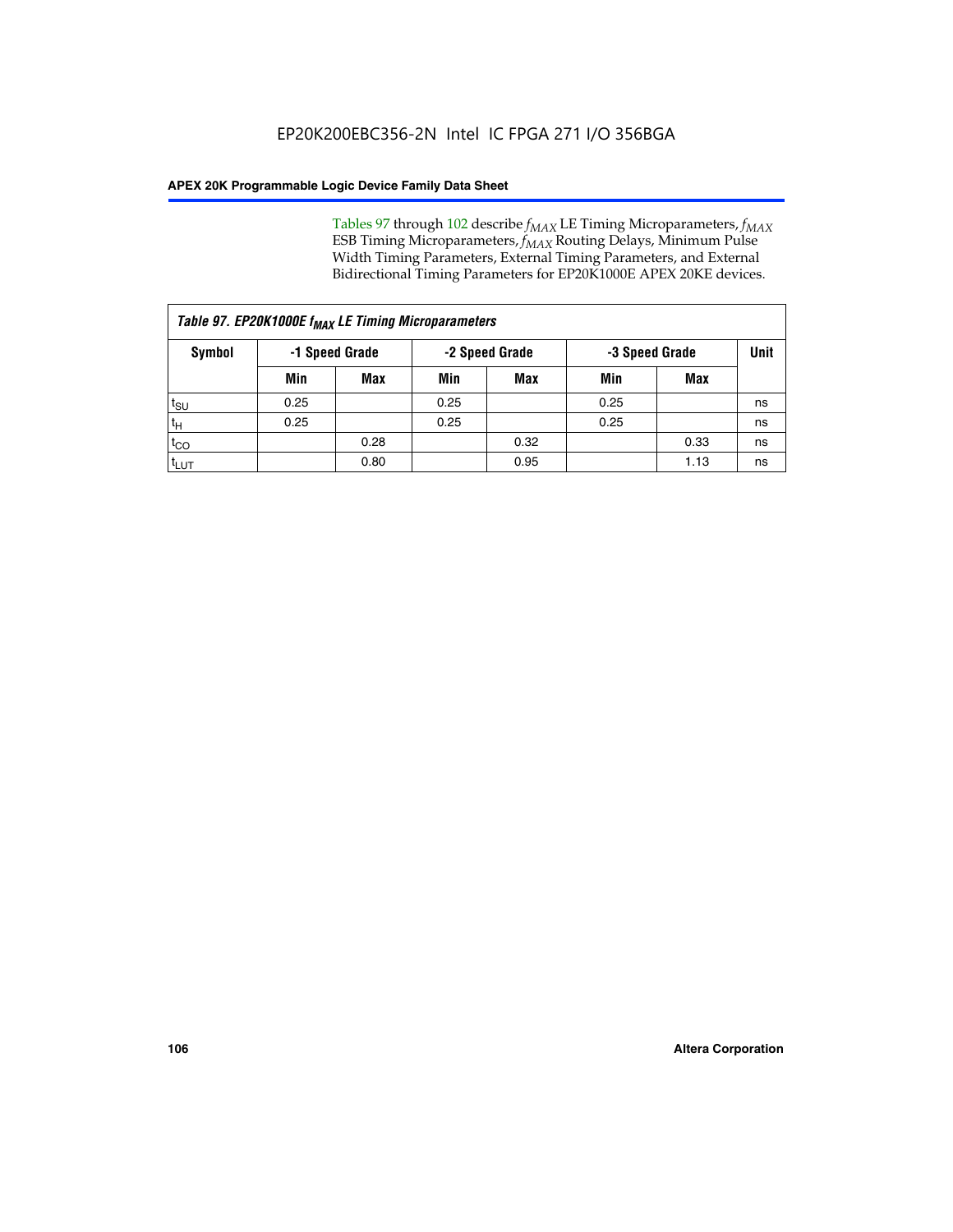Tables 97 through 102 describe  $f_{MAX}$  LE Timing Microparameters,  $f_{MAX}$ ESB Timing Microparameters, *f<sub>MAX</sub>* Routing Delays, Minimum Pulse Width Timing Parameters, External Timing Parameters, and External Bidirectional Timing Parameters for EP20K1000E APEX 20KE devices.

| Table 97. EP20K1000E f <sub>MAX</sub> LE Timing Microparameters |      |                |      |                                  |      |      |             |  |  |
|-----------------------------------------------------------------|------|----------------|------|----------------------------------|------|------|-------------|--|--|
| <b>Symbol</b>                                                   |      | -1 Speed Grade |      | -2 Speed Grade<br>-3 Speed Grade |      |      | <b>Unit</b> |  |  |
|                                                                 | Min  | <b>Max</b>     | Min  | Max                              | Min  | Max  |             |  |  |
| t <sub>SU</sub>                                                 | 0.25 |                | 0.25 |                                  | 0.25 |      | ns          |  |  |
| tн                                                              | 0.25 |                | 0.25 |                                  | 0.25 |      | ns          |  |  |
| $t_{CO}$                                                        |      | 0.28           |      | 0.32                             |      | 0.33 | ns          |  |  |
| <sup>t</sup> LUT                                                |      | 0.80           |      | 0.95                             |      | 1.13 | ns          |  |  |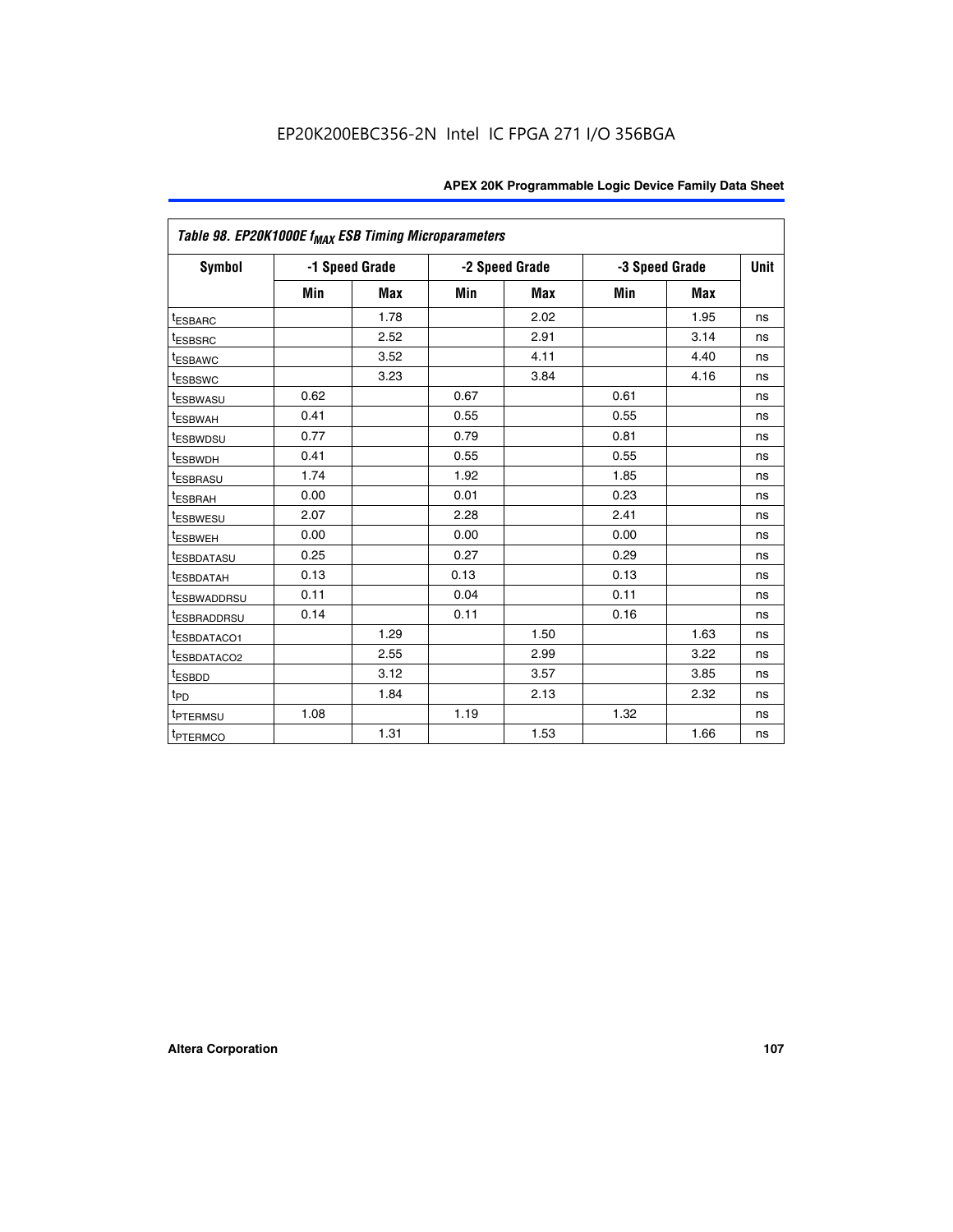|                         | Table 98. EP20K1000E f <sub>MAX</sub> ESB Timing Microparameters |                |      |                |                |            |             |  |  |  |
|-------------------------|------------------------------------------------------------------|----------------|------|----------------|----------------|------------|-------------|--|--|--|
| Symbol                  |                                                                  | -1 Speed Grade |      | -2 Speed Grade | -3 Speed Grade |            | <b>Unit</b> |  |  |  |
|                         | Min                                                              | <b>Max</b>     | Min  | Max            | Min            | <b>Max</b> |             |  |  |  |
| <b>tESBARC</b>          |                                                                  | 1.78           |      | 2.02           |                | 1.95       | ns          |  |  |  |
| <sup>t</sup> ESBSRC     |                                                                  | 2.52           |      | 2.91           |                | 3.14       | ns          |  |  |  |
| t <sub>ESBAWC</sub>     |                                                                  | 3.52           |      | 4.11           |                | 4.40       | ns          |  |  |  |
| <sup>t</sup> ESBSWC     |                                                                  | 3.23           |      | 3.84           |                | 4.16       | ns          |  |  |  |
| <sup>t</sup> ESBWASU    | 0.62                                                             |                | 0.67 |                | 0.61           |            | ns          |  |  |  |
| t <sub>ESBWAH</sub>     | 0.41                                                             |                | 0.55 |                | 0.55           |            | ns          |  |  |  |
| <sup>t</sup> ESBWDSU    | 0.77                                                             |                | 0.79 |                | 0.81           |            | ns          |  |  |  |
| t <sub>ESBWDH</sub>     | 0.41                                                             |                | 0.55 |                | 0.55           |            | ns          |  |  |  |
| t <sub>ESBRASU</sub>    | 1.74                                                             |                | 1.92 |                | 1.85           |            | ns          |  |  |  |
| t <sub>ESBRAH</sub>     | 0.00                                                             |                | 0.01 |                | 0.23           |            | ns          |  |  |  |
| <sup>t</sup> ESBWESU    | 2.07                                                             |                | 2.28 |                | 2.41           |            | ns          |  |  |  |
| t <sub>ESBWEH</sub>     | 0.00                                                             |                | 0.00 |                | 0.00           |            | ns          |  |  |  |
| <sup>I</sup> ESBDATASU  | 0.25                                                             |                | 0.27 |                | 0.29           |            | ns          |  |  |  |
| <b>ESBDATAH</b>         | 0.13                                                             |                | 0.13 |                | 0.13           |            | ns          |  |  |  |
| <sup>T</sup> ESBWADDRSU | 0.11                                                             |                | 0.04 |                | 0.11           |            | ns          |  |  |  |
| <sup>T</sup> ESBRADDRSU | 0.14                                                             |                | 0.11 |                | 0.16           |            | ns          |  |  |  |
| <sup>t</sup> ESBDATACO1 |                                                                  | 1.29           |      | 1.50           |                | 1.63       | ns          |  |  |  |
| <sup>t</sup> ESBDATACO2 |                                                                  | 2.55           |      | 2.99           |                | 3.22       | ns          |  |  |  |
| <sup>t</sup> ESBDD      |                                                                  | 3.12           |      | 3.57           |                | 3.85       | ns          |  |  |  |
| $t_{P\underline{D}}$    |                                                                  | 1.84           |      | 2.13           |                | 2.32       | ns          |  |  |  |
| t <sub>PTERMSU</sub>    | 1.08                                                             |                | 1.19 |                | 1.32           |            | ns          |  |  |  |
| <sup>t</sup> PTERMCO    |                                                                  | 1.31           |      | 1.53           |                | 1.66       | ns          |  |  |  |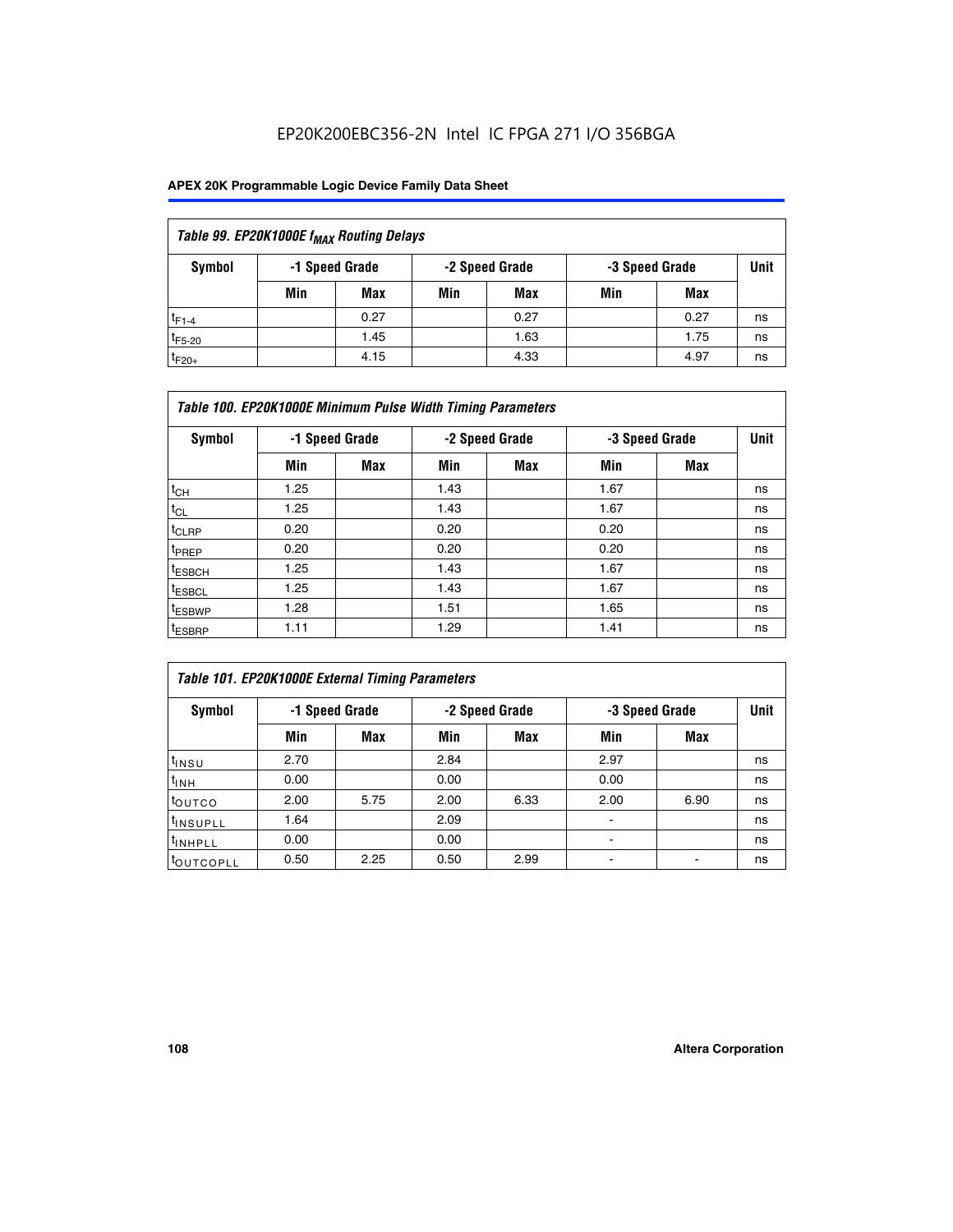## EP20K200EBC356-2N Intel IC FPGA 271 I/O 356BGA

## **APEX 20K Programmable Logic Device Family Data Sheet**

| Table 99. EP20K1000E f <sub>MAX</sub> Routing Delays |                                                    |            |     |      |     |      |    |  |  |  |  |
|------------------------------------------------------|----------------------------------------------------|------------|-----|------|-----|------|----|--|--|--|--|
| Symbol                                               | -1 Speed Grade<br>-2 Speed Grade<br>-3 Speed Grade |            |     |      |     |      |    |  |  |  |  |
|                                                      | Min                                                | <b>Max</b> | Min | Max  | Min | Max  |    |  |  |  |  |
| $t_{F1-4}$                                           |                                                    | 0.27       |     | 0.27 |     | 0.27 | ns |  |  |  |  |
| $t_{F5-20}$                                          |                                                    | 1.45       |     | 1.63 |     | 1.75 | ns |  |  |  |  |
| $t_{F20+}$                                           |                                                    | 4.15       |     | 4.33 |     | 4.97 | ns |  |  |  |  |

|                    | Table 100. EP20K1000E Minimum Pulse Width Timing Parameters |                |      |                |      |                |             |  |  |  |  |  |
|--------------------|-------------------------------------------------------------|----------------|------|----------------|------|----------------|-------------|--|--|--|--|--|
| Symbol             |                                                             | -1 Speed Grade |      | -2 Speed Grade |      | -3 Speed Grade | <b>Unit</b> |  |  |  |  |  |
|                    | Min                                                         | <b>Max</b>     | Min  | Max            | Min  | Max            |             |  |  |  |  |  |
| $t_{CH}$           | 1.25                                                        |                | 1.43 |                | 1.67 |                | ns          |  |  |  |  |  |
| $t_{CL}$           | 1.25                                                        |                | 1.43 |                | 1.67 |                | ns          |  |  |  |  |  |
| t <sub>CLRP</sub>  | 0.20                                                        |                | 0.20 |                | 0.20 |                | ns          |  |  |  |  |  |
| <sup>t</sup> PREP  | 0.20                                                        |                | 0.20 |                | 0.20 |                | ns          |  |  |  |  |  |
| <sup>t</sup> ESBCH | 1.25                                                        |                | 1.43 |                | 1.67 |                | ns          |  |  |  |  |  |
| <sup>t</sup> ESBCL | 1.25                                                        |                | 1.43 |                | 1.67 |                | ns          |  |  |  |  |  |
| <sup>t</sup> ESBWP | 1.28                                                        |                | 1.51 |                | 1.65 |                | ns          |  |  |  |  |  |
| <sup>t</sup> ESBRP | 1.11                                                        |                | 1.29 |                | 1.41 |                | ns          |  |  |  |  |  |

| Table 101. EP20K1000E External Timing Parameters |                                                    |      |      |             |                          |      |    |  |  |  |  |  |
|--------------------------------------------------|----------------------------------------------------|------|------|-------------|--------------------------|------|----|--|--|--|--|--|
| Symbol                                           | -1 Speed Grade<br>-2 Speed Grade<br>-3 Speed Grade |      |      | <b>Unit</b> |                          |      |    |  |  |  |  |  |
|                                                  | Min                                                | Max  | Min  | <b>Max</b>  | Min                      | Max  |    |  |  |  |  |  |
| t <sub>INSU</sub>                                | 2.70                                               |      | 2.84 |             | 2.97                     |      | ns |  |  |  |  |  |
| $t_{INH}$                                        | 0.00                                               |      | 0.00 |             | 0.00                     |      | ns |  |  |  |  |  |
| toutco                                           | 2.00                                               | 5.75 | 2.00 | 6.33        | 2.00                     | 6.90 | ns |  |  |  |  |  |
| <sup>t</sup> INSUPLL                             | 1.64                                               |      | 2.09 |             | ۰                        |      | ns |  |  |  |  |  |
| I <sup>t</sup> INHPLL                            | 0.00                                               |      | 0.00 |             | $\overline{\phantom{a}}$ |      | ns |  |  |  |  |  |
| toutcopll                                        | 0.50                                               | 2.25 | 0.50 | 2.99        | -                        |      | ns |  |  |  |  |  |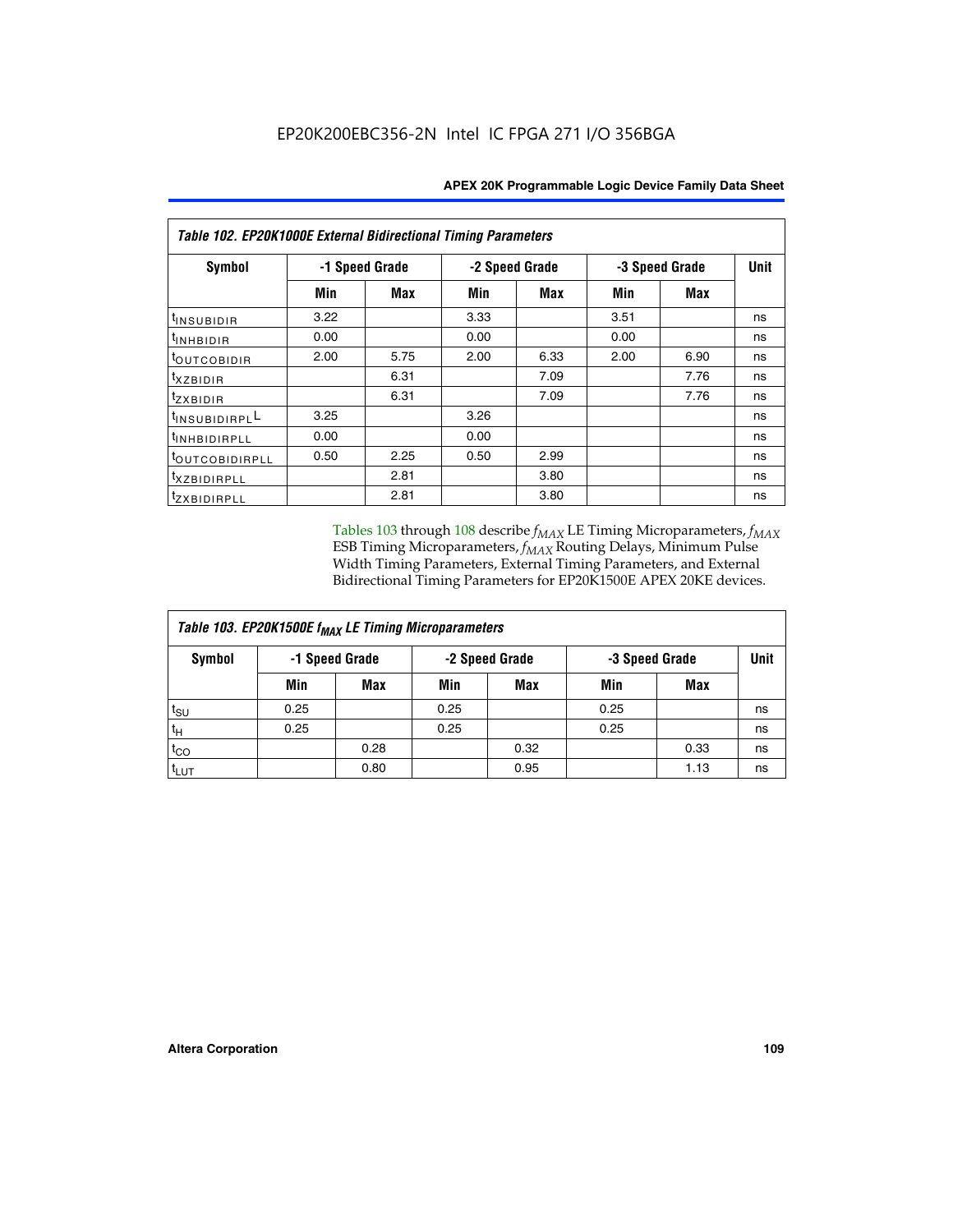| Table 102. EP20K1000E External Bidirectional Timing Parameters |      |                |                |            |      |                |    |  |  |  |
|----------------------------------------------------------------|------|----------------|----------------|------------|------|----------------|----|--|--|--|
| Symbol                                                         |      | -1 Speed Grade | -2 Speed Grade |            |      | -3 Speed Grade |    |  |  |  |
|                                                                | Min  | Max            | Min            | <b>Max</b> | Min  | <b>Max</b>     |    |  |  |  |
| $t_{INSUBIDIR}$                                                | 3.22 |                | 3.33           |            | 3.51 |                | ns |  |  |  |
| tINHBIDIR                                                      | 0.00 |                | 0.00           |            | 0.00 |                | ns |  |  |  |
| t <sub>outcobidir</sub>                                        | 2.00 | 5.75           | 2.00           | 6.33       | 2.00 | 6.90           | ns |  |  |  |
| <i>txzbidir</i>                                                |      | 6.31           |                | 7.09       |      | 7.76           | ns |  |  |  |
| tzxbidir                                                       |      | 6.31           |                | 7.09       |      | 7.76           | ns |  |  |  |
| tINSUBIDIRPLL                                                  | 3.25 |                | 3.26           |            |      |                | ns |  |  |  |
| t <sub>INHBIDIRPLL</sub>                                       | 0.00 |                | 0.00           |            |      |                | ns |  |  |  |
| tout COBIDIRPLL                                                | 0.50 | 2.25           | 0.50           | 2.99       |      |                | ns |  |  |  |
| <sup>t</sup> xzbidirpll                                        |      | 2.81           |                | 3.80       |      |                | ns |  |  |  |
| tzxBIDIRPLL                                                    |      | 2.81           |                | 3.80       |      |                | ns |  |  |  |

Tables 103 through 108 describe  $f_{MAX}$  LE Timing Microparameters,  $f_{MAX}$ ESB Timing Microparameters, *f<sub>MAX</sub>* Routing Delays, Minimum Pulse Width Timing Parameters, External Timing Parameters, and External Bidirectional Timing Parameters for EP20K1500E APEX 20KE devices.

| Table 103. EP20K1500E f <sub>MAX</sub> LE Timing Microparameters |      |                |      |                |      |                |             |  |  |  |  |
|------------------------------------------------------------------|------|----------------|------|----------------|------|----------------|-------------|--|--|--|--|
| Symbol                                                           |      | -1 Speed Grade |      | -2 Speed Grade |      | -3 Speed Grade | <b>Unit</b> |  |  |  |  |
|                                                                  | Min  | <b>Max</b>     | Min  | <b>Max</b>     | Min  | Max            |             |  |  |  |  |
| $t_{\sf SU}$                                                     | 0.25 |                | 0.25 |                | 0.25 |                | ns          |  |  |  |  |
| $t_H$                                                            | 0.25 |                | 0.25 |                | 0.25 |                | ns          |  |  |  |  |
| $t_{CO}$                                                         |      | 0.28           |      | 0.32           |      | 0.33           | ns          |  |  |  |  |
| t <sub>lut</sub>                                                 |      | 0.80           |      | 0.95           |      | 1.13           | ns          |  |  |  |  |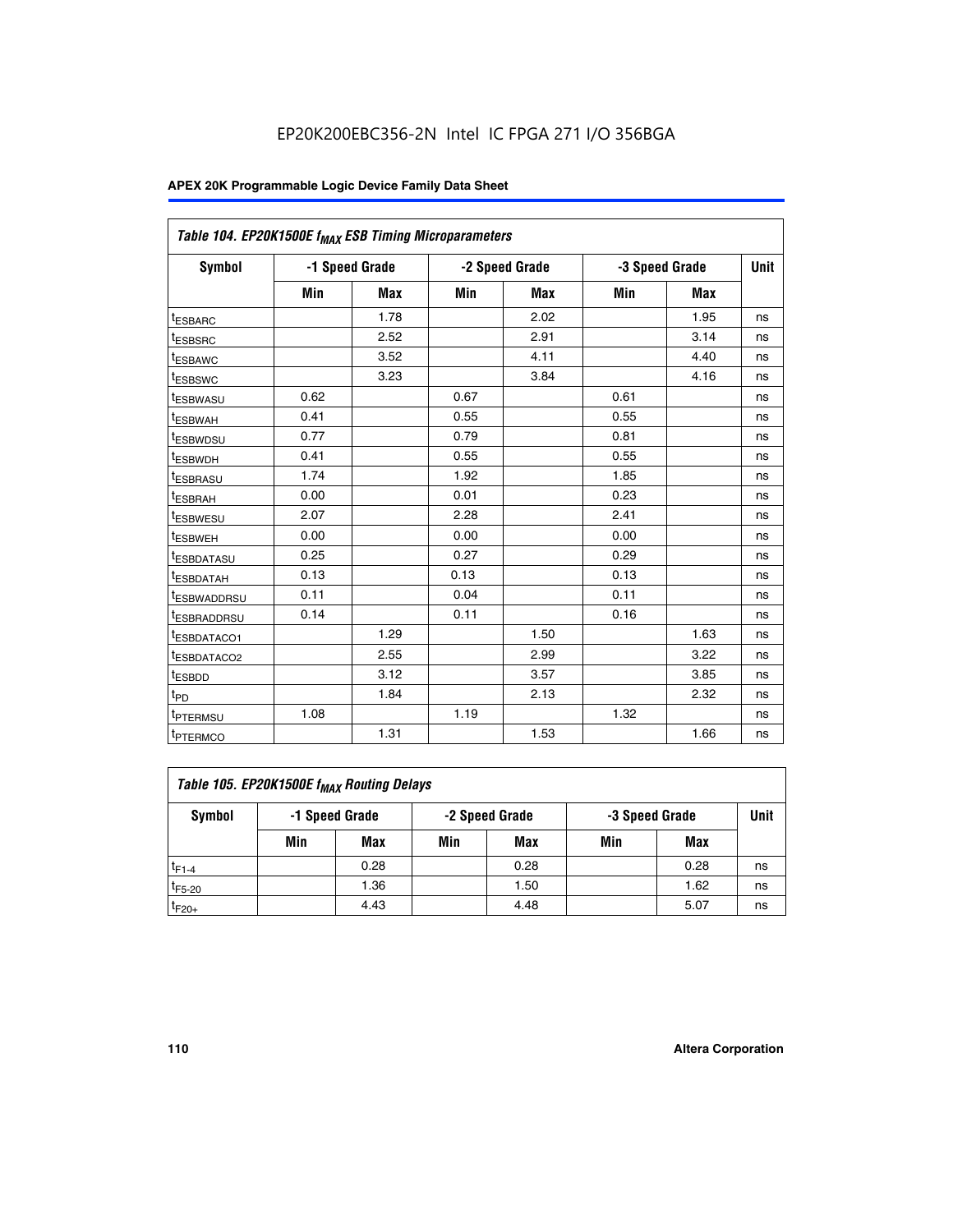|                         | Table 104. EP20K1500E f <sub>MAX</sub> ESB Timing Microparameters |                |            |                |      |                |             |  |  |  |  |  |
|-------------------------|-------------------------------------------------------------------|----------------|------------|----------------|------|----------------|-------------|--|--|--|--|--|
| <b>Symbol</b>           |                                                                   | -1 Speed Grade |            | -2 Speed Grade |      | -3 Speed Grade | <b>Unit</b> |  |  |  |  |  |
|                         | Min                                                               | <b>Max</b>     | <b>Min</b> | Max            | Min  | Max            |             |  |  |  |  |  |
| <sup>t</sup> ESBARC     |                                                                   | 1.78           |            | 2.02           |      | 1.95           | ns          |  |  |  |  |  |
| t <sub>ESBSRC</sub>     |                                                                   | 2.52           |            | 2.91           |      | 3.14           | ns          |  |  |  |  |  |
| <sup>t</sup> ESBAWC     |                                                                   | 3.52           |            | 4.11           |      | 4.40           | ns          |  |  |  |  |  |
| t <sub>ESBSWC</sub>     |                                                                   | 3.23           |            | 3.84           |      | 4.16           | ns          |  |  |  |  |  |
| t <sub>ESBWASU</sub>    | 0.62                                                              |                | 0.67       |                | 0.61 |                | ns          |  |  |  |  |  |
| t <sub>ESBWAH</sub>     | 0.41                                                              |                | 0.55       |                | 0.55 |                | ns          |  |  |  |  |  |
| <sup>t</sup> ESBWDSU    | 0.77                                                              |                | 0.79       |                | 0.81 |                | ns          |  |  |  |  |  |
| t <sub>ESBWDH</sub>     | 0.41                                                              |                | 0.55       |                | 0.55 |                | ns          |  |  |  |  |  |
| <sup>t</sup> ESBRASU    | 1.74                                                              |                | 1.92       |                | 1.85 |                | ns          |  |  |  |  |  |
| <sup>t</sup> ESBRAH     | 0.00                                                              |                | 0.01       |                | 0.23 |                | ns          |  |  |  |  |  |
| <sup>t</sup> ESBWESU    | 2.07                                                              |                | 2.28       |                | 2.41 |                | ns          |  |  |  |  |  |
| <sup>t</sup> ESBWEH     | 0.00                                                              |                | 0.00       |                | 0.00 |                | ns          |  |  |  |  |  |
| <sup>t</sup> ESBDATASU  | 0.25                                                              |                | 0.27       |                | 0.29 |                | ns          |  |  |  |  |  |
| <sup>t</sup> ESBDATAH   | 0.13                                                              |                | 0.13       |                | 0.13 |                | ns          |  |  |  |  |  |
| <sup>t</sup> ESBWADDRSU | 0.11                                                              |                | 0.04       |                | 0.11 |                | ns          |  |  |  |  |  |
| t <sub>ESBRADDRSU</sub> | 0.14                                                              |                | 0.11       |                | 0.16 |                | ns          |  |  |  |  |  |
| <sup>I</sup> ESBDATACO1 |                                                                   | 1.29           |            | 1.50           |      | 1.63           | ns          |  |  |  |  |  |
| <sup>t</sup> ESBDATACO2 |                                                                   | 2.55           |            | 2.99           |      | 3.22           | ns          |  |  |  |  |  |
| <sup>t</sup> ESBDD      |                                                                   | 3.12           |            | 3.57           |      | 3.85           | ns          |  |  |  |  |  |
| t <sub>PD</sub>         |                                                                   | 1.84           |            | 2.13           |      | 2.32           | ns          |  |  |  |  |  |
| t <sub>PTERMSU</sub>    | 1.08                                                              |                | 1.19       |                | 1.32 |                | ns          |  |  |  |  |  |
| t <sub>PTERMCO</sub>    |                                                                   | 1.31           |            | 1.53           |      | 1.66           | ns          |  |  |  |  |  |

| Table 105. EP20K1500E f <sub>MAX</sub> Routing Delays |                                                    |      |     |      |     |      |    |  |  |  |
|-------------------------------------------------------|----------------------------------------------------|------|-----|------|-----|------|----|--|--|--|
| Symbol                                                | -1 Speed Grade<br>-2 Speed Grade<br>-3 Speed Grade |      |     |      |     |      |    |  |  |  |
|                                                       | Min                                                | Max  | Min | Max  | Min | Max  |    |  |  |  |
| $t_{F1-4}$                                            |                                                    | 0.28 |     | 0.28 |     | 0.28 | ns |  |  |  |
| $t_{F5-20}$                                           |                                                    | 1.36 |     | 1.50 |     | 1.62 | ns |  |  |  |
| $t_{F20+}$                                            |                                                    | 4.43 |     | 4.48 |     | 5.07 | ns |  |  |  |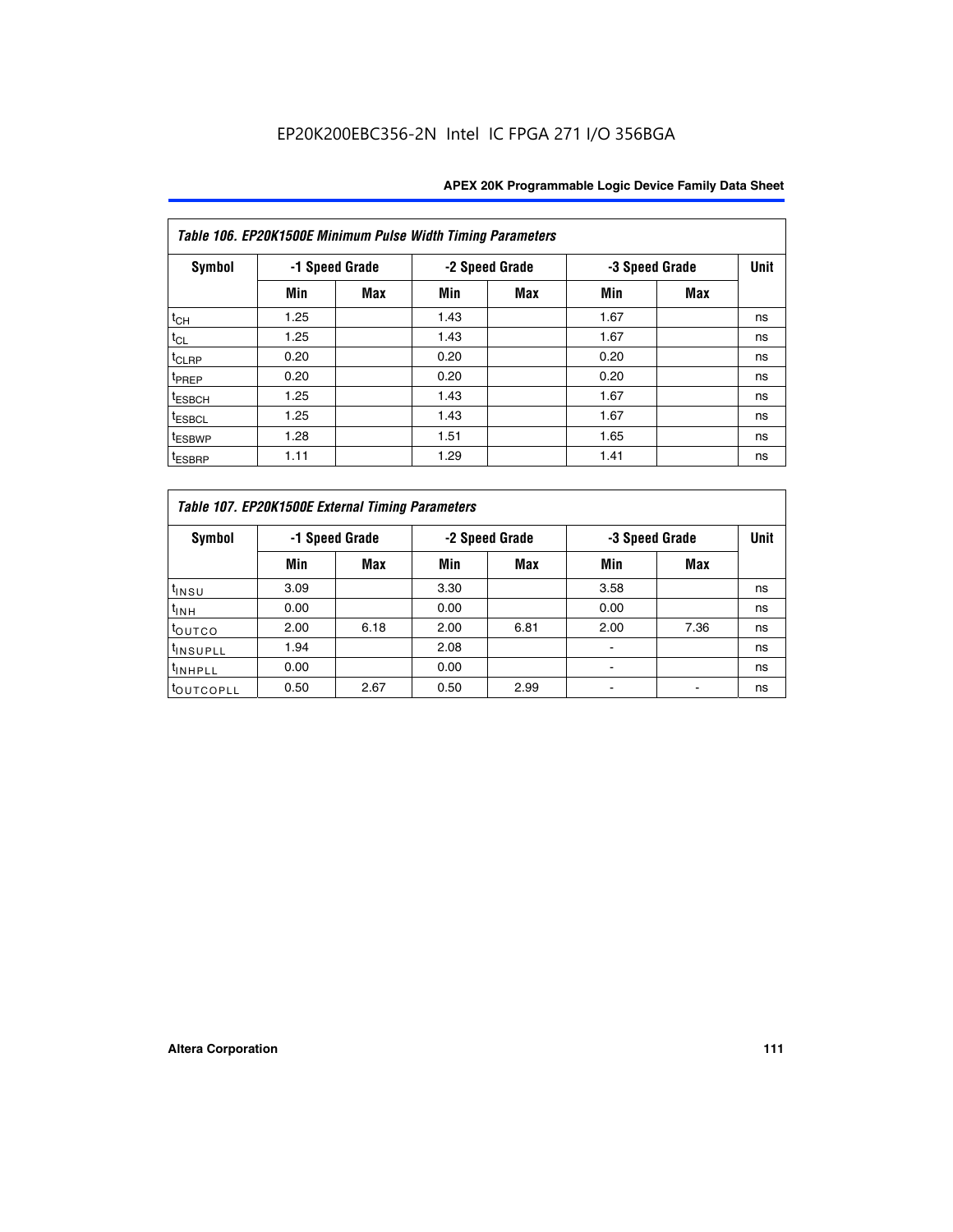|                    | Table 106. EP20K1500E Minimum Pulse Width Timing Parameters |            |      |                |      |                |             |  |  |  |  |  |
|--------------------|-------------------------------------------------------------|------------|------|----------------|------|----------------|-------------|--|--|--|--|--|
| <b>Symbol</b>      | -1 Speed Grade                                              |            |      | -2 Speed Grade |      | -3 Speed Grade | <b>Unit</b> |  |  |  |  |  |
|                    | Min                                                         | <b>Max</b> | Min  | Max            | Min  | <b>Max</b>     |             |  |  |  |  |  |
| $t_{CH}$           | 1.25                                                        |            | 1.43 |                | 1.67 |                | ns          |  |  |  |  |  |
| $t_{CL}$           | 1.25                                                        |            | 1.43 |                | 1.67 |                | ns          |  |  |  |  |  |
| $t_{CLRP}$         | 0.20                                                        |            | 0.20 |                | 0.20 |                | ns          |  |  |  |  |  |
| t <sub>PREP</sub>  | 0.20                                                        |            | 0.20 |                | 0.20 |                | ns          |  |  |  |  |  |
| <sup>t</sup> ESBCH | 1.25                                                        |            | 1.43 |                | 1.67 |                | ns          |  |  |  |  |  |
| <sup>t</sup> ESBCL | 1.25                                                        |            | 1.43 |                | 1.67 |                | ns          |  |  |  |  |  |
| <sup>t</sup> ESBWP | 1.28                                                        |            | 1.51 |                | 1.65 |                | ns          |  |  |  |  |  |
| <sup>t</sup> ESBRP | 1.11                                                        |            | 1.29 |                | 1.41 |                | ns          |  |  |  |  |  |

|                       | Table 107. EP20K1500E External Timing Parameters |      |      |                |                          |                |             |  |  |  |  |  |  |
|-----------------------|--------------------------------------------------|------|------|----------------|--------------------------|----------------|-------------|--|--|--|--|--|--|
| Symbol                | -1 Speed Grade                                   |      |      | -2 Speed Grade |                          | -3 Speed Grade | <b>Unit</b> |  |  |  |  |  |  |
|                       | Min                                              | Max  | Min  | <b>Max</b>     | Min                      | Max            |             |  |  |  |  |  |  |
| t <sub>insu</sub>     | 3.09                                             |      | 3.30 |                | 3.58                     |                | ns          |  |  |  |  |  |  |
| $t_{INH}$             | 0.00                                             |      | 0.00 |                | 0.00                     |                | ns          |  |  |  |  |  |  |
| toutco                | 2.00                                             | 6.18 | 2.00 | 6.81           | 2.00                     | 7.36           | ns          |  |  |  |  |  |  |
| <sup>t</sup> INSUPLL  | 1.94                                             |      | 2.08 |                |                          |                | ns          |  |  |  |  |  |  |
| <sup>t</sup> INHPLL   | 0.00                                             |      | 0.00 |                | $\overline{\phantom{0}}$ |                | ns          |  |  |  |  |  |  |
| <sup>t</sup> OUTCOPLL | 0.50                                             | 2.67 | 0.50 | 2.99           |                          |                | ns          |  |  |  |  |  |  |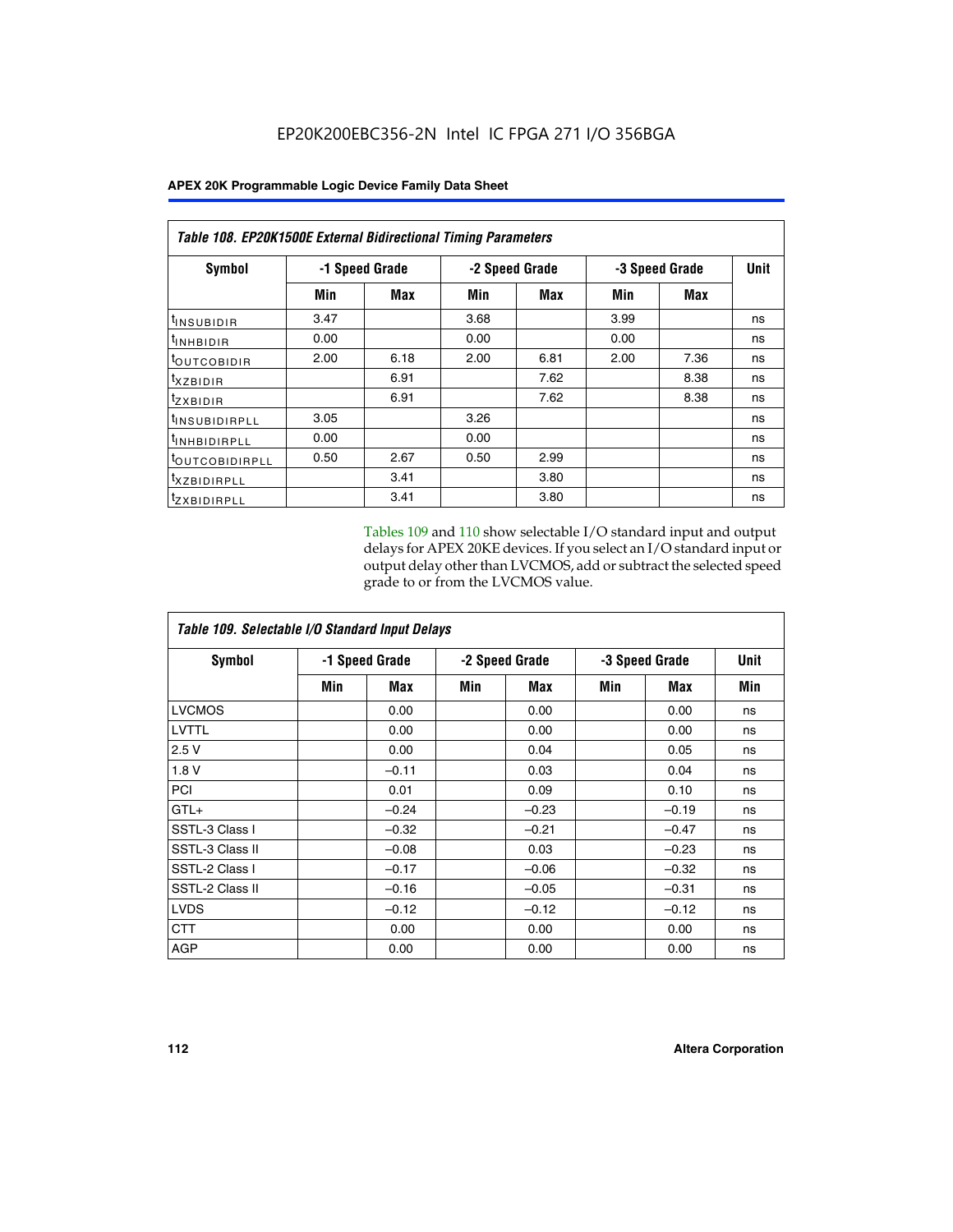|                           | <b>Table 108. EP20K1500E External Bidirectional Timing Parameters</b> |                |      |                |                |             |    |  |  |  |  |
|---------------------------|-----------------------------------------------------------------------|----------------|------|----------------|----------------|-------------|----|--|--|--|--|
| Symbol                    |                                                                       | -1 Speed Grade |      | -2 Speed Grade | -3 Speed Grade | <b>Unit</b> |    |  |  |  |  |
|                           | Min                                                                   | Max            | Min  | Max            | Min            | Max         |    |  |  |  |  |
| <sup>t</sup> INSUBIDIR    | 3.47                                                                  |                | 3.68 |                | 3.99           |             | ns |  |  |  |  |
| <sup>t</sup> INHBIDIR     | 0.00                                                                  |                | 0.00 |                | 0.00           |             | ns |  |  |  |  |
| <b>LOUTCOBIDIR</b>        | 2.00                                                                  | 6.18           | 2.00 | 6.81           | 2.00           | 7.36        | ns |  |  |  |  |
| txzBIDIR                  |                                                                       | 6.91           |      | 7.62           |                | 8.38        | ns |  |  |  |  |
| <sup>t</sup> zxbidir      |                                                                       | 6.91           |      | 7.62           |                | 8.38        | ns |  |  |  |  |
| <sup>t</sup> INSUBIDIRPLL | 3.05                                                                  |                | 3.26 |                |                |             | ns |  |  |  |  |
| <b>INHBIDIRPLL</b>        | 0.00                                                                  |                | 0.00 |                |                |             | ns |  |  |  |  |
| <b>LOUTCOBIDIRPLL</b>     | 0.50                                                                  | 2.67           | 0.50 | 2.99           |                |             | ns |  |  |  |  |
| <sup>T</sup> XZBIDIRPLL   |                                                                       | 3.41           |      | 3.80           |                |             | ns |  |  |  |  |
| <sup>t</sup> ZXBIDIRPLL   |                                                                       | 3.41           |      | 3.80           |                |             | ns |  |  |  |  |

Tables 109 and 110 show selectable I/O standard input and output delays for APEX 20KE devices. If you select an I/O standard input or output delay other than LVCMOS, add or subtract the selected speed grade to or from the LVCMOS value.

| Table 109. Selectable I/O Standard Input Delays |     |                |     |                |     |                |             |  |  |  |
|-------------------------------------------------|-----|----------------|-----|----------------|-----|----------------|-------------|--|--|--|
| <b>Symbol</b>                                   |     | -1 Speed Grade |     | -2 Speed Grade |     | -3 Speed Grade | <b>Unit</b> |  |  |  |
|                                                 | Min | Max            | Min | Max            | Min | Max            | Min         |  |  |  |
| <b>LVCMOS</b>                                   |     | 0.00           |     | 0.00           |     | 0.00           | ns          |  |  |  |
| <b>LVTTL</b>                                    |     | 0.00           |     | 0.00           |     | 0.00           | ns          |  |  |  |
| 2.5V                                            |     | 0.00           |     | 0.04           |     | 0.05           | ns          |  |  |  |
| 1.8V                                            |     | $-0.11$        |     | 0.03           |     | 0.04           | ns          |  |  |  |
| PCI                                             |     | 0.01           |     | 0.09           |     | 0.10           | ns          |  |  |  |
| $GTL+$                                          |     | $-0.24$        |     | $-0.23$        |     | $-0.19$        | ns          |  |  |  |
| SSTL-3 Class I                                  |     | $-0.32$        |     | $-0.21$        |     | $-0.47$        | ns          |  |  |  |
| SSTL-3 Class II                                 |     | $-0.08$        |     | 0.03           |     | $-0.23$        | ns          |  |  |  |
| SSTL-2 Class I                                  |     | $-0.17$        |     | $-0.06$        |     | $-0.32$        | ns          |  |  |  |
| SSTL-2 Class II                                 |     | $-0.16$        |     | $-0.05$        |     | $-0.31$        | ns          |  |  |  |
| <b>LVDS</b>                                     |     | $-0.12$        |     | $-0.12$        |     | $-0.12$        | ns          |  |  |  |
| <b>CTT</b>                                      |     | 0.00           |     | 0.00           |     | 0.00           | ns          |  |  |  |
| <b>AGP</b>                                      |     | 0.00           |     | 0.00           |     | 0.00           | ns          |  |  |  |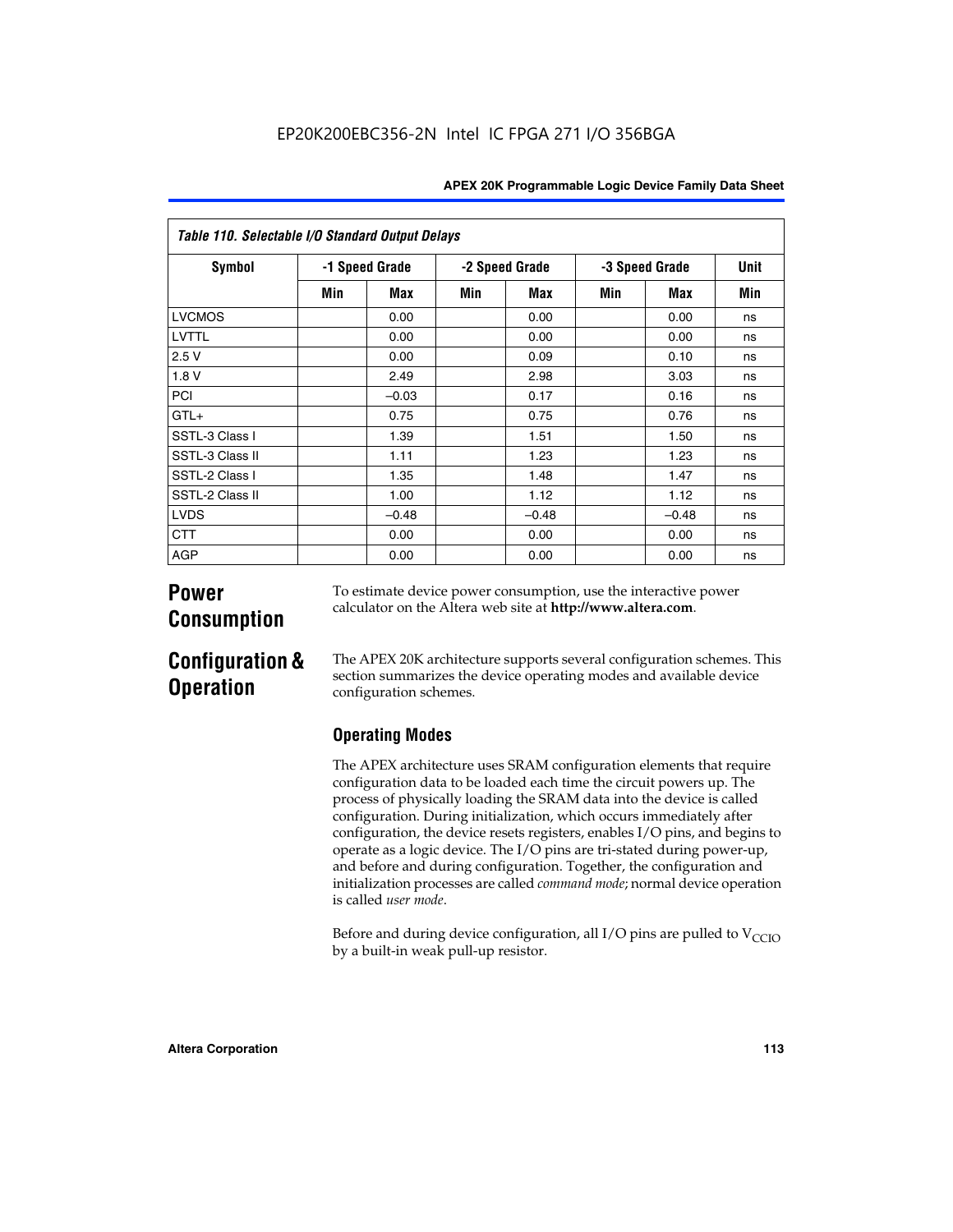| Table 110. Selectable I/O Standard Output Delays |     |                |     |                |     |                |     |  |  |  |  |
|--------------------------------------------------|-----|----------------|-----|----------------|-----|----------------|-----|--|--|--|--|
| <b>Symbol</b>                                    |     | -1 Speed Grade |     | -2 Speed Grade |     | -3 Speed Grade |     |  |  |  |  |
|                                                  | Min | Max            | Min | Max            | Min | Max            | Min |  |  |  |  |
| <b>LVCMOS</b>                                    |     | 0.00           |     | 0.00           |     | 0.00           | ns  |  |  |  |  |
| LVTTL                                            |     | 0.00           |     | 0.00           |     | 0.00           | ns  |  |  |  |  |
| 2.5V                                             |     | 0.00           |     | 0.09           |     | 0.10           | ns  |  |  |  |  |
| 1.8 V                                            |     | 2.49           |     | 2.98           |     | 3.03           | ns  |  |  |  |  |
| PCI                                              |     | $-0.03$        |     | 0.17           |     | 0.16           | ns  |  |  |  |  |
| $GTL+$                                           |     | 0.75           |     | 0.75           |     | 0.76           | ns  |  |  |  |  |
| SSTL-3 Class I                                   |     | 1.39           |     | 1.51           |     | 1.50           | ns  |  |  |  |  |
| SSTL-3 Class II                                  |     | 1.11           |     | 1.23           |     | 1.23           | ns  |  |  |  |  |
| SSTL-2 Class I                                   |     | 1.35           |     | 1.48           |     | 1.47           | ns  |  |  |  |  |
| SSTL-2 Class II                                  |     | 1.00           |     | 1.12           |     | 1.12           | ns  |  |  |  |  |
| <b>LVDS</b>                                      |     | $-0.48$        |     | $-0.48$        |     | $-0.48$        | ns  |  |  |  |  |
| <b>CTT</b>                                       |     | 0.00           |     | 0.00           |     | 0.00           | ns  |  |  |  |  |
| <b>AGP</b>                                       |     | 0.00           |     | 0.00           |     | 0.00           | ns  |  |  |  |  |

# **Power Consumption**

To estimate device power consumption, use the interactive power calculator on the Altera web site at **http://www.altera.com**.

# **Configuration & Operation**

The APEX 20K architecture supports several configuration schemes. This section summarizes the device operating modes and available device configuration schemes.

## **Operating Modes**

The APEX architecture uses SRAM configuration elements that require configuration data to be loaded each time the circuit powers up. The process of physically loading the SRAM data into the device is called configuration. During initialization, which occurs immediately after configuration, the device resets registers, enables I/O pins, and begins to operate as a logic device. The I/O pins are tri-stated during power-up, and before and during configuration. Together, the configuration and initialization processes are called *command mode*; normal device operation is called *user mode*.

Before and during device configuration, all I/O pins are pulled to  $V_{\text{CCIO}}$ by a built-in weak pull-up resistor.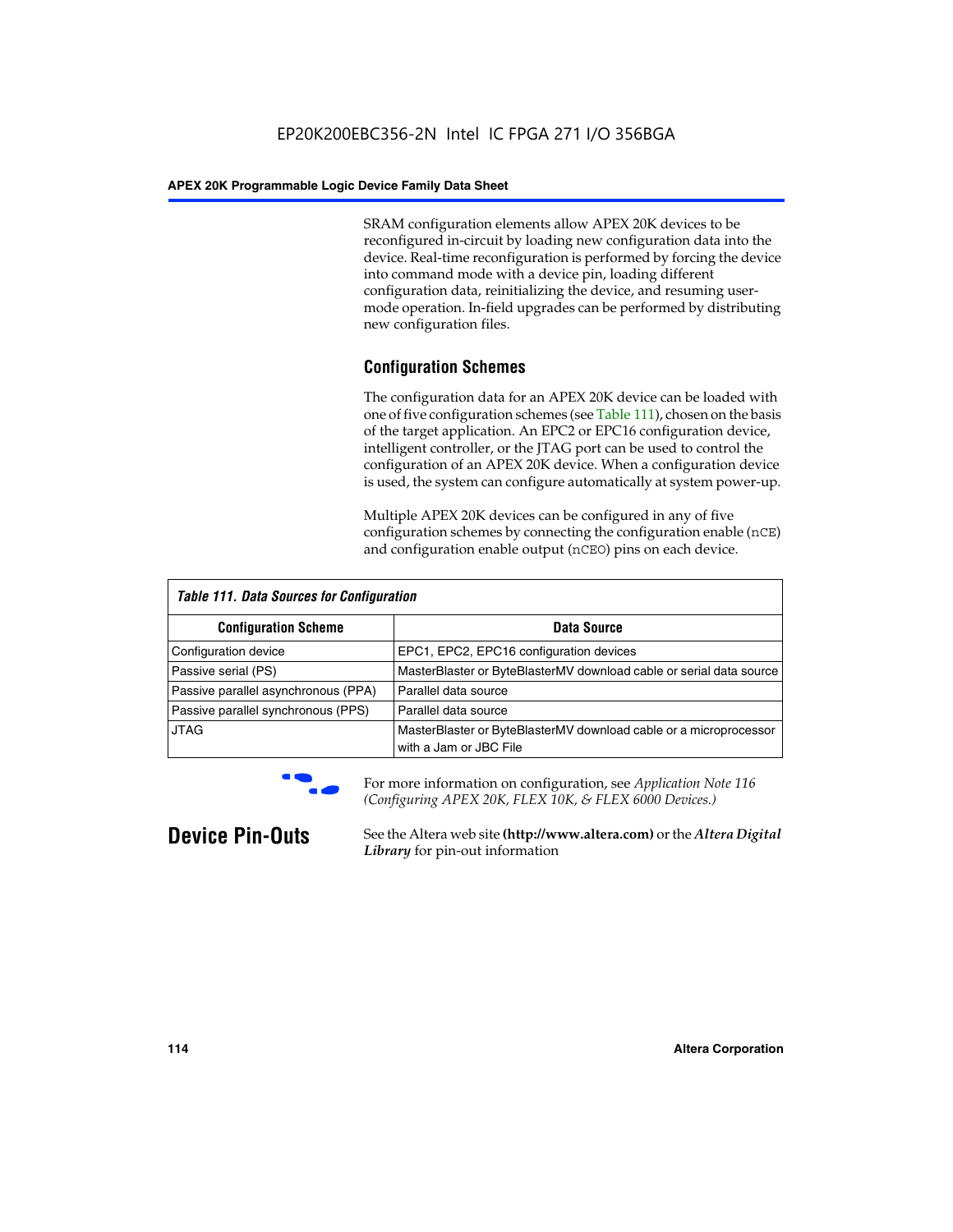SRAM configuration elements allow APEX 20K devices to be reconfigured in-circuit by loading new configuration data into the device. Real-time reconfiguration is performed by forcing the device into command mode with a device pin, loading different configuration data, reinitializing the device, and resuming usermode operation. In-field upgrades can be performed by distributing new configuration files.

## **Configuration Schemes**

The configuration data for an APEX 20K device can be loaded with one of five configuration schemes (see Table 111), chosen on the basis of the target application. An EPC2 or EPC16 configuration device, intelligent controller, or the JTAG port can be used to control the configuration of an APEX 20K device. When a configuration device is used, the system can configure automatically at system power-up.

Multiple APEX 20K devices can be configured in any of five configuration schemes by connecting the configuration enable (nCE) and configuration enable output (nCEO) pins on each device.

| <b>Table 111. Data Sources for Configuration</b> |                                                                                             |
|--------------------------------------------------|---------------------------------------------------------------------------------------------|
| <b>Configuration Scheme</b>                      | Data Source                                                                                 |
| Configuration device                             | EPC1, EPC2, EPC16 configuration devices                                                     |
| Passive serial (PS)                              | MasterBlaster or ByteBlasterMV download cable or serial data source                         |
| Passive parallel asynchronous (PPA)              | Parallel data source                                                                        |
| Passive parallel synchronous (PPS)               | Parallel data source                                                                        |
| <b>JTAG</b>                                      | MasterBlaster or ByteBlasterMV download cable or a microprocessor<br>with a Jam or JBC File |



**For more information on configuration, see Application Note 116** *(Configuring APEX 20K, FLEX 10K, & FLEX 6000 Devices.)*

**Device Pin-Outs** See the Altera web site **(http://www.altera.com)** or the *Altera Digital Library* for pin-out information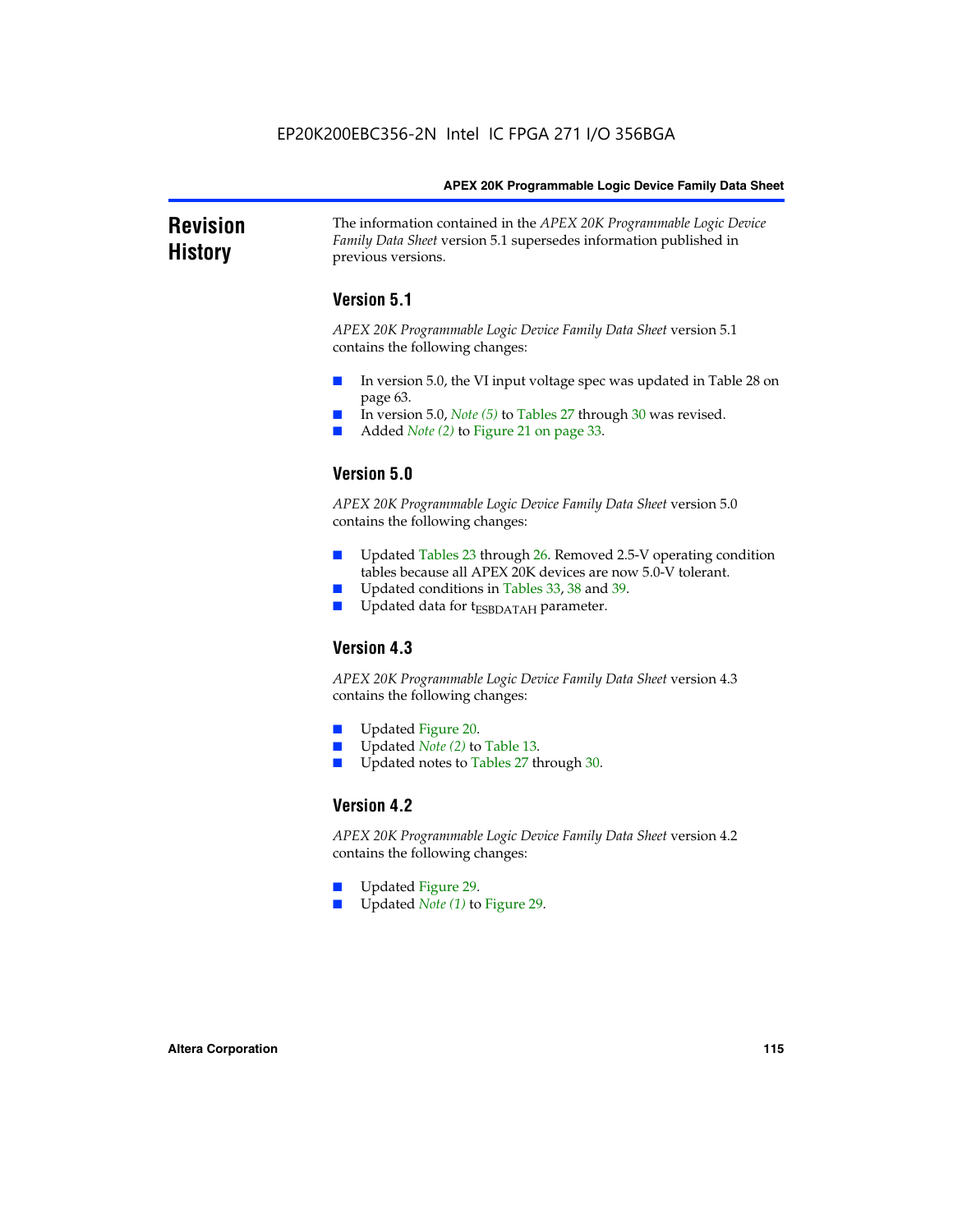### **Revision History** The information contained in the *APEX 20K Programmable Logic Device Family Data Sheet* version 5.1 supersedes information published in previous versions.

## **Version 5.1**

*APEX 20K Programmable Logic Device Family Data Sheet* version 5.1 contains the following changes:

- In version 5.0, the VI input voltage spec was updated in Table 28 on page 63.
- In version 5.0, *Note* (5) to Tables 27 through 30 was revised.
- Added *Note* (2) to Figure 21 on page 33.

## **Version 5.0**

*APEX 20K Programmable Logic Device Family Data Sheet* version 5.0 contains the following changes:

- Updated Tables 23 through 26. Removed 2.5-V operating condition tables because all APEX 20K devices are now 5.0-V tolerant.
- Updated conditions in Tables 33, 38 and 39.
- Updated data for t<sub>ESBDATAH</sub> parameter.

## **Version 4.3**

*APEX 20K Programmable Logic Device Family Data Sheet* version 4.3 contains the following changes:

- Updated Figure 20.
- Updated *Note (2)* to Table 13.
- Updated notes to Tables 27 through 30.

## **Version 4.2**

*APEX 20K Programmable Logic Device Family Data Sheet* version 4.2 contains the following changes:

- Updated Figure 29.
- Updated *Note (1)* to Figure 29.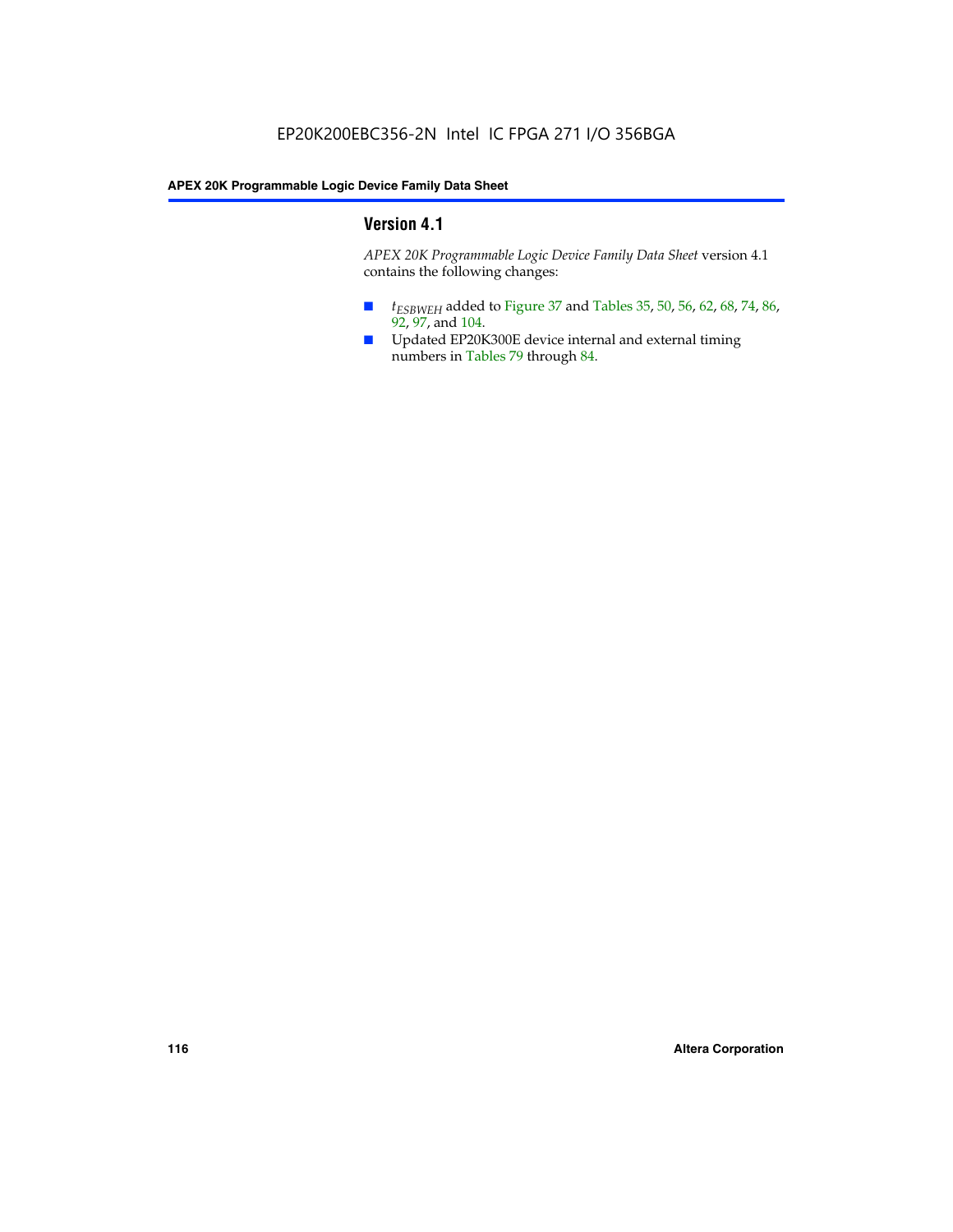## **Version 4.1**

*APEX 20K Programmable Logic Device Family Data Sheet* version 4.1 contains the following changes:

- *t<sub>ESBWEH</sub>* added to Figure 37 and Tables 35, 50, 56, 62, 68, 74, 86, 92, 97, and 104.
- Updated EP20K300E device internal and external timing numbers in Tables 79 through 84.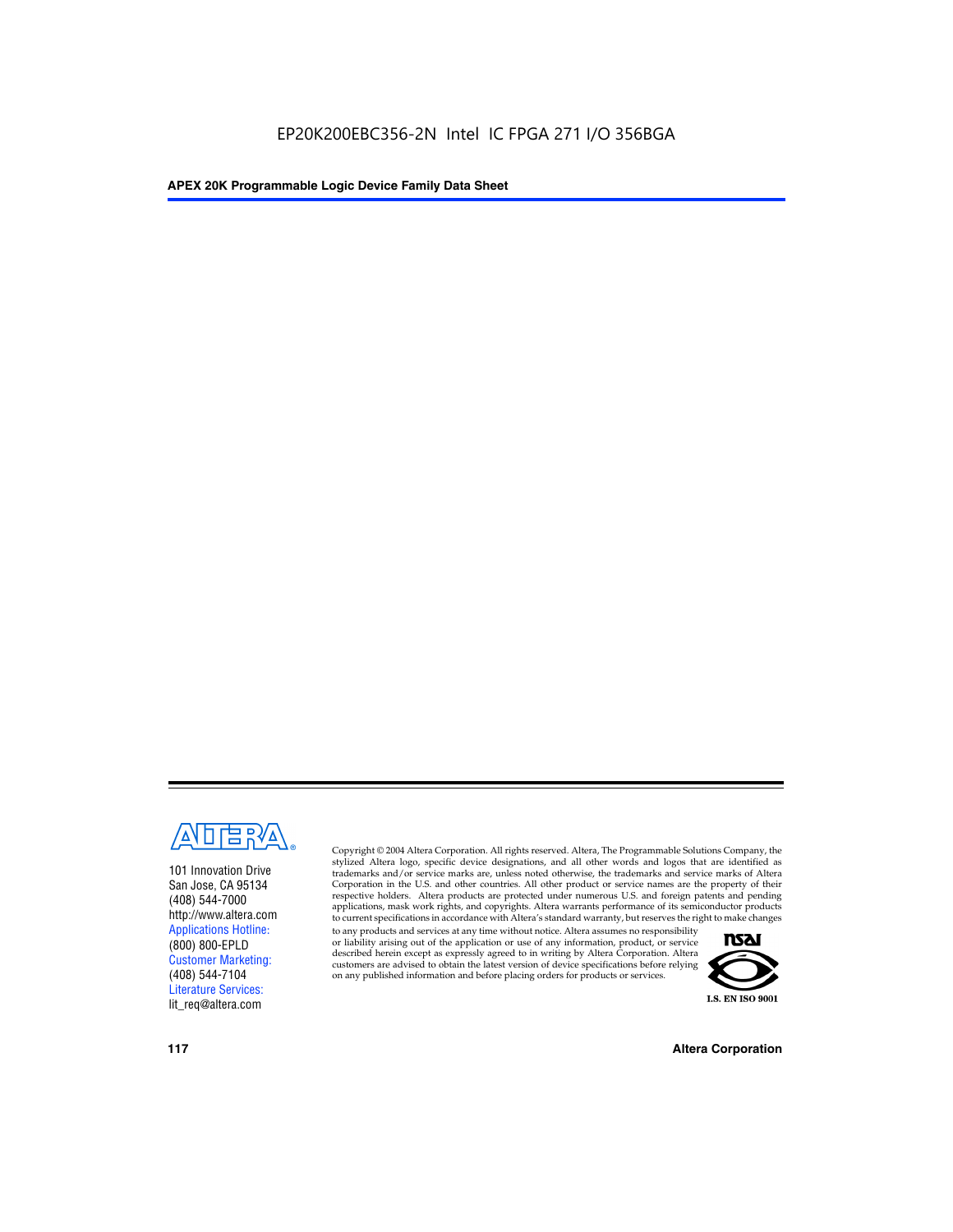

101 Innovation Drive San Jose, CA 95134 (408) 544-7000 http://www.altera.com Applications Hotline: (800) 800-EPLD Customer Marketing: (408) 544-7104 Literature Services: lit\_req@altera.com

Copyright © 2004 Altera Corporation. All rights reserved. Altera, The Programmable Solutions Company, the stylized Altera logo, specific device designations, and all other words and logos that are identified as trademarks and/or service marks are, unless noted otherwise, the trademarks and service marks of Altera Corporation in the U.S. and other countries. All other product or service names are the property of their respective holders. Altera products are protected under numerous U.S. and foreign patents and pending applications, mask work rights, and copyrights. Altera warrants performance of its semiconductor products to current specifications in accordance with Altera's standard warranty, but reserves the right to make changes

to any products and services at any time without notice. Altera assumes no responsibility or liability arising out of the application or use of any information, product, or service described herein except as expressly agreed to in writing by Altera Corporation. Altera customers are advised to obtain the latest version of device specifications before relying on any published information and before placing orders for products or services.



**117 Altera Corporation**